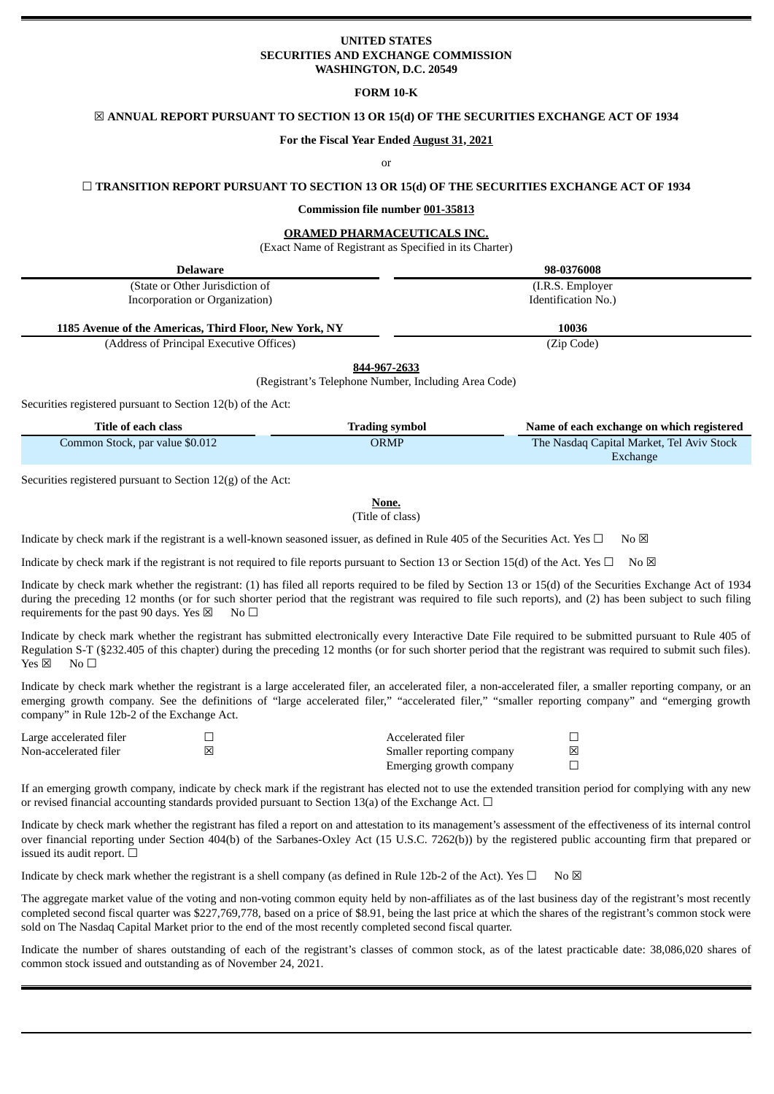# **UNITED STATES SECURITIES AND EXCHANGE COMMISSION WASHINGTON, D.C. 20549**

# **FORM 10-K**

# ☒ **ANNUAL REPORT PURSUANT TO SECTION 13 OR 15(d) OF THE SECURITIES EXCHANGE ACT OF 1934**

### **For the Fiscal Year Ended August 31, 2021**

or

# ☐ **TRANSITION REPORT PURSUANT TO SECTION 13 OR 15(d) OF THE SECURITIES EXCHANGE ACT OF 1934**

### **Commission file number 001-35813**

## **ORAMED PHARMACEUTICALS INC.**

(Exact Name of Registrant as Specified in its Charter)

| Delaware                                               | 98-0376008          |  |
|--------------------------------------------------------|---------------------|--|
| (State or Other Jurisdiction of                        | (I.R.S. Employer    |  |
| Incorporation or Organization)                         | Identification No.) |  |
| 1185 Avenue of the Americas, Third Floor, New York, NY | 10036               |  |
| (Address of Principal Executive Offices)               | (Zip Code)          |  |
| 844-967-2633                                           |                     |  |

(Registrant's Telephone Number, Including Area Code)

Securities registered pursuant to Section 12(b) of the Act:

| Title of each class             | <b>Trading symbol</b> | Name of each exchange on which registered |
|---------------------------------|-----------------------|-------------------------------------------|
| Common Stock, par value \$0.012 | ORMP                  | The Nasdaq Capital Market, Tel Aviv Stock |
|                                 |                       | Exchange                                  |

Securities registered pursuant to Section 12(g) of the Act:

#### **None.** (Title of class)

Indicate by check mark if the registrant is a well-known seasoned issuer, as defined in Rule 405 of the Securities Act. Yes  $\Box$  No  $\boxtimes$ 

Indicate by check mark if the registrant is not required to file reports pursuant to Section 13 or Section 15(d) of the Act. Yes  $\square$  No  $\boxtimes$ 

Indicate by check mark whether the registrant: (1) has filed all reports required to be filed by Section 13 or 15(d) of the Securities Exchange Act of 1934 during the preceding 12 months (or for such shorter period that the registrant was required to file such reports), and (2) has been subject to such filing requirements for the past 90 days. Yes  $\boxtimes$  No  $\Box$ 

Indicate by check mark whether the registrant has submitted electronically every Interactive Date File required to be submitted pursuant to Rule 405 of Regulation S-T (§232.405 of this chapter) during the preceding 12 months (or for such shorter period that the registrant was required to submit such files).  $Yes \boxtimes \cong No \square$ 

Indicate by check mark whether the registrant is a large accelerated filer, an accelerated filer, a non-accelerated filer, a smaller reporting company, or an emerging growth company. See the definitions of "large accelerated filer," "accelerated filer," "smaller reporting company" and "emerging growth company" in Rule 12b-2 of the Exchange Act.

| Large accelerated filer | Accelerated filer         |   |
|-------------------------|---------------------------|---|
| Non-accelerated filer   | Smaller reporting company | 冈 |
|                         | Emerging growth company   |   |

If an emerging growth company, indicate by check mark if the registrant has elected not to use the extended transition period for complying with any new or revised financial accounting standards provided pursuant to Section 13(a) of the Exchange Act.  $\Box$ 

Indicate by check mark whether the registrant has filed a report on and attestation to its management's assessment of the effectiveness of its internal control over financial reporting under Section 404(b) of the Sarbanes-Oxley Act (15 U.S.C. 7262(b)) by the registered public accounting firm that prepared or issued its audit report.  $\Box$ 

Indicate by check mark whether the registrant is a shell company (as defined in Rule 12b-2 of the Act). Yes  $\Box$  No  $\boxtimes$ 

The aggregate market value of the voting and non-voting common equity held by non-affiliates as of the last business day of the registrant's most recently completed second fiscal quarter was \$227,769,778, based on a price of \$8.91, being the last price at which the shares of the registrant's common stock were sold on The Nasdaq Capital Market prior to the end of the most recently completed second fiscal quarter.

Indicate the number of shares outstanding of each of the registrant's classes of common stock, as of the latest practicable date: 38,086,020 shares of common stock issued and outstanding as of November 24, 2021.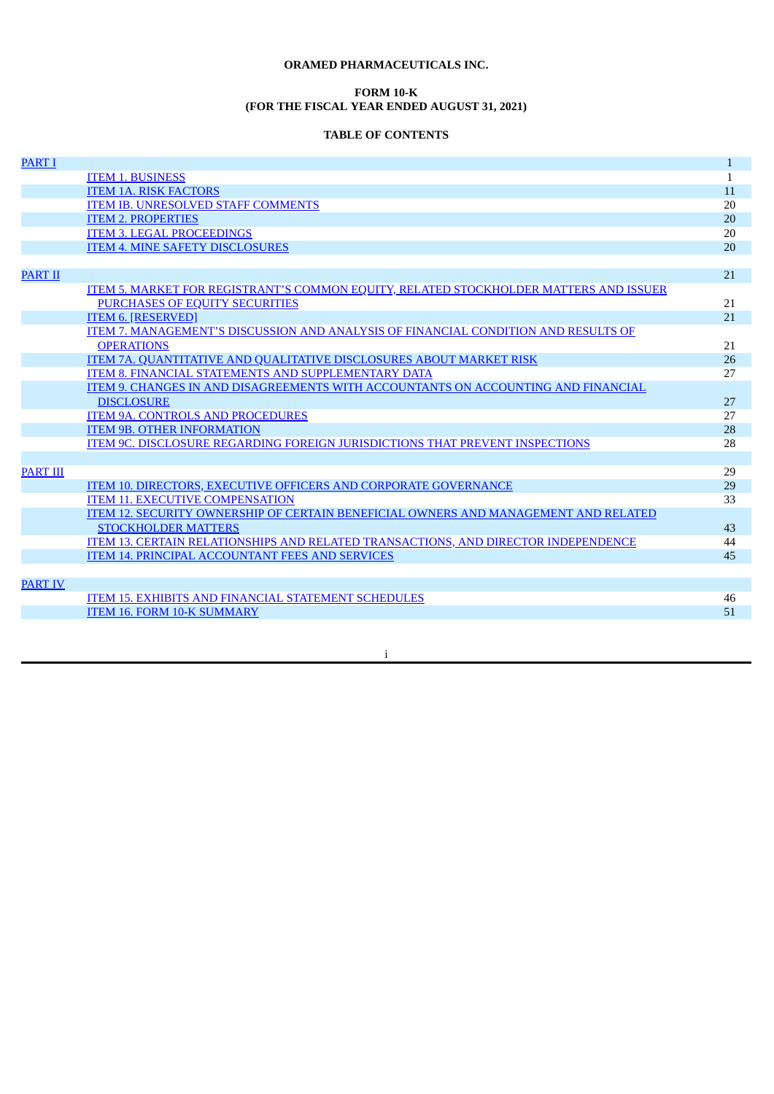# **ORAMED PHARMACEUTICALS INC.**

# **FORM 10-K (FOR THE FISCAL YEAR ENDED AUGUST 31, 2021)**

# **TABLE OF CONTENTS**

| <b>PART I</b>   |                                                                                              | $\mathbf{1}$ |
|-----------------|----------------------------------------------------------------------------------------------|--------------|
|                 | <b>ITEM 1. BUSINESS</b>                                                                      | 1            |
|                 | <b>ITEM 1A. RISK FACTORS</b>                                                                 | 11           |
|                 | <b>ITEM IB. UNRESOLVED STAFF COMMENTS</b>                                                    | 20           |
|                 | <b>ITEM 2. PROPERTIES</b>                                                                    | 20           |
|                 | <b>ITEM 3. LEGAL PROCEEDINGS</b>                                                             | 20           |
|                 | <b>ITEM 4. MINE SAFETY DISCLOSURES</b>                                                       | 20           |
|                 |                                                                                              |              |
| <b>PART II</b>  |                                                                                              | 21           |
|                 | <b>ITEM 5. MARKET FOR REGISTRANT'S COMMON EQUITY, RELATED STOCKHOLDER MATTERS AND ISSUER</b> |              |
|                 | <b>PURCHASES OF EQUITY SECURITIES</b>                                                        | 21           |
|                 | <b>ITEM 6. [RESERVED]</b>                                                                    | 21           |
|                 | ITEM 7. MANAGEMENT'S DISCUSSION AND ANALYSIS OF FINANCIAL CONDITION AND RESULTS OF           |              |
|                 | <b>OPERATIONS</b>                                                                            | 21           |
|                 | <b>ITEM 7A. QUANTITATIVE AND QUALITATIVE DISCLOSURES ABOUT MARKET RISK</b>                   | 26           |
|                 | <b>ITEM 8. FINANCIAL STATEMENTS AND SUPPLEMENTARY DATA</b>                                   | 27           |
|                 | ITEM 9. CHANGES IN AND DISAGREEMENTS WITH ACCOUNTANTS ON ACCOUNTING AND FINANCIAL            |              |
|                 | <b>DISCLOSURE</b>                                                                            | 27           |
|                 | <b>ITEM 9A. CONTROLS AND PROCEDURES</b>                                                      | 27           |
|                 | <b>ITEM 9B. OTHER INFORMATION</b>                                                            | 28           |
|                 | ITEM 9C. DISCLOSURE REGARDING FOREIGN JURISDICTIONS THAT PREVENT INSPECTIONS                 | 28           |
|                 |                                                                                              |              |
| <b>PART III</b> |                                                                                              | 29           |
|                 | ITEM 10. DIRECTORS, EXECUTIVE OFFICERS AND CORPORATE GOVERNANCE                              | 29           |
|                 | <b>ITEM 11. EXECUTIVE COMPENSATION</b>                                                       | 33           |
|                 | ITEM 12. SECURITY OWNERSHIP OF CERTAIN BENEFICIAL OWNERS AND MANAGEMENT AND RELATED          |              |
|                 | <b>STOCKHOLDER MATTERS</b>                                                                   | 43           |
|                 | ITEM 13. CERTAIN RELATIONSHIPS AND RELATED TRANSACTIONS, AND DIRECTOR INDEPENDENCE           | 44           |
|                 | <b>ITEM 14. PRINCIPAL ACCOUNTANT FEES AND SERVICES</b>                                       | 45           |
|                 |                                                                                              |              |
| <b>PART IV</b>  |                                                                                              |              |
|                 | <b>ITEM 15. EXHIBITS AND FINANCIAL STATEMENT SCHEDULES</b>                                   | 46           |
|                 | <b>ITEM 16. FORM 10-K SUMMARY</b>                                                            | 51           |
|                 |                                                                                              |              |

# i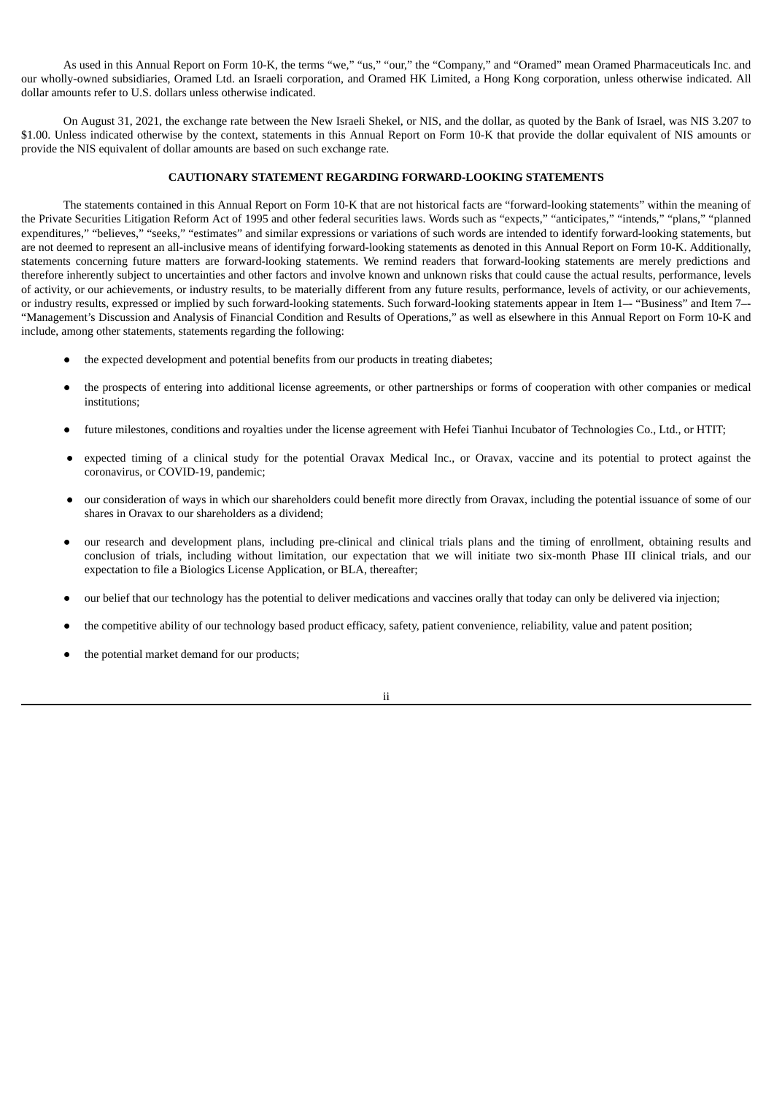As used in this Annual Report on Form 10-K, the terms "we," "us," "our," the "Company," and "Oramed" mean Oramed Pharmaceuticals Inc. and our wholly-owned subsidiaries, Oramed Ltd. an Israeli corporation, and Oramed HK Limited, a Hong Kong corporation, unless otherwise indicated. All dollar amounts refer to U.S. dollars unless otherwise indicated.

On August 31, 2021, the exchange rate between the New Israeli Shekel, or NIS, and the dollar, as quoted by the Bank of Israel, was NIS 3.207 to \$1.00. Unless indicated otherwise by the context, statements in this Annual Report on Form 10-K that provide the dollar equivalent of NIS amounts or provide the NIS equivalent of dollar amounts are based on such exchange rate.

# **CAUTIONARY STATEMENT REGARDING FORWARD-LOOKING STATEMENTS**

The statements contained in this Annual Report on Form 10-K that are not historical facts are "forward-looking statements" within the meaning of the Private Securities Litigation Reform Act of 1995 and other federal securities laws. Words such as "expects," "anticipates," "intends," "plans," "planned expenditures," "believes," "seeks," "estimates" and similar expressions or variations of such words are intended to identify forward-looking statements, but are not deemed to represent an all-inclusive means of identifying forward-looking statements as denoted in this Annual Report on Form 10-K. Additionally, statements concerning future matters are forward-looking statements. We remind readers that forward-looking statements are merely predictions and therefore inherently subject to uncertainties and other factors and involve known and unknown risks that could cause the actual results, performance, levels of activity, or our achievements, or industry results, to be materially different from any future results, performance, levels of activity, or our achievements, or industry results, expressed or implied by such forward-looking statements. Such forward-looking statements appear in Item 1–- "Business" and Item 7–- "Management's Discussion and Analysis of Financial Condition and Results of Operations," as well as elsewhere in this Annual Report on Form 10-K and include, among other statements, statements regarding the following:

- the expected development and potential benefits from our products in treating diabetes;
- the prospects of entering into additional license agreements, or other partnerships or forms of cooperation with other companies or medical institutions;
- future milestones, conditions and royalties under the license agreement with Hefei Tianhui Incubator of Technologies Co., Ltd., or HTIT;
- expected timing of a clinical study for the potential Oravax Medical Inc., or Oravax, vaccine and its potential to protect against the coronavirus, or COVID-19, pandemic;
- our consideration of ways in which our shareholders could benefit more directly from Oravax, including the potential issuance of some of our shares in Oravax to our shareholders as a dividend;
- our research and development plans, including pre-clinical and clinical trials plans and the timing of enrollment, obtaining results and conclusion of trials, including without limitation, our expectation that we will initiate two six-month Phase III clinical trials, and our expectation to file a Biologics License Application, or BLA, thereafter;
- our belief that our technology has the potential to deliver medications and vaccines orally that today can only be delivered via injection;
- the competitive ability of our technology based product efficacy, safety, patient convenience, reliability, value and patent position;
- the potential market demand for our products;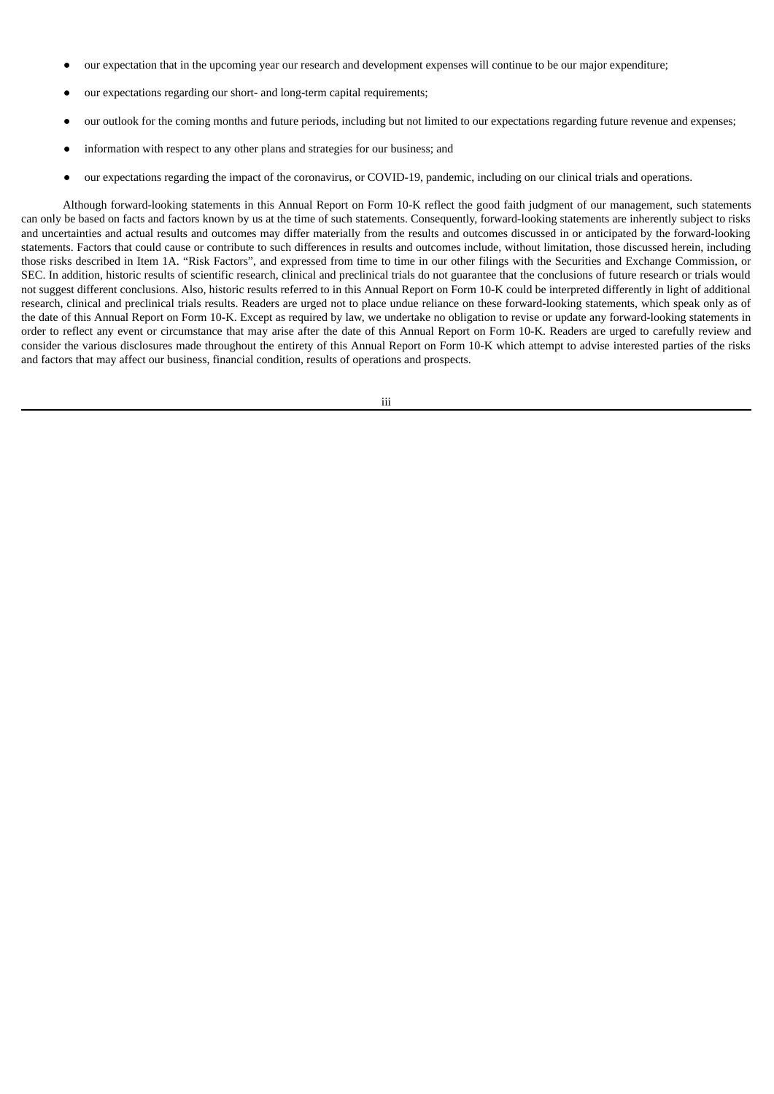- our expectation that in the upcoming year our research and development expenses will continue to be our major expenditure;
- our expectations regarding our short- and long-term capital requirements;
- our outlook for the coming months and future periods, including but not limited to our expectations regarding future revenue and expenses;
- information with respect to any other plans and strategies for our business; and
- our expectations regarding the impact of the coronavirus, or COVID-19, pandemic, including on our clinical trials and operations.

Although forward-looking statements in this Annual Report on Form 10-K reflect the good faith judgment of our management, such statements can only be based on facts and factors known by us at the time of such statements. Consequently, forward-looking statements are inherently subject to risks and uncertainties and actual results and outcomes may differ materially from the results and outcomes discussed in or anticipated by the forward-looking statements. Factors that could cause or contribute to such differences in results and outcomes include, without limitation, those discussed herein, including those risks described in Item 1A. "Risk Factors", and expressed from time to time in our other filings with the Securities and Exchange Commission, or SEC. In addition, historic results of scientific research, clinical and preclinical trials do not guarantee that the conclusions of future research or trials would not suggest different conclusions. Also, historic results referred to in this Annual Report on Form 10-K could be interpreted differently in light of additional research, clinical and preclinical trials results. Readers are urged not to place undue reliance on these forward-looking statements, which speak only as of the date of this Annual Report on Form 10-K. Except as required by law, we undertake no obligation to revise or update any forward-looking statements in order to reflect any event or circumstance that may arise after the date of this Annual Report on Form 10-K. Readers are urged to carefully review and consider the various disclosures made throughout the entirety of this Annual Report on Form 10-K which attempt to advise interested parties of the risks and factors that may affect our business, financial condition, results of operations and prospects.

iii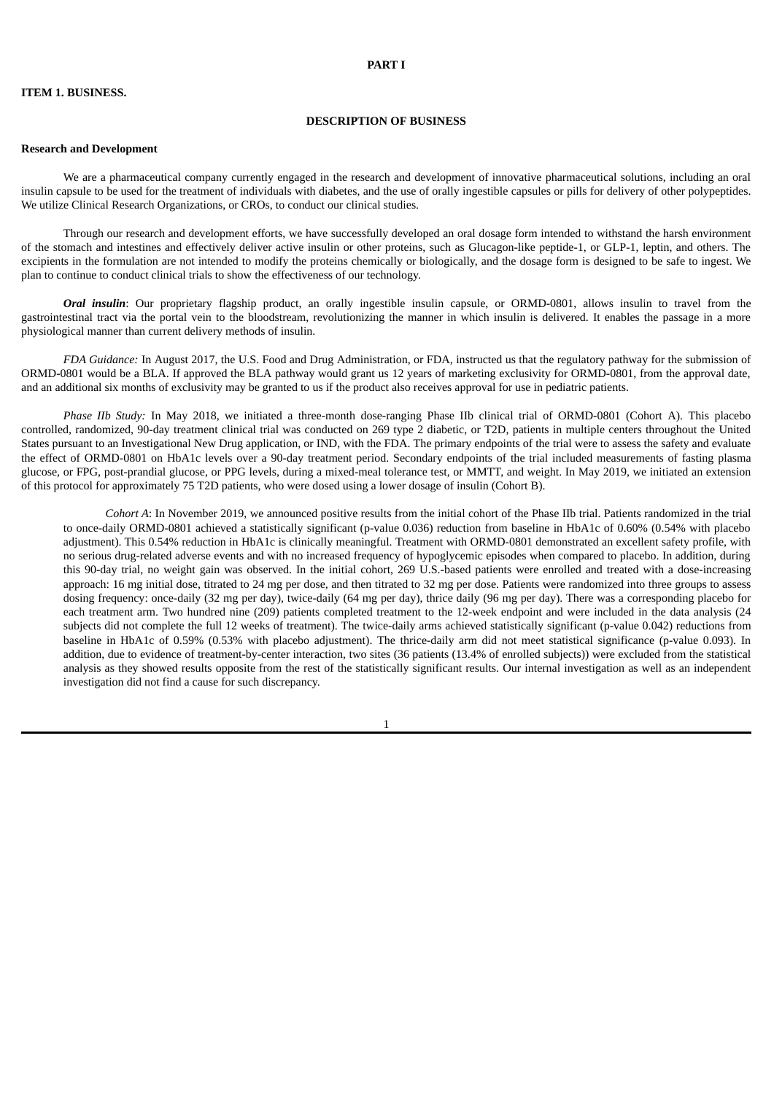### **PART I**

# <span id="page-4-1"></span><span id="page-4-0"></span>**ITEM 1. BUSINESS.**

# **DESCRIPTION OF BUSINESS**

## **Research and Development**

We are a pharmaceutical company currently engaged in the research and development of innovative pharmaceutical solutions, including an oral insulin capsule to be used for the treatment of individuals with diabetes, and the use of orally ingestible capsules or pills for delivery of other polypeptides. We utilize Clinical Research Organizations, or CROs, to conduct our clinical studies.

Through our research and development efforts, we have successfully developed an oral dosage form intended to withstand the harsh environment of the stomach and intestines and effectively deliver active insulin or other proteins, such as Glucagon-like peptide-1, or GLP-1, leptin, and others. The excipients in the formulation are not intended to modify the proteins chemically or biologically, and the dosage form is designed to be safe to ingest. We plan to continue to conduct clinical trials to show the effectiveness of our technology.

*Oral insulin*: Our proprietary flagship product, an orally ingestible insulin capsule, or ORMD-0801, allows insulin to travel from the gastrointestinal tract via the portal vein to the bloodstream, revolutionizing the manner in which insulin is delivered. It enables the passage in a more physiological manner than current delivery methods of insulin.

*FDA Guidance:* In August 2017, the U.S. Food and Drug Administration, or FDA, instructed us that the regulatory pathway for the submission of ORMD-0801 would be a BLA. If approved the BLA pathway would grant us 12 years of marketing exclusivity for ORMD-0801, from the approval date, and an additional six months of exclusivity may be granted to us if the product also receives approval for use in pediatric patients.

*Phase IIb Study:* In May 2018, we initiated a three-month dose-ranging Phase IIb clinical trial of ORMD-0801 (Cohort A). This placebo controlled, randomized, 90-day treatment clinical trial was conducted on 269 type 2 diabetic, or T2D, patients in multiple centers throughout the United States pursuant to an Investigational New Drug application, or IND, with the FDA. The primary endpoints of the trial were to assess the safety and evaluate the effect of ORMD-0801 on HbA1c levels over a 90-day treatment period. Secondary endpoints of the trial included measurements of fasting plasma glucose, or FPG, post-prandial glucose, or PPG levels, during a mixed-meal tolerance test, or MMTT, and weight. In May 2019, we initiated an extension of this protocol for approximately 75 T2D patients, who were dosed using a lower dosage of insulin (Cohort B).

*Cohort A*: In November 2019, we announced positive results from the initial cohort of the Phase IIb trial. Patients randomized in the trial to once-daily ORMD-0801 achieved a statistically significant (p-value 0.036) reduction from baseline in HbA1c of 0.60% (0.54% with placebo adjustment). This 0.54% reduction in HbA1c is clinically meaningful. Treatment with ORMD-0801 demonstrated an excellent safety profile, with no serious drug-related adverse events and with no increased frequency of hypoglycemic episodes when compared to placebo. In addition, during this 90-day trial, no weight gain was observed. In the initial cohort, 269 U.S.-based patients were enrolled and treated with a dose-increasing approach: 16 mg initial dose, titrated to 24 mg per dose, and then titrated to 32 mg per dose. Patients were randomized into three groups to assess dosing frequency: once-daily (32 mg per day), twice-daily (64 mg per day), thrice daily (96 mg per day). There was a corresponding placebo for each treatment arm. Two hundred nine (209) patients completed treatment to the 12-week endpoint and were included in the data analysis (24 subjects did not complete the full 12 weeks of treatment). The twice-daily arms achieved statistically significant (p-value 0.042) reductions from baseline in HbA1c of 0.59% (0.53% with placebo adjustment). The thrice-daily arm did not meet statistical significance (p-value 0.093). In addition, due to evidence of treatment-by-center interaction, two sites (36 patients (13.4% of enrolled subjects)) were excluded from the statistical analysis as they showed results opposite from the rest of the statistically significant results. Our internal investigation as well as an independent investigation did not find a cause for such discrepancy.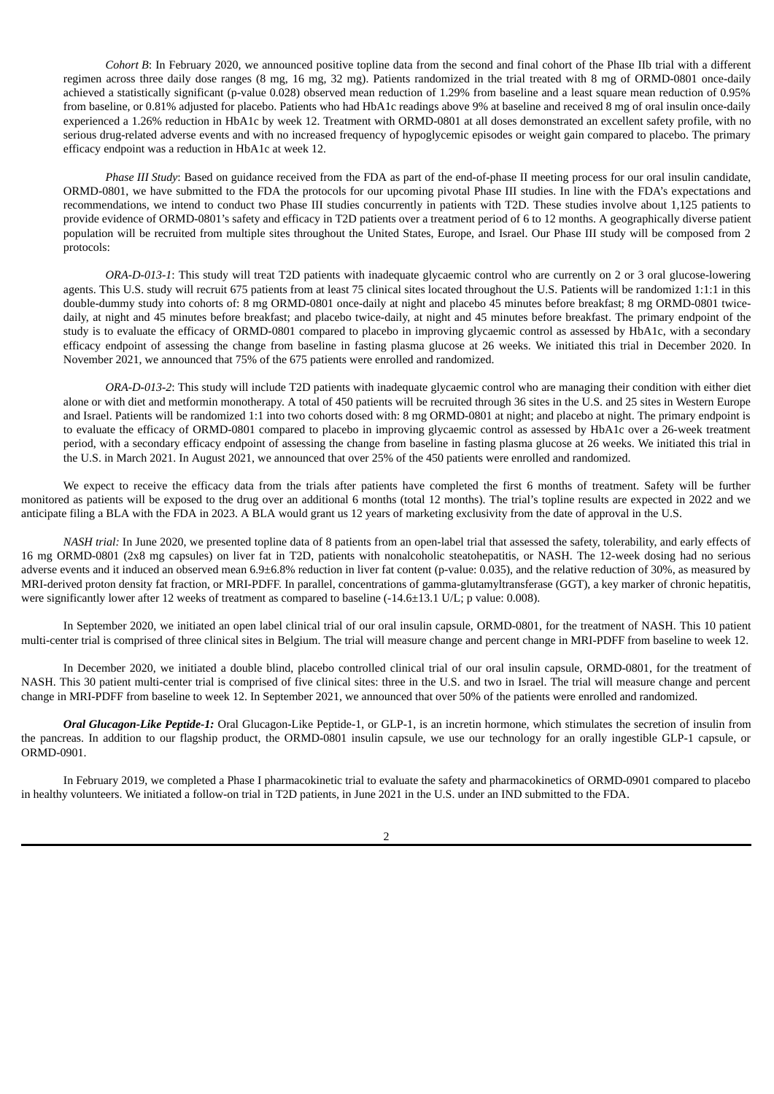*Cohort B*: In February 2020, we announced positive topline data from the second and final cohort of the Phase IIb trial with a different regimen across three daily dose ranges (8 mg, 16 mg, 32 mg). Patients randomized in the trial treated with 8 mg of ORMD-0801 once-daily achieved a statistically significant (p-value 0.028) observed mean reduction of 1.29% from baseline and a least square mean reduction of 0.95% from baseline, or 0.81% adjusted for placebo. Patients who had HbA1c readings above 9% at baseline and received 8 mg of oral insulin once-daily experienced a 1.26% reduction in HbA1c by week 12. Treatment with ORMD-0801 at all doses demonstrated an excellent safety profile, with no serious drug-related adverse events and with no increased frequency of hypoglycemic episodes or weight gain compared to placebo. The primary efficacy endpoint was a reduction in HbA1c at week 12.

*Phase III Study*: Based on guidance received from the FDA as part of the end-of-phase II meeting process for our oral insulin candidate, ORMD-0801, we have submitted to the FDA the protocols for our upcoming pivotal Phase III studies. In line with the FDA's expectations and recommendations, we intend to conduct two Phase III studies concurrently in patients with T2D. These studies involve about 1,125 patients to provide evidence of ORMD-0801's safety and efficacy in T2D patients over a treatment period of 6 to 12 months. A geographically diverse patient population will be recruited from multiple sites throughout the United States, Europe, and Israel. Our Phase III study will be composed from 2 protocols:

*ORA-D-013-1*: This study will treat T2D patients with inadequate glycaemic control who are currently on 2 or 3 oral glucose-lowering agents. This U.S. study will recruit 675 patients from at least 75 clinical sites located throughout the U.S. Patients will be randomized 1:1:1 in this double-dummy study into cohorts of: 8 mg ORMD-0801 once-daily at night and placebo 45 minutes before breakfast; 8 mg ORMD-0801 twicedaily, at night and 45 minutes before breakfast; and placebo twice-daily, at night and 45 minutes before breakfast. The primary endpoint of the study is to evaluate the efficacy of ORMD-0801 compared to placebo in improving glycaemic control as assessed by HbA1c, with a secondary efficacy endpoint of assessing the change from baseline in fasting plasma glucose at 26 weeks. We initiated this trial in December 2020. In November 2021, we announced that 75% of the 675 patients were enrolled and randomized.

*ORA-D-013-2*: This study will include T2D patients with inadequate glycaemic control who are managing their condition with either diet alone or with diet and metformin monotherapy. A total of 450 patients will be recruited through 36 sites in the U.S. and 25 sites in Western Europe and Israel. Patients will be randomized 1:1 into two cohorts dosed with: 8 mg ORMD-0801 at night; and placebo at night. The primary endpoint is to evaluate the efficacy of ORMD-0801 compared to placebo in improving glycaemic control as assessed by HbA1c over a 26-week treatment period, with a secondary efficacy endpoint of assessing the change from baseline in fasting plasma glucose at 26 weeks. We initiated this trial in the U.S. in March 2021. In August 2021, we announced that over 25% of the 450 patients were enrolled and randomized.

We expect to receive the efficacy data from the trials after patients have completed the first 6 months of treatment. Safety will be further monitored as patients will be exposed to the drug over an additional 6 months (total 12 months). The trial's topline results are expected in 2022 and we anticipate filing a BLA with the FDA in 2023. A BLA would grant us 12 years of marketing exclusivity from the date of approval in the U.S.

*NASH trial:* In June 2020, we presented topline data of 8 patients from an open-label trial that assessed the safety, tolerability, and early effects of 16 mg ORMD-0801 (2x8 mg capsules) on liver fat in T2D, patients with nonalcoholic steatohepatitis, or NASH. The 12-week dosing had no serious adverse events and it induced an observed mean 6.9±6.8% reduction in liver fat content (p-value: 0.035), and the relative reduction of 30%, as measured by MRI-derived proton density fat fraction, or MRI-PDFF. In parallel, concentrations of gamma-glutamyltransferase (GGT), a key marker of chronic hepatitis, were significantly lower after 12 weeks of treatment as compared to baseline (-14.6±13.1 U/L; p value: 0.008).

In September 2020, we initiated an open label clinical trial of our oral insulin capsule, ORMD-0801, for the treatment of NASH. This 10 patient multi-center trial is comprised of three clinical sites in Belgium. The trial will measure change and percent change in MRI-PDFF from baseline to week 12.

In December 2020, we initiated a double blind, placebo controlled clinical trial of our oral insulin capsule, ORMD-0801, for the treatment of NASH. This 30 patient multi-center trial is comprised of five clinical sites: three in the U.S. and two in Israel. The trial will measure change and percent change in MRI-PDFF from baseline to week 12. In September 2021, we announced that over 50% of the patients were enrolled and randomized.

*Oral Glucagon-Like Peptide-1:* Oral Glucagon-Like Peptide-1, or GLP-1, is an incretin hormone, which stimulates the secretion of insulin from the pancreas. In addition to our flagship product, the ORMD-0801 insulin capsule, we use our technology for an orally ingestible GLP-1 capsule, or ORMD-0901.

In February 2019, we completed a Phase I pharmacokinetic trial to evaluate the safety and pharmacokinetics of ORMD-0901 compared to placebo in healthy volunteers. We initiated a follow-on trial in T2D patients, in June 2021 in the U.S. under an IND submitted to the FDA.

 $\overline{2}$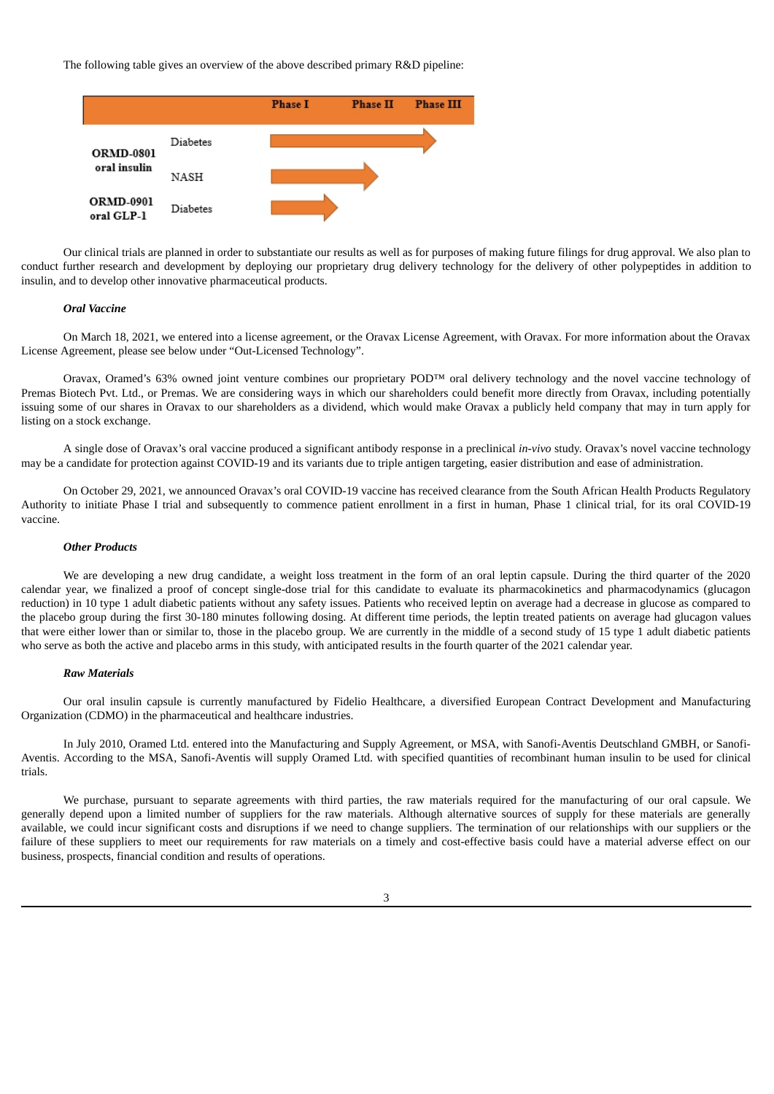The following table gives an overview of the above described primary R&D pipeline:



Our clinical trials are planned in order to substantiate our results as well as for purposes of making future filings for drug approval. We also plan to conduct further research and development by deploying our proprietary drug delivery technology for the delivery of other polypeptides in addition to insulin, and to develop other innovative pharmaceutical products.

#### *Oral Vaccine*

On March 18, 2021, we entered into a license agreement, or the Oravax License Agreement, with Oravax. For more information about the Oravax License Agreement, please see below under "Out-Licensed Technology".

Oravax, Oramed's 63% owned joint venture combines our proprietary POD™ oral delivery technology and the novel vaccine technology of Premas Biotech Pvt. Ltd., or Premas. We are considering ways in which our shareholders could benefit more directly from Oravax, including potentially issuing some of our shares in Oravax to our shareholders as a dividend, which would make Oravax a publicly held company that may in turn apply for listing on a stock exchange.

A single dose of Oravax's oral vaccine produced a significant antibody response in a preclinical *in-vivo* study. Oravax's novel vaccine technology may be a candidate for protection against COVID-19 and its variants due to triple antigen targeting, easier distribution and ease of administration.

On October 29, 2021, we announced Oravax's oral COVID-19 vaccine has received clearance from the South African Health Products Regulatory Authority to initiate Phase I trial and subsequently to commence patient enrollment in a first in human, Phase 1 clinical trial, for its oral COVID-19 vaccine.

### *Other Products*

We are developing a new drug candidate, a weight loss treatment in the form of an oral leptin capsule. During the third quarter of the 2020 calendar year, we finalized a proof of concept single-dose trial for this candidate to evaluate its pharmacokinetics and pharmacodynamics (glucagon reduction) in 10 type 1 adult diabetic patients without any safety issues. Patients who received leptin on average had a decrease in glucose as compared to the placebo group during the first 30-180 minutes following dosing. At different time periods, the leptin treated patients on average had glucagon values that were either lower than or similar to, those in the placebo group. We are currently in the middle of a second study of 15 type 1 adult diabetic patients who serve as both the active and placebo arms in this study, with anticipated results in the fourth quarter of the 2021 calendar year.

#### *Raw Materials*

Our oral insulin capsule is currently manufactured by Fidelio Healthcare, a diversified European Contract Development and Manufacturing Organization (CDMO) in the pharmaceutical and healthcare industries.

In July 2010, Oramed Ltd. entered into the Manufacturing and Supply Agreement, or MSA, with Sanofi-Aventis Deutschland GMBH, or Sanofi-Aventis. According to the MSA, Sanofi-Aventis will supply Oramed Ltd. with specified quantities of recombinant human insulin to be used for clinical trials.

We purchase, pursuant to separate agreements with third parties, the raw materials required for the manufacturing of our oral capsule. We generally depend upon a limited number of suppliers for the raw materials. Although alternative sources of supply for these materials are generally available, we could incur significant costs and disruptions if we need to change suppliers. The termination of our relationships with our suppliers or the failure of these suppliers to meet our requirements for raw materials on a timely and cost-effective basis could have a material adverse effect on our business, prospects, financial condition and results of operations.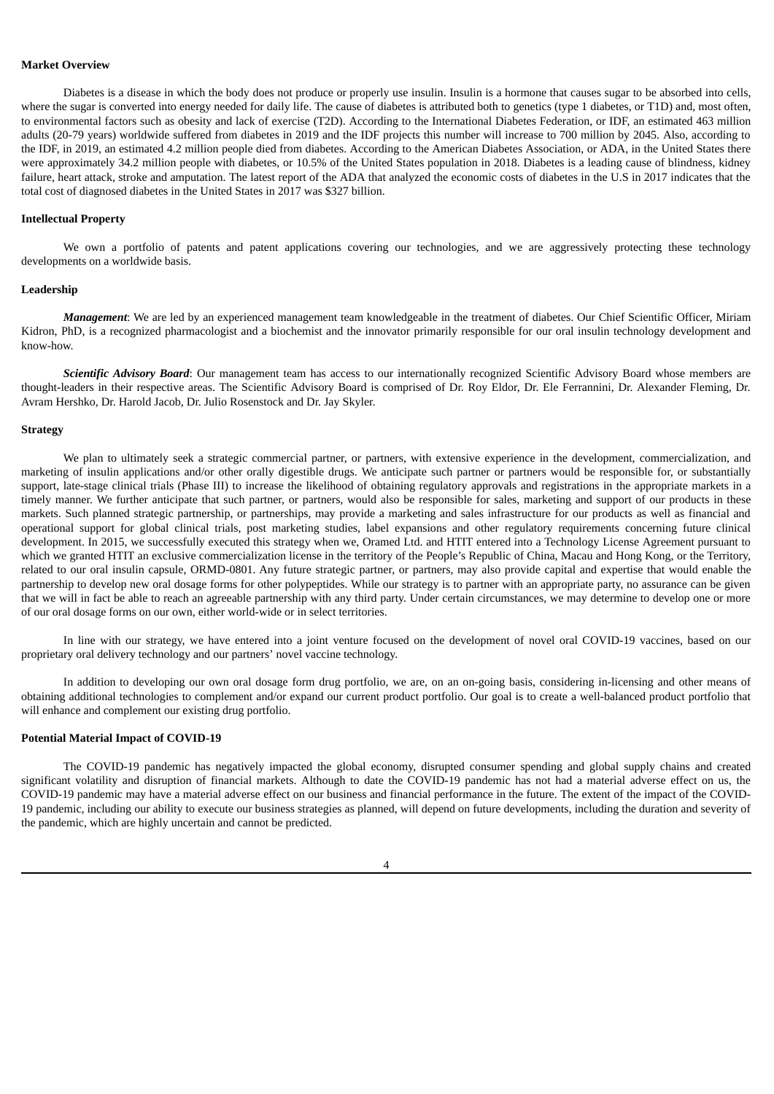# **Market Overview**

Diabetes is a disease in which the body does not produce or properly use insulin. Insulin is a hormone that causes sugar to be absorbed into cells, where the sugar is converted into energy needed for daily life. The cause of diabetes is attributed both to genetics (type 1 diabetes, or T1D) and, most often, to environmental factors such as obesity and lack of exercise (T2D). According to the International Diabetes Federation, or IDF, an estimated 463 million adults (20-79 years) worldwide suffered from diabetes in 2019 and the IDF projects this number will increase to 700 million by 2045. Also, according to the IDF, in 2019, an estimated 4.2 million people died from diabetes. According to the American Diabetes Association, or ADA, in the United States there were approximately 34.2 million people with diabetes, or 10.5% of the United States population in 2018. Diabetes is a leading cause of blindness, kidney failure, heart attack, stroke and amputation. The latest report of the ADA that analyzed the economic costs of diabetes in the U.S in 2017 indicates that the total cost of diagnosed diabetes in the United States in 2017 was \$327 billion.

# **Intellectual Property**

We own a portfolio of patents and patent applications covering our technologies, and we are aggressively protecting these technology developments on a worldwide basis.

### **Leadership**

*Management*: We are led by an experienced management team knowledgeable in the treatment of diabetes. Our Chief Scientific Officer, Miriam Kidron, PhD, is a recognized pharmacologist and a biochemist and the innovator primarily responsible for our oral insulin technology development and know-how.

*Scientific Advisory Board*: Our management team has access to our internationally recognized Scientific Advisory Board whose members are thought-leaders in their respective areas. The Scientific Advisory Board is comprised of Dr. Roy Eldor, Dr. Ele Ferrannini, Dr. Alexander Fleming, Dr. Avram Hershko, Dr. Harold Jacob, Dr. Julio Rosenstock and Dr. Jay Skyler.

### **Strategy**

We plan to ultimately seek a strategic commercial partner, or partners, with extensive experience in the development, commercialization, and marketing of insulin applications and/or other orally digestible drugs. We anticipate such partner or partners would be responsible for, or substantially support, late-stage clinical trials (Phase III) to increase the likelihood of obtaining regulatory approvals and registrations in the appropriate markets in a timely manner. We further anticipate that such partner, or partners, would also be responsible for sales, marketing and support of our products in these markets. Such planned strategic partnership, or partnerships, may provide a marketing and sales infrastructure for our products as well as financial and operational support for global clinical trials, post marketing studies, label expansions and other regulatory requirements concerning future clinical development. In 2015, we successfully executed this strategy when we, Oramed Ltd. and HTIT entered into a Technology License Agreement pursuant to which we granted HTIT an exclusive commercialization license in the territory of the People's Republic of China, Macau and Hong Kong, or the Territory, related to our oral insulin capsule, ORMD-0801. Any future strategic partner, or partners, may also provide capital and expertise that would enable the partnership to develop new oral dosage forms for other polypeptides. While our strategy is to partner with an appropriate party, no assurance can be given that we will in fact be able to reach an agreeable partnership with any third party. Under certain circumstances, we may determine to develop one or more of our oral dosage forms on our own, either world-wide or in select territories.

In line with our strategy, we have entered into a joint venture focused on the development of novel oral COVID-19 vaccines, based on our proprietary oral delivery technology and our partners' novel vaccine technology.

In addition to developing our own oral dosage form drug portfolio, we are, on an on-going basis, considering in-licensing and other means of obtaining additional technologies to complement and/or expand our current product portfolio. Our goal is to create a well-balanced product portfolio that will enhance and complement our existing drug portfolio.

### **Potential Material Impact of COVID-19**

The COVID-19 pandemic has negatively impacted the global economy, disrupted consumer spending and global supply chains and created significant volatility and disruption of financial markets. Although to date the COVID-19 pandemic has not had a material adverse effect on us, the COVID-19 pandemic may have a material adverse effect on our business and financial performance in the future. The extent of the impact of the COVID-19 pandemic, including our ability to execute our business strategies as planned, will depend on future developments, including the duration and severity of the pandemic, which are highly uncertain and cannot be predicted.

 $\overline{\mathbf{A}}$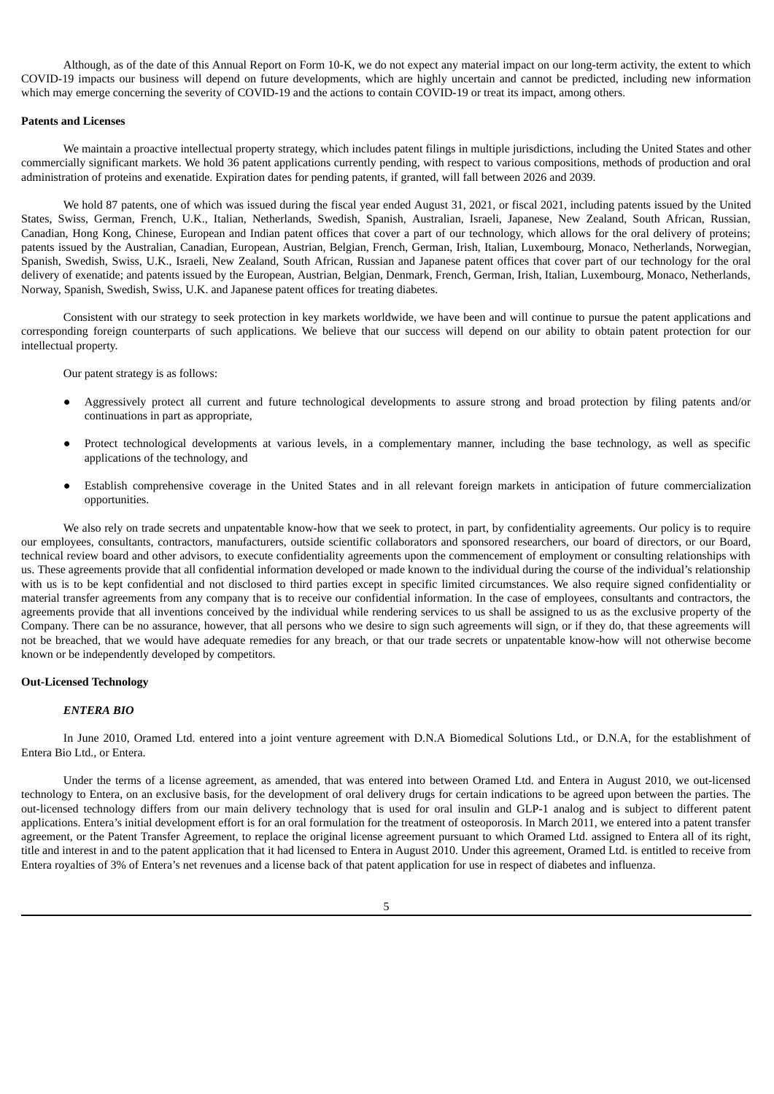Although, as of the date of this Annual Report on Form 10-K, we do not expect any material impact on our long-term activity, the extent to which COVID-19 impacts our business will depend on future developments, which are highly uncertain and cannot be predicted, including new information which may emerge concerning the severity of COVID-19 and the actions to contain COVID-19 or treat its impact, among others.

# **Patents and Licenses**

We maintain a proactive intellectual property strategy, which includes patent filings in multiple jurisdictions, including the United States and other commercially significant markets. We hold 36 patent applications currently pending, with respect to various compositions, methods of production and oral administration of proteins and exenatide. Expiration dates for pending patents, if granted, will fall between 2026 and 2039.

We hold 87 patents, one of which was issued during the fiscal year ended August 31, 2021, or fiscal 2021, including patents issued by the United States, Swiss, German, French, U.K., Italian, Netherlands, Swedish, Spanish, Australian, Israeli, Japanese, New Zealand, South African, Russian, Canadian, Hong Kong, Chinese, European and Indian patent offices that cover a part of our technology, which allows for the oral delivery of proteins; patents issued by the Australian, Canadian, European, Austrian, Belgian, French, German, Irish, Italian, Luxembourg, Monaco, Netherlands, Norwegian, Spanish, Swedish, Swiss, U.K., Israeli, New Zealand, South African, Russian and Japanese patent offices that cover part of our technology for the oral delivery of exenatide; and patents issued by the European, Austrian, Belgian, Denmark, French, German, Irish, Italian, Luxembourg, Monaco, Netherlands, Norway, Spanish, Swedish, Swiss, U.K. and Japanese patent offices for treating diabetes.

Consistent with our strategy to seek protection in key markets worldwide, we have been and will continue to pursue the patent applications and corresponding foreign counterparts of such applications. We believe that our success will depend on our ability to obtain patent protection for our intellectual property.

Our patent strategy is as follows:

- Aggressively protect all current and future technological developments to assure strong and broad protection by filing patents and/or continuations in part as appropriate,
- Protect technological developments at various levels, in a complementary manner, including the base technology, as well as specific applications of the technology, and
- Establish comprehensive coverage in the United States and in all relevant foreign markets in anticipation of future commercialization opportunities.

We also rely on trade secrets and unpatentable know-how that we seek to protect, in part, by confidentiality agreements. Our policy is to require our employees, consultants, contractors, manufacturers, outside scientific collaborators and sponsored researchers, our board of directors, or our Board, technical review board and other advisors, to execute confidentiality agreements upon the commencement of employment or consulting relationships with us. These agreements provide that all confidential information developed or made known to the individual during the course of the individual's relationship with us is to be kept confidential and not disclosed to third parties except in specific limited circumstances. We also require signed confidentiality or material transfer agreements from any company that is to receive our confidential information. In the case of employees, consultants and contractors, the agreements provide that all inventions conceived by the individual while rendering services to us shall be assigned to us as the exclusive property of the Company. There can be no assurance, however, that all persons who we desire to sign such agreements will sign, or if they do, that these agreements will not be breached, that we would have adequate remedies for any breach, or that our trade secrets or unpatentable know-how will not otherwise become known or be independently developed by competitors.

# **Out-Licensed Technology**

### *ENTERA BIO*

In June 2010, Oramed Ltd. entered into a joint venture agreement with D.N.A Biomedical Solutions Ltd., or D.N.A, for the establishment of Entera Bio Ltd., or Entera.

Under the terms of a license agreement, as amended, that was entered into between Oramed Ltd. and Entera in August 2010, we out-licensed technology to Entera, on an exclusive basis, for the development of oral delivery drugs for certain indications to be agreed upon between the parties. The out-licensed technology differs from our main delivery technology that is used for oral insulin and GLP-1 analog and is subject to different patent applications. Entera's initial development effort is for an oral formulation for the treatment of osteoporosis. In March 2011, we entered into a patent transfer agreement, or the Patent Transfer Agreement, to replace the original license agreement pursuant to which Oramed Ltd. assigned to Entera all of its right, title and interest in and to the patent application that it had licensed to Entera in August 2010. Under this agreement, Oramed Ltd. is entitled to receive from Entera royalties of 3% of Entera's net revenues and a license back of that patent application for use in respect of diabetes and influenza.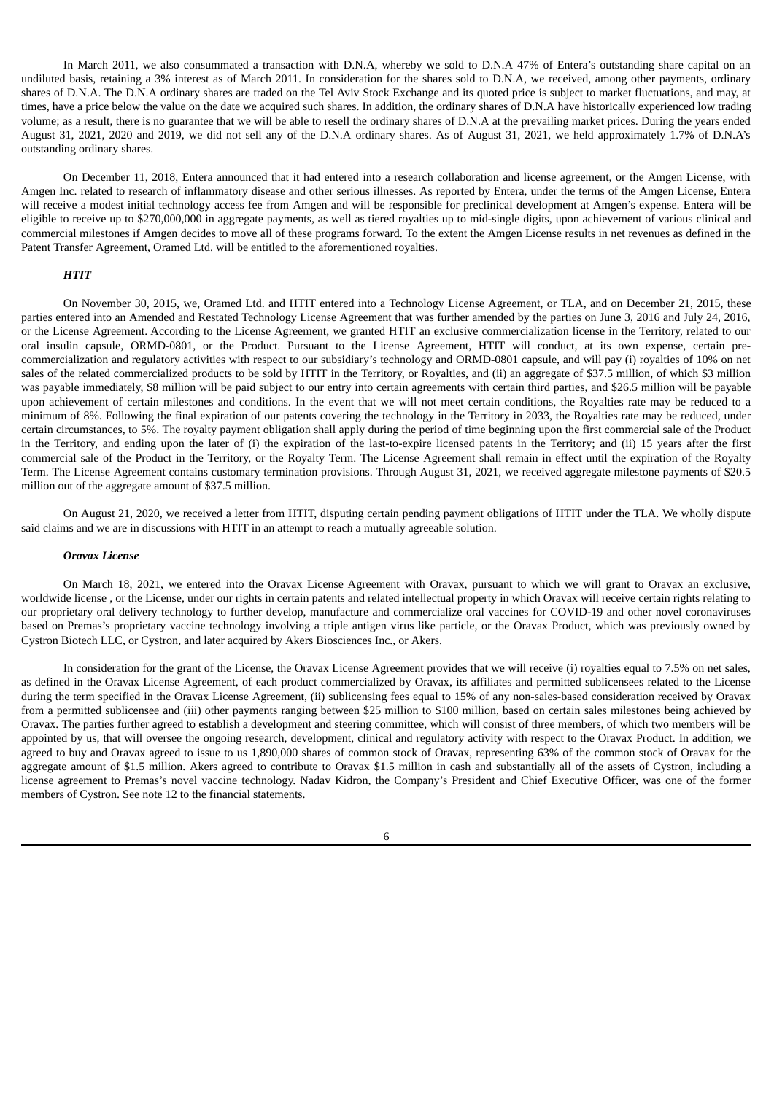In March 2011, we also consummated a transaction with D.N.A, whereby we sold to D.N.A 47% of Entera's outstanding share capital on an undiluted basis, retaining a 3% interest as of March 2011. In consideration for the shares sold to D.N.A, we received, among other payments, ordinary shares of D.N.A. The D.N.A ordinary shares are traded on the Tel Aviv Stock Exchange and its quoted price is subject to market fluctuations, and may, at times, have a price below the value on the date we acquired such shares. In addition, the ordinary shares of D.N.A have historically experienced low trading volume; as a result, there is no guarantee that we will be able to resell the ordinary shares of D.N.A at the prevailing market prices. During the years ended August 31, 2021, 2020 and 2019, we did not sell any of the D.N.A ordinary shares. As of August 31, 2021, we held approximately 1.7% of D.N.A's outstanding ordinary shares.

On December 11, 2018, Entera announced that it had entered into a research collaboration and license agreement, or the Amgen License, with Amgen Inc. related to research of inflammatory disease and other serious illnesses. As reported by Entera, under the terms of the Amgen License, Entera will receive a modest initial technology access fee from Amgen and will be responsible for preclinical development at Amgen's expense. Entera will be eligible to receive up to \$270,000,000 in aggregate payments, as well as tiered royalties up to mid-single digits, upon achievement of various clinical and commercial milestones if Amgen decides to move all of these programs forward. To the extent the Amgen License results in net revenues as defined in the Patent Transfer Agreement, Oramed Ltd. will be entitled to the aforementioned royalties.

## *HTIT*

On November 30, 2015, we, Oramed Ltd. and HTIT entered into a Technology License Agreement, or TLA, and on December 21, 2015, these parties entered into an Amended and Restated Technology License Agreement that was further amended by the parties on June 3, 2016 and July 24, 2016, or the License Agreement. According to the License Agreement, we granted HTIT an exclusive commercialization license in the Territory, related to our oral insulin capsule, ORMD-0801, or the Product. Pursuant to the License Agreement, HTIT will conduct, at its own expense, certain precommercialization and regulatory activities with respect to our subsidiary's technology and ORMD-0801 capsule, and will pay (i) royalties of 10% on net sales of the related commercialized products to be sold by HTIT in the Territory, or Royalties, and (ii) an aggregate of \$37.5 million, of which \$3 million was payable immediately, \$8 million will be paid subject to our entry into certain agreements with certain third parties, and \$26.5 million will be payable upon achievement of certain milestones and conditions. In the event that we will not meet certain conditions, the Royalties rate may be reduced to a minimum of 8%. Following the final expiration of our patents covering the technology in the Territory in 2033, the Royalties rate may be reduced, under certain circumstances, to 5%. The royalty payment obligation shall apply during the period of time beginning upon the first commercial sale of the Product in the Territory, and ending upon the later of (i) the expiration of the last-to-expire licensed patents in the Territory; and (ii) 15 years after the first commercial sale of the Product in the Territory, or the Royalty Term. The License Agreement shall remain in effect until the expiration of the Royalty Term. The License Agreement contains customary termination provisions. Through August 31, 2021, we received aggregate milestone payments of \$20.5 million out of the aggregate amount of \$37.5 million.

On August 21, 2020, we received a letter from HTIT, disputing certain pending payment obligations of HTIT under the TLA. We wholly dispute said claims and we are in discussions with HTIT in an attempt to reach a mutually agreeable solution.

### *Oravax License*

On March 18, 2021, we entered into the Oravax License Agreement with Oravax, pursuant to which we will grant to Oravax an exclusive, worldwide license , or the License, under our rights in certain patents and related intellectual property in which Oravax will receive certain rights relating to our proprietary oral delivery technology to further develop, manufacture and commercialize oral vaccines for COVID-19 and other novel coronaviruses based on Premas's proprietary vaccine technology involving a triple antigen virus like particle, or the Oravax Product, which was previously owned by Cystron Biotech LLC, or Cystron, and later acquired by Akers Biosciences Inc., or Akers.

In consideration for the grant of the License, the Oravax License Agreement provides that we will receive (i) royalties equal to 7.5% on net sales, as defined in the Oravax License Agreement, of each product commercialized by Oravax, its affiliates and permitted sublicensees related to the License during the term specified in the Oravax License Agreement, (ii) sublicensing fees equal to 15% of any non-sales-based consideration received by Oravax from a permitted sublicensee and (iii) other payments ranging between \$25 million to \$100 million, based on certain sales milestones being achieved by Oravax. The parties further agreed to establish a development and steering committee, which will consist of three members, of which two members will be appointed by us, that will oversee the ongoing research, development, clinical and regulatory activity with respect to the Oravax Product. In addition, we agreed to buy and Oravax agreed to issue to us 1,890,000 shares of common stock of Oravax, representing 63% of the common stock of Oravax for the aggregate amount of \$1.5 million. Akers agreed to contribute to Oravax \$1.5 million in cash and substantially all of the assets of Cystron, including a license agreement to Premas's novel vaccine technology. Nadav Kidron, the Company's President and Chief Executive Officer, was one of the former members of Cystron. See note 12 to the financial statements.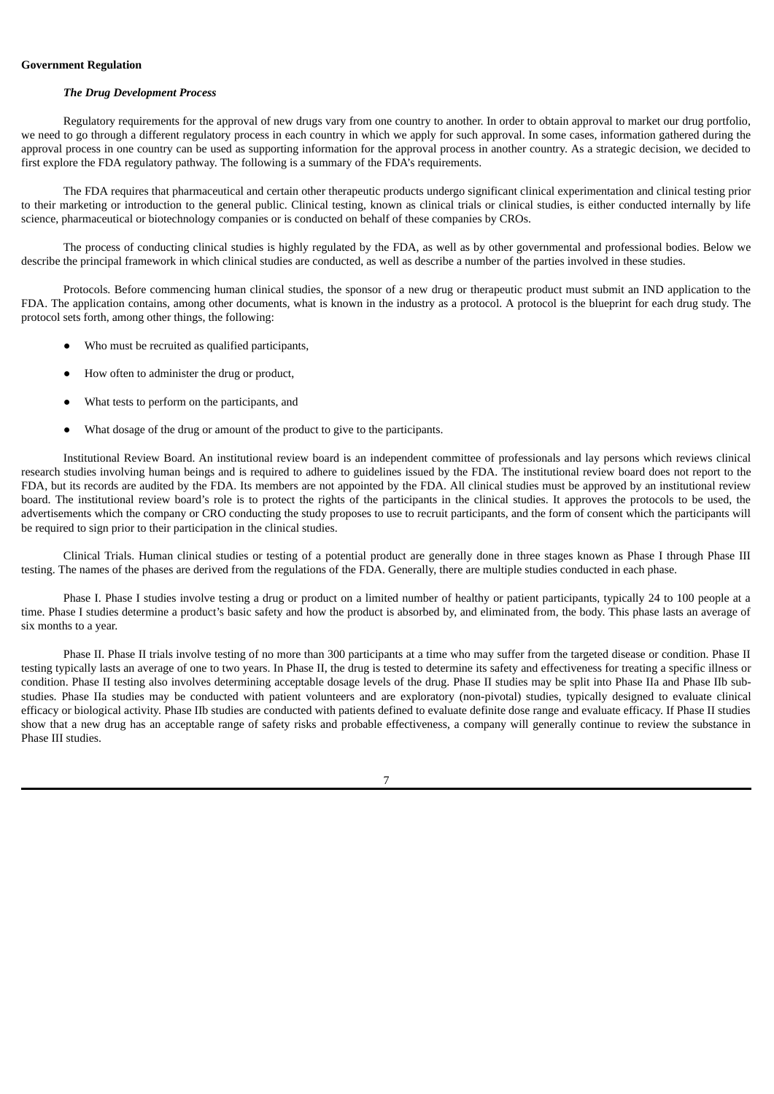# **Government Regulation**

# *The Drug Development Process*

Regulatory requirements for the approval of new drugs vary from one country to another. In order to obtain approval to market our drug portfolio, we need to go through a different regulatory process in each country in which we apply for such approval. In some cases, information gathered during the approval process in one country can be used as supporting information for the approval process in another country. As a strategic decision, we decided to first explore the FDA regulatory pathway. The following is a summary of the FDA's requirements.

The FDA requires that pharmaceutical and certain other therapeutic products undergo significant clinical experimentation and clinical testing prior to their marketing or introduction to the general public. Clinical testing, known as clinical trials or clinical studies, is either conducted internally by life science, pharmaceutical or biotechnology companies or is conducted on behalf of these companies by CROs.

The process of conducting clinical studies is highly regulated by the FDA, as well as by other governmental and professional bodies. Below we describe the principal framework in which clinical studies are conducted, as well as describe a number of the parties involved in these studies.

Protocols. Before commencing human clinical studies, the sponsor of a new drug or therapeutic product must submit an IND application to the FDA. The application contains, among other documents, what is known in the industry as a protocol. A protocol is the blueprint for each drug study. The protocol sets forth, among other things, the following:

- Who must be recruited as qualified participants,
- How often to administer the drug or product,
- What tests to perform on the participants, and
- What dosage of the drug or amount of the product to give to the participants.

Institutional Review Board. An institutional review board is an independent committee of professionals and lay persons which reviews clinical research studies involving human beings and is required to adhere to guidelines issued by the FDA. The institutional review board does not report to the FDA, but its records are audited by the FDA. Its members are not appointed by the FDA. All clinical studies must be approved by an institutional review board. The institutional review board's role is to protect the rights of the participants in the clinical studies. It approves the protocols to be used, the advertisements which the company or CRO conducting the study proposes to use to recruit participants, and the form of consent which the participants will be required to sign prior to their participation in the clinical studies.

Clinical Trials. Human clinical studies or testing of a potential product are generally done in three stages known as Phase I through Phase III testing. The names of the phases are derived from the regulations of the FDA. Generally, there are multiple studies conducted in each phase.

Phase I. Phase I studies involve testing a drug or product on a limited number of healthy or patient participants, typically 24 to 100 people at a time. Phase I studies determine a product's basic safety and how the product is absorbed by, and eliminated from, the body. This phase lasts an average of six months to a year.

Phase II. Phase II trials involve testing of no more than 300 participants at a time who may suffer from the targeted disease or condition. Phase II testing typically lasts an average of one to two years. In Phase II, the drug is tested to determine its safety and effectiveness for treating a specific illness or condition. Phase II testing also involves determining acceptable dosage levels of the drug. Phase II studies may be split into Phase IIa and Phase IIb substudies. Phase IIa studies may be conducted with patient volunteers and are exploratory (non-pivotal) studies, typically designed to evaluate clinical efficacy or biological activity. Phase IIb studies are conducted with patients defined to evaluate definite dose range and evaluate efficacy. If Phase II studies show that a new drug has an acceptable range of safety risks and probable effectiveness, a company will generally continue to review the substance in Phase III studies.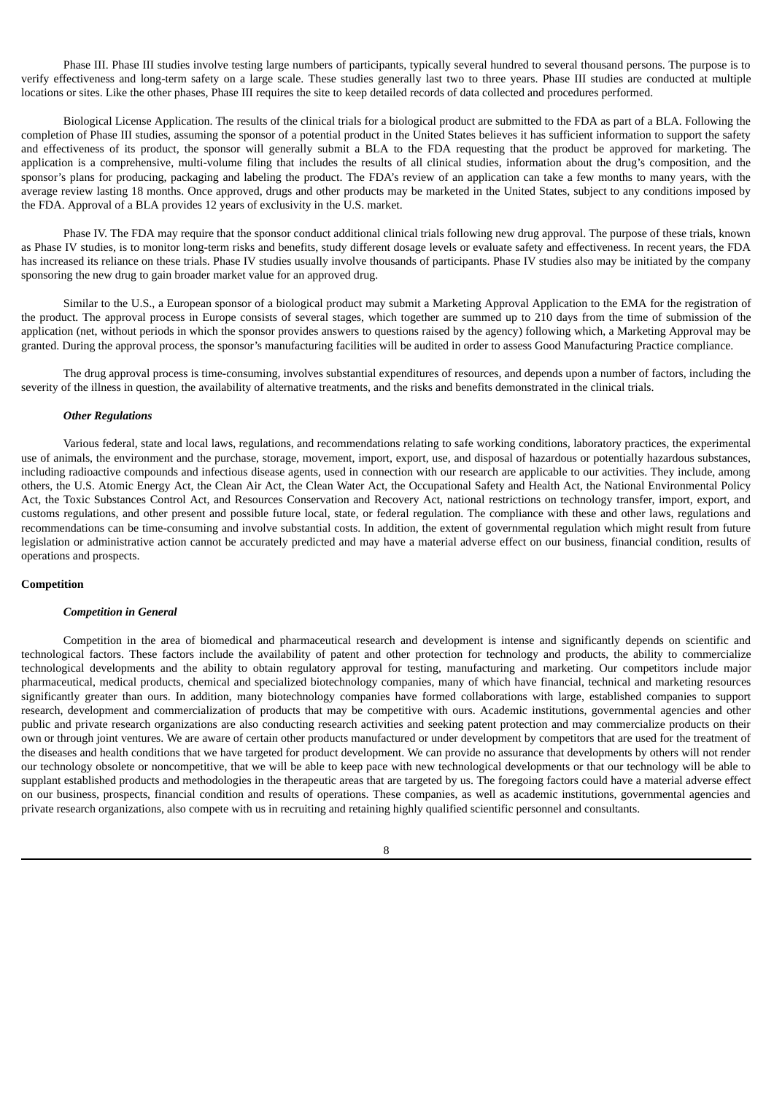Phase III. Phase III studies involve testing large numbers of participants, typically several hundred to several thousand persons. The purpose is to verify effectiveness and long-term safety on a large scale. These studies generally last two to three years. Phase III studies are conducted at multiple locations or sites. Like the other phases, Phase III requires the site to keep detailed records of data collected and procedures performed.

Biological License Application. The results of the clinical trials for a biological product are submitted to the FDA as part of a BLA. Following the completion of Phase III studies, assuming the sponsor of a potential product in the United States believes it has sufficient information to support the safety and effectiveness of its product, the sponsor will generally submit a BLA to the FDA requesting that the product be approved for marketing. The application is a comprehensive, multi-volume filing that includes the results of all clinical studies, information about the drug's composition, and the sponsor's plans for producing, packaging and labeling the product. The FDA's review of an application can take a few months to many years, with the average review lasting 18 months. Once approved, drugs and other products may be marketed in the United States, subject to any conditions imposed by the FDA. Approval of a BLA provides 12 years of exclusivity in the U.S. market.

Phase IV. The FDA may require that the sponsor conduct additional clinical trials following new drug approval. The purpose of these trials, known as Phase IV studies, is to monitor long-term risks and benefits, study different dosage levels or evaluate safety and effectiveness. In recent years, the FDA has increased its reliance on these trials. Phase IV studies usually involve thousands of participants. Phase IV studies also may be initiated by the company sponsoring the new drug to gain broader market value for an approved drug.

Similar to the U.S., a European sponsor of a biological product may submit a Marketing Approval Application to the EMA for the registration of the product. The approval process in Europe consists of several stages, which together are summed up to 210 days from the time of submission of the application (net, without periods in which the sponsor provides answers to questions raised by the agency) following which, a Marketing Approval may be granted. During the approval process, the sponsor's manufacturing facilities will be audited in order to assess Good Manufacturing Practice compliance.

The drug approval process is time-consuming, involves substantial expenditures of resources, and depends upon a number of factors, including the severity of the illness in question, the availability of alternative treatments, and the risks and benefits demonstrated in the clinical trials.

## *Other Regulations*

Various federal, state and local laws, regulations, and recommendations relating to safe working conditions, laboratory practices, the experimental use of animals, the environment and the purchase, storage, movement, import, export, use, and disposal of hazardous or potentially hazardous substances, including radioactive compounds and infectious disease agents, used in connection with our research are applicable to our activities. They include, among others, the U.S. Atomic Energy Act, the Clean Air Act, the Clean Water Act, the Occupational Safety and Health Act, the National Environmental Policy Act, the Toxic Substances Control Act, and Resources Conservation and Recovery Act, national restrictions on technology transfer, import, export, and customs regulations, and other present and possible future local, state, or federal regulation. The compliance with these and other laws, regulations and recommendations can be time-consuming and involve substantial costs. In addition, the extent of governmental regulation which might result from future legislation or administrative action cannot be accurately predicted and may have a material adverse effect on our business, financial condition, results of operations and prospects.

#### **Competition**

#### *Competition in General*

Competition in the area of biomedical and pharmaceutical research and development is intense and significantly depends on scientific and technological factors. These factors include the availability of patent and other protection for technology and products, the ability to commercialize technological developments and the ability to obtain regulatory approval for testing, manufacturing and marketing. Our competitors include major pharmaceutical, medical products, chemical and specialized biotechnology companies, many of which have financial, technical and marketing resources significantly greater than ours. In addition, many biotechnology companies have formed collaborations with large, established companies to support research, development and commercialization of products that may be competitive with ours. Academic institutions, governmental agencies and other public and private research organizations are also conducting research activities and seeking patent protection and may commercialize products on their own or through joint ventures. We are aware of certain other products manufactured or under development by competitors that are used for the treatment of the diseases and health conditions that we have targeted for product development. We can provide no assurance that developments by others will not render our technology obsolete or noncompetitive, that we will be able to keep pace with new technological developments or that our technology will be able to supplant established products and methodologies in the therapeutic areas that are targeted by us. The foregoing factors could have a material adverse effect on our business, prospects, financial condition and results of operations. These companies, as well as academic institutions, governmental agencies and private research organizations, also compete with us in recruiting and retaining highly qualified scientific personnel and consultants.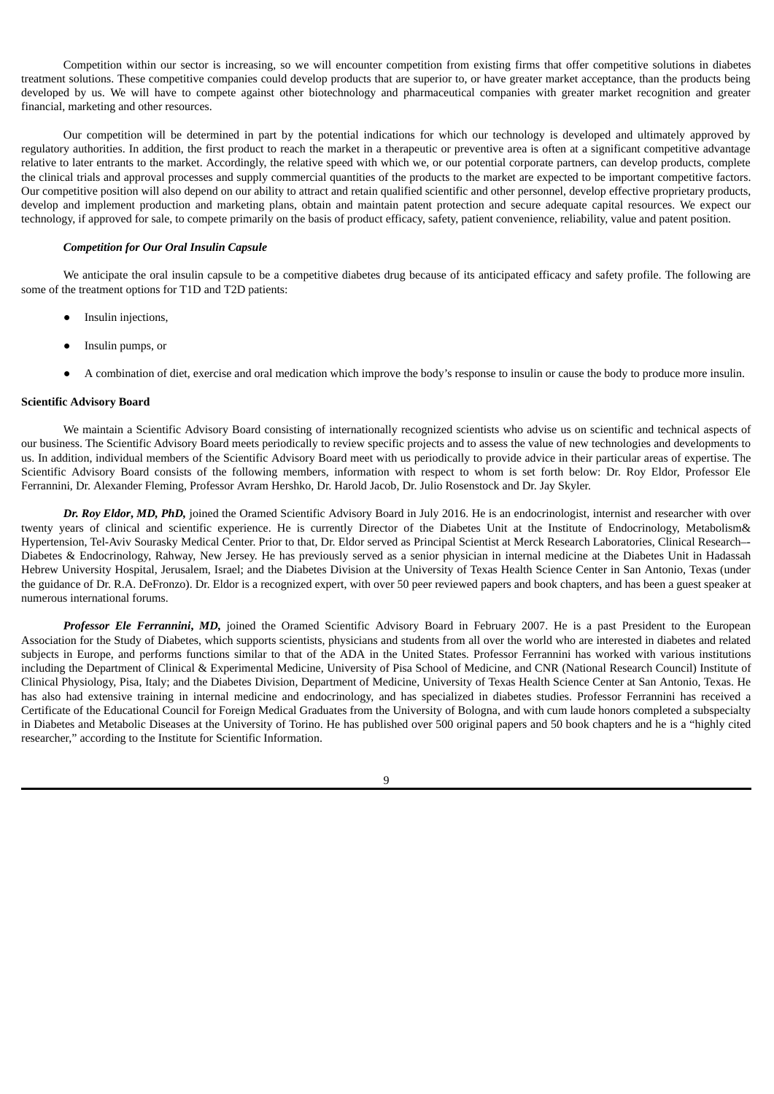Competition within our sector is increasing, so we will encounter competition from existing firms that offer competitive solutions in diabetes treatment solutions. These competitive companies could develop products that are superior to, or have greater market acceptance, than the products being developed by us. We will have to compete against other biotechnology and pharmaceutical companies with greater market recognition and greater financial, marketing and other resources.

Our competition will be determined in part by the potential indications for which our technology is developed and ultimately approved by regulatory authorities. In addition, the first product to reach the market in a therapeutic or preventive area is often at a significant competitive advantage relative to later entrants to the market. Accordingly, the relative speed with which we, or our potential corporate partners, can develop products, complete the clinical trials and approval processes and supply commercial quantities of the products to the market are expected to be important competitive factors. Our competitive position will also depend on our ability to attract and retain qualified scientific and other personnel, develop effective proprietary products, develop and implement production and marketing plans, obtain and maintain patent protection and secure adequate capital resources. We expect our technology, if approved for sale, to compete primarily on the basis of product efficacy, safety, patient convenience, reliability, value and patent position.

## *Competition for Our Oral Insulin Capsule*

We anticipate the oral insulin capsule to be a competitive diabetes drug because of its anticipated efficacy and safety profile. The following are some of the treatment options for T1D and T2D patients:

- Insulin injections,
- Insulin pumps, or
- A combination of diet, exercise and oral medication which improve the body's response to insulin or cause the body to produce more insulin.

#### **Scientific Advisory Board**

We maintain a Scientific Advisory Board consisting of internationally recognized scientists who advise us on scientific and technical aspects of our business. The Scientific Advisory Board meets periodically to review specific projects and to assess the value of new technologies and developments to us. In addition, individual members of the Scientific Advisory Board meet with us periodically to provide advice in their particular areas of expertise. The Scientific Advisory Board consists of the following members, information with respect to whom is set forth below: Dr. Roy Eldor, Professor Ele Ferrannini, Dr. Alexander Fleming, Professor Avram Hershko, Dr. Harold Jacob, Dr. Julio Rosenstock and Dr. Jay Skyler.

*Dr. Roy Eldor***,** *MD, PhD,* joined the Oramed Scientific Advisory Board in July 2016. He is an endocrinologist, internist and researcher with over twenty years of clinical and scientific experience. He is currently Director of the Diabetes Unit at the Institute of Endocrinology, Metabolism& Hypertension, Tel-Aviv Sourasky Medical Center. Prior to that, Dr. Eldor served as Principal Scientist at Merck Research Laboratories, Clinical Research–- Diabetes & Endocrinology, Rahway, New Jersey. He has previously served as a senior physician in internal medicine at the Diabetes Unit in Hadassah Hebrew University Hospital, Jerusalem, Israel; and the Diabetes Division at the University of Texas Health Science Center in San Antonio, Texas (under the guidance of Dr. R.A. DeFronzo). Dr. Eldor is a recognized expert, with over 50 peer reviewed papers and book chapters, and has been a guest speaker at numerous international forums.

*Professor Ele Ferrannini***,** *MD,* joined the Oramed Scientific Advisory Board in February 2007. He is a past President to the European Association for the Study of Diabetes, which supports scientists, physicians and students from all over the world who are interested in diabetes and related subjects in Europe, and performs functions similar to that of the ADA in the United States. Professor Ferrannini has worked with various institutions including the Department of Clinical & Experimental Medicine, University of Pisa School of Medicine, and CNR (National Research Council) Institute of Clinical Physiology, Pisa, Italy; and the Diabetes Division, Department of Medicine, University of Texas Health Science Center at San Antonio, Texas. He has also had extensive training in internal medicine and endocrinology, and has specialized in diabetes studies. Professor Ferrannini has received a Certificate of the Educational Council for Foreign Medical Graduates from the University of Bologna, and with cum laude honors completed a subspecialty in Diabetes and Metabolic Diseases at the University of Torino. He has published over 500 original papers and 50 book chapters and he is a "highly cited researcher," according to the Institute for Scientific Information.

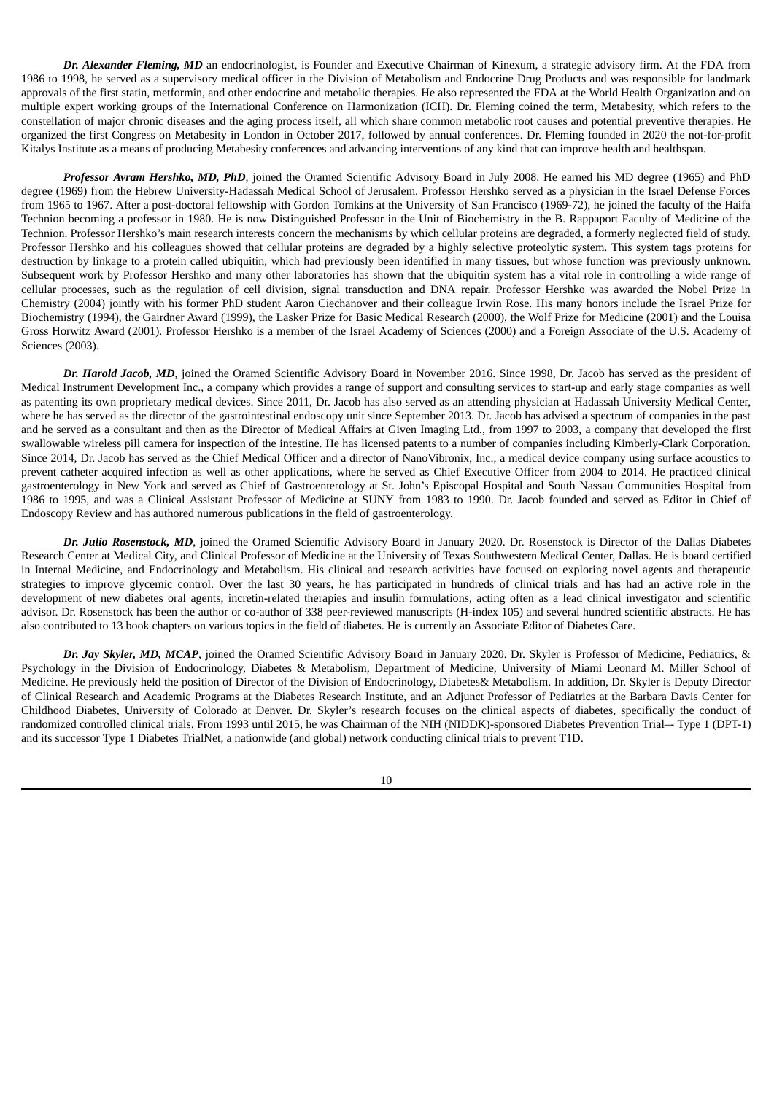*Dr. Alexander Fleming, MD* an endocrinologist, is Founder and Executive Chairman of Kinexum, a strategic advisory firm. At the FDA from 1986 to 1998, he served as a supervisory medical officer in the Division of Metabolism and Endocrine Drug Products and was responsible for landmark approvals of the first statin, metformin, and other endocrine and metabolic therapies. He also represented the FDA at the World Health Organization and on multiple expert working groups of the International Conference on Harmonization (ICH). Dr. Fleming coined the term, Metabesity, which refers to the constellation of major chronic diseases and the aging process itself, all which share common metabolic root causes and potential preventive therapies. He organized the first Congress on Metabesity in London in October 2017, followed by annual conferences. Dr. Fleming founded in 2020 the not-for-profit Kitalys Institute as a means of producing Metabesity conferences and advancing interventions of any kind that can improve health and healthspan.

*Professor Avram Hershko, MD, PhD*, joined the Oramed Scientific Advisory Board in July 2008. He earned his MD degree (1965) and PhD degree (1969) from the Hebrew University-Hadassah Medical School of Jerusalem. Professor Hershko served as a physician in the Israel Defense Forces from 1965 to 1967. After a post-doctoral fellowship with Gordon Tomkins at the University of San Francisco (1969**-**72), he joined the faculty of the Haifa Technion becoming a professor in 1980. He is now Distinguished Professor in the Unit of Biochemistry in the B. Rappaport Faculty of Medicine of the Technion. Professor Hershko's main research interests concern the mechanisms by which cellular proteins are degraded, a formerly neglected field of study. Professor Hershko and his colleagues showed that cellular proteins are degraded by a highly selective proteolytic system. This system tags proteins for destruction by linkage to a protein called ubiquitin, which had previously been identified in many tissues, but whose function was previously unknown. Subsequent work by Professor Hershko and many other laboratories has shown that the ubiquitin system has a vital role in controlling a wide range of cellular processes, such as the regulation of cell division, signal transduction and DNA repair. Professor Hershko was awarded the Nobel Prize in Chemistry (2004) jointly with his former PhD student Aaron Ciechanover and their colleague Irwin Rose. His many honors include the Israel Prize for Biochemistry (1994), the Gairdner Award (1999), the Lasker Prize for Basic Medical Research (2000), the Wolf Prize for Medicine (2001) and the Louisa Gross Horwitz Award (2001). Professor Hershko is a member of the Israel Academy of Sciences (2000) and a Foreign Associate of the U.S. Academy of Sciences (2003).

*Dr. Harold Jacob, MD*, joined the Oramed Scientific Advisory Board in November 2016. Since 1998, Dr. Jacob has served as the president of Medical Instrument Development Inc., a company which provides a range of support and consulting services to start-up and early stage companies as well as patenting its own proprietary medical devices. Since 2011, Dr. Jacob has also served as an attending physician at Hadassah University Medical Center, where he has served as the director of the gastrointestinal endoscopy unit since September 2013. Dr. Jacob has advised a spectrum of companies in the past and he served as a consultant and then as the Director of Medical Affairs at Given Imaging Ltd., from 1997 to 2003, a company that developed the first swallowable wireless pill camera for inspection of the intestine. He has licensed patents to a number of companies including Kimberly-Clark Corporation. Since 2014, Dr. Jacob has served as the Chief Medical Officer and a director of NanoVibronix, Inc., a medical device company using surface acoustics to prevent catheter acquired infection as well as other applications, where he served as Chief Executive Officer from 2004 to 2014. He practiced clinical gastroenterology in New York and served as Chief of Gastroenterology at St. John's Episcopal Hospital and South Nassau Communities Hospital from 1986 to 1995, and was a Clinical Assistant Professor of Medicine at SUNY from 1983 to 1990. Dr. Jacob founded and served as Editor in Chief of Endoscopy Review and has authored numerous publications in the field of gastroenterology.

*Dr. Julio Rosenstock, MD*, joined the Oramed Scientific Advisory Board in January 2020. Dr. Rosenstock is Director of the Dallas Diabetes Research Center at Medical City, and Clinical Professor of Medicine at the University of Texas Southwestern Medical Center, Dallas. He is board certified in Internal Medicine, and Endocrinology and Metabolism. His clinical and research activities have focused on exploring novel agents and therapeutic strategies to improve glycemic control. Over the last 30 years, he has participated in hundreds of clinical trials and has had an active role in the development of new diabetes oral agents, incretin-related therapies and insulin formulations, acting often as a lead clinical investigator and scientific advisor. Dr. Rosenstock has been the author or co-author of 338 peer-reviewed manuscripts (H-index 105) and several hundred scientific abstracts. He has also contributed to 13 book chapters on various topics in the field of diabetes. He is currently an Associate Editor of Diabetes Care.

*Dr. Jay Skyler, MD, MCAP*, joined the Oramed Scientific Advisory Board in January 2020. Dr. Skyler is Professor of Medicine, Pediatrics, & Psychology in the Division of Endocrinology, Diabetes & Metabolism, Department of Medicine, University of Miami Leonard M. Miller School of Medicine. He previously held the position of Director of the Division of Endocrinology, Diabetes& Metabolism. In addition, Dr. Skyler is Deputy Director of Clinical Research and Academic Programs at the Diabetes Research Institute, and an Adjunct Professor of Pediatrics at the Barbara Davis Center for Childhood Diabetes, University of Colorado at Denver. Dr. Skyler's research focuses on the clinical aspects of diabetes, specifically the conduct of randomized controlled clinical trials. From 1993 until 2015, he was Chairman of the NIH (NIDDK)-sponsored Diabetes Prevention Trial–- Type 1 (DPT-1) and its successor Type 1 Diabetes TrialNet, a nationwide (and global) network conducting clinical trials to prevent T1D.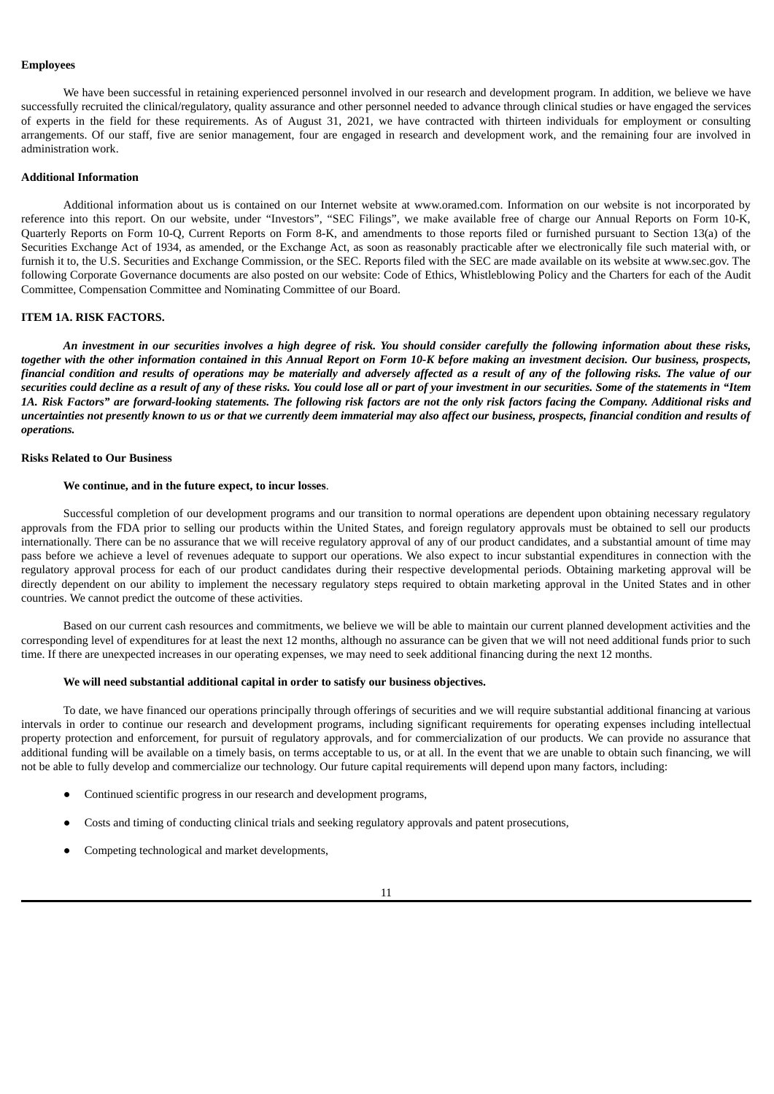# **Employees**

We have been successful in retaining experienced personnel involved in our research and development program. In addition, we believe we have successfully recruited the clinical/regulatory, quality assurance and other personnel needed to advance through clinical studies or have engaged the services of experts in the field for these requirements. As of August 31, 2021, we have contracted with thirteen individuals for employment or consulting arrangements. Of our staff, five are senior management, four are engaged in research and development work, and the remaining four are involved in administration work.

### **Additional Information**

Additional information about us is contained on our Internet website at www.oramed.com. Information on our website is not incorporated by reference into this report. On our website, under "Investors", "SEC Filings", we make available free of charge our Annual Reports on Form 10-K, Quarterly Reports on Form 10-Q, Current Reports on Form 8-K, and amendments to those reports filed or furnished pursuant to Section 13(a) of the Securities Exchange Act of 1934, as amended, or the Exchange Act, as soon as reasonably practicable after we electronically file such material with, or furnish it to, the U.S. Securities and Exchange Commission, or the SEC. Reports filed with the SEC are made available on its website at www.sec.gov. The following Corporate Governance documents are also posted on our website: Code of Ethics, Whistleblowing Policy and the Charters for each of the Audit Committee, Compensation Committee and Nominating Committee of our Board.

## <span id="page-14-0"></span>**ITEM 1A. RISK FACTORS.**

An investment in our securities involves a high degree of risk. You should consider carefully the following information about these risks, together with the other information contained in this Annual Report on Form 10-K before making an investment decision. Our business, prospects, financial condition and results of operations may be materially and adversely affected as a result of any of the following risks. The value of our securities could decline as a result of any of these risks. You could lose all or part of your investment in our securities. Some of the statements in "Item 1A. Risk Factors" are forward-looking statements. The following risk factors are not the only risk factors facing the Company. Additional risks and uncertainties not presently known to us or that we currently deem immaterial may also affect our business, prospects, financial condition and results of *operations.*

### **Risks Related to Our Business**

# **We continue, and in the future expect, to incur losses**.

Successful completion of our development programs and our transition to normal operations are dependent upon obtaining necessary regulatory approvals from the FDA prior to selling our products within the United States, and foreign regulatory approvals must be obtained to sell our products internationally. There can be no assurance that we will receive regulatory approval of any of our product candidates, and a substantial amount of time may pass before we achieve a level of revenues adequate to support our operations. We also expect to incur substantial expenditures in connection with the regulatory approval process for each of our product candidates during their respective developmental periods. Obtaining marketing approval will be directly dependent on our ability to implement the necessary regulatory steps required to obtain marketing approval in the United States and in other countries. We cannot predict the outcome of these activities.

Based on our current cash resources and commitments, we believe we will be able to maintain our current planned development activities and the corresponding level of expenditures for at least the next 12 months, although no assurance can be given that we will not need additional funds prior to such time. If there are unexpected increases in our operating expenses, we may need to seek additional financing during the next 12 months.

### **We will need substantial additional capital in order to satisfy our business objectives.**

To date, we have financed our operations principally through offerings of securities and we will require substantial additional financing at various intervals in order to continue our research and development programs, including significant requirements for operating expenses including intellectual property protection and enforcement, for pursuit of regulatory approvals, and for commercialization of our products. We can provide no assurance that additional funding will be available on a timely basis, on terms acceptable to us, or at all. In the event that we are unable to obtain such financing, we will not be able to fully develop and commercialize our technology. Our future capital requirements will depend upon many factors, including:

- Continued scientific progress in our research and development programs,
- Costs and timing of conducting clinical trials and seeking regulatory approvals and patent prosecutions,
- Competing technological and market developments,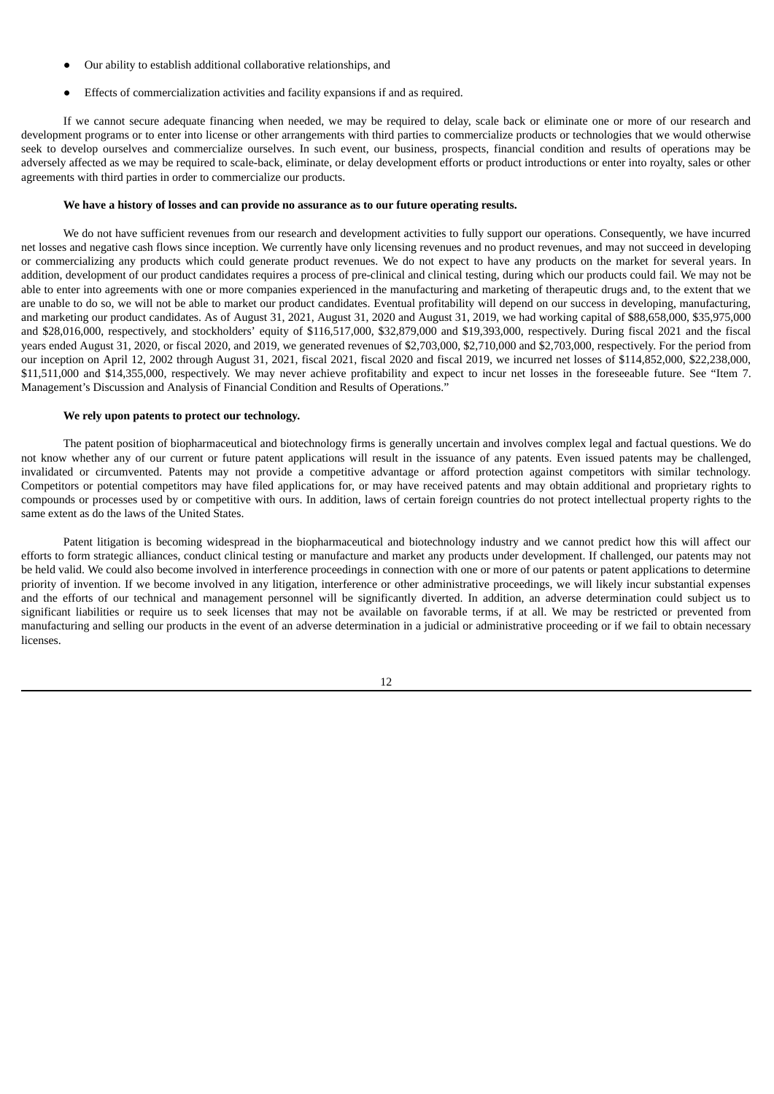- Our ability to establish additional collaborative relationships, and
- Effects of commercialization activities and facility expansions if and as required.

If we cannot secure adequate financing when needed, we may be required to delay, scale back or eliminate one or more of our research and development programs or to enter into license or other arrangements with third parties to commercialize products or technologies that we would otherwise seek to develop ourselves and commercialize ourselves. In such event, our business, prospects, financial condition and results of operations may be adversely affected as we may be required to scale-back, eliminate, or delay development efforts or product introductions or enter into royalty, sales or other agreements with third parties in order to commercialize our products.

# **We have a history of losses and can provide no assurance as to our future operating results.**

We do not have sufficient revenues from our research and development activities to fully support our operations. Consequently, we have incurred net losses and negative cash flows since inception. We currently have only licensing revenues and no product revenues, and may not succeed in developing or commercializing any products which could generate product revenues. We do not expect to have any products on the market for several years. In addition, development of our product candidates requires a process of pre-clinical and clinical testing, during which our products could fail. We may not be able to enter into agreements with one or more companies experienced in the manufacturing and marketing of therapeutic drugs and, to the extent that we are unable to do so, we will not be able to market our product candidates. Eventual profitability will depend on our success in developing, manufacturing, and marketing our product candidates. As of August 31, 2021, August 31, 2020 and August 31, 2019, we had working capital of \$88,658,000, \$35,975,000 and \$28,016,000, respectively, and stockholders' equity of \$116,517,000, \$32,879,000 and \$19,393,000, respectively. During fiscal 2021 and the fiscal years ended August 31, 2020, or fiscal 2020, and 2019, we generated revenues of \$2,703,000, \$2,710,000 and \$2,703,000, respectively. For the period from our inception on April 12, 2002 through August 31, 2021, fiscal 2021, fiscal 2020 and fiscal 2019, we incurred net losses of \$114,852,000, \$22,238,000, \$11,511,000 and \$14,355,000, respectively. We may never achieve profitability and expect to incur net losses in the foreseeable future. See "Item 7. Management's Discussion and Analysis of Financial Condition and Results of Operations."

### **We rely upon patents to protect our technology.**

The patent position of biopharmaceutical and biotechnology firms is generally uncertain and involves complex legal and factual questions. We do not know whether any of our current or future patent applications will result in the issuance of any patents. Even issued patents may be challenged, invalidated or circumvented. Patents may not provide a competitive advantage or afford protection against competitors with similar technology. Competitors or potential competitors may have filed applications for, or may have received patents and may obtain additional and proprietary rights to compounds or processes used by or competitive with ours. In addition, laws of certain foreign countries do not protect intellectual property rights to the same extent as do the laws of the United States.

Patent litigation is becoming widespread in the biopharmaceutical and biotechnology industry and we cannot predict how this will affect our efforts to form strategic alliances, conduct clinical testing or manufacture and market any products under development. If challenged, our patents may not be held valid. We could also become involved in interference proceedings in connection with one or more of our patents or patent applications to determine priority of invention. If we become involved in any litigation, interference or other administrative proceedings, we will likely incur substantial expenses and the efforts of our technical and management personnel will be significantly diverted. In addition, an adverse determination could subject us to significant liabilities or require us to seek licenses that may not be available on favorable terms, if at all. We may be restricted or prevented from manufacturing and selling our products in the event of an adverse determination in a judicial or administrative proceeding or if we fail to obtain necessary licenses.

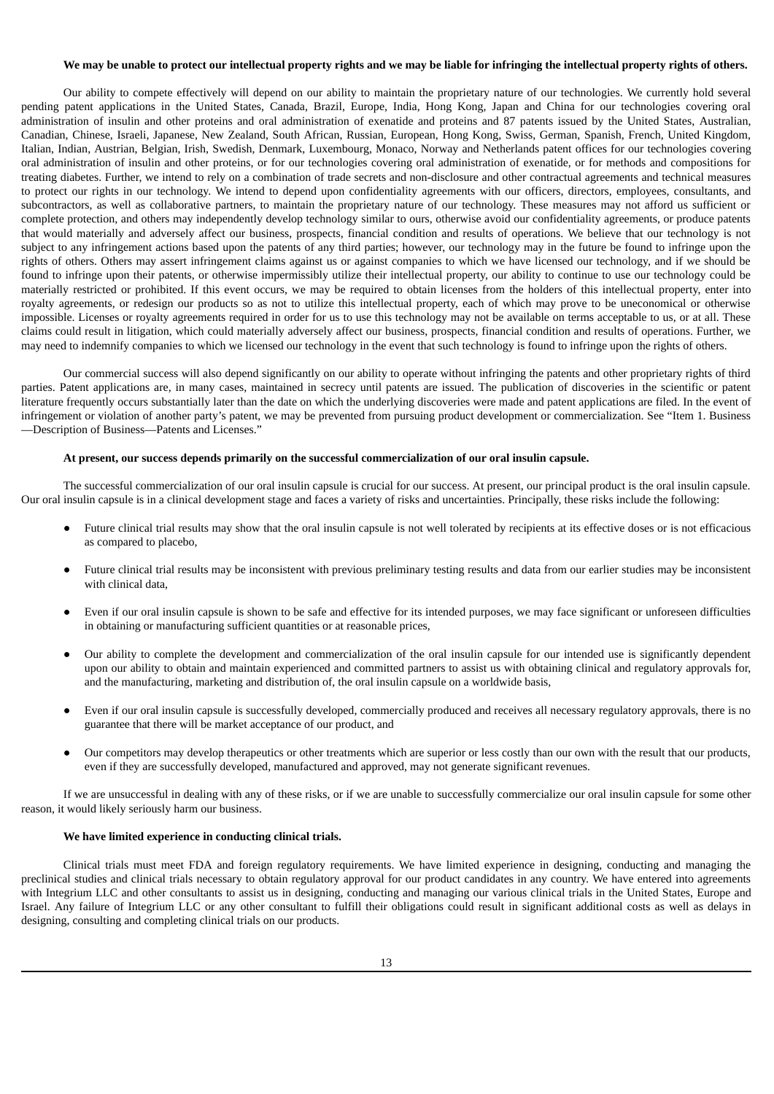### We may be unable to protect our intellectual property rights and we may be liable for infringing the intellectual property rights of others.

Our ability to compete effectively will depend on our ability to maintain the proprietary nature of our technologies. We currently hold several pending patent applications in the United States, Canada, Brazil, Europe, India, Hong Kong, Japan and China for our technologies covering oral administration of insulin and other proteins and oral administration of exenatide and proteins and 87 patents issued by the United States, Australian, Canadian, Chinese, Israeli, Japanese, New Zealand, South African, Russian, European, Hong Kong, Swiss, German, Spanish, French, United Kingdom, Italian, Indian, Austrian, Belgian, Irish, Swedish, Denmark, Luxembourg, Monaco, Norway and Netherlands patent offices for our technologies covering oral administration of insulin and other proteins, or for our technologies covering oral administration of exenatide, or for methods and compositions for treating diabetes. Further, we intend to rely on a combination of trade secrets and non-disclosure and other contractual agreements and technical measures to protect our rights in our technology. We intend to depend upon confidentiality agreements with our officers, directors, employees, consultants, and subcontractors, as well as collaborative partners, to maintain the proprietary nature of our technology. These measures may not afford us sufficient or complete protection, and others may independently develop technology similar to ours, otherwise avoid our confidentiality agreements, or produce patents that would materially and adversely affect our business, prospects, financial condition and results of operations. We believe that our technology is not subject to any infringement actions based upon the patents of any third parties; however, our technology may in the future be found to infringe upon the rights of others. Others may assert infringement claims against us or against companies to which we have licensed our technology, and if we should be found to infringe upon their patents, or otherwise impermissibly utilize their intellectual property, our ability to continue to use our technology could be materially restricted or prohibited. If this event occurs, we may be required to obtain licenses from the holders of this intellectual property, enter into royalty agreements, or redesign our products so as not to utilize this intellectual property, each of which may prove to be uneconomical or otherwise impossible. Licenses or royalty agreements required in order for us to use this technology may not be available on terms acceptable to us, or at all. These claims could result in litigation, which could materially adversely affect our business, prospects, financial condition and results of operations. Further, we may need to indemnify companies to which we licensed our technology in the event that such technology is found to infringe upon the rights of others.

Our commercial success will also depend significantly on our ability to operate without infringing the patents and other proprietary rights of third parties. Patent applications are, in many cases, maintained in secrecy until patents are issued. The publication of discoveries in the scientific or patent literature frequently occurs substantially later than the date on which the underlying discoveries were made and patent applications are filed. In the event of infringement or violation of another party's patent, we may be prevented from pursuing product development or commercialization. See "Item 1. Business —Description of Business—Patents and Licenses."

#### **At present, our success depends primarily on the successful commercialization of our oral insulin capsule.**

The successful commercialization of our oral insulin capsule is crucial for our success. At present, our principal product is the oral insulin capsule. Our oral insulin capsule is in a clinical development stage and faces a variety of risks and uncertainties. Principally, these risks include the following:

- Future clinical trial results may show that the oral insulin capsule is not well tolerated by recipients at its effective doses or is not efficacious as compared to placebo,
- Future clinical trial results may be inconsistent with previous preliminary testing results and data from our earlier studies may be inconsistent with clinical data,
- Even if our oral insulin capsule is shown to be safe and effective for its intended purposes, we may face significant or unforeseen difficulties in obtaining or manufacturing sufficient quantities or at reasonable prices,
- Our ability to complete the development and commercialization of the oral insulin capsule for our intended use is significantly dependent upon our ability to obtain and maintain experienced and committed partners to assist us with obtaining clinical and regulatory approvals for, and the manufacturing, marketing and distribution of, the oral insulin capsule on a worldwide basis,
- Even if our oral insulin capsule is successfully developed, commercially produced and receives all necessary regulatory approvals, there is no guarantee that there will be market acceptance of our product, and
- Our competitors may develop therapeutics or other treatments which are superior or less costly than our own with the result that our products, even if they are successfully developed, manufactured and approved, may not generate significant revenues.

If we are unsuccessful in dealing with any of these risks, or if we are unable to successfully commercialize our oral insulin capsule for some other reason, it would likely seriously harm our business.

## **We have limited experience in conducting clinical trials.**

Clinical trials must meet FDA and foreign regulatory requirements. We have limited experience in designing, conducting and managing the preclinical studies and clinical trials necessary to obtain regulatory approval for our product candidates in any country. We have entered into agreements with Integrium LLC and other consultants to assist us in designing, conducting and managing our various clinical trials in the United States, Europe and Israel. Any failure of Integrium LLC or any other consultant to fulfill their obligations could result in significant additional costs as well as delays in designing, consulting and completing clinical trials on our products.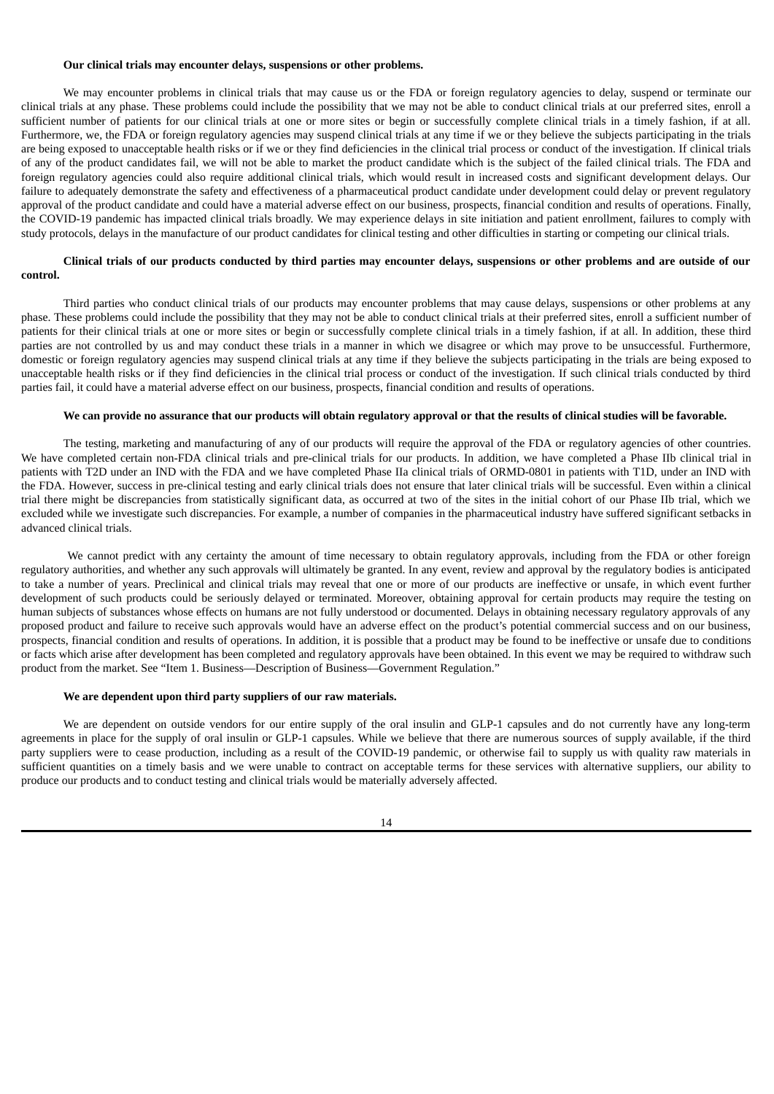## **Our clinical trials may encounter delays, suspensions or other problems.**

We may encounter problems in clinical trials that may cause us or the FDA or foreign regulatory agencies to delay, suspend or terminate our clinical trials at any phase. These problems could include the possibility that we may not be able to conduct clinical trials at our preferred sites, enroll a sufficient number of patients for our clinical trials at one or more sites or begin or successfully complete clinical trials in a timely fashion, if at all. Furthermore, we, the FDA or foreign regulatory agencies may suspend clinical trials at any time if we or they believe the subjects participating in the trials are being exposed to unacceptable health risks or if we or they find deficiencies in the clinical trial process or conduct of the investigation. If clinical trials of any of the product candidates fail, we will not be able to market the product candidate which is the subject of the failed clinical trials. The FDA and foreign regulatory agencies could also require additional clinical trials, which would result in increased costs and significant development delays. Our failure to adequately demonstrate the safety and effectiveness of a pharmaceutical product candidate under development could delay or prevent regulatory approval of the product candidate and could have a material adverse effect on our business, prospects, financial condition and results of operations. Finally, the COVID-19 pandemic has impacted clinical trials broadly. We may experience delays in site initiation and patient enrollment, failures to comply with study protocols, delays in the manufacture of our product candidates for clinical testing and other difficulties in starting or competing our clinical trials.

# Clinical trials of our products conducted by third parties may encounter delays, suspensions or other problems and are outside of our **control.**

Third parties who conduct clinical trials of our products may encounter problems that may cause delays, suspensions or other problems at any phase. These problems could include the possibility that they may not be able to conduct clinical trials at their preferred sites, enroll a sufficient number of patients for their clinical trials at one or more sites or begin or successfully complete clinical trials in a timely fashion, if at all. In addition, these third parties are not controlled by us and may conduct these trials in a manner in which we disagree or which may prove to be unsuccessful. Furthermore, domestic or foreign regulatory agencies may suspend clinical trials at any time if they believe the subjects participating in the trials are being exposed to unacceptable health risks or if they find deficiencies in the clinical trial process or conduct of the investigation. If such clinical trials conducted by third parties fail, it could have a material adverse effect on our business, prospects, financial condition and results of operations.

# We can provide no assurance that our products will obtain regulatory approval or that the results of clinical studies will be favorable.

The testing, marketing and manufacturing of any of our products will require the approval of the FDA or regulatory agencies of other countries. We have completed certain non-FDA clinical trials and pre-clinical trials for our products. In addition, we have completed a Phase IIb clinical trial in patients with T2D under an IND with the FDA and we have completed Phase IIa clinical trials of ORMD-0801 in patients with T1D, under an IND with the FDA. However, success in pre-clinical testing and early clinical trials does not ensure that later clinical trials will be successful. Even within a clinical trial there might be discrepancies from statistically significant data, as occurred at two of the sites in the initial cohort of our Phase IIb trial, which we excluded while we investigate such discrepancies. For example, a number of companies in the pharmaceutical industry have suffered significant setbacks in advanced clinical trials.

We cannot predict with any certainty the amount of time necessary to obtain regulatory approvals, including from the FDA or other foreign regulatory authorities, and whether any such approvals will ultimately be granted. In any event, review and approval by the regulatory bodies is anticipated to take a number of years. Preclinical and clinical trials may reveal that one or more of our products are ineffective or unsafe, in which event further development of such products could be seriously delayed or terminated. Moreover, obtaining approval for certain products may require the testing on human subjects of substances whose effects on humans are not fully understood or documented. Delays in obtaining necessary regulatory approvals of any proposed product and failure to receive such approvals would have an adverse effect on the product's potential commercial success and on our business, prospects, financial condition and results of operations. In addition, it is possible that a product may be found to be ineffective or unsafe due to conditions or facts which arise after development has been completed and regulatory approvals have been obtained. In this event we may be required to withdraw such product from the market. See "Item 1. Business—Description of Business—Government Regulation."

# **We are dependent upon third party suppliers of our raw materials.**

We are dependent on outside vendors for our entire supply of the oral insulin and GLP-1 capsules and do not currently have any long-term agreements in place for the supply of oral insulin or GLP-1 capsules. While we believe that there are numerous sources of supply available, if the third party suppliers were to cease production, including as a result of the COVID-19 pandemic, or otherwise fail to supply us with quality raw materials in sufficient quantities on a timely basis and we were unable to contract on acceptable terms for these services with alternative suppliers, our ability to produce our products and to conduct testing and clinical trials would be materially adversely affected.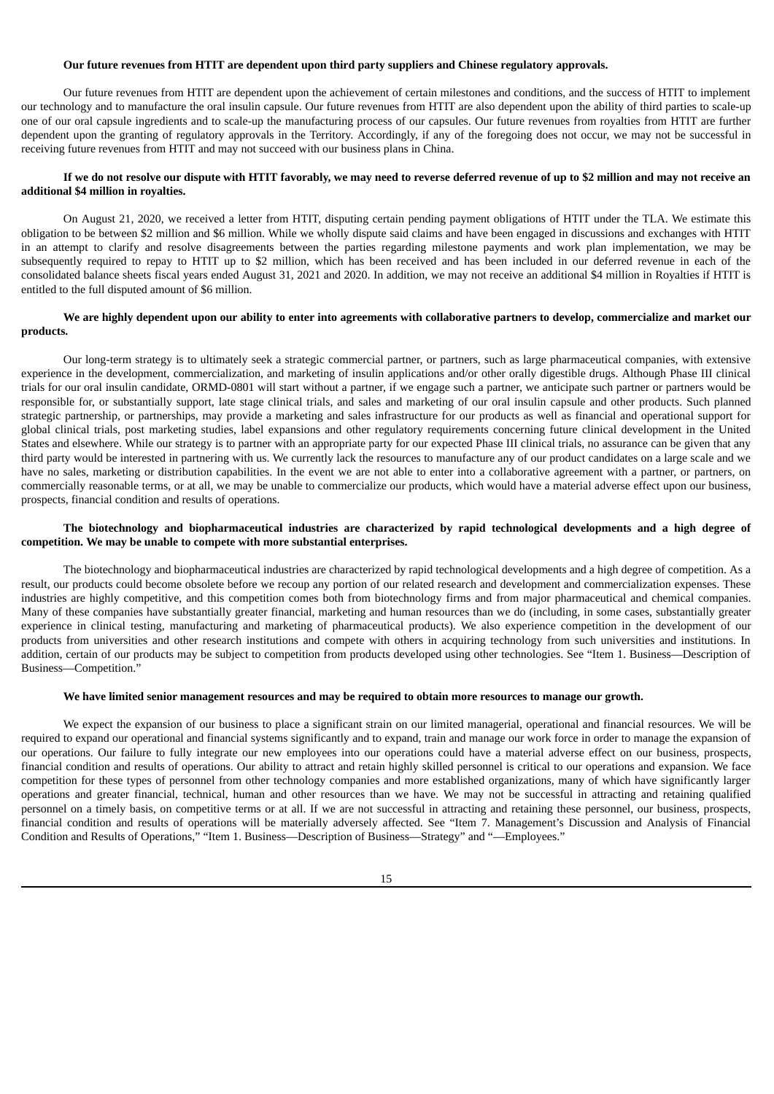# **Our future revenues from HTIT are dependent upon third party suppliers and Chinese regulatory approvals.**

Our future revenues from HTIT are dependent upon the achievement of certain milestones and conditions, and the success of HTIT to implement our technology and to manufacture the oral insulin capsule. Our future revenues from HTIT are also dependent upon the ability of third parties to scale-up one of our oral capsule ingredients and to scale-up the manufacturing process of our capsules. Our future revenues from royalties from HTIT are further dependent upon the granting of regulatory approvals in the Territory. Accordingly, if any of the foregoing does not occur, we may not be successful in receiving future revenues from HTIT and may not succeed with our business plans in China.

# If we do not resolve our dispute with HTIT favorably, we may need to reverse deferred revenue of up to \$2 million and may not receive an **additional \$4 million in royalties.**

On August 21, 2020, we received a letter from HTIT, disputing certain pending payment obligations of HTIT under the TLA. We estimate this obligation to be between \$2 million and \$6 million. While we wholly dispute said claims and have been engaged in discussions and exchanges with HTIT in an attempt to clarify and resolve disagreements between the parties regarding milestone payments and work plan implementation, we may be subsequently required to repay to HTIT up to \$2 million, which has been received and has been included in our deferred revenue in each of the consolidated balance sheets fiscal years ended August 31, 2021 and 2020. In addition, we may not receive an additional \$4 million in Royalties if HTIT is entitled to the full disputed amount of \$6 million.

# We are highly dependent upon our ability to enter into agreements with collaborative partners to develop, commercialize and market our **products.**

Our long-term strategy is to ultimately seek a strategic commercial partner, or partners, such as large pharmaceutical companies, with extensive experience in the development, commercialization, and marketing of insulin applications and/or other orally digestible drugs. Although Phase III clinical trials for our oral insulin candidate, ORMD-0801 will start without a partner, if we engage such a partner, we anticipate such partner or partners would be responsible for, or substantially support, late stage clinical trials, and sales and marketing of our oral insulin capsule and other products. Such planned strategic partnership, or partnerships, may provide a marketing and sales infrastructure for our products as well as financial and operational support for global clinical trials, post marketing studies, label expansions and other regulatory requirements concerning future clinical development in the United States and elsewhere. While our strategy is to partner with an appropriate party for our expected Phase III clinical trials, no assurance can be given that any third party would be interested in partnering with us. We currently lack the resources to manufacture any of our product candidates on a large scale and we have no sales, marketing or distribution capabilities. In the event we are not able to enter into a collaborative agreement with a partner, or partners, on commercially reasonable terms, or at all, we may be unable to commercialize our products, which would have a material adverse effect upon our business, prospects, financial condition and results of operations.

### The biotechnology and biopharmaceutical industries are characterized by rapid technological developments and a high degree of **competition. We may be unable to compete with more substantial enterprises.**

The biotechnology and biopharmaceutical industries are characterized by rapid technological developments and a high degree of competition. As a result, our products could become obsolete before we recoup any portion of our related research and development and commercialization expenses. These industries are highly competitive, and this competition comes both from biotechnology firms and from major pharmaceutical and chemical companies. Many of these companies have substantially greater financial, marketing and human resources than we do (including, in some cases, substantially greater experience in clinical testing, manufacturing and marketing of pharmaceutical products). We also experience competition in the development of our products from universities and other research institutions and compete with others in acquiring technology from such universities and institutions. In addition, certain of our products may be subject to competition from products developed using other technologies. See "Item 1. Business—Description of Business—Competition."

# We have limited senior management resources and may be required to obtain more resources to manage our growth.

We expect the expansion of our business to place a significant strain on our limited managerial, operational and financial resources. We will be required to expand our operational and financial systems significantly and to expand, train and manage our work force in order to manage the expansion of our operations. Our failure to fully integrate our new employees into our operations could have a material adverse effect on our business, prospects, financial condition and results of operations. Our ability to attract and retain highly skilled personnel is critical to our operations and expansion. We face competition for these types of personnel from other technology companies and more established organizations, many of which have significantly larger operations and greater financial, technical, human and other resources than we have. We may not be successful in attracting and retaining qualified personnel on a timely basis, on competitive terms or at all. If we are not successful in attracting and retaining these personnel, our business, prospects, financial condition and results of operations will be materially adversely affected. See "Item 7. Management's Discussion and Analysis of Financial Condition and Results of Operations," "Item 1. Business—Description of Business—Strategy" and "—Employees."

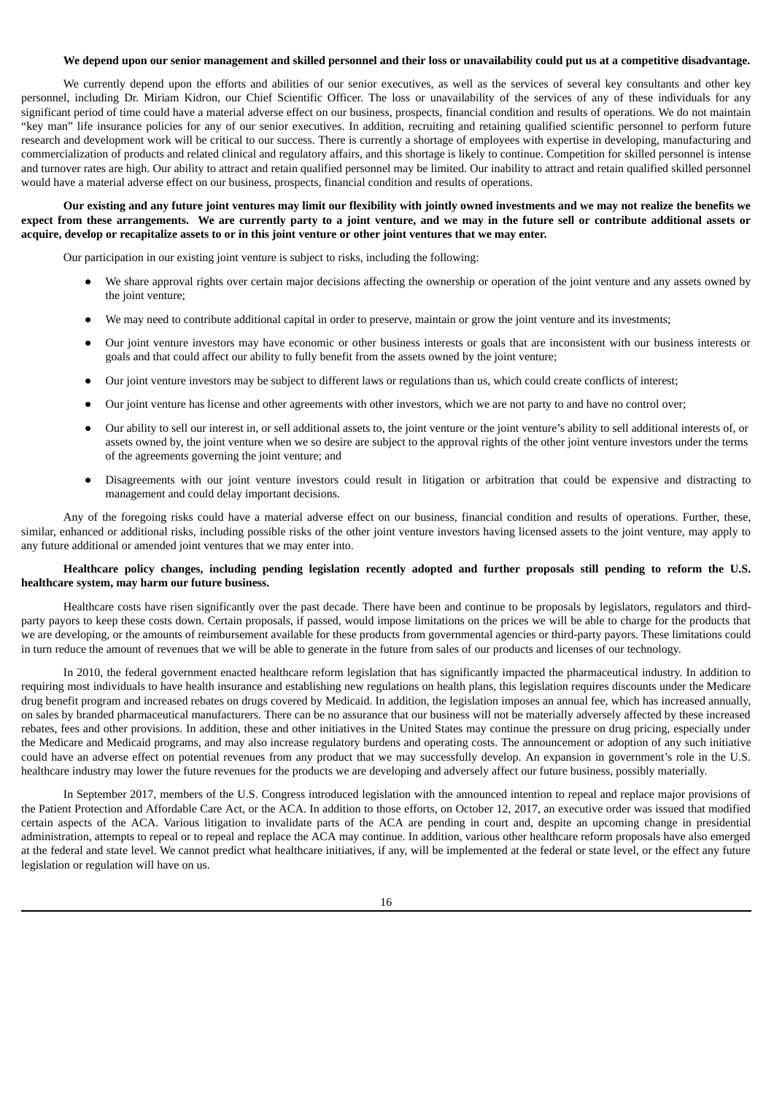### We depend upon our senior management and skilled personnel and their loss or unavailability could put us at a competitive disadvantage.

We currently depend upon the efforts and abilities of our senior executives, as well as the services of several key consultants and other key personnel, including Dr. Miriam Kidron, our Chief Scientific Officer. The loss or unavailability of the services of any of these individuals for any significant period of time could have a material adverse effect on our business, prospects, financial condition and results of operations. We do not maintain "key man" life insurance policies for any of our senior executives. In addition, recruiting and retaining qualified scientific personnel to perform future research and development work will be critical to our success. There is currently a shortage of employees with expertise in developing, manufacturing and commercialization of products and related clinical and regulatory affairs, and this shortage is likely to continue. Competition for skilled personnel is intense and turnover rates are high. Our ability to attract and retain qualified personnel may be limited. Our inability to attract and retain qualified skilled personnel would have a material adverse effect on our business, prospects, financial condition and results of operations.

# Our existing and any future joint ventures may limit our flexibility with jointly owned investments and we may not realize the benefits we expect from these arrangements. We are currently party to a joint venture, and we may in the future sell or contribute additional assets or acquire, develop or recapitalize assets to or in this joint venture or other joint ventures that we may enter.

Our participation in our existing joint venture is subject to risks, including the following:

- We share approval rights over certain major decisions affecting the ownership or operation of the joint venture and any assets owned by the joint venture:
- We may need to contribute additional capital in order to preserve, maintain or grow the joint venture and its investments;
- Our joint venture investors may have economic or other business interests or goals that are inconsistent with our business interests or goals and that could affect our ability to fully benefit from the assets owned by the joint venture;
- Our joint venture investors may be subject to different laws or regulations than us, which could create conflicts of interest;
- Our joint venture has license and other agreements with other investors, which we are not party to and have no control over;
- Our ability to sell our interest in, or sell additional assets to, the joint venture or the joint venture's ability to sell additional interests of, or assets owned by, the joint venture when we so desire are subject to the approval rights of the other joint venture investors under the terms of the agreements governing the joint venture; and
- Disagreements with our joint venture investors could result in litigation or arbitration that could be expensive and distracting to management and could delay important decisions.

Any of the foregoing risks could have a material adverse effect on our business, financial condition and results of operations. Further, these, similar, enhanced or additional risks, including possible risks of the other joint venture investors having licensed assets to the joint venture, may apply to any future additional or amended joint ventures that we may enter into.

## Healthcare policy changes, including pending legislation recently adopted and further proposals still pending to reform the U.S. **healthcare system, may harm our future business.**

Healthcare costs have risen significantly over the past decade. There have been and continue to be proposals by legislators, regulators and thirdparty payors to keep these costs down. Certain proposals, if passed, would impose limitations on the prices we will be able to charge for the products that we are developing, or the amounts of reimbursement available for these products from governmental agencies or third-party payors. These limitations could in turn reduce the amount of revenues that we will be able to generate in the future from sales of our products and licenses of our technology.

In 2010, the federal government enacted healthcare reform legislation that has significantly impacted the pharmaceutical industry. In addition to requiring most individuals to have health insurance and establishing new regulations on health plans, this legislation requires discounts under the Medicare drug benefit program and increased rebates on drugs covered by Medicaid. In addition, the legislation imposes an annual fee, which has increased annually, on sales by branded pharmaceutical manufacturers. There can be no assurance that our business will not be materially adversely affected by these increased rebates, fees and other provisions. In addition, these and other initiatives in the United States may continue the pressure on drug pricing, especially under the Medicare and Medicaid programs, and may also increase regulatory burdens and operating costs. The announcement or adoption of any such initiative could have an adverse effect on potential revenues from any product that we may successfully develop. An expansion in government's role in the U.S. healthcare industry may lower the future revenues for the products we are developing and adversely affect our future business, possibly materially.

In September 2017, members of the U.S. Congress introduced legislation with the announced intention to repeal and replace major provisions of the Patient Protection and Affordable Care Act, or the ACA. In addition to those efforts, on October 12, 2017, an executive order was issued that modified certain aspects of the ACA. Various litigation to invalidate parts of the ACA are pending in court and, despite an upcoming change in presidential administration, attempts to repeal or to repeal and replace the ACA may continue. In addition, various other healthcare reform proposals have also emerged at the federal and state level. We cannot predict what healthcare initiatives, if any, will be implemented at the federal or state level, or the effect any future legislation or regulation will have on us.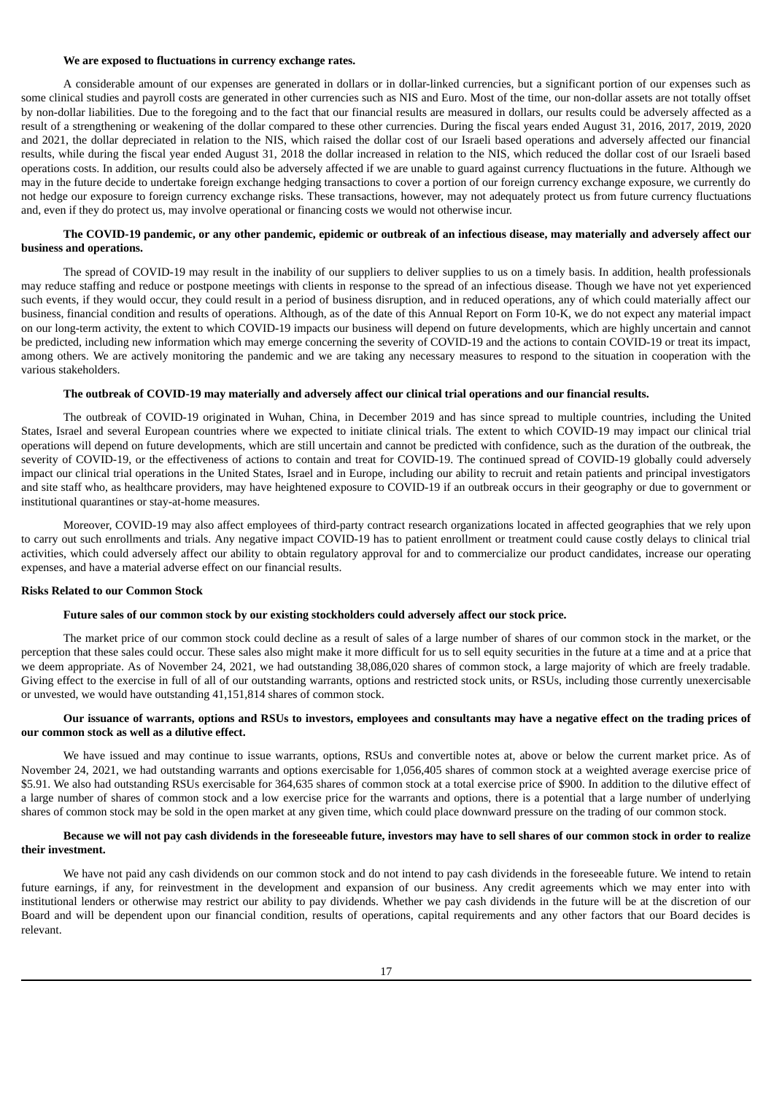### **We are exposed to fluctuations in currency exchange rates.**

A considerable amount of our expenses are generated in dollars or in dollar-linked currencies, but a significant portion of our expenses such as some clinical studies and payroll costs are generated in other currencies such as NIS and Euro. Most of the time, our non-dollar assets are not totally offset by non-dollar liabilities. Due to the foregoing and to the fact that our financial results are measured in dollars, our results could be adversely affected as a result of a strengthening or weakening of the dollar compared to these other currencies. During the fiscal years ended August 31, 2016, 2017, 2019, 2020 and 2021, the dollar depreciated in relation to the NIS, which raised the dollar cost of our Israeli based operations and adversely affected our financial results, while during the fiscal year ended August 31, 2018 the dollar increased in relation to the NIS, which reduced the dollar cost of our Israeli based operations costs. In addition, our results could also be adversely affected if we are unable to guard against currency fluctuations in the future. Although we may in the future decide to undertake foreign exchange hedging transactions to cover a portion of our foreign currency exchange exposure, we currently do not hedge our exposure to foreign currency exchange risks. These transactions, however, may not adequately protect us from future currency fluctuations and, even if they do protect us, may involve operational or financing costs we would not otherwise incur.

# The COVID-19 pandemic, or any other pandemic, epidemic or outbreak of an infectious disease, may materially and adversely affect our **business and operations.**

The spread of COVID-19 may result in the inability of our suppliers to deliver supplies to us on a timely basis. In addition, health professionals may reduce staffing and reduce or postpone meetings with clients in response to the spread of an infectious disease. Though we have not yet experienced such events, if they would occur, they could result in a period of business disruption, and in reduced operations, any of which could materially affect our business, financial condition and results of operations. Although, as of the date of this Annual Report on Form 10-K, we do not expect any material impact on our long-term activity, the extent to which COVID-19 impacts our business will depend on future developments, which are highly uncertain and cannot be predicted, including new information which may emerge concerning the severity of COVID-19 and the actions to contain COVID-19 or treat its impact, among others. We are actively monitoring the pandemic and we are taking any necessary measures to respond to the situation in cooperation with the various stakeholders.

### The outbreak of COVID-19 may materially and adversely affect our clinical trial operations and our financial results.

The outbreak of COVID-19 originated in Wuhan, China, in December 2019 and has since spread to multiple countries, including the United States, Israel and several European countries where we expected to initiate clinical trials. The extent to which COVID-19 may impact our clinical trial operations will depend on future developments, which are still uncertain and cannot be predicted with confidence, such as the duration of the outbreak, the severity of COVID-19, or the effectiveness of actions to contain and treat for COVID-19. The continued spread of COVID-19 globally could adversely impact our clinical trial operations in the United States, Israel and in Europe, including our ability to recruit and retain patients and principal investigators and site staff who, as healthcare providers, may have heightened exposure to COVID-19 if an outbreak occurs in their geography or due to government or institutional quarantines or stay-at-home measures.

Moreover, COVID-19 may also affect employees of third-party contract research organizations located in affected geographies that we rely upon to carry out such enrollments and trials. Any negative impact COVID-19 has to patient enrollment or treatment could cause costly delays to clinical trial activities, which could adversely affect our ability to obtain regulatory approval for and to commercialize our product candidates, increase our operating expenses, and have a material adverse effect on our financial results.

### **Risks Related to our Common Stock**

#### **Future sales of our common stock by our existing stockholders could adversely affect our stock price.**

The market price of our common stock could decline as a result of sales of a large number of shares of our common stock in the market, or the perception that these sales could occur. These sales also might make it more difficult for us to sell equity securities in the future at a time and at a price that we deem appropriate. As of November 24, 2021, we had outstanding 38,086,020 shares of common stock, a large majority of which are freely tradable. Giving effect to the exercise in full of all of our outstanding warrants, options and restricted stock units, or RSUs, including those currently unexercisable or unvested, we would have outstanding 41,151,814 shares of common stock.

# Our issuance of warrants, options and RSUs to investors, employees and consultants may have a negative effect on the trading prices of **our common stock as well as a dilutive effect.**

We have issued and may continue to issue warrants, options, RSUs and convertible notes at, above or below the current market price. As of November 24, 2021, we had outstanding warrants and options exercisable for 1,056,405 shares of common stock at a weighted average exercise price of \$5.91. We also had outstanding RSUs exercisable for 364,635 shares of common stock at a total exercise price of \$900. In addition to the dilutive effect of a large number of shares of common stock and a low exercise price for the warrants and options, there is a potential that a large number of underlying shares of common stock may be sold in the open market at any given time, which could place downward pressure on the trading of our common stock.

# Because we will not pay cash dividends in the foreseeable future, investors may have to sell shares of our common stock in order to realize **their investment.**

We have not paid any cash dividends on our common stock and do not intend to pay cash dividends in the foreseeable future. We intend to retain future earnings, if any, for reinvestment in the development and expansion of our business. Any credit agreements which we may enter into with institutional lenders or otherwise may restrict our ability to pay dividends. Whether we pay cash dividends in the future will be at the discretion of our Board and will be dependent upon our financial condition, results of operations, capital requirements and any other factors that our Board decides is relevant.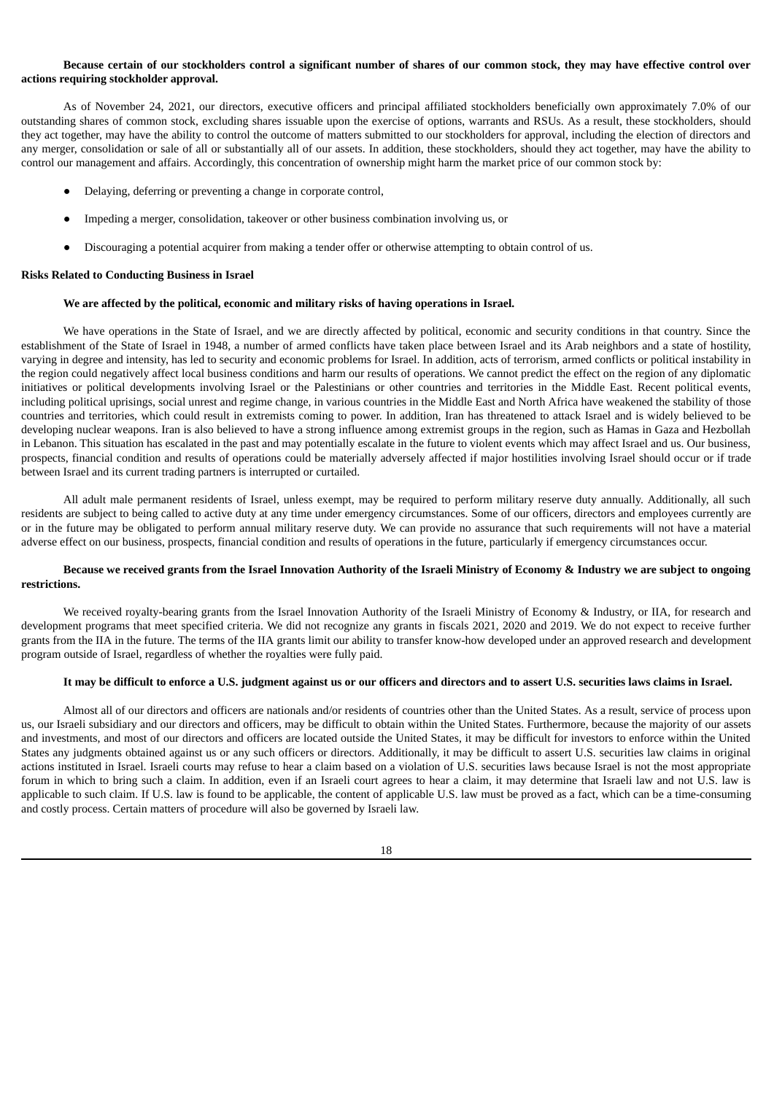# Because certain of our stockholders control a significant number of shares of our common stock, they may have effective control over **actions requiring stockholder approval.**

As of November 24, 2021, our directors, executive officers and principal affiliated stockholders beneficially own approximately 7.0% of our outstanding shares of common stock, excluding shares issuable upon the exercise of options, warrants and RSUs. As a result, these stockholders, should they act together, may have the ability to control the outcome of matters submitted to our stockholders for approval, including the election of directors and any merger, consolidation or sale of all or substantially all of our assets. In addition, these stockholders, should they act together, may have the ability to control our management and affairs. Accordingly, this concentration of ownership might harm the market price of our common stock by:

- Delaying, deferring or preventing a change in corporate control,
- Impeding a merger, consolidation, takeover or other business combination involving us, or
- Discouraging a potential acquirer from making a tender offer or otherwise attempting to obtain control of us.

# **Risks Related to Conducting Business in Israel**

# **We are affected by the political, economic and military risks of having operations in Israel.**

We have operations in the State of Israel, and we are directly affected by political, economic and security conditions in that country. Since the establishment of the State of Israel in 1948, a number of armed conflicts have taken place between Israel and its Arab neighbors and a state of hostility, varying in degree and intensity, has led to security and economic problems for Israel. In addition, acts of terrorism, armed conflicts or political instability in the region could negatively affect local business conditions and harm our results of operations. We cannot predict the effect on the region of any diplomatic initiatives or political developments involving Israel or the Palestinians or other countries and territories in the Middle East. Recent political events, including political uprisings, social unrest and regime change, in various countries in the Middle East and North Africa have weakened the stability of those countries and territories, which could result in extremists coming to power. In addition, Iran has threatened to attack Israel and is widely believed to be developing nuclear weapons. Iran is also believed to have a strong influence among extremist groups in the region, such as Hamas in Gaza and Hezbollah in Lebanon. This situation has escalated in the past and may potentially escalate in the future to violent events which may affect Israel and us. Our business, prospects, financial condition and results of operations could be materially adversely affected if major hostilities involving Israel should occur or if trade between Israel and its current trading partners is interrupted or curtailed.

All adult male permanent residents of Israel, unless exempt, may be required to perform military reserve duty annually. Additionally, all such residents are subject to being called to active duty at any time under emergency circumstances. Some of our officers, directors and employees currently are or in the future may be obligated to perform annual military reserve duty. We can provide no assurance that such requirements will not have a material adverse effect on our business, prospects, financial condition and results of operations in the future, particularly if emergency circumstances occur.

# Because we received grants from the Israel Innovation Authority of the Israeli Ministry of Economy & Industry we are subject to ongoing **restrictions.**

We received royalty-bearing grants from the Israel Innovation Authority of the Israeli Ministry of Economy & Industry, or IIA, for research and development programs that meet specified criteria. We did not recognize any grants in fiscals 2021, 2020 and 2019. We do not expect to receive further grants from the IIA in the future. The terms of the IIA grants limit our ability to transfer know-how developed under an approved research and development program outside of Israel, regardless of whether the royalties were fully paid.

# It may be difficult to enforce a U.S. judgment against us or our officers and directors and to assert U.S. securities laws claims in Israel.

Almost all of our directors and officers are nationals and/or residents of countries other than the United States. As a result, service of process upon us, our Israeli subsidiary and our directors and officers, may be difficult to obtain within the United States. Furthermore, because the majority of our assets and investments, and most of our directors and officers are located outside the United States, it may be difficult for investors to enforce within the United States any judgments obtained against us or any such officers or directors. Additionally, it may be difficult to assert U.S. securities law claims in original actions instituted in Israel. Israeli courts may refuse to hear a claim based on a violation of U.S. securities laws because Israel is not the most appropriate forum in which to bring such a claim. In addition, even if an Israeli court agrees to hear a claim, it may determine that Israeli law and not U.S. law is applicable to such claim. If U.S. law is found to be applicable, the content of applicable U.S. law must be proved as a fact, which can be a time-consuming and costly process. Certain matters of procedure will also be governed by Israeli law.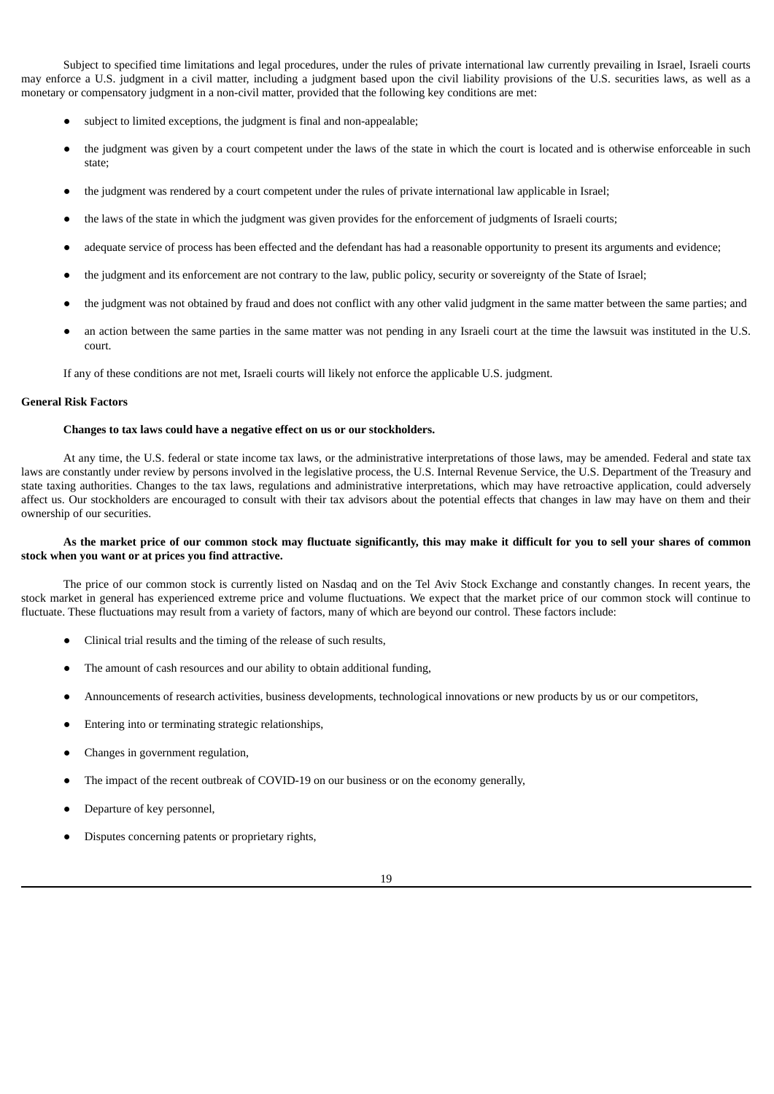Subject to specified time limitations and legal procedures, under the rules of private international law currently prevailing in Israel, Israeli courts may enforce a U.S. judgment in a civil matter, including a judgment based upon the civil liability provisions of the U.S. securities laws, as well as a monetary or compensatory judgment in a non-civil matter, provided that the following key conditions are met:

- subject to limited exceptions, the judgment is final and non-appealable;
- the judgment was given by a court competent under the laws of the state in which the court is located and is otherwise enforceable in such state;
- the judgment was rendered by a court competent under the rules of private international law applicable in Israel;
- the laws of the state in which the judgment was given provides for the enforcement of judgments of Israeli courts;
- adequate service of process has been effected and the defendant has had a reasonable opportunity to present its arguments and evidence;
- the judgment and its enforcement are not contrary to the law, public policy, security or sovereignty of the State of Israel;
- the judgment was not obtained by fraud and does not conflict with any other valid judgment in the same matter between the same parties; and
- an action between the same parties in the same matter was not pending in any Israeli court at the time the lawsuit was instituted in the U.S. court.

If any of these conditions are not met, Israeli courts will likely not enforce the applicable U.S. judgment.

### **General Risk Factors**

### **Changes to tax laws could have a negative effect on us or our stockholders.**

At any time, the U.S. federal or state income tax laws, or the administrative interpretations of those laws, may be amended. Federal and state tax laws are constantly under review by persons involved in the legislative process, the U.S. Internal Revenue Service, the U.S. Department of the Treasury and state taxing authorities. Changes to the tax laws, regulations and administrative interpretations, which may have retroactive application, could adversely affect us. Our stockholders are encouraged to consult with their tax advisors about the potential effects that changes in law may have on them and their ownership of our securities.

# As the market price of our common stock may fluctuate significantly, this may make it difficult for you to sell your shares of common **stock when you want or at prices you find attractive.**

The price of our common stock is currently listed on Nasdaq and on the Tel Aviv Stock Exchange and constantly changes. In recent years, the stock market in general has experienced extreme price and volume fluctuations. We expect that the market price of our common stock will continue to fluctuate. These fluctuations may result from a variety of factors, many of which are beyond our control. These factors include:

- Clinical trial results and the timing of the release of such results,
- The amount of cash resources and our ability to obtain additional funding,
- Announcements of research activities, business developments, technological innovations or new products by us or our competitors,
- Entering into or terminating strategic relationships,
- Changes in government regulation,
- The impact of the recent outbreak of COVID-19 on our business or on the economy generally,
- Departure of key personnel,
- Disputes concerning patents or proprietary rights,

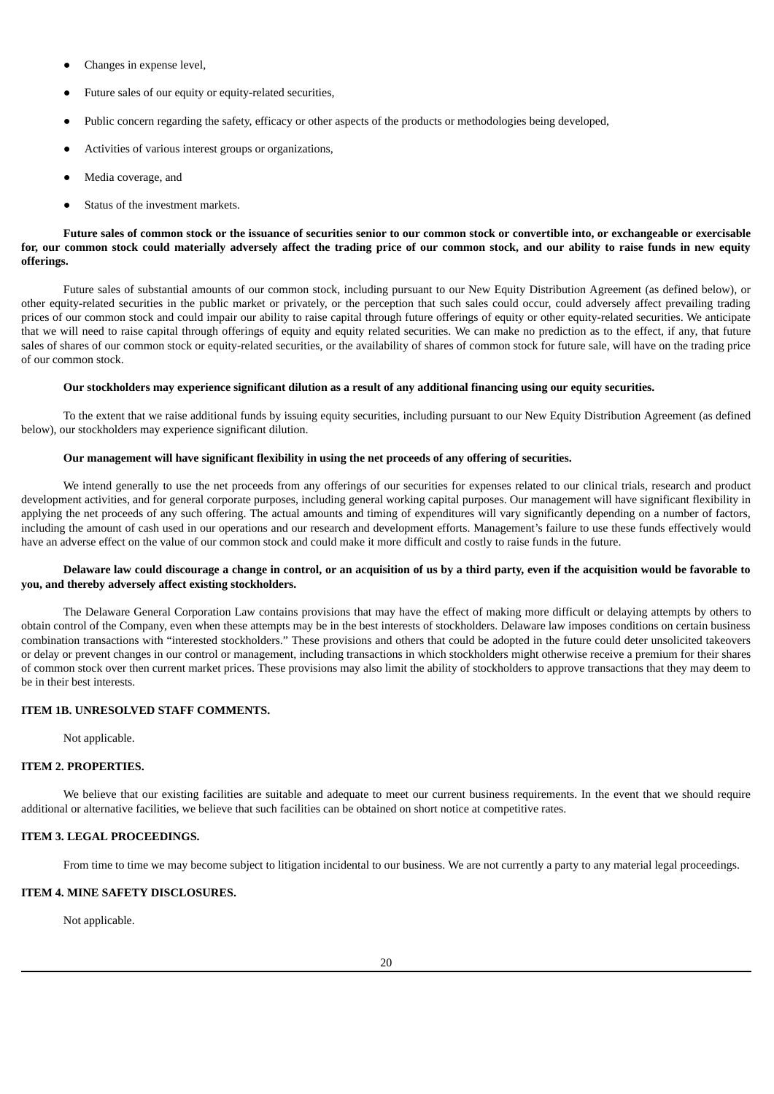- Changes in expense level,
- Future sales of our equity or equity-related securities,
- Public concern regarding the safety, efficacy or other aspects of the products or methodologies being developed,
- Activities of various interest groups or organizations,
- Media coverage, and
- Status of the investment markets.

# Future sales of common stock or the issuance of securities senior to our common stock or convertible into, or exchangeable or exercisable for, our common stock could materially adversely affect the trading price of our common stock, and our ability to raise funds in new equity **offerings.**

Future sales of substantial amounts of our common stock, including pursuant to our New Equity Distribution Agreement (as defined below), or other equity-related securities in the public market or privately, or the perception that such sales could occur, could adversely affect prevailing trading prices of our common stock and could impair our ability to raise capital through future offerings of equity or other equity-related securities. We anticipate that we will need to raise capital through offerings of equity and equity related securities. We can make no prediction as to the effect, if any, that future sales of shares of our common stock or equity-related securities, or the availability of shares of common stock for future sale, will have on the trading price of our common stock.

## Our stockholders may experience significant dilution as a result of any additional financing using our equity securities.

To the extent that we raise additional funds by issuing equity securities, including pursuant to our New Equity Distribution Agreement (as defined below), our stockholders may experience significant dilution.

## **Our management will have significant flexibility in using the net proceeds of any offering of securities.**

We intend generally to use the net proceeds from any offerings of our securities for expenses related to our clinical trials, research and product development activities, and for general corporate purposes, including general working capital purposes. Our management will have significant flexibility in applying the net proceeds of any such offering. The actual amounts and timing of expenditures will vary significantly depending on a number of factors, including the amount of cash used in our operations and our research and development efforts. Management's failure to use these funds effectively would have an adverse effect on the value of our common stock and could make it more difficult and costly to raise funds in the future.

# Delaware law could discourage a change in control, or an acquisition of us by a third party, even if the acquisition would be favorable to **you, and thereby adversely affect existing stockholders.**

The Delaware General Corporation Law contains provisions that may have the effect of making more difficult or delaying attempts by others to obtain control of the Company, even when these attempts may be in the best interests of stockholders. Delaware law imposes conditions on certain business combination transactions with "interested stockholders." These provisions and others that could be adopted in the future could deter unsolicited takeovers or delay or prevent changes in our control or management, including transactions in which stockholders might otherwise receive a premium for their shares of common stock over then current market prices. These provisions may also limit the ability of stockholders to approve transactions that they may deem to be in their best interests.

## <span id="page-23-0"></span>**ITEM 1B. UNRESOLVED STAFF COMMENTS.**

Not applicable.

### <span id="page-23-1"></span>**ITEM 2. PROPERTIES.**

We believe that our existing facilities are suitable and adequate to meet our current business requirements. In the event that we should require additional or alternative facilities, we believe that such facilities can be obtained on short notice at competitive rates.

## <span id="page-23-2"></span>**ITEM 3. LEGAL PROCEEDINGS.**

From time to time we may become subject to litigation incidental to our business. We are not currently a party to any material legal proceedings.

# <span id="page-23-3"></span>**ITEM 4. MINE SAFETY DISCLOSURES.**

Not applicable.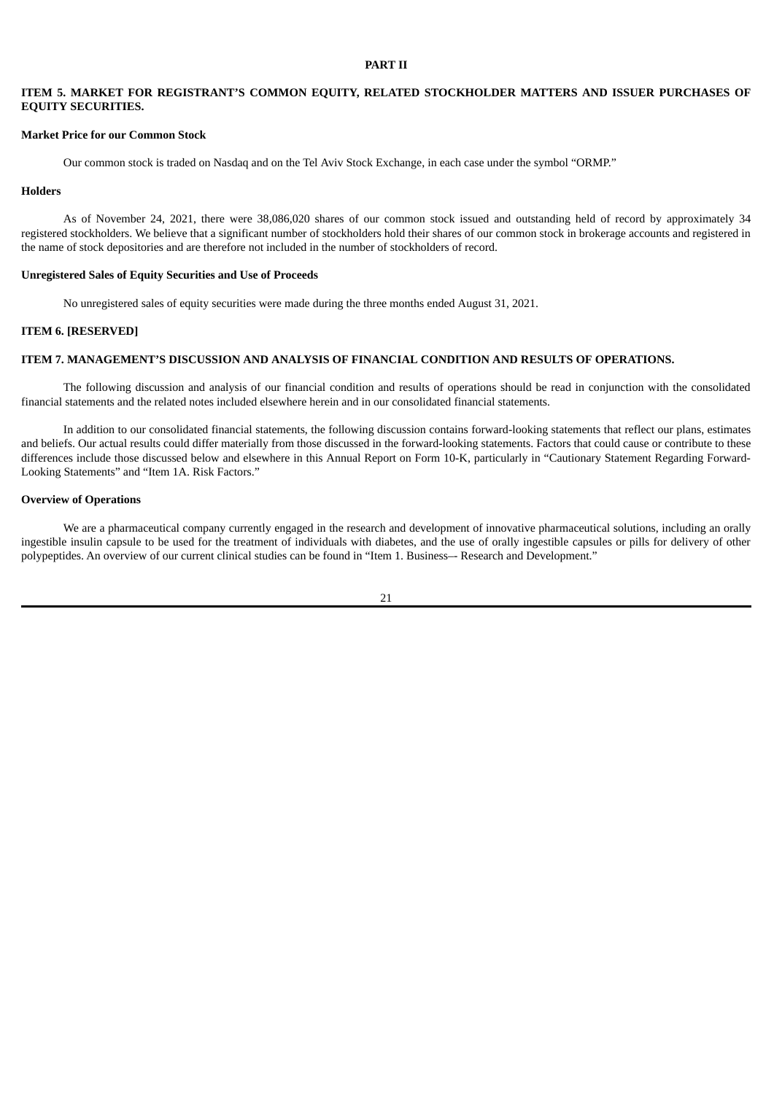### **PART II**

# <span id="page-24-1"></span><span id="page-24-0"></span>**ITEM 5. MARKET FOR REGISTRANT'S COMMON EQUITY, RELATED STOCKHOLDER MATTERS AND ISSUER PURCHASES OF EQUITY SECURITIES.**

# **Market Price for our Common Stock**

Our common stock is traded on Nasdaq and on the Tel Aviv Stock Exchange, in each case under the symbol "ORMP."

# **Holders**

As of November 24, 2021, there were 38,086,020 shares of our common stock issued and outstanding held of record by approximately 34 registered stockholders. We believe that a significant number of stockholders hold their shares of our common stock in brokerage accounts and registered in the name of stock depositories and are therefore not included in the number of stockholders of record.

### **Unregistered Sales of Equity Securities and Use of Proceeds**

No unregistered sales of equity securities were made during the three months ended August 31, 2021.

### <span id="page-24-2"></span>**ITEM 6. [RESERVED]**

### <span id="page-24-3"></span>**ITEM 7. MANAGEMENT'S DISCUSSION AND ANALYSIS OF FINANCIAL CONDITION AND RESULTS OF OPERATIONS.**

The following discussion and analysis of our financial condition and results of operations should be read in conjunction with the consolidated financial statements and the related notes included elsewhere herein and in our consolidated financial statements.

In addition to our consolidated financial statements, the following discussion contains forward-looking statements that reflect our plans, estimates and beliefs. Our actual results could differ materially from those discussed in the forward-looking statements. Factors that could cause or contribute to these differences include those discussed below and elsewhere in this Annual Report on Form 10-K, particularly in "Cautionary Statement Regarding Forward-Looking Statements" and "Item 1A. Risk Factors."

## **Overview of Operations**

We are a pharmaceutical company currently engaged in the research and development of innovative pharmaceutical solutions, including an orally ingestible insulin capsule to be used for the treatment of individuals with diabetes, and the use of orally ingestible capsules or pills for delivery of other polypeptides. An overview of our current clinical studies can be found in "Item 1. Business–- Research and Development."

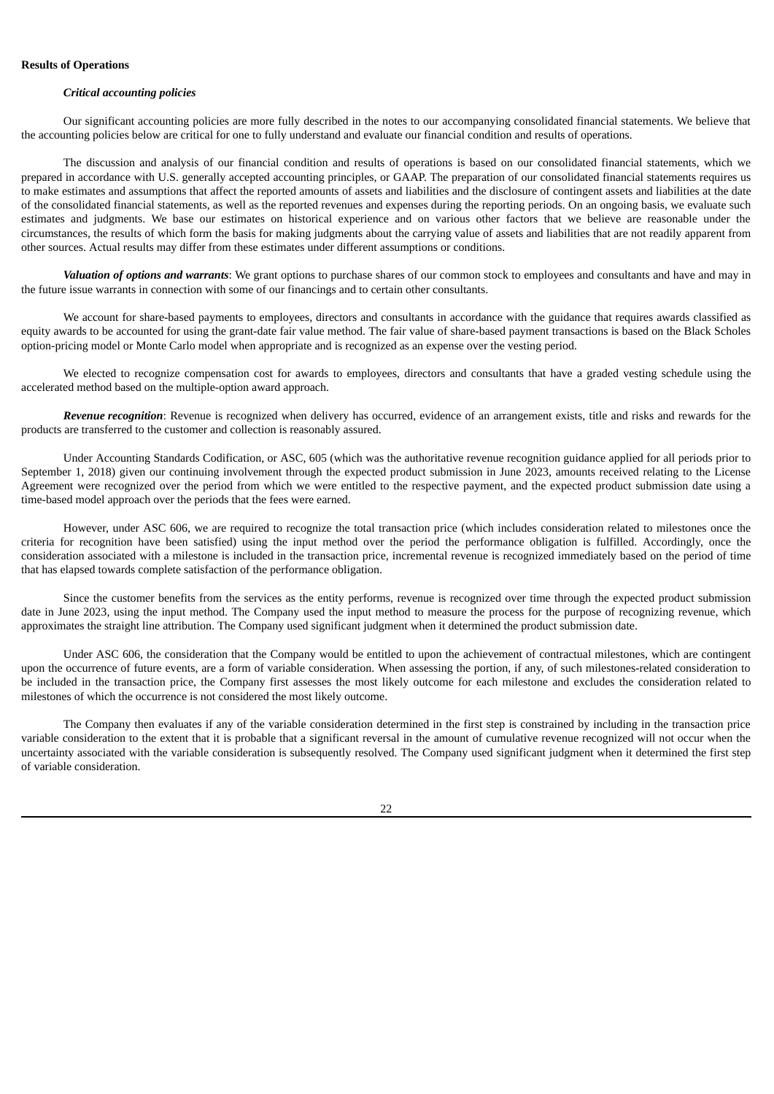# **Results of Operations**

## *Critical accounting policies*

Our significant accounting policies are more fully described in the notes to our accompanying consolidated financial statements. We believe that the accounting policies below are critical for one to fully understand and evaluate our financial condition and results of operations.

The discussion and analysis of our financial condition and results of operations is based on our consolidated financial statements, which we prepared in accordance with U.S. generally accepted accounting principles, or GAAP. The preparation of our consolidated financial statements requires us to make estimates and assumptions that affect the reported amounts of assets and liabilities and the disclosure of contingent assets and liabilities at the date of the consolidated financial statements, as well as the reported revenues and expenses during the reporting periods. On an ongoing basis, we evaluate such estimates and judgments. We base our estimates on historical experience and on various other factors that we believe are reasonable under the circumstances, the results of which form the basis for making judgments about the carrying value of assets and liabilities that are not readily apparent from other sources. Actual results may differ from these estimates under different assumptions or conditions.

*Valuation of options and warrants*: We grant options to purchase shares of our common stock to employees and consultants and have and may in the future issue warrants in connection with some of our financings and to certain other consultants.

We account for share-based payments to employees, directors and consultants in accordance with the guidance that requires awards classified as equity awards to be accounted for using the grant-date fair value method. The fair value of share-based payment transactions is based on the Black Scholes option-pricing model or Monte Carlo model when appropriate and is recognized as an expense over the vesting period.

We elected to recognize compensation cost for awards to employees, directors and consultants that have a graded vesting schedule using the accelerated method based on the multiple-option award approach.

*Revenue recognition*: Revenue is recognized when delivery has occurred, evidence of an arrangement exists, title and risks and rewards for the products are transferred to the customer and collection is reasonably assured.

Under Accounting Standards Codification, or ASC, 605 (which was the authoritative revenue recognition guidance applied for all periods prior to September 1, 2018) given our continuing involvement through the expected product submission in June 2023, amounts received relating to the License Agreement were recognized over the period from which we were entitled to the respective payment, and the expected product submission date using a time-based model approach over the periods that the fees were earned.

However, under ASC 606, we are required to recognize the total transaction price (which includes consideration related to milestones once the criteria for recognition have been satisfied) using the input method over the period the performance obligation is fulfilled. Accordingly, once the consideration associated with a milestone is included in the transaction price, incremental revenue is recognized immediately based on the period of time that has elapsed towards complete satisfaction of the performance obligation.

Since the customer benefits from the services as the entity performs, revenue is recognized over time through the expected product submission date in June 2023, using the input method. The Company used the input method to measure the process for the purpose of recognizing revenue, which approximates the straight line attribution. The Company used significant judgment when it determined the product submission date.

Under ASC 606, the consideration that the Company would be entitled to upon the achievement of contractual milestones, which are contingent upon the occurrence of future events, are a form of variable consideration. When assessing the portion, if any, of such milestones-related consideration to be included in the transaction price, the Company first assesses the most likely outcome for each milestone and excludes the consideration related to milestones of which the occurrence is not considered the most likely outcome.

The Company then evaluates if any of the variable consideration determined in the first step is constrained by including in the transaction price variable consideration to the extent that it is probable that a significant reversal in the amount of cumulative revenue recognized will not occur when the uncertainty associated with the variable consideration is subsequently resolved. The Company used significant judgment when it determined the first step of variable consideration.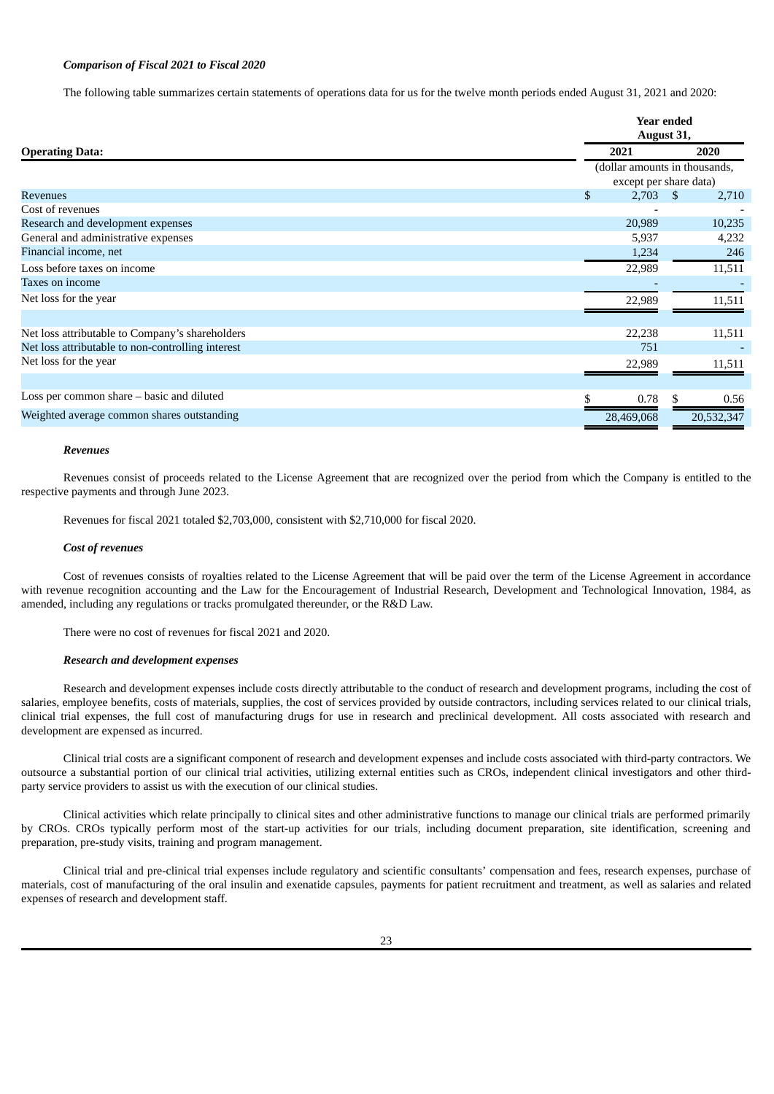# *Comparison of Fiscal 2021 to Fiscal 2020*

The following table summarizes certain statements of operations data for us for the twelve month periods ended August 31, 2021 and 2020:

|                                                   | <b>Year ended</b><br>August 31, |                               |  |
|---------------------------------------------------|---------------------------------|-------------------------------|--|
| <b>Operating Data:</b>                            | 2021                            | 2020                          |  |
|                                                   |                                 | (dollar amounts in thousands, |  |
|                                                   |                                 | except per share data)        |  |
| <b>Revenues</b>                                   | \$<br>2,703                     | - \$<br>2,710                 |  |
| Cost of revenues                                  |                                 |                               |  |
| Research and development expenses                 | 20,989                          | 10,235                        |  |
| General and administrative expenses               | 5,937                           | 4,232                         |  |
| Financial income, net                             | 1,234                           | 246                           |  |
| Loss before taxes on income                       | 22,989                          | 11,511                        |  |
| Taxes on income                                   |                                 |                               |  |
| Net loss for the year                             | 22,989                          | 11,511                        |  |
| Net loss attributable to Company's shareholders   | 22,238                          | 11,511                        |  |
| Net loss attributable to non-controlling interest | 751                             |                               |  |
| Net loss for the year                             | 22,989                          | 11,511                        |  |
|                                                   |                                 |                               |  |
| Loss per common share - basic and diluted         | 0.78                            | 0.56                          |  |
| Weighted average common shares outstanding        | 28,469,068                      | 20,532,347                    |  |

# *Revenues*

Revenues consist of proceeds related to the License Agreement that are recognized over the period from which the Company is entitled to the respective payments and through June 2023.

Revenues for fiscal 2021 totaled \$2,703,000, consistent with \$2,710,000 for fiscal 2020.

# *Cost of revenues*

Cost of revenues consists of royalties related to the License Agreement that will be paid over the term of the License Agreement in accordance with revenue recognition accounting and the Law for the Encouragement of Industrial Research, Development and Technological Innovation, 1984, as amended, including any regulations or tracks promulgated thereunder, or the R&D Law.

There were no cost of revenues for fiscal 2021 and 2020.

## *Research and development expenses*

Research and development expenses include costs directly attributable to the conduct of research and development programs, including the cost of salaries, employee benefits, costs of materials, supplies, the cost of services provided by outside contractors, including services related to our clinical trials, clinical trial expenses, the full cost of manufacturing drugs for use in research and preclinical development. All costs associated with research and development are expensed as incurred.

Clinical trial costs are a significant component of research and development expenses and include costs associated with third-party contractors. We outsource a substantial portion of our clinical trial activities, utilizing external entities such as CROs, independent clinical investigators and other thirdparty service providers to assist us with the execution of our clinical studies.

Clinical activities which relate principally to clinical sites and other administrative functions to manage our clinical trials are performed primarily by CROs. CROs typically perform most of the start-up activities for our trials, including document preparation, site identification, screening and preparation, pre-study visits, training and program management.

Clinical trial and pre-clinical trial expenses include regulatory and scientific consultants' compensation and fees, research expenses, purchase of materials, cost of manufacturing of the oral insulin and exenatide capsules, payments for patient recruitment and treatment, as well as salaries and related expenses of research and development staff.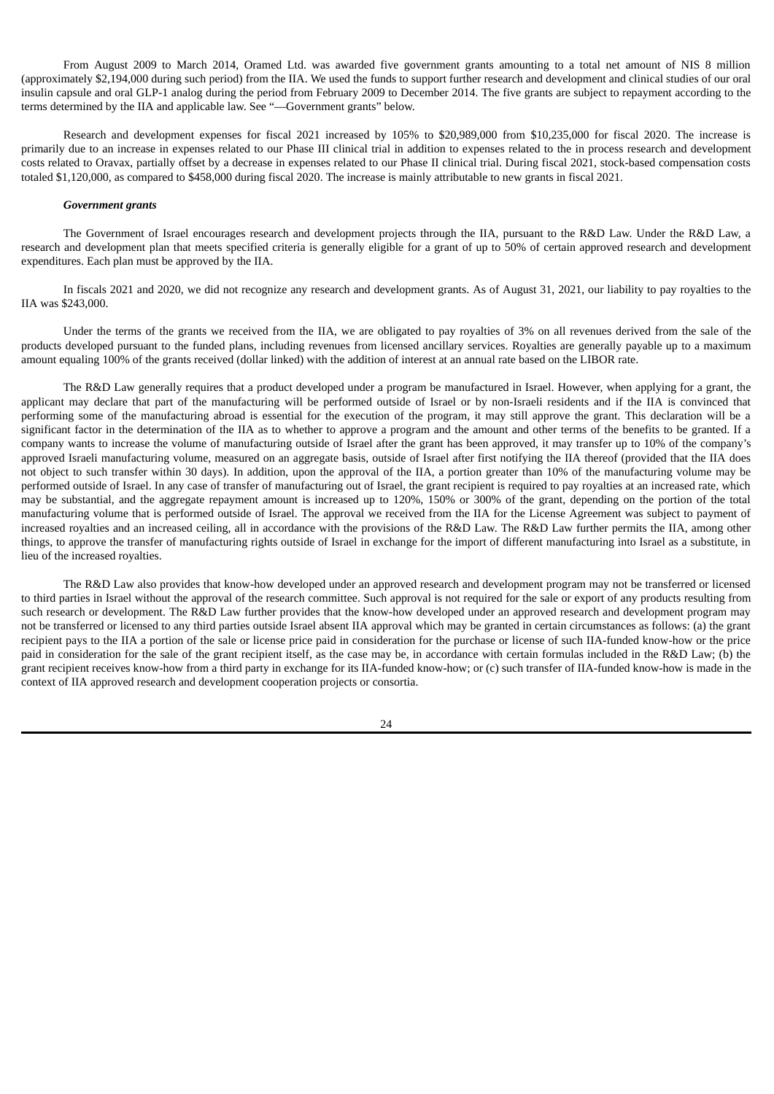From August 2009 to March 2014, Oramed Ltd. was awarded five government grants amounting to a total net amount of NIS 8 million (approximately \$2,194,000 during such period) from the IIA. We used the funds to support further research and development and clinical studies of our oral insulin capsule and oral GLP-1 analog during the period from February 2009 to December 2014. The five grants are subject to repayment according to the terms determined by the IIA and applicable law. See "—Government grants" below.

Research and development expenses for fiscal 2021 increased by 105% to \$20,989,000 from \$10,235,000 for fiscal 2020. The increase is primarily due to an increase in expenses related to our Phase III clinical trial in addition to expenses related to the in process research and development costs related to Oravax, partially offset by a decrease in expenses related to our Phase II clinical trial. During fiscal 2021, stock-based compensation costs totaled \$1,120,000, as compared to \$458,000 during fiscal 2020. The increase is mainly attributable to new grants in fiscal 2021.

### *Government grants*

The Government of Israel encourages research and development projects through the IIA, pursuant to the R&D Law. Under the R&D Law, a research and development plan that meets specified criteria is generally eligible for a grant of up to 50% of certain approved research and development expenditures. Each plan must be approved by the IIA.

In fiscals 2021 and 2020, we did not recognize any research and development grants. As of August 31, 2021, our liability to pay royalties to the IIA was \$243,000.

Under the terms of the grants we received from the IIA, we are obligated to pay royalties of 3% on all revenues derived from the sale of the products developed pursuant to the funded plans, including revenues from licensed ancillary services. Royalties are generally payable up to a maximum amount equaling 100% of the grants received (dollar linked) with the addition of interest at an annual rate based on the LIBOR rate.

The R&D Law generally requires that a product developed under a program be manufactured in Israel. However, when applying for a grant, the applicant may declare that part of the manufacturing will be performed outside of Israel or by non-Israeli residents and if the IIA is convinced that performing some of the manufacturing abroad is essential for the execution of the program, it may still approve the grant. This declaration will be a significant factor in the determination of the IIA as to whether to approve a program and the amount and other terms of the benefits to be granted. If a company wants to increase the volume of manufacturing outside of Israel after the grant has been approved, it may transfer up to 10% of the company's approved Israeli manufacturing volume, measured on an aggregate basis, outside of Israel after first notifying the IIA thereof (provided that the IIA does not object to such transfer within 30 days). In addition, upon the approval of the IIA, a portion greater than 10% of the manufacturing volume may be performed outside of Israel. In any case of transfer of manufacturing out of Israel, the grant recipient is required to pay royalties at an increased rate, which may be substantial, and the aggregate repayment amount is increased up to 120%, 150% or 300% of the grant, depending on the portion of the total manufacturing volume that is performed outside of Israel. The approval we received from the IIA for the License Agreement was subject to payment of increased royalties and an increased ceiling, all in accordance with the provisions of the R&D Law. The R&D Law further permits the IIA, among other things, to approve the transfer of manufacturing rights outside of Israel in exchange for the import of different manufacturing into Israel as a substitute, in lieu of the increased royalties.

The R&D Law also provides that know-how developed under an approved research and development program may not be transferred or licensed to third parties in Israel without the approval of the research committee. Such approval is not required for the sale or export of any products resulting from such research or development. The R&D Law further provides that the know-how developed under an approved research and development program may not be transferred or licensed to any third parties outside Israel absent IIA approval which may be granted in certain circumstances as follows: (a) the grant recipient pays to the IIA a portion of the sale or license price paid in consideration for the purchase or license of such IIA-funded know-how or the price paid in consideration for the sale of the grant recipient itself, as the case may be, in accordance with certain formulas included in the R&D Law; (b) the grant recipient receives know-how from a third party in exchange for its IIA-funded know-how; or (c) such transfer of IIA-funded know-how is made in the context of IIA approved research and development cooperation projects or consortia.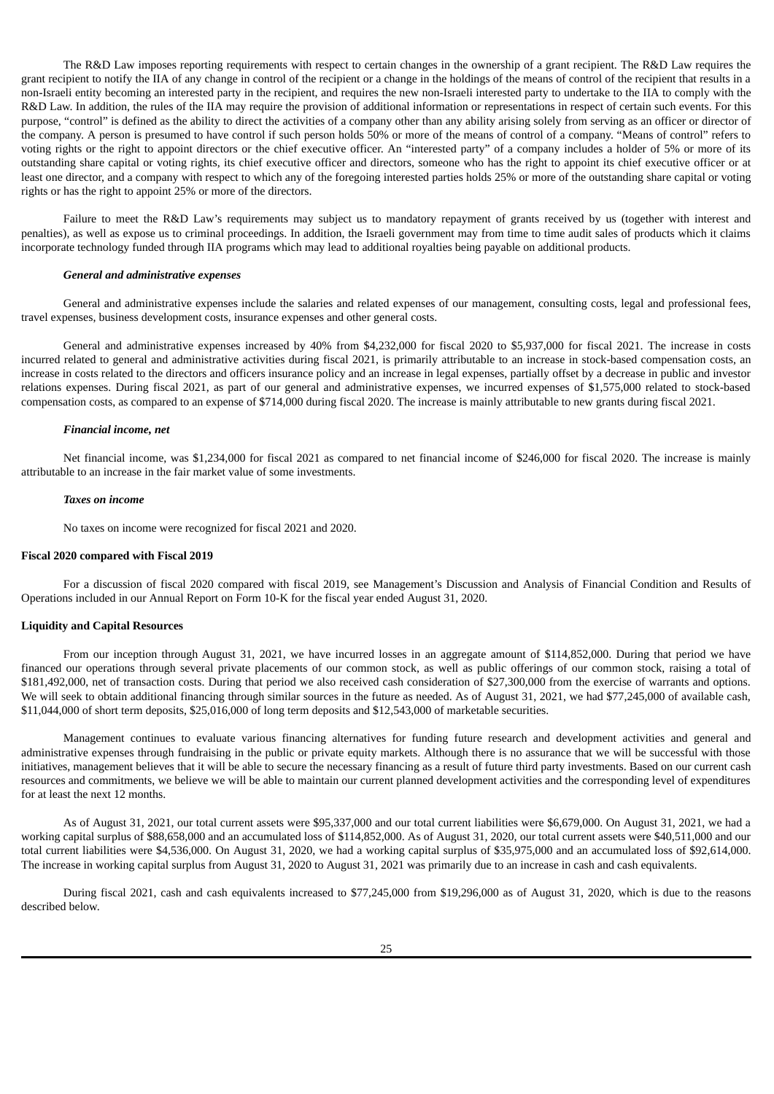The R&D Law imposes reporting requirements with respect to certain changes in the ownership of a grant recipient. The R&D Law requires the grant recipient to notify the IIA of any change in control of the recipient or a change in the holdings of the means of control of the recipient that results in a non-Israeli entity becoming an interested party in the recipient, and requires the new non-Israeli interested party to undertake to the IIA to comply with the R&D Law. In addition, the rules of the IIA may require the provision of additional information or representations in respect of certain such events. For this purpose, "control" is defined as the ability to direct the activities of a company other than any ability arising solely from serving as an officer or director of the company. A person is presumed to have control if such person holds 50% or more of the means of control of a company. "Means of control" refers to voting rights or the right to appoint directors or the chief executive officer. An "interested party" of a company includes a holder of 5% or more of its outstanding share capital or voting rights, its chief executive officer and directors, someone who has the right to appoint its chief executive officer or at least one director, and a company with respect to which any of the foregoing interested parties holds 25% or more of the outstanding share capital or voting rights or has the right to appoint 25% or more of the directors.

Failure to meet the R&D Law's requirements may subject us to mandatory repayment of grants received by us (together with interest and penalties), as well as expose us to criminal proceedings. In addition, the Israeli government may from time to time audit sales of products which it claims incorporate technology funded through IIA programs which may lead to additional royalties being payable on additional products.

## *General and administrative expenses*

General and administrative expenses include the salaries and related expenses of our management, consulting costs, legal and professional fees, travel expenses, business development costs, insurance expenses and other general costs.

General and administrative expenses increased by 40% from \$4,232,000 for fiscal 2020 to \$5,937,000 for fiscal 2021. The increase in costs incurred related to general and administrative activities during fiscal 2021, is primarily attributable to an increase in stock-based compensation costs, an increase in costs related to the directors and officers insurance policy and an increase in legal expenses, partially offset by a decrease in public and investor relations expenses. During fiscal 2021, as part of our general and administrative expenses, we incurred expenses of \$1,575,000 related to stock-based compensation costs, as compared to an expense of \$714,000 during fiscal 2020. The increase is mainly attributable to new grants during fiscal 2021.

### *Financial income, net*

Net financial income, was \$1,234,000 for fiscal 2021 as compared to net financial income of \$246,000 for fiscal 2020. The increase is mainly attributable to an increase in the fair market value of some investments.

#### *Taxes on income*

No taxes on income were recognized for fiscal 2021 and 2020.

#### **Fiscal 2020 compared with Fiscal 2019**

For a discussion of fiscal 2020 compared with fiscal 2019, see Management's Discussion and Analysis of Financial Condition and Results of Operations included in our Annual Report on Form 10-K for the fiscal year ended August 31, 2020.

# **Liquidity and Capital Resources**

From our inception through August 31, 2021, we have incurred losses in an aggregate amount of \$114,852,000. During that period we have financed our operations through several private placements of our common stock, as well as public offerings of our common stock, raising a total of \$181,492,000, net of transaction costs. During that period we also received cash consideration of \$27,300,000 from the exercise of warrants and options. We will seek to obtain additional financing through similar sources in the future as needed. As of August 31, 2021, we had \$77,245,000 of available cash, \$11,044,000 of short term deposits, \$25,016,000 of long term deposits and \$12,543,000 of marketable securities.

Management continues to evaluate various financing alternatives for funding future research and development activities and general and administrative expenses through fundraising in the public or private equity markets. Although there is no assurance that we will be successful with those initiatives, management believes that it will be able to secure the necessary financing as a result of future third party investments. Based on our current cash resources and commitments, we believe we will be able to maintain our current planned development activities and the corresponding level of expenditures for at least the next 12 months.

As of August 31, 2021, our total current assets were \$95,337,000 and our total current liabilities were \$6,679,000. On August 31, 2021, we had a working capital surplus of \$88,658,000 and an accumulated loss of \$114,852,000. As of August 31, 2020, our total current assets were \$40,511,000 and our total current liabilities were \$4,536,000. On August 31, 2020, we had a working capital surplus of \$35,975,000 and an accumulated loss of \$92,614,000. The increase in working capital surplus from August 31, 2020 to August 31, 2021 was primarily due to an increase in cash and cash equivalents.

During fiscal 2021, cash and cash equivalents increased to \$77,245,000 from \$19,296,000 as of August 31, 2020, which is due to the reasons described below.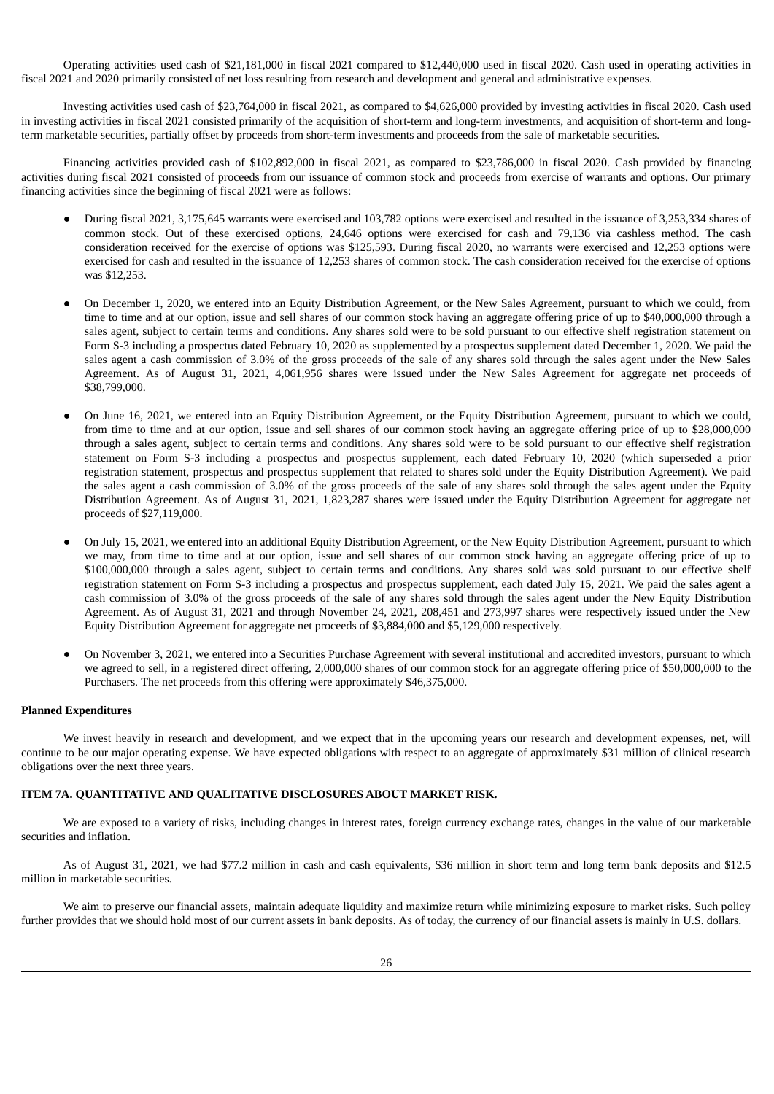Operating activities used cash of \$21,181,000 in fiscal 2021 compared to \$12,440,000 used in fiscal 2020. Cash used in operating activities in fiscal 2021 and 2020 primarily consisted of net loss resulting from research and development and general and administrative expenses.

Investing activities used cash of \$23,764,000 in fiscal 2021, as compared to \$4,626,000 provided by investing activities in fiscal 2020. Cash used in investing activities in fiscal 2021 consisted primarily of the acquisition of short-term and long-term investments, and acquisition of short-term and longterm marketable securities, partially offset by proceeds from short-term investments and proceeds from the sale of marketable securities.

Financing activities provided cash of \$102,892,000 in fiscal 2021, as compared to \$23,786,000 in fiscal 2020. Cash provided by financing activities during fiscal 2021 consisted of proceeds from our issuance of common stock and proceeds from exercise of warrants and options. Our primary financing activities since the beginning of fiscal 2021 were as follows:

- During fiscal 2021, 3,175,645 warrants were exercised and 103,782 options were exercised and resulted in the issuance of 3,253,334 shares of common stock. Out of these exercised options, 24,646 options were exercised for cash and 79,136 via cashless method. The cash consideration received for the exercise of options was \$125,593. During fiscal 2020, no warrants were exercised and 12,253 options were exercised for cash and resulted in the issuance of 12,253 shares of common stock. The cash consideration received for the exercise of options was \$12,253.
- On December 1, 2020, we entered into an Equity Distribution Agreement, or the New Sales Agreement, pursuant to which we could, from time to time and at our option, issue and sell shares of our common stock having an aggregate offering price of up to \$40,000,000 through a sales agent, subject to certain terms and conditions. Any shares sold were to be sold pursuant to our effective shelf registration statement on Form S-3 including a prospectus dated February 10, 2020 as supplemented by a prospectus supplement dated December 1, 2020. We paid the sales agent a cash commission of 3.0% of the gross proceeds of the sale of any shares sold through the sales agent under the New Sales Agreement. As of August 31, 2021, 4,061,956 shares were issued under the New Sales Agreement for aggregate net proceeds of \$38,799,000.
- On June 16, 2021, we entered into an Equity Distribution Agreement, or the Equity Distribution Agreement, pursuant to which we could, from time to time and at our option, issue and sell shares of our common stock having an aggregate offering price of up to \$28,000,000 through a sales agent, subject to certain terms and conditions. Any shares sold were to be sold pursuant to our effective shelf registration statement on Form S-3 including a prospectus and prospectus supplement, each dated February 10, 2020 (which superseded a prior registration statement, prospectus and prospectus supplement that related to shares sold under the Equity Distribution Agreement). We paid the sales agent a cash commission of 3.0% of the gross proceeds of the sale of any shares sold through the sales agent under the Equity Distribution Agreement. As of August 31, 2021, 1,823,287 shares were issued under the Equity Distribution Agreement for aggregate net proceeds of \$27,119,000.
- On July 15, 2021, we entered into an additional Equity Distribution Agreement, or the New Equity Distribution Agreement, pursuant to which we may, from time to time and at our option, issue and sell shares of our common stock having an aggregate offering price of up to \$100,000,000 through a sales agent, subject to certain terms and conditions. Any shares sold was sold pursuant to our effective shelf registration statement on Form S-3 including a prospectus and prospectus supplement, each dated July 15, 2021. We paid the sales agent a cash commission of 3.0% of the gross proceeds of the sale of any shares sold through the sales agent under the New Equity Distribution Agreement. As of August 31, 2021 and through November 24, 2021, 208,451 and 273,997 shares were respectively issued under the New Equity Distribution Agreement for aggregate net proceeds of \$3,884,000 and \$5,129,000 respectively.
- On November 3, 2021, we entered into a Securities Purchase Agreement with several institutional and accredited investors, pursuant to which we agreed to sell, in a registered direct offering, 2,000,000 shares of our common stock for an aggregate offering price of \$50,000,000 to the Purchasers. The net proceeds from this offering were approximately \$46,375,000.

## **Planned Expenditures**

We invest heavily in research and development, and we expect that in the upcoming years our research and development expenses, net, will continue to be our major operating expense. We have expected obligations with respect to an aggregate of approximately \$31 million of clinical research obligations over the next three years.

# <span id="page-29-0"></span>**ITEM 7A. QUANTITATIVE AND QUALITATIVE DISCLOSURES ABOUT MARKET RISK.**

We are exposed to a variety of risks, including changes in interest rates, foreign currency exchange rates, changes in the value of our marketable securities and inflation.

As of August 31, 2021, we had \$77.2 million in cash and cash equivalents, \$36 million in short term and long term bank deposits and \$12.5 million in marketable securities.

We aim to preserve our financial assets, maintain adequate liquidity and maximize return while minimizing exposure to market risks. Such policy further provides that we should hold most of our current assets in bank deposits. As of today, the currency of our financial assets is mainly in U.S. dollars.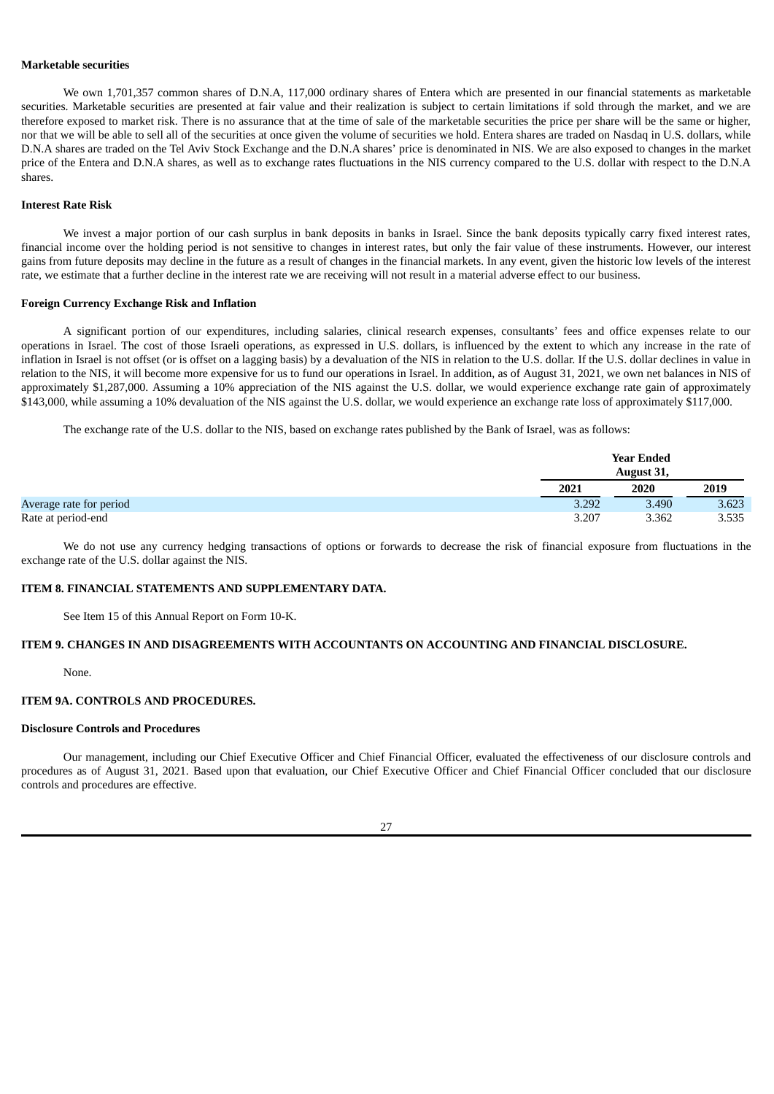## **Marketable securities**

We own 1,701,357 common shares of D.N.A, 117,000 ordinary shares of Entera which are presented in our financial statements as marketable securities. Marketable securities are presented at fair value and their realization is subject to certain limitations if sold through the market, and we are therefore exposed to market risk. There is no assurance that at the time of sale of the marketable securities the price per share will be the same or higher, nor that we will be able to sell all of the securities at once given the volume of securities we hold. Entera shares are traded on Nasdaq in U.S. dollars, while D.N.A shares are traded on the Tel Aviv Stock Exchange and the D.N.A shares' price is denominated in NIS. We are also exposed to changes in the market price of the Entera and D.N.A shares, as well as to exchange rates fluctuations in the NIS currency compared to the U.S. dollar with respect to the D.N.A shares.

# **Interest Rate Risk**

We invest a major portion of our cash surplus in bank deposits in banks in Israel. Since the bank deposits typically carry fixed interest rates, financial income over the holding period is not sensitive to changes in interest rates, but only the fair value of these instruments. However, our interest gains from future deposits may decline in the future as a result of changes in the financial markets. In any event, given the historic low levels of the interest rate, we estimate that a further decline in the interest rate we are receiving will not result in a material adverse effect to our business.

### **Foreign Currency Exchange Risk and Inflation**

A significant portion of our expenditures, including salaries, clinical research expenses, consultants' fees and office expenses relate to our operations in Israel. The cost of those Israeli operations, as expressed in U.S. dollars, is influenced by the extent to which any increase in the rate of inflation in Israel is not offset (or is offset on a lagging basis) by a devaluation of the NIS in relation to the U.S. dollar. If the U.S. dollar declines in value in relation to the NIS, it will become more expensive for us to fund our operations in Israel. In addition, as of August 31, 2021, we own net balances in NIS of approximately \$1,287,000. Assuming a 10% appreciation of the NIS against the U.S. dollar, we would experience exchange rate gain of approximately \$143,000, while assuming a 10% devaluation of the NIS against the U.S. dollar, we would experience an exchange rate loss of approximately \$117,000.

The exchange rate of the U.S. dollar to the NIS, based on exchange rates published by the Bank of Israel, was as follows:

|                         |       | <b>Year Ended</b> |       |
|-------------------------|-------|-------------------|-------|
|                         |       | August 31,        |       |
|                         | 2021  | 2020              | 2019  |
| Average rate for period | 3.292 | 3.490             | 3.623 |
| Rate at period-end      | 3.207 | 3.362             | 3.535 |

We do not use any currency hedging transactions of options or forwards to decrease the risk of financial exposure from fluctuations in the exchange rate of the U.S. dollar against the NIS.

# <span id="page-30-0"></span>**ITEM 8. FINANCIAL STATEMENTS AND SUPPLEMENTARY DATA.**

See Item 15 of this Annual Report on Form 10-K.

## <span id="page-30-1"></span>**ITEM 9. CHANGES IN AND DISAGREEMENTS WITH ACCOUNTANTS ON ACCOUNTING AND FINANCIAL DISCLOSURE.**

None.

# <span id="page-30-2"></span>**ITEM 9A. CONTROLS AND PROCEDURES.**

### **Disclosure Controls and Procedures**

Our management, including our Chief Executive Officer and Chief Financial Officer, evaluated the effectiveness of our disclosure controls and procedures as of August 31, 2021. Based upon that evaluation, our Chief Executive Officer and Chief Financial Officer concluded that our disclosure controls and procedures are effective.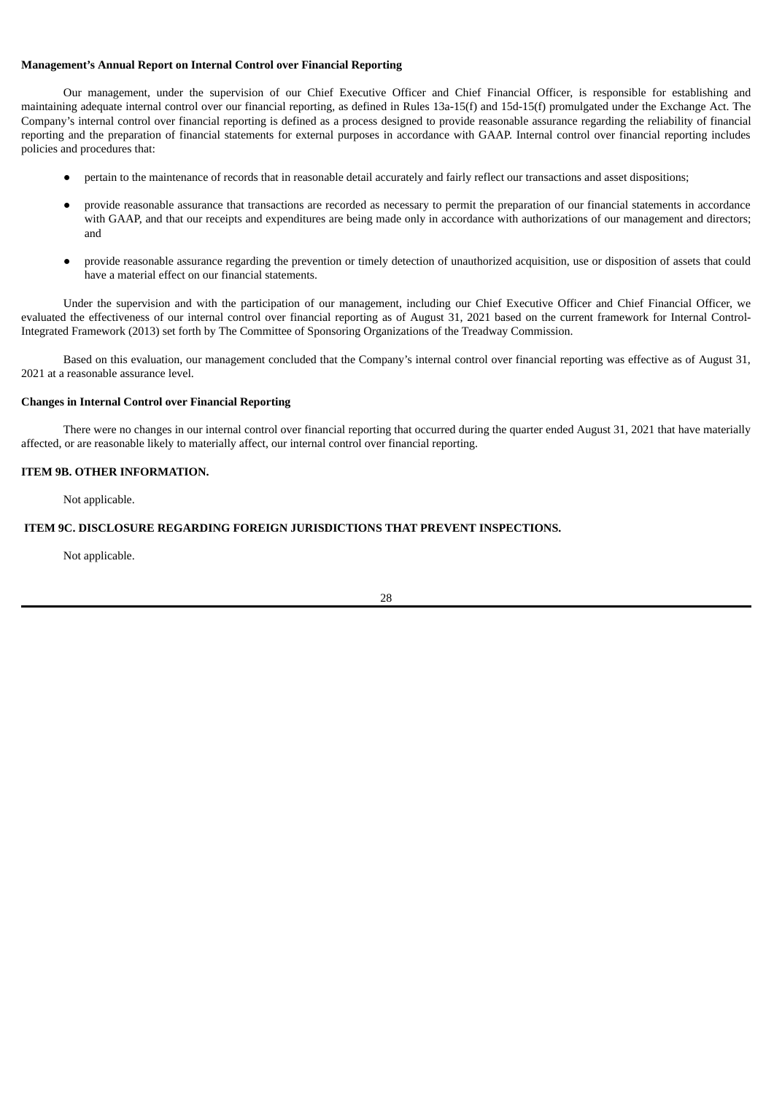# **Management's Annual Report on Internal Control over Financial Reporting**

Our management, under the supervision of our Chief Executive Officer and Chief Financial Officer, is responsible for establishing and maintaining adequate internal control over our financial reporting, as defined in Rules 13a-15(f) and 15d-15(f) promulgated under the Exchange Act. The Company's internal control over financial reporting is defined as a process designed to provide reasonable assurance regarding the reliability of financial reporting and the preparation of financial statements for external purposes in accordance with GAAP. Internal control over financial reporting includes policies and procedures that:

- pertain to the maintenance of records that in reasonable detail accurately and fairly reflect our transactions and asset dispositions;
- provide reasonable assurance that transactions are recorded as necessary to permit the preparation of our financial statements in accordance with GAAP, and that our receipts and expenditures are being made only in accordance with authorizations of our management and directors; and
- provide reasonable assurance regarding the prevention or timely detection of unauthorized acquisition, use or disposition of assets that could have a material effect on our financial statements.

Under the supervision and with the participation of our management, including our Chief Executive Officer and Chief Financial Officer, we evaluated the effectiveness of our internal control over financial reporting as of August 31, 2021 based on the current framework for Internal Control-Integrated Framework (2013) set forth by The Committee of Sponsoring Organizations of the Treadway Commission.

Based on this evaluation, our management concluded that the Company's internal control over financial reporting was effective as of August 31, 2021 at a reasonable assurance level.

# **Changes in Internal Control over Financial Reporting**

There were no changes in our internal control over financial reporting that occurred during the quarter ended August 31, 2021 that have materially affected, or are reasonable likely to materially affect, our internal control over financial reporting.

# <span id="page-31-0"></span>**ITEM 9B. OTHER INFORMATION.**

Not applicable.

# <span id="page-31-1"></span>**ITEM 9C. DISCLOSURE REGARDING FOREIGN JURISDICTIONS THAT PREVENT INSPECTIONS.**

Not applicable.

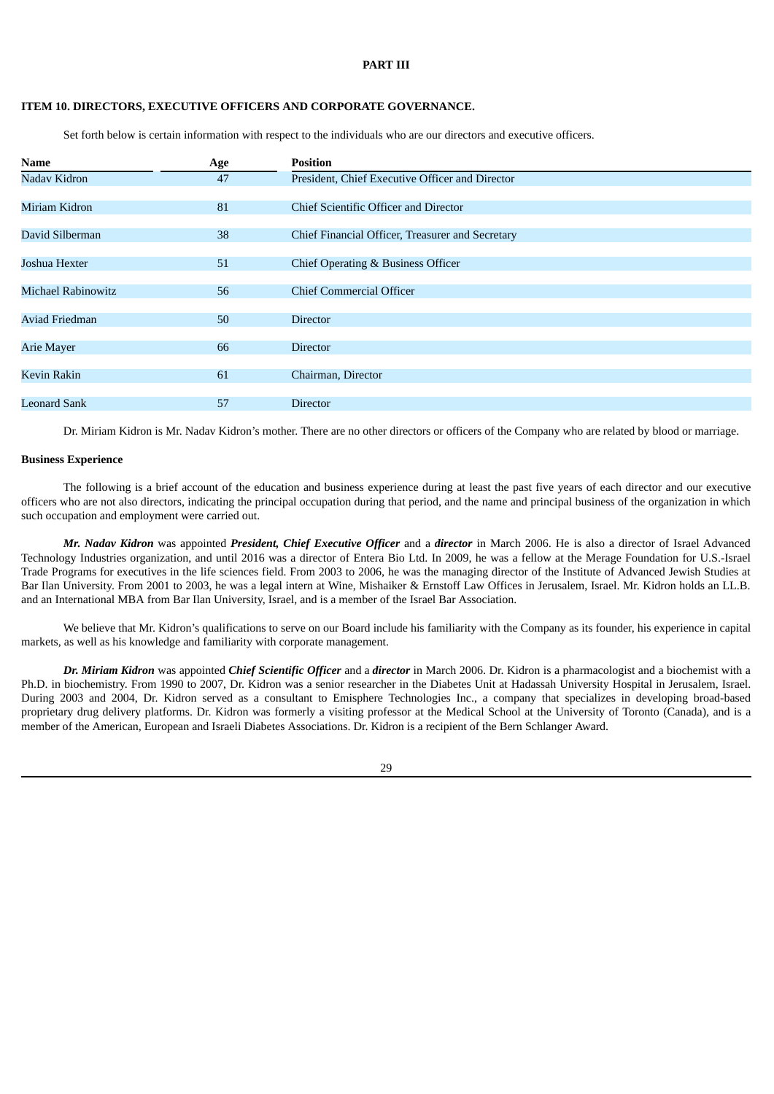# **PART III**

# <span id="page-32-1"></span><span id="page-32-0"></span>**ITEM 10. DIRECTORS, EXECUTIVE OFFICERS AND CORPORATE GOVERNANCE.**

Set forth below is certain information with respect to the individuals who are our directors and executive officers.

| Age | <b>Position</b>                                  |
|-----|--------------------------------------------------|
| 47  | President, Chief Executive Officer and Director  |
|     |                                                  |
|     | Chief Scientific Officer and Director            |
|     |                                                  |
|     | Chief Financial Officer, Treasurer and Secretary |
|     |                                                  |
|     | Chief Operating & Business Officer               |
|     |                                                  |
|     | Chief Commercial Officer                         |
|     |                                                  |
|     | <b>Director</b>                                  |
|     |                                                  |
| 66  | <b>Director</b>                                  |
|     |                                                  |
| 61  | Chairman, Director                               |
|     |                                                  |
| 57  | Director                                         |
|     | 81<br>38<br>51<br>56<br>50                       |

Dr. Miriam Kidron is Mr. Nadav Kidron's mother. There are no other directors or officers of the Company who are related by blood or marriage.

# **Business Experience**

The following is a brief account of the education and business experience during at least the past five years of each director and our executive officers who are not also directors, indicating the principal occupation during that period, and the name and principal business of the organization in which such occupation and employment were carried out.

*Mr. Nadav Kidron* was appointed *President, Chief Executive Officer* and a *director* in March 2006. He is also a director of Israel Advanced Technology Industries organization, and until 2016 was a director of Entera Bio Ltd. In 2009, he was a fellow at the Merage Foundation for U.S.-Israel Trade Programs for executives in the life sciences field. From 2003 to 2006, he was the managing director of the Institute of Advanced Jewish Studies at Bar Ilan University. From 2001 to 2003, he was a legal intern at Wine, Mishaiker & Ernstoff Law Offices in Jerusalem, Israel. Mr. Kidron holds an LL.B. and an International MBA from Bar Ilan University, Israel, and is a member of the Israel Bar Association.

We believe that Mr. Kidron's qualifications to serve on our Board include his familiarity with the Company as its founder, his experience in capital markets, as well as his knowledge and familiarity with corporate management.

*Dr. Miriam Kidron* was appointed *Chief Scientific Officer* and a *director* in March 2006. Dr. Kidron is a pharmacologist and a biochemist with a Ph.D. in biochemistry. From 1990 to 2007, Dr. Kidron was a senior researcher in the Diabetes Unit at Hadassah University Hospital in Jerusalem, Israel. During 2003 and 2004, Dr. Kidron served as a consultant to Emisphere Technologies Inc., a company that specializes in developing broad-based proprietary drug delivery platforms. Dr. Kidron was formerly a visiting professor at the Medical School at the University of Toronto (Canada), and is a member of the American, European and Israeli Diabetes Associations. Dr. Kidron is a recipient of the Bern Schlanger Award.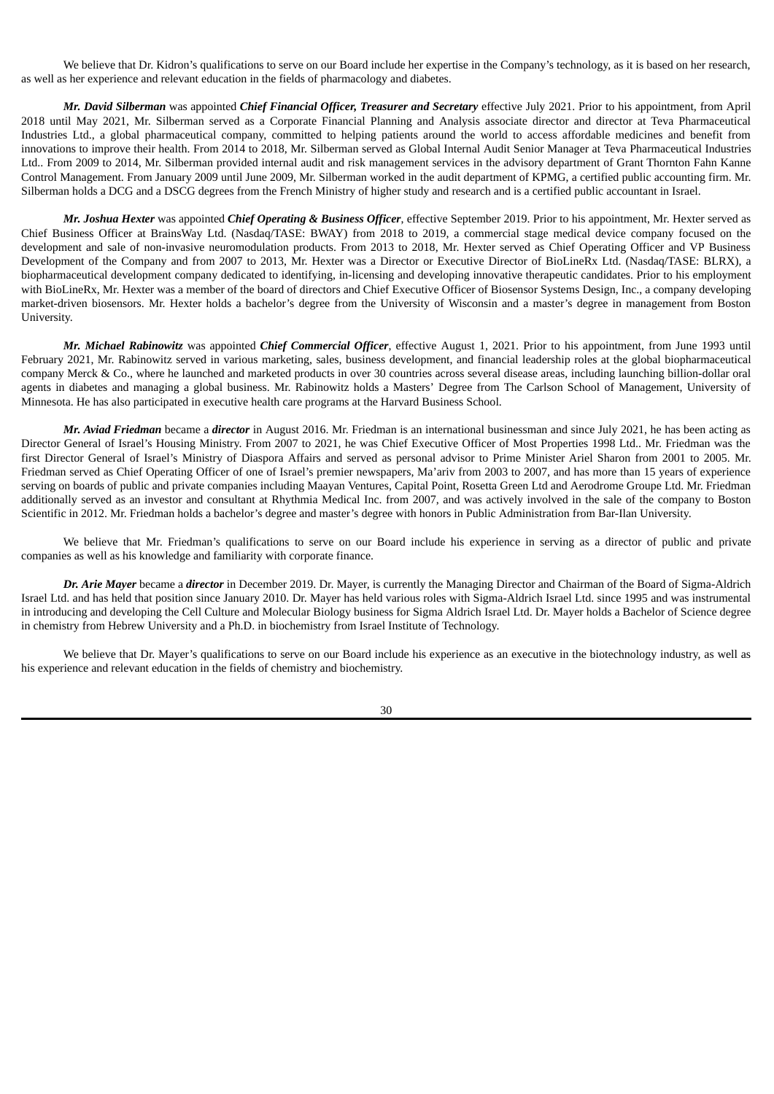We believe that Dr. Kidron's qualifications to serve on our Board include her expertise in the Company's technology, as it is based on her research, as well as her experience and relevant education in the fields of pharmacology and diabetes.

*Mr. David Silberman* was appointed *Chief Financial Officer, Treasurer and Secretary* effective July 2021. Prior to his appointment, from April 2018 until May 2021, Mr. Silberman served as a Corporate Financial Planning and Analysis associate director and director at Teva Pharmaceutical Industries Ltd., a global pharmaceutical company, committed to helping patients around the world to access affordable medicines and benefit from innovations to improve their health. From 2014 to 2018, Mr. Silberman served as Global Internal Audit Senior Manager at Teva Pharmaceutical Industries Ltd.. From 2009 to 2014, Mr. Silberman provided internal audit and risk management services in the advisory department of Grant Thornton Fahn Kanne Control Management. From January 2009 until June 2009, Mr. Silberman worked in the audit department of KPMG, a certified public accounting firm. Mr. Silberman holds a DCG and a DSCG degrees from the French Ministry of higher study and research and is a certified public accountant in Israel.

*Mr. Joshua Hexter* was appointed *Chief Operating & Business Officer*, effective September 2019. Prior to his appointment, Mr. Hexter served as Chief Business Officer at BrainsWay Ltd. (Nasdaq/TASE: BWAY) from 2018 to 2019, a commercial stage medical device company focused on the development and sale of non-invasive neuromodulation products. From 2013 to 2018, Mr. Hexter served as Chief Operating Officer and VP Business Development of the Company and from 2007 to 2013, Mr. Hexter was a Director or Executive Director of BioLineRx Ltd. (Nasdaq/TASE: BLRX), a biopharmaceutical development company dedicated to identifying, in-licensing and developing innovative therapeutic candidates. Prior to his employment with BioLineRx, Mr. Hexter was a member of the board of directors and Chief Executive Officer of Biosensor Systems Design, Inc., a company developing market-driven biosensors. Mr. Hexter holds a bachelor's degree from the University of Wisconsin and a master's degree in management from Boston University.

*Mr. Michael Rabinowitz* was appointed *Chief Commercial Officer*, effective August 1, 2021. Prior to his appointment, from June 1993 until February 2021, Mr. Rabinowitz served in various marketing, sales, business development, and financial leadership roles at the global biopharmaceutical company Merck & Co., where he launched and marketed products in over 30 countries across several disease areas, including launching billion-dollar oral agents in diabetes and managing a global business. Mr. Rabinowitz holds a Masters' Degree from The Carlson School of Management, University of Minnesota. He has also participated in executive health care programs at the Harvard Business School.

*Mr. Aviad Friedman* became a *director* in August 2016. Mr. Friedman is an international businessman and since July 2021, he has been acting as Director General of Israel's Housing Ministry. From 2007 to 2021, he was Chief Executive Officer of Most Properties 1998 Ltd.. Mr. Friedman was the first Director General of Israel's Ministry of Diaspora Affairs and served as personal advisor to Prime Minister Ariel Sharon from 2001 to 2005. Mr. Friedman served as Chief Operating Officer of one of Israel's premier newspapers, Ma'ariv from 2003 to 2007, and has more than 15 years of experience serving on boards of public and private companies including Maayan Ventures, Capital Point, Rosetta Green Ltd and Aerodrome Groupe Ltd. Mr. Friedman additionally served as an investor and consultant at Rhythmia Medical Inc. from 2007, and was actively involved in the sale of the company to Boston Scientific in 2012. Mr. Friedman holds a bachelor's degree and master's degree with honors in Public Administration from Bar-Ilan University.

We believe that Mr. Friedman's qualifications to serve on our Board include his experience in serving as a director of public and private companies as well as his knowledge and familiarity with corporate finance.

*Dr. Arie Mayer* became a *director* in December 2019. Dr. Mayer, is currently the Managing Director and Chairman of the Board of Sigma-Aldrich Israel Ltd. and has held that position since January 2010. Dr. Mayer has held various roles with Sigma-Aldrich Israel Ltd. since 1995 and was instrumental in introducing and developing the Cell Culture and Molecular Biology business for Sigma Aldrich Israel Ltd. Dr. Mayer holds a Bachelor of Science degree in chemistry from Hebrew University and a Ph.D. in biochemistry from Israel Institute of Technology.

We believe that Dr. Mayer's qualifications to serve on our Board include his experience as an executive in the biotechnology industry, as well as his experience and relevant education in the fields of chemistry and biochemistry.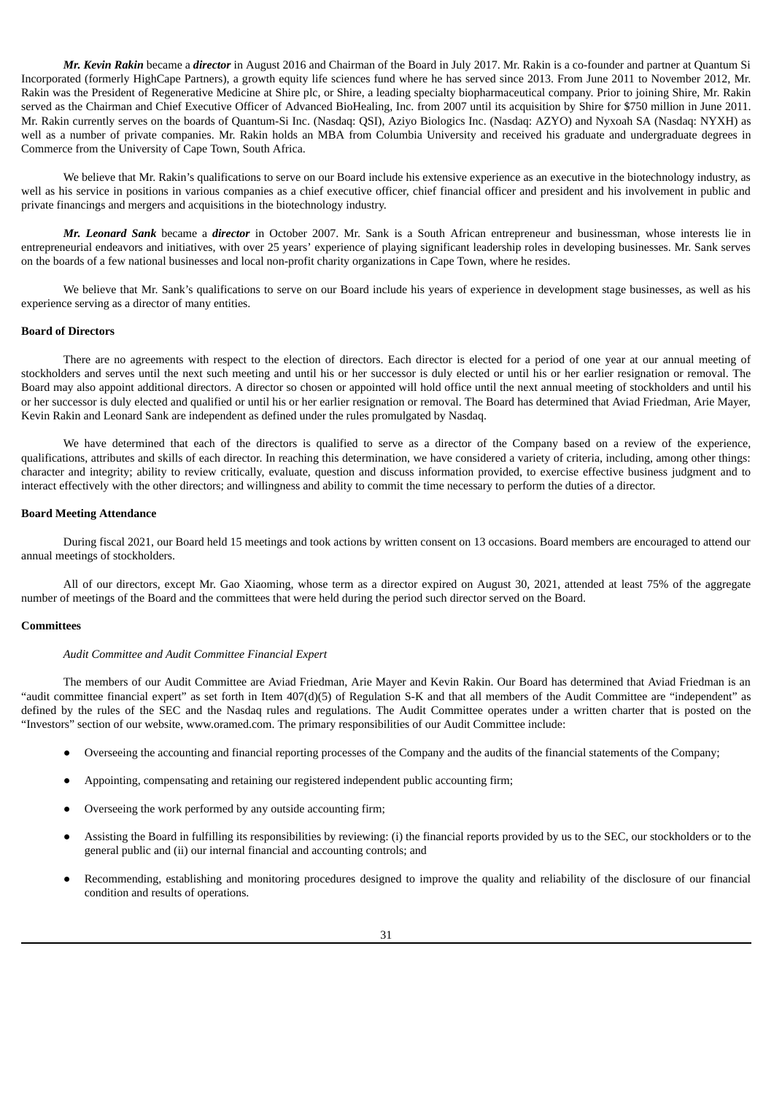*Mr. Kevin Rakin* became a *director* in August 2016 and Chairman of the Board in July 2017. Mr. Rakin is a co-founder and partner at Quantum Si Incorporated (formerly HighCape Partners), a growth equity life sciences fund where he has served since 2013. From June 2011 to November 2012, Mr. Rakin was the President of Regenerative Medicine at Shire plc, or Shire, a leading specialty biopharmaceutical company. Prior to joining Shire, Mr. Rakin served as the Chairman and Chief Executive Officer of Advanced BioHealing, Inc. from 2007 until its acquisition by Shire for \$750 million in June 2011. Mr. Rakin currently serves on the boards of Quantum-Si Inc. (Nasdaq: QSI), Aziyo Biologics Inc. (Nasdaq: AZYO) and Nyxoah SA (Nasdaq: NYXH) as well as a number of private companies. Mr. Rakin holds an MBA from Columbia University and received his graduate and undergraduate degrees in Commerce from the University of Cape Town, South Africa.

We believe that Mr. Rakin's qualifications to serve on our Board include his extensive experience as an executive in the biotechnology industry, as well as his service in positions in various companies as a chief executive officer, chief financial officer and president and his involvement in public and private financings and mergers and acquisitions in the biotechnology industry.

*Mr. Leonard Sank* became a *director* in October 2007. Mr. Sank is a South African entrepreneur and businessman, whose interests lie in entrepreneurial endeavors and initiatives, with over 25 years' experience of playing significant leadership roles in developing businesses. Mr. Sank serves on the boards of a few national businesses and local non-profit charity organizations in Cape Town, where he resides.

We believe that Mr. Sank's qualifications to serve on our Board include his years of experience in development stage businesses, as well as his experience serving as a director of many entities.

#### **Board of Directors**

There are no agreements with respect to the election of directors. Each director is elected for a period of one year at our annual meeting of stockholders and serves until the next such meeting and until his or her successor is duly elected or until his or her earlier resignation or removal. The Board may also appoint additional directors. A director so chosen or appointed will hold office until the next annual meeting of stockholders and until his or her successor is duly elected and qualified or until his or her earlier resignation or removal. The Board has determined that Aviad Friedman, Arie Mayer, Kevin Rakin and Leonard Sank are independent as defined under the rules promulgated by Nasdaq.

We have determined that each of the directors is qualified to serve as a director of the Company based on a review of the experience, qualifications, attributes and skills of each director. In reaching this determination, we have considered a variety of criteria, including, among other things: character and integrity; ability to review critically, evaluate, question and discuss information provided, to exercise effective business judgment and to interact effectively with the other directors; and willingness and ability to commit the time necessary to perform the duties of a director.

### **Board Meeting Attendance**

During fiscal 2021, our Board held 15 meetings and took actions by written consent on 13 occasions. Board members are encouraged to attend our annual meetings of stockholders.

All of our directors, except Mr. Gao Xiaoming, whose term as a director expired on August 30, 2021, attended at least 75% of the aggregate number of meetings of the Board and the committees that were held during the period such director served on the Board.

### **Committees**

### *Audit Committee and Audit Committee Financial Expert*

The members of our Audit Committee are Aviad Friedman, Arie Mayer and Kevin Rakin. Our Board has determined that Aviad Friedman is an "audit committee financial expert" as set forth in Item 407(d)(5) of Regulation S-K and that all members of the Audit Committee are "independent" as defined by the rules of the SEC and the Nasdaq rules and regulations. The Audit Committee operates under a written charter that is posted on the "Investors" section of our website, www.oramed.com. The primary responsibilities of our Audit Committee include:

- Overseeing the accounting and financial reporting processes of the Company and the audits of the financial statements of the Company;
- Appointing, compensating and retaining our registered independent public accounting firm;
- Overseeing the work performed by any outside accounting firm;
- Assisting the Board in fulfilling its responsibilities by reviewing: (i) the financial reports provided by us to the SEC, our stockholders or to the general public and (ii) our internal financial and accounting controls; and
- Recommending, establishing and monitoring procedures designed to improve the quality and reliability of the disclosure of our financial condition and results of operations.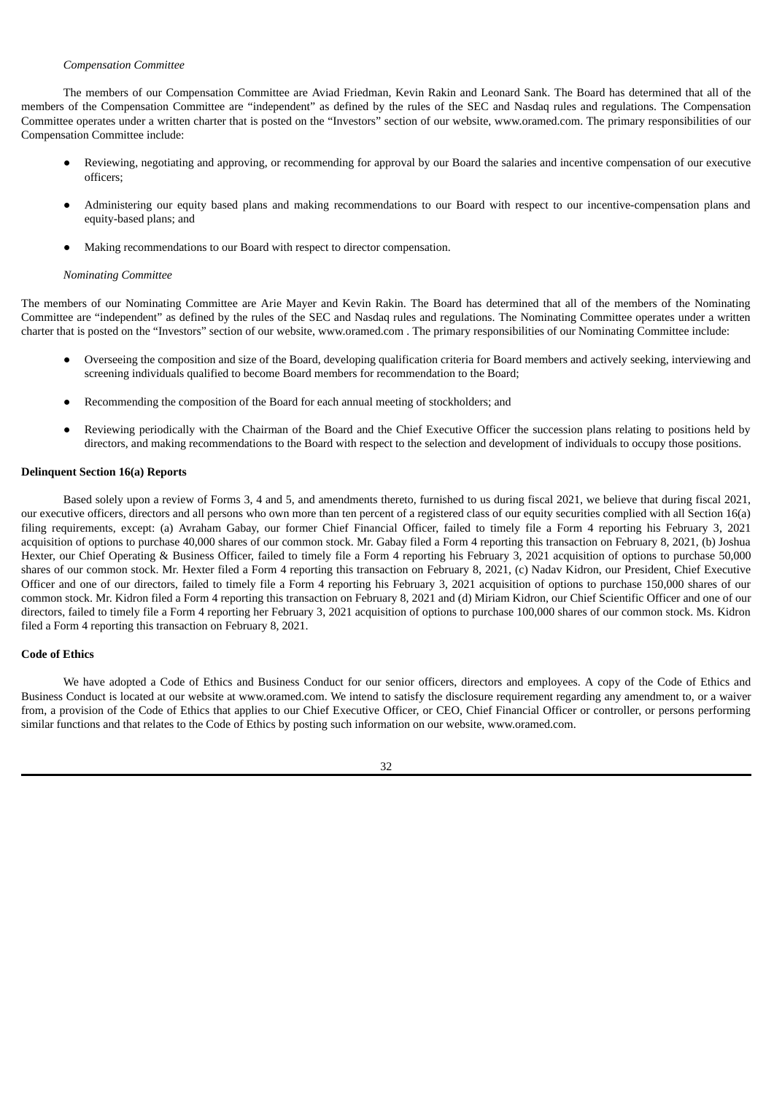# *Compensation Committee*

The members of our Compensation Committee are Aviad Friedman, Kevin Rakin and Leonard Sank. The Board has determined that all of the members of the Compensation Committee are "independent" as defined by the rules of the SEC and Nasdaq rules and regulations. The Compensation Committee operates under a written charter that is posted on the "Investors" section of our website, www.oramed.com. The primary responsibilities of our Compensation Committee include:

- Reviewing, negotiating and approving, or recommending for approval by our Board the salaries and incentive compensation of our executive officers;
- Administering our equity based plans and making recommendations to our Board with respect to our incentive-compensation plans and equity-based plans; and
- Making recommendations to our Board with respect to director compensation.

## *Nominating Committee*

The members of our Nominating Committee are Arie Mayer and Kevin Rakin. The Board has determined that all of the members of the Nominating Committee are "independent" as defined by the rules of the SEC and Nasdaq rules and regulations. The Nominating Committee operates under a written charter that is posted on the "Investors" section of our website, www.oramed.com . The primary responsibilities of our Nominating Committee include:

- Overseeing the composition and size of the Board, developing qualification criteria for Board members and actively seeking, interviewing and screening individuals qualified to become Board members for recommendation to the Board;
- Recommending the composition of the Board for each annual meeting of stockholders; and
- Reviewing periodically with the Chairman of the Board and the Chief Executive Officer the succession plans relating to positions held by directors, and making recommendations to the Board with respect to the selection and development of individuals to occupy those positions.

# **Delinquent Section 16(a) Reports**

Based solely upon a review of Forms 3, 4 and 5, and amendments thereto, furnished to us during fiscal 2021, we believe that during fiscal 2021, our executive officers, directors and all persons who own more than ten percent of a registered class of our equity securities complied with all Section 16(a) filing requirements, except: (a) Avraham Gabay, our former Chief Financial Officer, failed to timely file a Form 4 reporting his February 3, 2021 acquisition of options to purchase 40,000 shares of our common stock. Mr. Gabay filed a Form 4 reporting this transaction on February 8, 2021, (b) Joshua Hexter, our Chief Operating & Business Officer, failed to timely file a Form 4 reporting his February 3, 2021 acquisition of options to purchase 50,000 shares of our common stock. Mr. Hexter filed a Form 4 reporting this transaction on February 8, 2021, (c) Nadav Kidron, our President, Chief Executive Officer and one of our directors, failed to timely file a Form 4 reporting his February 3, 2021 acquisition of options to purchase 150,000 shares of our common stock. Mr. Kidron filed a Form 4 reporting this transaction on February 8, 2021 and (d) Miriam Kidron, our Chief Scientific Officer and one of our directors, failed to timely file a Form 4 reporting her February 3, 2021 acquisition of options to purchase 100,000 shares of our common stock. Ms. Kidron filed a Form 4 reporting this transaction on February 8, 2021.

## **Code of Ethics**

We have adopted a Code of Ethics and Business Conduct for our senior officers, directors and employees. A copy of the Code of Ethics and Business Conduct is located at our website at www.oramed.com. We intend to satisfy the disclosure requirement regarding any amendment to, or a waiver from, a provision of the Code of Ethics that applies to our Chief Executive Officer, or CEO, Chief Financial Officer or controller, or persons performing similar functions and that relates to the Code of Ethics by posting such information on our website, www.oramed.com.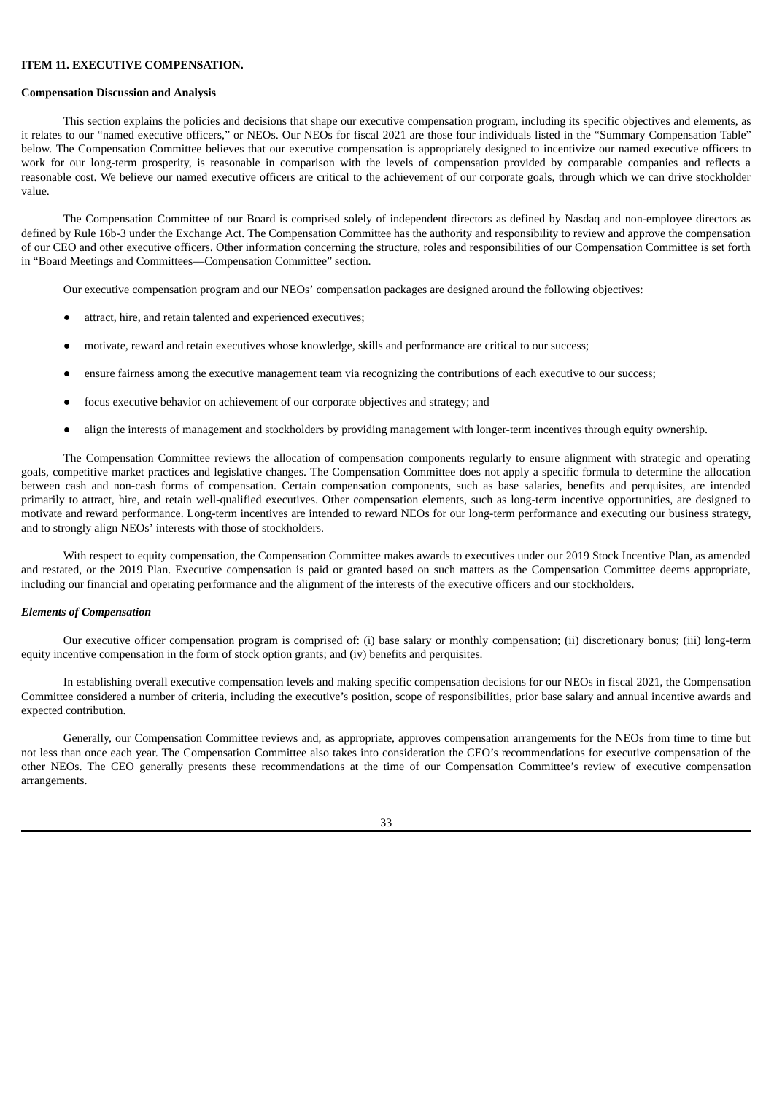### **ITEM 11. EXECUTIVE COMPENSATION.**

# **Compensation Discussion and Analysis**

This section explains the policies and decisions that shape our executive compensation program, including its specific objectives and elements, as it relates to our "named executive officers," or NEOs. Our NEOs for fiscal 2021 are those four individuals listed in the "Summary Compensation Table" below. The Compensation Committee believes that our executive compensation is appropriately designed to incentivize our named executive officers to work for our long-term prosperity, is reasonable in comparison with the levels of compensation provided by comparable companies and reflects a reasonable cost. We believe our named executive officers are critical to the achievement of our corporate goals, through which we can drive stockholder value.

The Compensation Committee of our Board is comprised solely of independent directors as defined by Nasdaq and non-employee directors as defined by Rule 16b-3 under the Exchange Act. The Compensation Committee has the authority and responsibility to review and approve the compensation of our CEO and other executive officers. Other information concerning the structure, roles and responsibilities of our Compensation Committee is set forth in "Board Meetings and Committees—Compensation Committee" section.

Our executive compensation program and our NEOs' compensation packages are designed around the following objectives:

- attract, hire, and retain talented and experienced executives;
- motivate, reward and retain executives whose knowledge, skills and performance are critical to our success;
- ensure fairness among the executive management team via recognizing the contributions of each executive to our success;
- focus executive behavior on achievement of our corporate objectives and strategy; and
- align the interests of management and stockholders by providing management with longer-term incentives through equity ownership.

The Compensation Committee reviews the allocation of compensation components regularly to ensure alignment with strategic and operating goals, competitive market practices and legislative changes. The Compensation Committee does not apply a specific formula to determine the allocation between cash and non-cash forms of compensation. Certain compensation components, such as base salaries, benefits and perquisites, are intended primarily to attract, hire, and retain well-qualified executives. Other compensation elements, such as long-term incentive opportunities, are designed to motivate and reward performance. Long-term incentives are intended to reward NEOs for our long-term performance and executing our business strategy, and to strongly align NEOs' interests with those of stockholders.

With respect to equity compensation, the Compensation Committee makes awards to executives under our 2019 Stock Incentive Plan, as amended and restated, or the 2019 Plan. Executive compensation is paid or granted based on such matters as the Compensation Committee deems appropriate, including our financial and operating performance and the alignment of the interests of the executive officers and our stockholders.

#### *Elements of Compensation*

Our executive officer compensation program is comprised of: (i) base salary or monthly compensation; (ii) discretionary bonus; (iii) long-term equity incentive compensation in the form of stock option grants; and (iv) benefits and perquisites.

In establishing overall executive compensation levels and making specific compensation decisions for our NEOs in fiscal 2021, the Compensation Committee considered a number of criteria, including the executive's position, scope of responsibilities, prior base salary and annual incentive awards and expected contribution.

Generally, our Compensation Committee reviews and, as appropriate, approves compensation arrangements for the NEOs from time to time but not less than once each year. The Compensation Committee also takes into consideration the CEO's recommendations for executive compensation of the other NEOs. The CEO generally presents these recommendations at the time of our Compensation Committee's review of executive compensation arrangements.

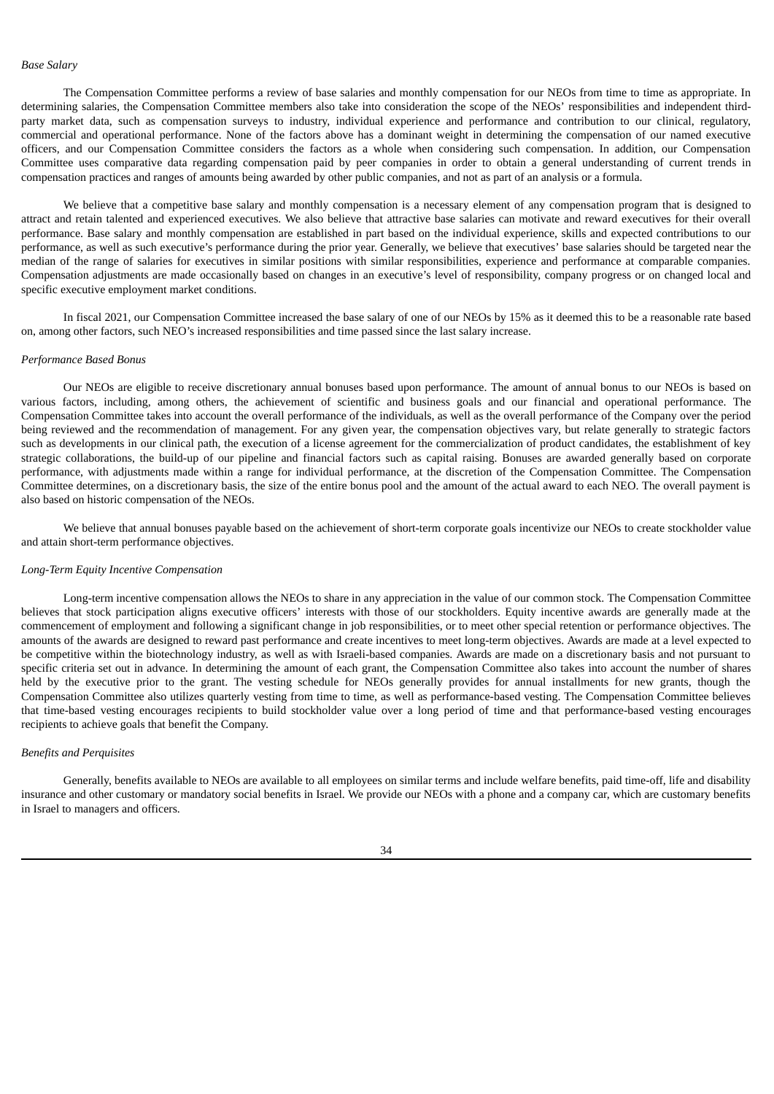The Compensation Committee performs a review of base salaries and monthly compensation for our NEOs from time to time as appropriate. In determining salaries, the Compensation Committee members also take into consideration the scope of the NEOs' responsibilities and independent thirdparty market data, such as compensation surveys to industry, individual experience and performance and contribution to our clinical, regulatory, commercial and operational performance. None of the factors above has a dominant weight in determining the compensation of our named executive officers, and our Compensation Committee considers the factors as a whole when considering such compensation. In addition, our Compensation Committee uses comparative data regarding compensation paid by peer companies in order to obtain a general understanding of current trends in compensation practices and ranges of amounts being awarded by other public companies, and not as part of an analysis or a formula.

We believe that a competitive base salary and monthly compensation is a necessary element of any compensation program that is designed to attract and retain talented and experienced executives. We also believe that attractive base salaries can motivate and reward executives for their overall performance. Base salary and monthly compensation are established in part based on the individual experience, skills and expected contributions to our performance, as well as such executive's performance during the prior year. Generally, we believe that executives' base salaries should be targeted near the median of the range of salaries for executives in similar positions with similar responsibilities, experience and performance at comparable companies. Compensation adjustments are made occasionally based on changes in an executive's level of responsibility, company progress or on changed local and specific executive employment market conditions.

In fiscal 2021, our Compensation Committee increased the base salary of one of our NEOs by 15% as it deemed this to be a reasonable rate based on, among other factors, such NEO's increased responsibilities and time passed since the last salary increase.

#### *Performance Based Bonus*

Our NEOs are eligible to receive discretionary annual bonuses based upon performance. The amount of annual bonus to our NEOs is based on various factors, including, among others, the achievement of scientific and business goals and our financial and operational performance. The Compensation Committee takes into account the overall performance of the individuals, as well as the overall performance of the Company over the period being reviewed and the recommendation of management. For any given year, the compensation objectives vary, but relate generally to strategic factors such as developments in our clinical path, the execution of a license agreement for the commercialization of product candidates, the establishment of key strategic collaborations, the build-up of our pipeline and financial factors such as capital raising. Bonuses are awarded generally based on corporate performance, with adjustments made within a range for individual performance, at the discretion of the Compensation Committee. The Compensation Committee determines, on a discretionary basis, the size of the entire bonus pool and the amount of the actual award to each NEO. The overall payment is also based on historic compensation of the NEOs.

We believe that annual bonuses payable based on the achievement of short-term corporate goals incentivize our NEOs to create stockholder value and attain short-term performance objectives.

### *Long-Term Equity Incentive Compensation*

Long-term incentive compensation allows the NEOs to share in any appreciation in the value of our common stock. The Compensation Committee believes that stock participation aligns executive officers' interests with those of our stockholders. Equity incentive awards are generally made at the commencement of employment and following a significant change in job responsibilities, or to meet other special retention or performance objectives. The amounts of the awards are designed to reward past performance and create incentives to meet long-term objectives. Awards are made at a level expected to be competitive within the biotechnology industry, as well as with Israeli-based companies. Awards are made on a discretionary basis and not pursuant to specific criteria set out in advance. In determining the amount of each grant, the Compensation Committee also takes into account the number of shares held by the executive prior to the grant. The vesting schedule for NEOs generally provides for annual installments for new grants, though the Compensation Committee also utilizes quarterly vesting from time to time, as well as performance-based vesting. The Compensation Committee believes that time-based vesting encourages recipients to build stockholder value over a long period of time and that performance-based vesting encourages recipients to achieve goals that benefit the Company.

### *Benefits and Perquisites*

Generally, benefits available to NEOs are available to all employees on similar terms and include welfare benefits, paid time-off, life and disability insurance and other customary or mandatory social benefits in Israel. We provide our NEOs with a phone and a company car, which are customary benefits in Israel to managers and officers.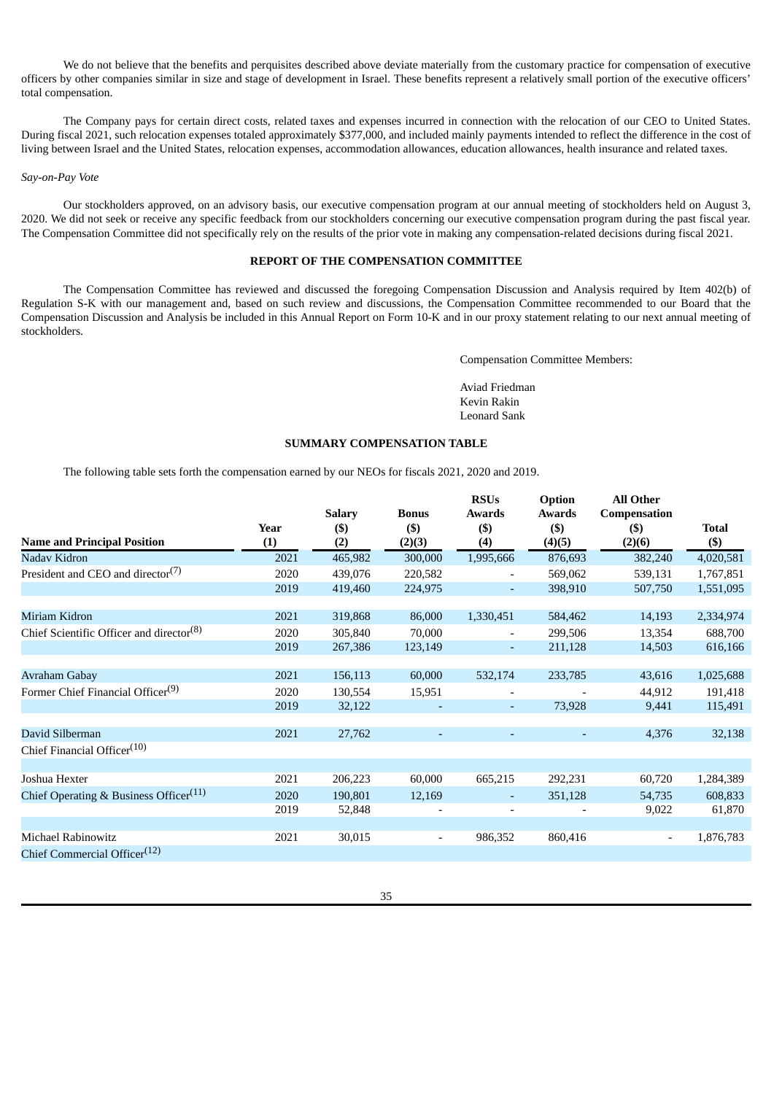We do not believe that the benefits and perquisites described above deviate materially from the customary practice for compensation of executive officers by other companies similar in size and stage of development in Israel. These benefits represent a relatively small portion of the executive officers' total compensation.

The Company pays for certain direct costs, related taxes and expenses incurred in connection with the relocation of our CEO to United States. During fiscal 2021, such relocation expenses totaled approximately \$377,000, and included mainly payments intended to reflect the difference in the cost of living between Israel and the United States, relocation expenses, accommodation allowances, education allowances, health insurance and related taxes.

#### *Say-on-Pay Vote*

Our stockholders approved, on an advisory basis, our executive compensation program at our annual meeting of stockholders held on August 3, 2020. We did not seek or receive any specific feedback from our stockholders concerning our executive compensation program during the past fiscal year. The Compensation Committee did not specifically rely on the results of the prior vote in making any compensation-related decisions during fiscal 2021.

# **REPORT OF THE COMPENSATION COMMITTEE**

The Compensation Committee has reviewed and discussed the foregoing Compensation Discussion and Analysis required by Item 402(b) of Regulation S-K with our management and, based on such review and discussions, the Compensation Committee recommended to our Board that the Compensation Discussion and Analysis be included in this Annual Report on Form 10-K and in our proxy statement relating to our next annual meeting of stockholders.

Compensation Committee Members:

Aviad Friedman Kevin Rakin Leonard Sank

#### **SUMMARY COMPENSATION TABLE**

The following table sets forth the compensation earned by our NEOs for fiscals 2021, 2020 and 2019.

|                                                      |             |                                 |                                   | <b>RSUs</b>                     | <b>Option</b>                      | <b>All Other</b>                |                        |
|------------------------------------------------------|-------------|---------------------------------|-----------------------------------|---------------------------------|------------------------------------|---------------------------------|------------------------|
| <b>Name and Principal Position</b>                   | Year<br>(1) | <b>Salary</b><br>$($ \$)<br>(2) | <b>Bonus</b><br>$($ \$)<br>(2)(3) | <b>Awards</b><br>$($ \$)<br>(4) | <b>Awards</b><br>$($ \$)<br>(4)(5) | Compensation<br>$($)$<br>(2)(6) | <b>Total</b><br>$($ \$ |
| Nadav Kidron                                         | 2021        | 465,982                         | 300,000                           | 1,995,666                       | 876,693                            | 382,240                         | 4,020,581              |
| President and CEO and director <sup>(7)</sup>        | 2020        | 439,076                         | 220,582                           | $\overline{\phantom{a}}$        | 569,062                            | 539,131                         | 1,767,851              |
|                                                      | 2019        | 419,460                         | 224,975                           | ٠                               | 398,910                            | 507,750                         | 1,551,095              |
| Miriam Kidron                                        | 2021        | 319,868                         | 86,000                            | 1,330,451                       | 584,462                            | 14,193                          | 2,334,974              |
| Chief Scientific Officer and director <sup>(8)</sup> | 2020        | 305,840                         | 70,000                            | $\overline{\phantom{a}}$        | 299,506                            | 13,354                          | 688,700                |
|                                                      | 2019        | 267,386                         | 123,149                           | ٠                               | 211,128                            | 14,503                          | 616,166                |
| Avraham Gabay                                        | 2021        | 156,113                         | 60,000                            | 532,174                         | 233,785                            | 43,616                          | 1,025,688              |
| Former Chief Financial Officer <sup>(9)</sup>        | 2020        | 130,554                         | 15,951                            | $\overline{\phantom{a}}$        |                                    | 44,912                          | 191,418                |
|                                                      | 2019        | 32,122                          | $\overline{\phantom{a}}$          | $\blacksquare$                  | 73,928                             | 9,441                           | 115,491                |
| David Silberman                                      | 2021        | 27,762                          | $\overline{\phantom{a}}$          | $\overline{\phantom{a}}$        |                                    | 4,376                           | 32,138                 |
| Chief Financial Officer <sup>(10)</sup>              |             |                                 |                                   |                                 |                                    |                                 |                        |
| Joshua Hexter                                        | 2021        | 206,223                         | 60,000                            | 665,215                         | 292,231                            | 60,720                          | 1,284,389              |
| Chief Operating & Business Officer <sup>(11)</sup>   | 2020        | 190,801                         | 12,169                            | $\overline{\phantom{a}}$        | 351,128                            | 54,735                          | 608,833                |
|                                                      | 2019        | 52,848                          |                                   | $\overline{\phantom{a}}$        |                                    | 9,022                           | 61,870                 |
| Michael Rabinowitz                                   | 2021        | 30,015                          | $\overline{\phantom{a}}$          | 986,352                         | 860,416                            | $\overline{\phantom{a}}$        | 1,876,783              |
| Chief Commercial Officer <sup>(12)</sup>             |             |                                 |                                   |                                 |                                    |                                 |                        |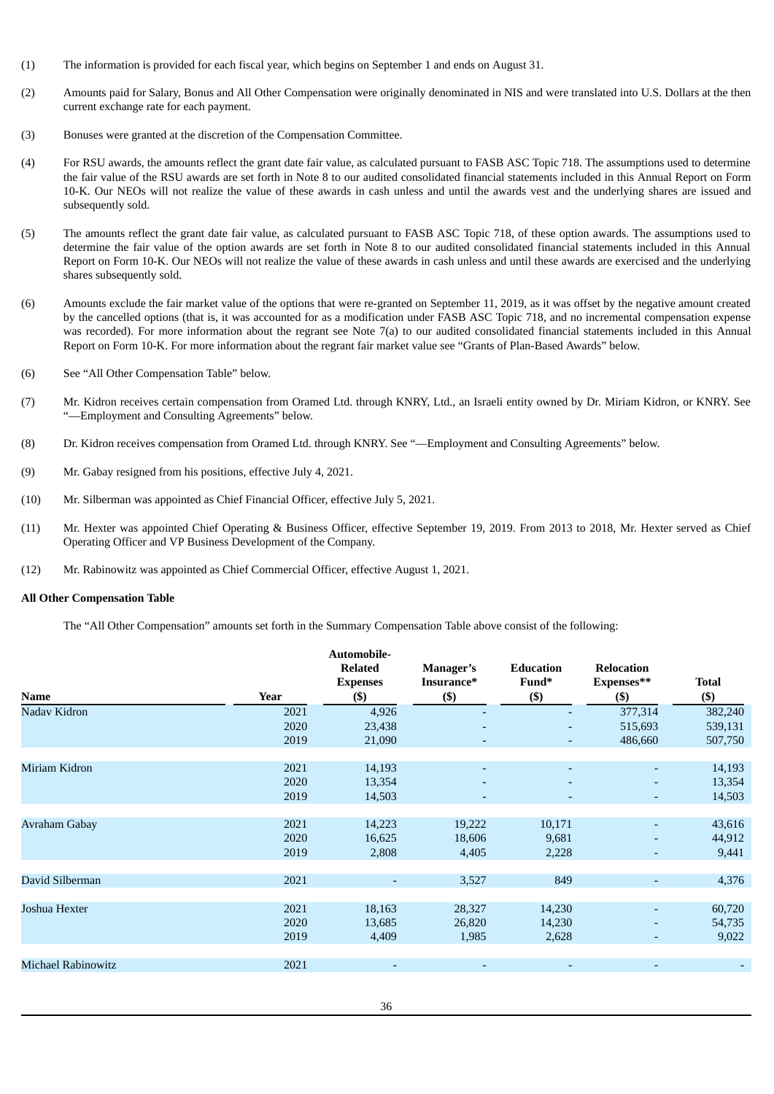- (1) The information is provided for each fiscal year, which begins on September 1 and ends on August 31.
- (2) Amounts paid for Salary, Bonus and All Other Compensation were originally denominated in NIS and were translated into U.S. Dollars at the then current exchange rate for each payment.
- (3) Bonuses were granted at the discretion of the Compensation Committee.
- (4) For RSU awards, the amounts reflect the grant date fair value, as calculated pursuant to FASB ASC Topic 718. The assumptions used to determine the fair value of the RSU awards are set forth in Note 8 to our audited consolidated financial statements included in this Annual Report on Form 10-K. Our NEOs will not realize the value of these awards in cash unless and until the awards vest and the underlying shares are issued and subsequently sold.
- (5) The amounts reflect the grant date fair value, as calculated pursuant to FASB ASC Topic 718, of these option awards. The assumptions used to determine the fair value of the option awards are set forth in Note 8 to our audited consolidated financial statements included in this Annual Report on Form 10-K. Our NEOs will not realize the value of these awards in cash unless and until these awards are exercised and the underlying shares subsequently sold.
- (6) Amounts exclude the fair market value of the options that were re-granted on September 11, 2019, as it was offset by the negative amount created by the cancelled options (that is, it was accounted for as a modification under FASB ASC Topic 718, and no incremental compensation expense was recorded). For more information about the regrant see Note 7(a) to our audited consolidated financial statements included in this Annual Report on Form 10-K. For more information about the regrant fair market value see "Grants of Plan-Based Awards" below.
- (6) See "All Other Compensation Table" below.
- (7) Mr. Kidron receives certain compensation from Oramed Ltd. through KNRY, Ltd., an Israeli entity owned by Dr. Miriam Kidron, or KNRY. See "—Employment and Consulting Agreements" below.
- (8) Dr. Kidron receives compensation from Oramed Ltd. through KNRY. See "—Employment and Consulting Agreements" below.
- (9) Mr. Gabay resigned from his positions, effective July 4, 2021.
- (10) Mr. Silberman was appointed as Chief Financial Officer, effective July 5, 2021.
- (11) Mr. Hexter was appointed Chief Operating & Business Officer, effective September 19, 2019. From 2013 to 2018, Mr. Hexter served as Chief Operating Officer and VP Business Development of the Company.
- (12) Mr. Rabinowitz was appointed as Chief Commercial Officer, effective August 1, 2021.

# **All Other Compensation Table**

The "All Other Compensation" amounts set forth in the Summary Compensation Table above consist of the following:

| <b>Name</b>               | Year | Automobile-<br><b>Related</b><br><b>Expenses</b><br>$($ \$) | Manager's<br>Insurance*<br>$($ \$) | <b>Education</b><br>Fund*<br>$($ \$) | <b>Relocation</b><br>Expenses**<br>$($ \$) | <b>Total</b><br>$($ \$) |
|---------------------------|------|-------------------------------------------------------------|------------------------------------|--------------------------------------|--------------------------------------------|-------------------------|
| Nadav Kidron              | 2021 | 4,926                                                       | $\overline{\phantom{0}}$           | ٠                                    | 377,314                                    | 382,240                 |
|                           | 2020 | 23,438                                                      |                                    | ٠                                    | 515,693                                    | 539,131                 |
|                           | 2019 | 21,090                                                      | $\overline{\phantom{a}}$           | ٠                                    | 486,660                                    | 507,750                 |
|                           |      |                                                             |                                    |                                      |                                            |                         |
| Miriam Kidron             | 2021 | 14,193                                                      | $\overline{\phantom{0}}$           |                                      | ٠                                          | 14,193                  |
|                           | 2020 | 13,354                                                      | $\overline{\phantom{a}}$           | ٠                                    | $\overline{\phantom{a}}$                   | 13,354                  |
|                           | 2019 | 14,503                                                      |                                    | ٠                                    | $\overline{\phantom{a}}$                   | 14,503                  |
|                           |      |                                                             |                                    |                                      |                                            |                         |
| Avraham Gabay             | 2021 | 14,223                                                      | 19,222                             | 10,171                               | ٠                                          | 43,616                  |
|                           | 2020 | 16,625                                                      | 18,606                             | 9,681                                | ٠                                          | 44,912                  |
|                           | 2019 | 2,808                                                       | 4,405                              | 2,228                                | ٠                                          | 9,441                   |
|                           |      |                                                             |                                    |                                      |                                            |                         |
| David Silberman           | 2021 | $\qquad \qquad -$                                           | 3,527                              | 849                                  |                                            | 4,376                   |
|                           |      |                                                             |                                    |                                      |                                            |                         |
| Joshua Hexter             | 2021 | 18,163                                                      | 28,327                             | 14,230                               | ٠                                          | 60,720                  |
|                           | 2020 | 13,685                                                      | 26,820                             | 14,230                               | ٠                                          | 54,735                  |
|                           | 2019 | 4,409                                                       | 1,985                              | 2,628                                | $\overline{\phantom{a}}$                   | 9,022                   |
|                           |      |                                                             |                                    |                                      |                                            |                         |
| <b>Michael Rabinowitz</b> | 2021 | $\overline{\phantom{a}}$                                    | $\overline{\phantom{a}}$           | $\overline{\phantom{a}}$             | $\overline{\phantom{a}}$                   |                         |
|                           |      |                                                             |                                    |                                      |                                            |                         |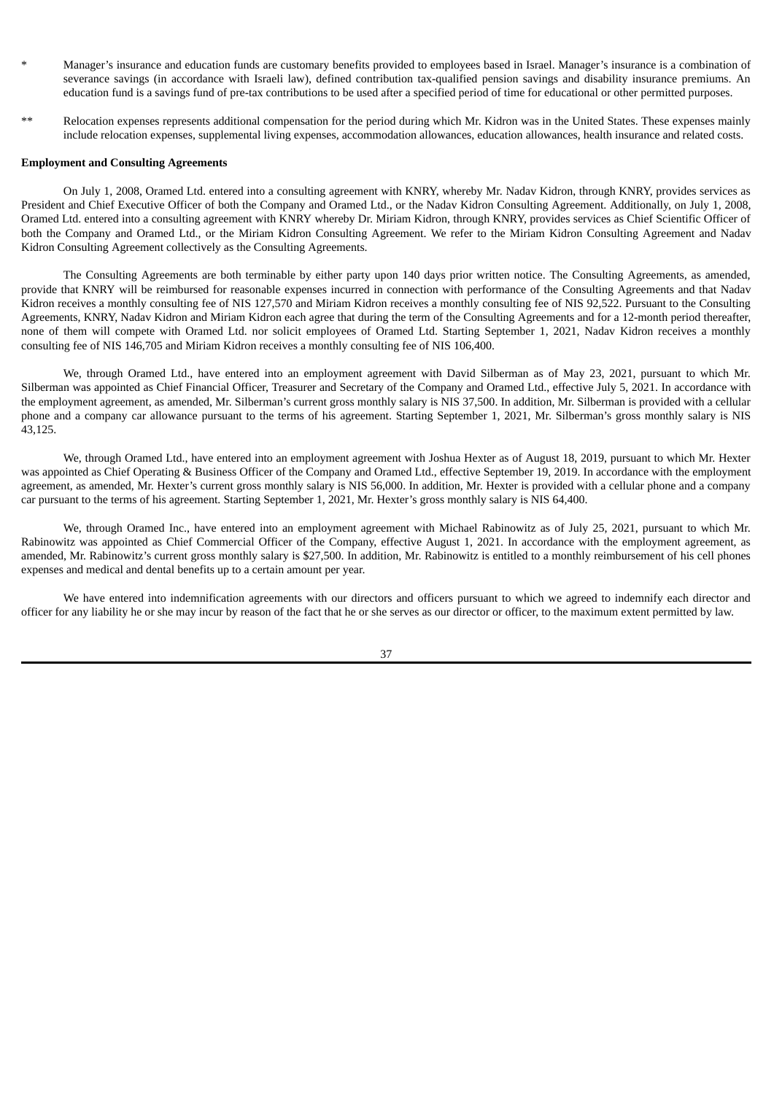- \* Manager's insurance and education funds are customary benefits provided to employees based in Israel. Manager's insurance is a combination of severance savings (in accordance with Israeli law), defined contribution tax-qualified pension savings and disability insurance premiums. An education fund is a savings fund of pre-tax contributions to be used after a specified period of time for educational or other permitted purposes.
- \*\* Relocation expenses represents additional compensation for the period during which Mr. Kidron was in the United States. These expenses mainly include relocation expenses, supplemental living expenses, accommodation allowances, education allowances, health insurance and related costs.

#### **Employment and Consulting Agreements**

On July 1, 2008, Oramed Ltd. entered into a consulting agreement with KNRY, whereby Mr. Nadav Kidron, through KNRY, provides services as President and Chief Executive Officer of both the Company and Oramed Ltd., or the Nadav Kidron Consulting Agreement. Additionally, on July 1, 2008, Oramed Ltd. entered into a consulting agreement with KNRY whereby Dr. Miriam Kidron, through KNRY, provides services as Chief Scientific Officer of both the Company and Oramed Ltd., or the Miriam Kidron Consulting Agreement. We refer to the Miriam Kidron Consulting Agreement and Nadav Kidron Consulting Agreement collectively as the Consulting Agreements.

The Consulting Agreements are both terminable by either party upon 140 days prior written notice. The Consulting Agreements, as amended, provide that KNRY will be reimbursed for reasonable expenses incurred in connection with performance of the Consulting Agreements and that Nadav Kidron receives a monthly consulting fee of NIS 127,570 and Miriam Kidron receives a monthly consulting fee of NIS 92,522. Pursuant to the Consulting Agreements, KNRY, Nadav Kidron and Miriam Kidron each agree that during the term of the Consulting Agreements and for a 12-month period thereafter, none of them will compete with Oramed Ltd. nor solicit employees of Oramed Ltd. Starting September 1, 2021, Nadav Kidron receives a monthly consulting fee of NIS 146,705 and Miriam Kidron receives a monthly consulting fee of NIS 106,400.

We, through Oramed Ltd., have entered into an employment agreement with David Silberman as of May 23, 2021, pursuant to which Mr. Silberman was appointed as Chief Financial Officer, Treasurer and Secretary of the Company and Oramed Ltd., effective July 5, 2021. In accordance with the employment agreement, as amended, Mr. Silberman's current gross monthly salary is NIS 37,500. In addition, Mr. Silberman is provided with a cellular phone and a company car allowance pursuant to the terms of his agreement. Starting September 1, 2021, Mr. Silberman's gross monthly salary is NIS 43,125.

We, through Oramed Ltd., have entered into an employment agreement with Joshua Hexter as of August 18, 2019, pursuant to which Mr. Hexter was appointed as Chief Operating & Business Officer of the Company and Oramed Ltd., effective September 19, 2019. In accordance with the employment agreement, as amended, Mr. Hexter's current gross monthly salary is NIS 56,000. In addition, Mr. Hexter is provided with a cellular phone and a company car pursuant to the terms of his agreement. Starting September 1, 2021, Mr. Hexter's gross monthly salary is NIS 64,400.

We, through Oramed Inc., have entered into an employment agreement with Michael Rabinowitz as of July 25, 2021, pursuant to which Mr. Rabinowitz was appointed as Chief Commercial Officer of the Company, effective August 1, 2021. In accordance with the employment agreement, as amended, Mr. Rabinowitz's current gross monthly salary is \$27,500. In addition, Mr. Rabinowitz is entitled to a monthly reimbursement of his cell phones expenses and medical and dental benefits up to a certain amount per year.

We have entered into indemnification agreements with our directors and officers pursuant to which we agreed to indemnify each director and officer for any liability he or she may incur by reason of the fact that he or she serves as our director or officer, to the maximum extent permitted by law.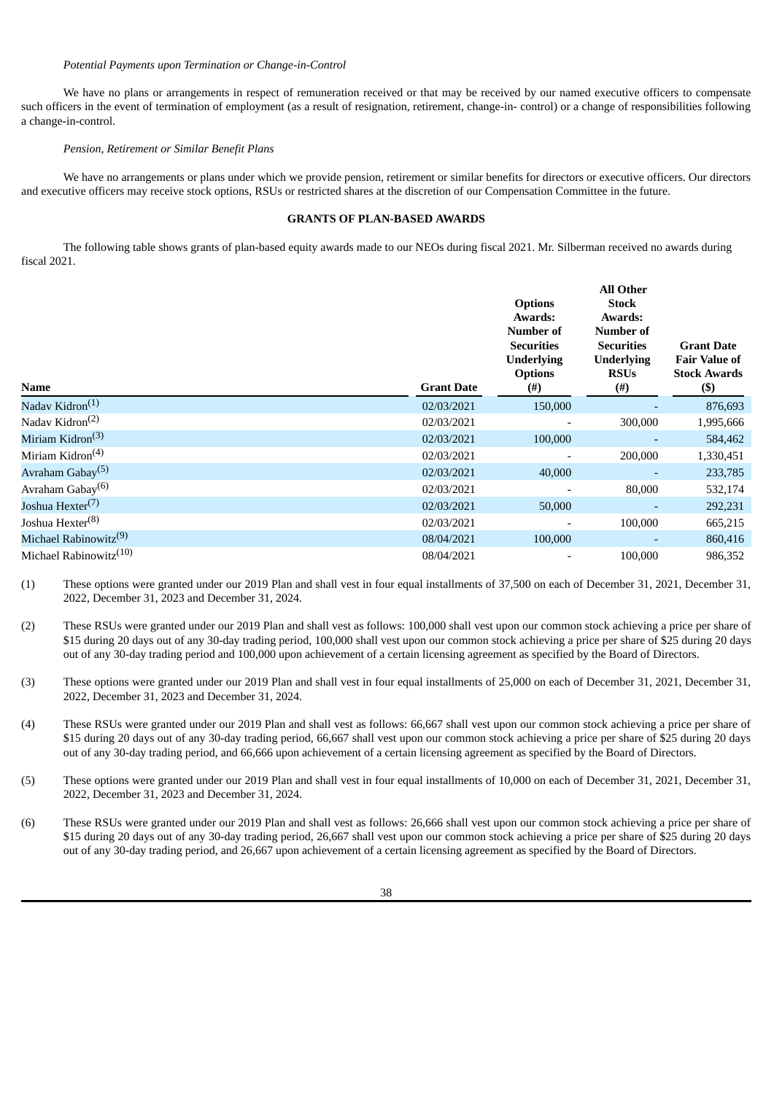### *Potential Payments upon Termination or Change-in-Control*

We have no plans or arrangements in respect of remuneration received or that may be received by our named executive officers to compensate such officers in the event of termination of employment (as a result of resignation, retirement, change-in- control) or a change of responsibilities following a change-in-control.

### *Pension, Retirement or Similar Benefit Plans*

We have no arrangements or plans under which we provide pension, retirement or similar benefits for directors or executive officers. Our directors and executive officers may receive stock options, RSUs or restricted shares at the discretion of our Compensation Committee in the future.

# **GRANTS OF PLAN-BASED AWARDS**

The following table shows grants of plan-based equity awards made to our NEOs during fiscal 2021. Mr. Silberman received no awards during fiscal 2021.

| <b>Name</b>                        | <b>Grant Date</b> | <b>Options</b><br>Awards:<br>Number of<br><b>Securities</b><br><b>Underlying</b><br><b>Options</b><br>$^{(#)}$ | <b>All Other</b><br><b>Stock</b><br>Awards:<br>Number of<br><b>Securities</b><br><b>Underlying</b><br><b>RSUs</b><br>$^{(#)}$ | <b>Grant Date</b><br><b>Fair Value of</b><br><b>Stock Awards</b><br>$(\$)$ |
|------------------------------------|-------------------|----------------------------------------------------------------------------------------------------------------|-------------------------------------------------------------------------------------------------------------------------------|----------------------------------------------------------------------------|
| Nadav Kidron <sup>(1)</sup>        | 02/03/2021        | 150,000                                                                                                        |                                                                                                                               | 876,693                                                                    |
| Nadav Kidron <sup>(2)</sup>        | 02/03/2021        | $\overline{\phantom{0}}$                                                                                       | 300,000                                                                                                                       | 1,995,666                                                                  |
| Miriam Kidron $(3)$                | 02/03/2021        | 100,000                                                                                                        |                                                                                                                               | 584,462                                                                    |
| Miriam Kidron $(4)$                | 02/03/2021        | $\overline{\phantom{a}}$                                                                                       | 200,000                                                                                                                       | 1,330,451                                                                  |
| Avraham Gabay <sup>(5)</sup>       | 02/03/2021        | 40,000                                                                                                         | ٠                                                                                                                             | 233,785                                                                    |
| Avraham Gabay <sup>(6)</sup>       | 02/03/2021        | $\overline{\phantom{a}}$                                                                                       | 80,000                                                                                                                        | 532,174                                                                    |
| Joshua Hexter <sup>(7)</sup>       | 02/03/2021        | 50,000                                                                                                         | ٠                                                                                                                             | 292,231                                                                    |
| Joshua Hexter <sup>(8)</sup>       | 02/03/2021        | $\overline{\phantom{a}}$                                                                                       | 100,000                                                                                                                       | 665,215                                                                    |
| Michael Rabinowitz <sup>(9)</sup>  | 08/04/2021        | 100,000                                                                                                        | $\overline{\phantom{a}}$                                                                                                      | 860,416                                                                    |
| Michael Rabinowitz <sup>(10)</sup> | 08/04/2021        | $\overline{\phantom{a}}$                                                                                       | 100,000                                                                                                                       | 986,352                                                                    |

(1) These options were granted under our 2019 Plan and shall vest in four equal installments of 37,500 on each of December 31, 2021, December 31, 2022, December 31, 2023 and December 31, 2024.

- (2) These RSUs were granted under our 2019 Plan and shall vest as follows: 100,000 shall vest upon our common stock achieving a price per share of \$15 during 20 days out of any 30-day trading period, 100,000 shall vest upon our common stock achieving a price per share of \$25 during 20 days out of any 30-day trading period and 100,000 upon achievement of a certain licensing agreement as specified by the Board of Directors.
- (3) These options were granted under our 2019 Plan and shall vest in four equal installments of 25,000 on each of December 31, 2021, December 31, 2022, December 31, 2023 and December 31, 2024.
- (4) These RSUs were granted under our 2019 Plan and shall vest as follows: 66,667 shall vest upon our common stock achieving a price per share of \$15 during 20 days out of any 30-day trading period, 66,667 shall vest upon our common stock achieving a price per share of \$25 during 20 days out of any 30-day trading period, and 66,666 upon achievement of a certain licensing agreement as specified by the Board of Directors.
- (5) These options were granted under our 2019 Plan and shall vest in four equal installments of 10,000 on each of December 31, 2021, December 31, 2022, December 31, 2023 and December 31, 2024.
- (6) These RSUs were granted under our 2019 Plan and shall vest as follows: 26,666 shall vest upon our common stock achieving a price per share of \$15 during 20 days out of any 30-day trading period, 26,667 shall vest upon our common stock achieving a price per share of \$25 during 20 days out of any 30-day trading period, and 26,667 upon achievement of a certain licensing agreement as specified by the Board of Directors.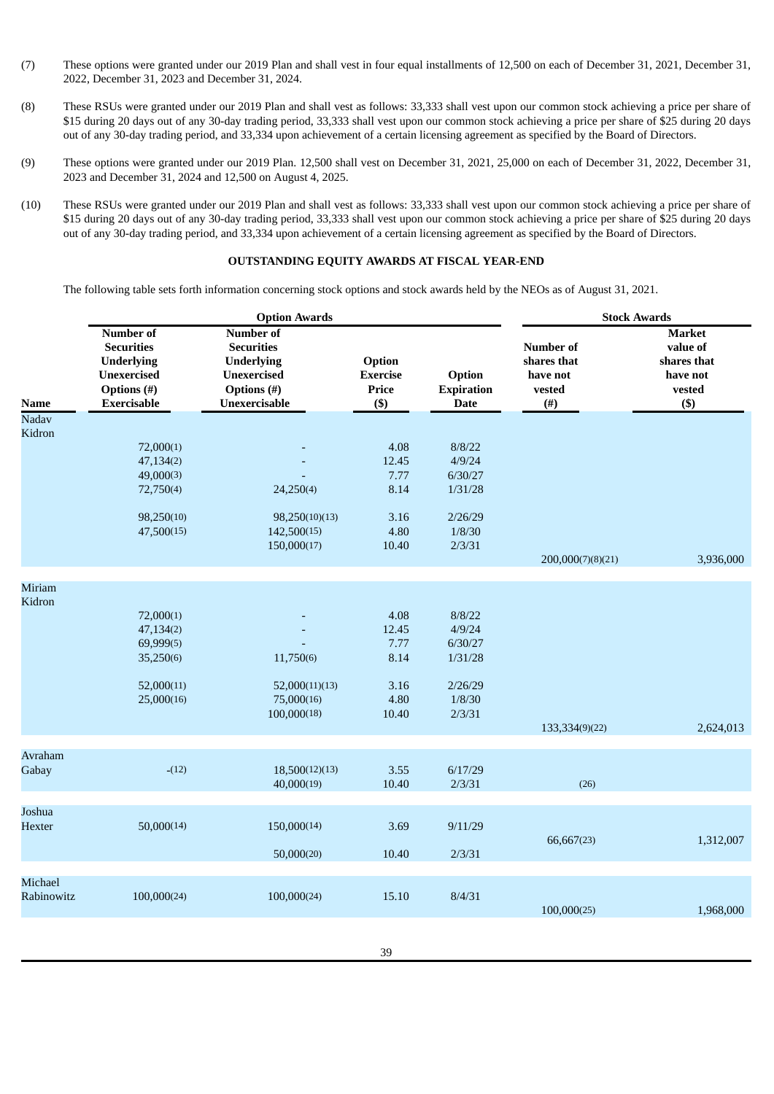- (7) These options were granted under our 2019 Plan and shall vest in four equal installments of 12,500 on each of December 31, 2021, December 31, 2022, December 31, 2023 and December 31, 2024.
- (8) These RSUs were granted under our 2019 Plan and shall vest as follows: 33,333 shall vest upon our common stock achieving a price per share of \$15 during 20 days out of any 30-day trading period, 33,333 shall vest upon our common stock achieving a price per share of \$25 during 20 days out of any 30-day trading period, and 33,334 upon achievement of a certain licensing agreement as specified by the Board of Directors.
- (9) These options were granted under our 2019 Plan. 12,500 shall vest on December 31, 2021, 25,000 on each of December 31, 2022, December 31, 2023 and December 31, 2024 and 12,500 on August 4, 2025.
- (10) These RSUs were granted under our 2019 Plan and shall vest as follows: 33,333 shall vest upon our common stock achieving a price per share of \$15 during 20 days out of any 30-day trading period, 33,333 shall vest upon our common stock achieving a price per share of \$25 during 20 days out of any 30-day trading period, and 33,334 upon achievement of a certain licensing agreement as specified by the Board of Directors.

## **OUTSTANDING EQUITY AWARDS AT FISCAL YEAR-END**

The following table sets forth information concerning stock options and stock awards held by the NEOs as of August 31, 2021.

|                         |                                                                                                                       | <b>Option Awards</b>                                                                                      |                                                        |                                                                       | <b>Stock Awards</b>                                             |                                                                           |  |
|-------------------------|-----------------------------------------------------------------------------------------------------------------------|-----------------------------------------------------------------------------------------------------------|--------------------------------------------------------|-----------------------------------------------------------------------|-----------------------------------------------------------------|---------------------------------------------------------------------------|--|
| <b>Name</b>             | <b>Number of</b><br><b>Securities</b><br><b>Underlying</b><br><b>Unexercised</b><br>Options (#)<br><b>Exercisable</b> | <b>Number of</b><br><b>Securities</b><br><b>Underlying</b><br>Unexercised<br>Options (#)<br>Unexercisable | Option<br><b>Exercise</b><br>Price<br>$($ \$)          | Option<br><b>Expiration</b><br><b>Date</b>                            | <b>Number of</b><br>shares that<br>have not<br>vested<br>$(\#)$ | <b>Market</b><br>value of<br>shares that<br>have not<br>vested<br>$($ \$) |  |
| <b>Nadav</b>            |                                                                                                                       |                                                                                                           |                                                        |                                                                       |                                                                 |                                                                           |  |
| Kidron                  | 72,000(1)<br>47,134(2)<br>49,000(3)<br>72,750(4)<br>98,250(10)<br>47,500(15)                                          | $\blacksquare$<br>24,250(4)<br>98,250(10)(13)<br>142,500(15)                                              | 4.08<br>12.45<br>7.77<br>8.14<br>3.16<br>4.80          | 8/8/22<br>4/9/24<br>6/30/27<br>1/31/28<br>2/26/29<br>1/8/30           |                                                                 |                                                                           |  |
|                         |                                                                                                                       | 150,000(17)                                                                                               | 10.40                                                  | 2/3/31                                                                |                                                                 |                                                                           |  |
|                         |                                                                                                                       |                                                                                                           |                                                        |                                                                       | 200,000(7)(8)(21)                                               | 3,936,000                                                                 |  |
| Miriam<br>Kidron        | 72,000(1)<br>47,134(2)<br>69,999(5)<br>35,250(6)<br>52,000(11)<br>25,000(16)                                          | 11,750(6)<br>52,000(11)(13)<br>75,000(16)<br>100,000(18)                                                  | 4.08<br>12.45<br>7.77<br>8.14<br>3.16<br>4.80<br>10.40 | 8/8/22<br>4/9/24<br>6/30/27<br>1/31/28<br>2/26/29<br>1/8/30<br>2/3/31 | 133,334(9)(22)                                                  | 2,624,013                                                                 |  |
| Avraham<br>Gabay        | $-(12)$                                                                                                               | 18,500(12)(13)<br>40,000(19)                                                                              | 3.55<br>10.40                                          | 6/17/29<br>2/3/31                                                     | (26)                                                            |                                                                           |  |
| Joshua<br><b>Hexter</b> | 50,000(14)                                                                                                            | 150,000(14)<br>50,000(20)                                                                                 | 3.69<br>10.40                                          | 9/11/29<br>2/3/31                                                     | 66,667(23)                                                      | 1,312,007                                                                 |  |
| Michael<br>Rabinowitz   | 100,000(24)                                                                                                           | 100,000(24)                                                                                               | 15.10                                                  | 8/4/31                                                                | 100,000(25)                                                     | 1,968,000                                                                 |  |
|                         |                                                                                                                       |                                                                                                           |                                                        |                                                                       |                                                                 |                                                                           |  |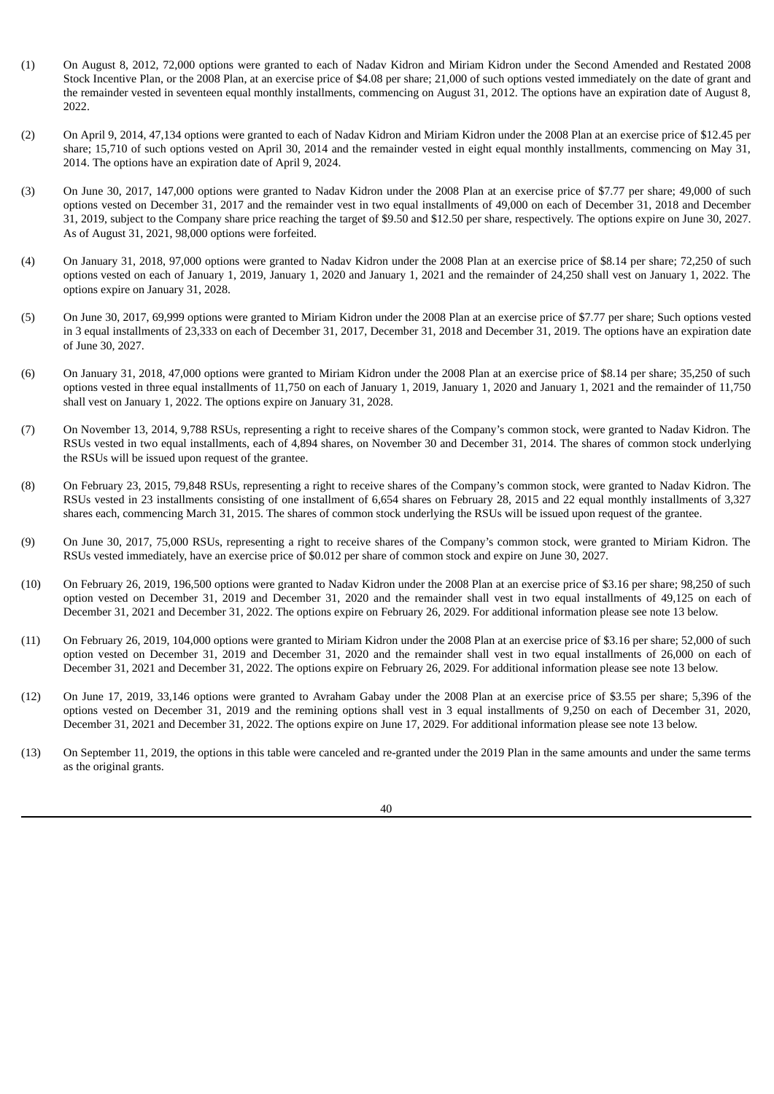- (1) On August 8, 2012, 72,000 options were granted to each of Nadav Kidron and Miriam Kidron under the Second Amended and Restated 2008 Stock Incentive Plan, or the 2008 Plan, at an exercise price of \$4.08 per share; 21,000 of such options vested immediately on the date of grant and the remainder vested in seventeen equal monthly installments, commencing on August 31, 2012. The options have an expiration date of August 8, 2022.
- (2) On April 9, 2014, 47,134 options were granted to each of Nadav Kidron and Miriam Kidron under the 2008 Plan at an exercise price of \$12.45 per share; 15,710 of such options vested on April 30, 2014 and the remainder vested in eight equal monthly installments, commencing on May 31, 2014. The options have an expiration date of April 9, 2024.
- (3) On June 30, 2017, 147,000 options were granted to Nadav Kidron under the 2008 Plan at an exercise price of \$7.77 per share; 49,000 of such options vested on December 31, 2017 and the remainder vest in two equal installments of 49,000 on each of December 31, 2018 and December 31, 2019, subject to the Company share price reaching the target of \$9.50 and \$12.50 per share, respectively. The options expire on June 30, 2027. As of August 31, 2021, 98,000 options were forfeited.
- (4) On January 31, 2018, 97,000 options were granted to Nadav Kidron under the 2008 Plan at an exercise price of \$8.14 per share; 72,250 of such options vested on each of January 1, 2019, January 1, 2020 and January 1, 2021 and the remainder of 24,250 shall vest on January 1, 2022. The options expire on January 31, 2028.
- (5) On June 30, 2017, 69,999 options were granted to Miriam Kidron under the 2008 Plan at an exercise price of \$7.77 per share; Such options vested in 3 equal installments of 23,333 on each of December 31, 2017, December 31, 2018 and December 31, 2019. The options have an expiration date of June 30, 2027.
- (6) On January 31, 2018, 47,000 options were granted to Miriam Kidron under the 2008 Plan at an exercise price of \$8.14 per share; 35,250 of such options vested in three equal installments of 11,750 on each of January 1, 2019, January 1, 2020 and January 1, 2021 and the remainder of 11,750 shall vest on January 1, 2022. The options expire on January 31, 2028.
- (7) On November 13, 2014, 9,788 RSUs, representing a right to receive shares of the Company's common stock, were granted to Nadav Kidron. The RSUs vested in two equal installments, each of 4,894 shares, on November 30 and December 31, 2014. The shares of common stock underlying the RSUs will be issued upon request of the grantee.
- (8) On February 23, 2015, 79,848 RSUs, representing a right to receive shares of the Company's common stock, were granted to Nadav Kidron. The RSUs vested in 23 installments consisting of one installment of 6,654 shares on February 28, 2015 and 22 equal monthly installments of 3,327 shares each, commencing March 31, 2015. The shares of common stock underlying the RSUs will be issued upon request of the grantee.
- (9) On June 30, 2017, 75,000 RSUs, representing a right to receive shares of the Company's common stock, were granted to Miriam Kidron. The RSUs vested immediately, have an exercise price of \$0.012 per share of common stock and expire on June 30, 2027.
- (10) On February 26, 2019, 196,500 options were granted to Nadav Kidron under the 2008 Plan at an exercise price of \$3.16 per share; 98,250 of such option vested on December 31, 2019 and December 31, 2020 and the remainder shall vest in two equal installments of 49,125 on each of December 31, 2021 and December 31, 2022. The options expire on February 26, 2029. For additional information please see note 13 below.
- (11) On February 26, 2019, 104,000 options were granted to Miriam Kidron under the 2008 Plan at an exercise price of \$3.16 per share; 52,000 of such option vested on December 31, 2019 and December 31, 2020 and the remainder shall vest in two equal installments of 26,000 on each of December 31, 2021 and December 31, 2022. The options expire on February 26, 2029. For additional information please see note 13 below.
- (12) On June 17, 2019, 33,146 options were granted to Avraham Gabay under the 2008 Plan at an exercise price of \$3.55 per share; 5,396 of the options vested on December 31, 2019 and the remining options shall vest in 3 equal installments of 9,250 on each of December 31, 2020, December 31, 2021 and December 31, 2022. The options expire on June 17, 2029. For additional information please see note 13 below.
- (13) On September 11, 2019, the options in this table were canceled and re-granted under the 2019 Plan in the same amounts and under the same terms as the original grants.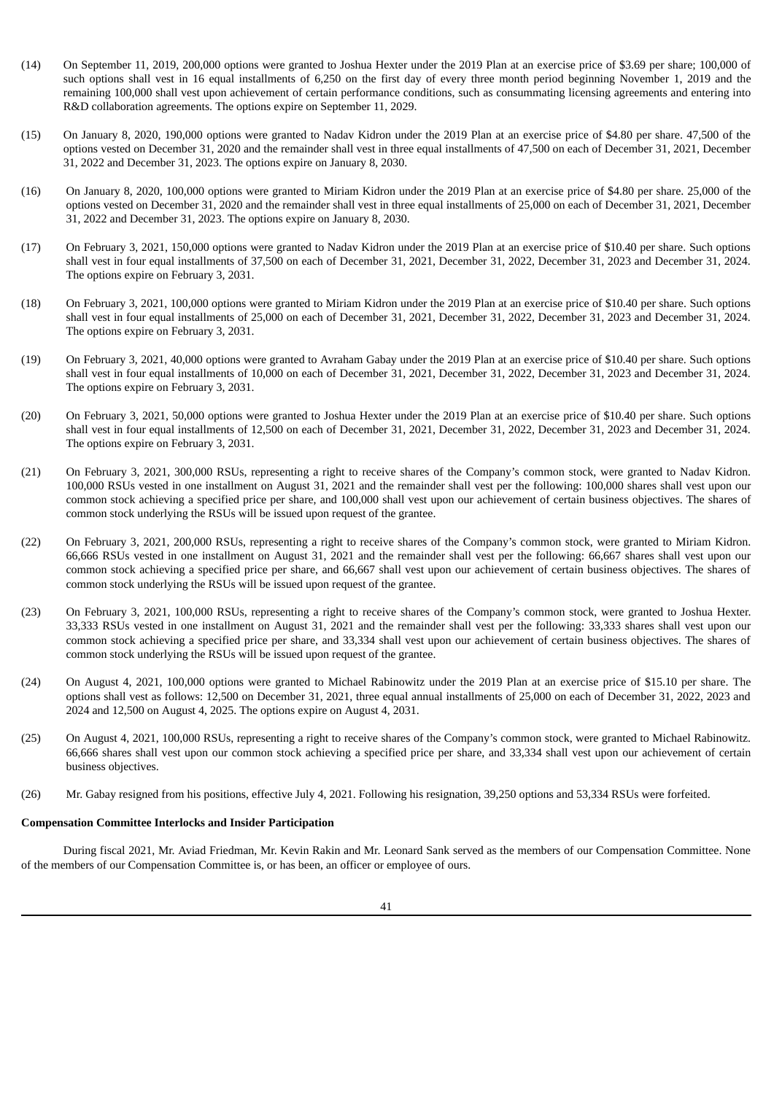- (14) On September 11, 2019, 200,000 options were granted to Joshua Hexter under the 2019 Plan at an exercise price of \$3.69 per share; 100,000 of such options shall vest in 16 equal installments of 6,250 on the first day of every three month period beginning November 1, 2019 and the remaining 100,000 shall vest upon achievement of certain performance conditions, such as consummating licensing agreements and entering into R&D collaboration agreements. The options expire on September 11, 2029.
- (15) On January 8, 2020, 190,000 options were granted to Nadav Kidron under the 2019 Plan at an exercise price of \$4.80 per share. 47,500 of the options vested on December 31, 2020 and the remainder shall vest in three equal installments of 47,500 on each of December 31, 2021, December 31, 2022 and December 31, 2023. The options expire on January 8, 2030.
- (16) On January 8, 2020, 100,000 options were granted to Miriam Kidron under the 2019 Plan at an exercise price of \$4.80 per share. 25,000 of the options vested on December 31, 2020 and the remainder shall vest in three equal installments of 25,000 on each of December 31, 2021, December 31, 2022 and December 31, 2023. The options expire on January 8, 2030.
- (17) On February 3, 2021, 150,000 options were granted to Nadav Kidron under the 2019 Plan at an exercise price of \$10.40 per share. Such options shall vest in four equal installments of 37,500 on each of December 31, 2021, December 31, 2022, December 31, 2023 and December 31, 2024. The options expire on February 3, 2031.
- (18) On February 3, 2021, 100,000 options were granted to Miriam Kidron under the 2019 Plan at an exercise price of \$10.40 per share. Such options shall vest in four equal installments of 25,000 on each of December 31, 2021, December 31, 2022, December 31, 2023 and December 31, 2024. The options expire on February 3, 2031.
- (19) On February 3, 2021, 40,000 options were granted to Avraham Gabay under the 2019 Plan at an exercise price of \$10.40 per share. Such options shall vest in four equal installments of 10,000 on each of December 31, 2021, December 31, 2022, December 31, 2023 and December 31, 2024. The options expire on February 3, 2031.
- (20) On February 3, 2021, 50,000 options were granted to Joshua Hexter under the 2019 Plan at an exercise price of \$10.40 per share. Such options shall vest in four equal installments of 12,500 on each of December 31, 2021, December 31, 2022, December 31, 2023 and December 31, 2024. The options expire on February 3, 2031.
- (21) On February 3, 2021, 300,000 RSUs, representing a right to receive shares of the Company's common stock, were granted to Nadav Kidron. 100,000 RSUs vested in one installment on August 31, 2021 and the remainder shall vest per the following: 100,000 shares shall vest upon our common stock achieving a specified price per share, and 100,000 shall vest upon our achievement of certain business objectives. The shares of common stock underlying the RSUs will be issued upon request of the grantee.
- (22) On February 3, 2021, 200,000 RSUs, representing a right to receive shares of the Company's common stock, were granted to Miriam Kidron. 66,666 RSUs vested in one installment on August 31, 2021 and the remainder shall vest per the following: 66,667 shares shall vest upon our common stock achieving a specified price per share, and 66,667 shall vest upon our achievement of certain business objectives. The shares of common stock underlying the RSUs will be issued upon request of the grantee.
- (23) On February 3, 2021, 100,000 RSUs, representing a right to receive shares of the Company's common stock, were granted to Joshua Hexter. 33,333 RSUs vested in one installment on August 31, 2021 and the remainder shall vest per the following: 33,333 shares shall vest upon our common stock achieving a specified price per share, and 33,334 shall vest upon our achievement of certain business objectives. The shares of common stock underlying the RSUs will be issued upon request of the grantee.
- (24) On August 4, 2021, 100,000 options were granted to Michael Rabinowitz under the 2019 Plan at an exercise price of \$15.10 per share. The options shall vest as follows: 12,500 on December 31, 2021, three equal annual installments of 25,000 on each of December 31, 2022, 2023 and 2024 and 12,500 on August 4, 2025. The options expire on August 4, 2031.
- (25) On August 4, 2021, 100,000 RSUs, representing a right to receive shares of the Company's common stock, were granted to Michael Rabinowitz. 66,666 shares shall vest upon our common stock achieving a specified price per share, and 33,334 shall vest upon our achievement of certain business objectives.
- (26) Mr. Gabay resigned from his positions, effective July 4, 2021. Following his resignation, 39,250 options and 53,334 RSUs were forfeited.

#### **Compensation Committee Interlocks and Insider Participation**

During fiscal 2021, Mr. Aviad Friedman, Mr. Kevin Rakin and Mr. Leonard Sank served as the members of our Compensation Committee. None of the members of our Compensation Committee is, or has been, an officer or employee of ours.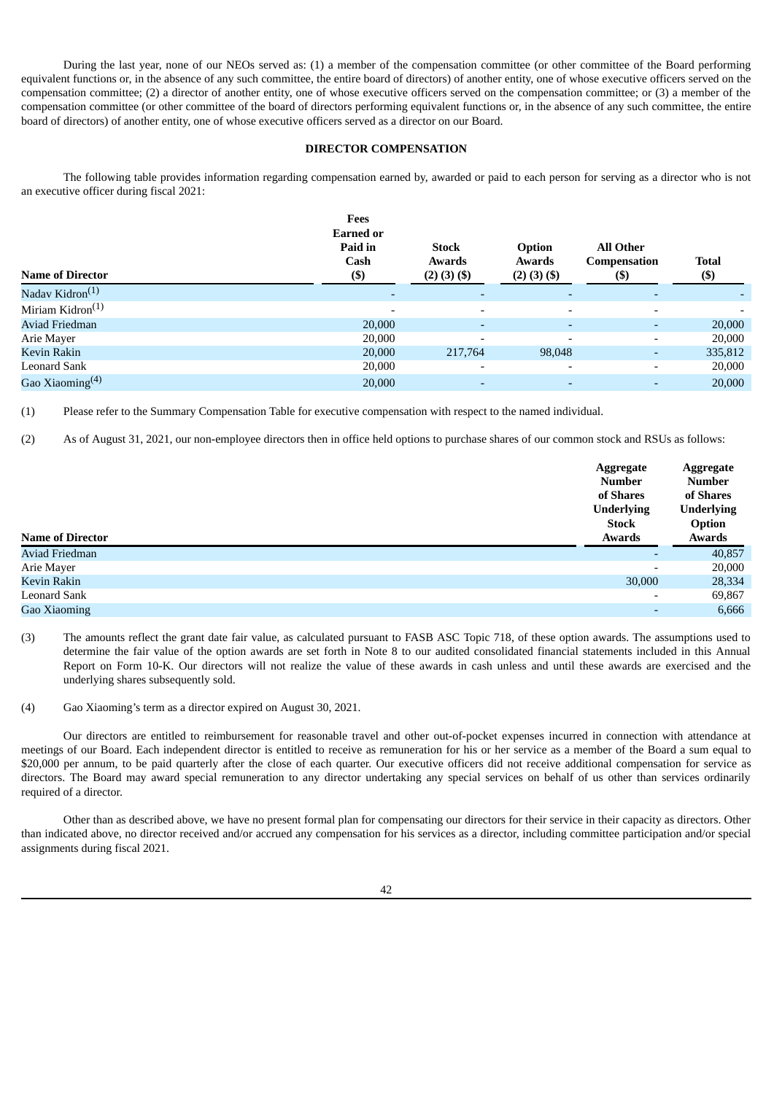During the last year, none of our NEOs served as: (1) a member of the compensation committee (or other committee of the Board performing equivalent functions or, in the absence of any such committee, the entire board of directors) of another entity, one of whose executive officers served on the compensation committee; (2) a director of another entity, one of whose executive officers served on the compensation committee; or (3) a member of the compensation committee (or other committee of the board of directors performing equivalent functions or, in the absence of any such committee, the entire board of directors) of another entity, one of whose executive officers served as a director on our Board.

# **DIRECTOR COMPENSATION**

The following table provides information regarding compensation earned by, awarded or paid to each person for serving as a director who is not an executive officer during fiscal 2021:

| <b>Name of Director</b>     | Fees<br><b>Earned or</b><br>Paid in<br>Cash<br>$($ \$) | <b>Stock</b><br>Awards<br>$(2)$ $(3)$ $(5)$ | Option<br>Awards<br>$(2)$ $(3)$ $(5)$ | <b>All Other</b><br>Compensation<br>(\$) | <b>Total</b><br>$($)$ |
|-----------------------------|--------------------------------------------------------|---------------------------------------------|---------------------------------------|------------------------------------------|-----------------------|
| Nadav Kidron <sup>(1)</sup> |                                                        | $\overline{\phantom{0}}$                    | $\overline{\phantom{a}}$              | $\overline{a}$                           |                       |
| Miriam Kidron $(1)$         |                                                        | $\overline{\phantom{a}}$                    | $\overline{\phantom{a}}$              | $\overline{\phantom{0}}$                 |                       |
| <b>Aviad Friedman</b>       | 20,000                                                 | $\overline{\phantom{a}}$                    | ٠                                     | ٠                                        | 20,000                |
| Arie Mayer                  | 20,000                                                 | $\overline{\phantom{a}}$                    | $\overline{\phantom{a}}$              | $\overline{\phantom{0}}$                 | 20,000                |
| Kevin Rakin                 | 20,000                                                 | 217,764                                     | 98,048                                | ٠                                        | 335,812               |
| Leonard Sank                | 20,000                                                 | $\overline{\phantom{a}}$                    | $\overline{\phantom{a}}$              | $\overline{\phantom{a}}$                 | 20,000                |
| Gao Xiaoming $(4)$          | 20,000                                                 | $\overline{\phantom{a}}$                    | $\overline{\phantom{a}}$              | $\overline{\phantom{0}}$                 | 20,000                |

(1) Please refer to the Summary Compensation Table for executive compensation with respect to the named individual.

(2) As of August 31, 2021, our non-employee directors then in office held options to purchase shares of our common stock and RSUs as follows:

|                         | Aggregate<br><b>Number</b><br>of Shares<br><b>Underlying</b><br><b>Stock</b> | <b>Aggregate</b><br><b>Number</b><br>of Shares<br><b>Underlying</b><br>Option |
|-------------------------|------------------------------------------------------------------------------|-------------------------------------------------------------------------------|
| <b>Name of Director</b> | Awards                                                                       | Awards                                                                        |
| <b>Aviad Friedman</b>   |                                                                              | 40,857                                                                        |
| Arie Mayer              |                                                                              | 20,000                                                                        |
| Kevin Rakin             | 30,000                                                                       | 28,334                                                                        |
| Leonard Sank            | $\overline{\phantom{0}}$                                                     | 69,867                                                                        |
| <b>Gao Xiaoming</b>     |                                                                              | 6,666                                                                         |

(3) The amounts reflect the grant date fair value, as calculated pursuant to FASB ASC Topic 718, of these option awards. The assumptions used to determine the fair value of the option awards are set forth in Note 8 to our audited consolidated financial statements included in this Annual Report on Form 10-K. Our directors will not realize the value of these awards in cash unless and until these awards are exercised and the underlying shares subsequently sold.

(4) Gao Xiaoming's term as a director expired on August 30, 2021.

Our directors are entitled to reimbursement for reasonable travel and other out-of-pocket expenses incurred in connection with attendance at meetings of our Board. Each independent director is entitled to receive as remuneration for his or her service as a member of the Board a sum equal to \$20,000 per annum, to be paid quarterly after the close of each quarter. Our executive officers did not receive additional compensation for service as directors. The Board may award special remuneration to any director undertaking any special services on behalf of us other than services ordinarily required of a director.

Other than as described above, we have no present formal plan for compensating our directors for their service in their capacity as directors. Other than indicated above, no director received and/or accrued any compensation for his services as a director, including committee participation and/or special assignments during fiscal 2021.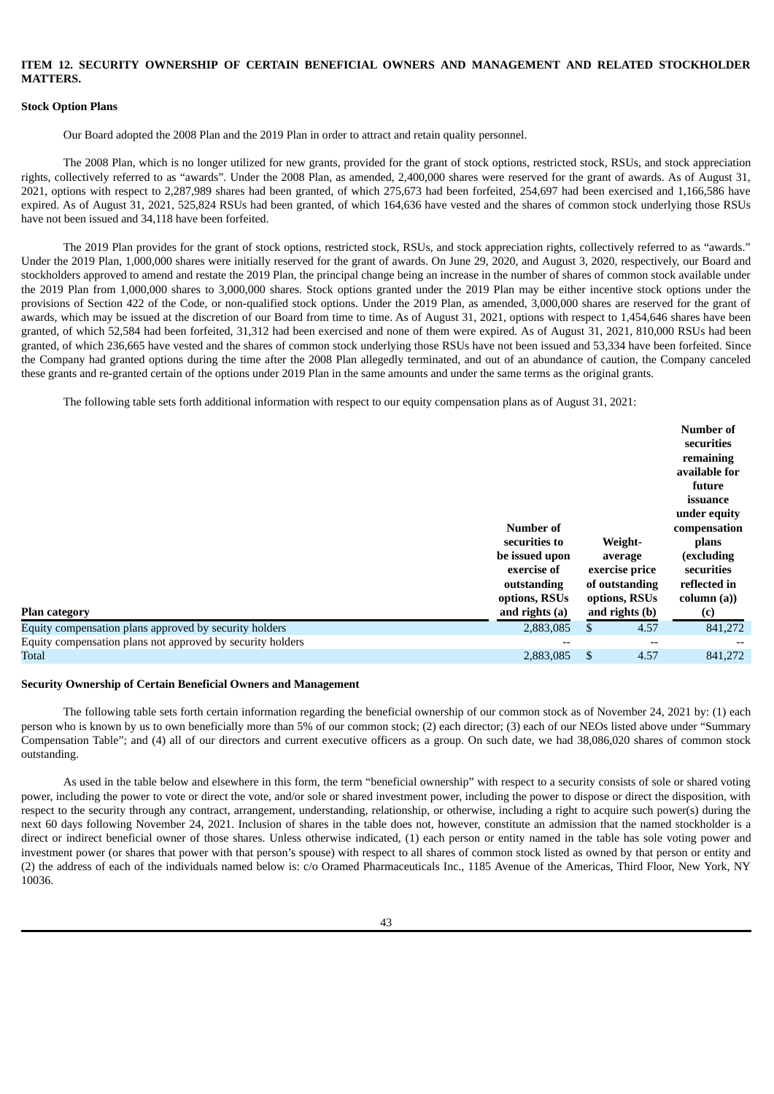# **ITEM 12. SECURITY OWNERSHIP OF CERTAIN BENEFICIAL OWNERS AND MANAGEMENT AND RELATED STOCKHOLDER MATTERS.**

# **Stock Option Plans**

Our Board adopted the 2008 Plan and the 2019 Plan in order to attract and retain quality personnel.

The 2008 Plan, which is no longer utilized for new grants, provided for the grant of stock options, restricted stock, RSUs, and stock appreciation rights, collectively referred to as "awards". Under the 2008 Plan, as amended, 2,400,000 shares were reserved for the grant of awards. As of August 31, 2021, options with respect to 2,287,989 shares had been granted, of which 275,673 had been forfeited, 254,697 had been exercised and 1,166,586 have expired. As of August 31, 2021, 525,824 RSUs had been granted, of which 164,636 have vested and the shares of common stock underlying those RSUs have not been issued and 34,118 have been forfeited.

The 2019 Plan provides for the grant of stock options, restricted stock, RSUs, and stock appreciation rights, collectively referred to as "awards." Under the 2019 Plan, 1,000,000 shares were initially reserved for the grant of awards. On June 29, 2020, and August 3, 2020, respectively, our Board and stockholders approved to amend and restate the 2019 Plan, the principal change being an increase in the number of shares of common stock available under the 2019 Plan from 1,000,000 shares to 3,000,000 shares. Stock options granted under the 2019 Plan may be either incentive stock options under the provisions of Section 422 of the Code, or non-qualified stock options. Under the 2019 Plan, as amended, 3,000,000 shares are reserved for the grant of awards, which may be issued at the discretion of our Board from time to time. As of August 31, 2021, options with respect to 1,454,646 shares have been granted, of which 52,584 had been forfeited, 31,312 had been exercised and none of them were expired. As of August 31, 2021, 810,000 RSUs had been granted, of which 236,665 have vested and the shares of common stock underlying those RSUs have not been issued and 53,334 have been forfeited. Since the Company had granted options during the time after the 2008 Plan allegedly terminated, and out of an abundance of caution, the Company canceled these grants and re-granted certain of the options under 2019 Plan in the same amounts and under the same terms as the original grants.

The following table sets forth additional information with respect to our equity compensation plans as of August 31, 2021:

| <b>Plan category</b>                                       | Number of<br>securities to<br>be issued upon<br>exercise of<br>outstanding<br>options, RSUs<br>and rights (a) | Weight-<br>average<br>exercise price<br>of outstanding<br>options, RSUs<br>and rights (b) | Number of<br>securities<br>remaining<br>available for<br>future<br>issuance<br>under equity<br>compensation<br>plans<br>(excluding<br>securities<br>reflected in<br>column (a))<br>(c) |
|------------------------------------------------------------|---------------------------------------------------------------------------------------------------------------|-------------------------------------------------------------------------------------------|----------------------------------------------------------------------------------------------------------------------------------------------------------------------------------------|
| Equity compensation plans approved by security holders     | 2,883,085                                                                                                     | \$<br>4.57                                                                                | 841,272                                                                                                                                                                                |
| Equity compensation plans not approved by security holders | $- -$                                                                                                         | $- -$                                                                                     |                                                                                                                                                                                        |
| Total                                                      | 2,883,085                                                                                                     | \$<br>4.57                                                                                | 841,272                                                                                                                                                                                |

#### **Security Ownership of Certain Beneficial Owners and Management**

The following table sets forth certain information regarding the beneficial ownership of our common stock as of November 24, 2021 by: (1) each person who is known by us to own beneficially more than 5% of our common stock; (2) each director; (3) each of our NEOs listed above under "Summary Compensation Table"; and (4) all of our directors and current executive officers as a group. On such date, we had 38,086,020 shares of common stock outstanding.

As used in the table below and elsewhere in this form, the term "beneficial ownership" with respect to a security consists of sole or shared voting power, including the power to vote or direct the vote, and/or sole or shared investment power, including the power to dispose or direct the disposition, with respect to the security through any contract, arrangement, understanding, relationship, or otherwise, including a right to acquire such power(s) during the next 60 days following November 24, 2021. Inclusion of shares in the table does not, however, constitute an admission that the named stockholder is a direct or indirect beneficial owner of those shares. Unless otherwise indicated, (1) each person or entity named in the table has sole voting power and investment power (or shares that power with that person's spouse) with respect to all shares of common stock listed as owned by that person or entity and (2) the address of each of the individuals named below is: c/o Oramed Pharmaceuticals Inc., 1185 Avenue of the Americas, Third Floor, New York, NY 10036.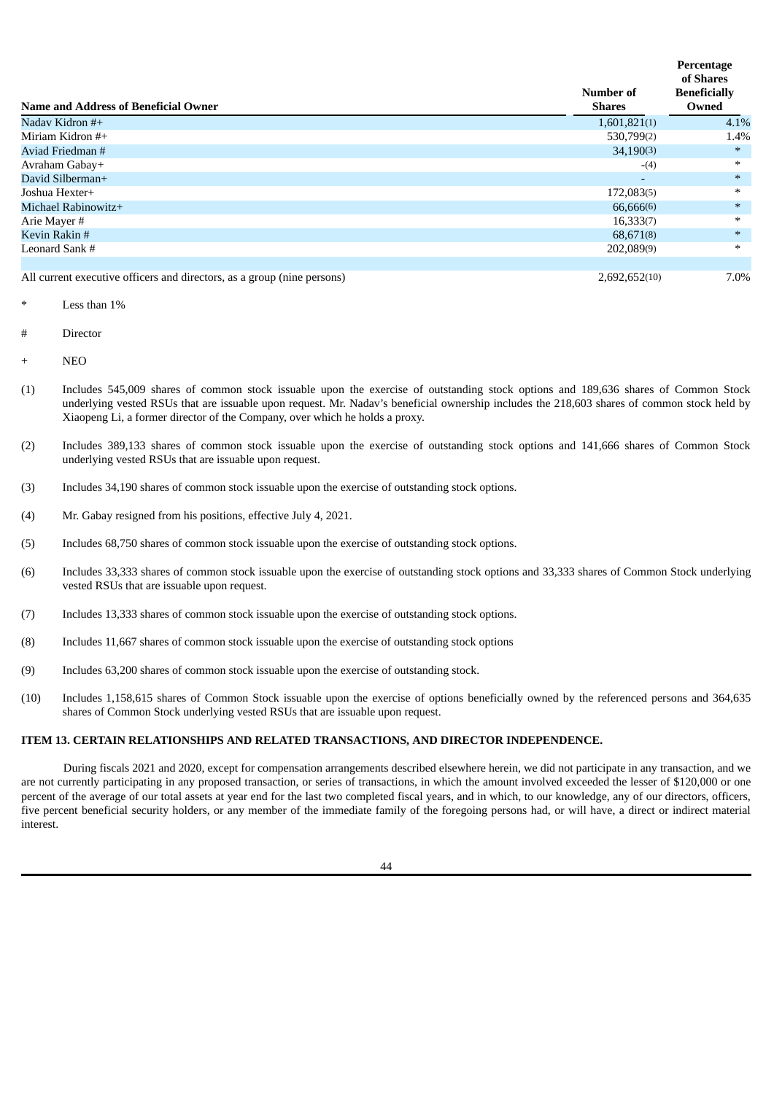|                                                                         |                            | Percentage<br>of Shares      |
|-------------------------------------------------------------------------|----------------------------|------------------------------|
| <b>Name and Address of Beneficial Owner</b>                             | Number of<br><b>Shares</b> | <b>Beneficially</b><br>Owned |
| Nadav Kidron #+                                                         | 1,601,821(1)               | 4.1%                         |
| Miriam Kidron $#+$                                                      | 530,799(2)                 | 1.4%                         |
| Aviad Friedman #                                                        | 34,190(3)                  | $*$                          |
| Avraham Gabay+                                                          | $-(4)$                     | $*$                          |
| David Silberman+                                                        | $\overline{\phantom{0}}$   | $\ast$                       |
| Joshua Hexter+                                                          | 172,083(5)                 | $\ast$                       |
| Michael Rabinowitz+                                                     | 66,666(6)                  | $\ast$                       |
| Arie Mayer #                                                            | 16,333(7)                  | $\ast$                       |
| Kevin Rakin #                                                           | 68,671(8)                  | $\ast$                       |
| Leonard Sank #                                                          | 202,089(9)                 | $\ast$                       |
|                                                                         |                            |                              |
| All current executive officers and directors, as a group (nine persons) | 2,692,652(10)              | 7.0%                         |

- Less than  $1%$
- **Director**
- NEO
- (1) Includes 545,009 shares of common stock issuable upon the exercise of outstanding stock options and 189,636 shares of Common Stock underlying vested RSUs that are issuable upon request. Mr. Nadav's beneficial ownership includes the 218,603 shares of common stock held by Xiaopeng Li, a former director of the Company, over which he holds a proxy.
- (2) Includes 389,133 shares of common stock issuable upon the exercise of outstanding stock options and 141,666 shares of Common Stock underlying vested RSUs that are issuable upon request.
- (3) Includes 34,190 shares of common stock issuable upon the exercise of outstanding stock options.
- (4) Mr. Gabay resigned from his positions, effective July 4, 2021.
- (5) Includes 68,750 shares of common stock issuable upon the exercise of outstanding stock options.
- (6) Includes 33,333 shares of common stock issuable upon the exercise of outstanding stock options and 33,333 shares of Common Stock underlying vested RSUs that are issuable upon request.
- (7) Includes 13,333 shares of common stock issuable upon the exercise of outstanding stock options.
- (8) Includes 11,667 shares of common stock issuable upon the exercise of outstanding stock options
- (9) Includes 63,200 shares of common stock issuable upon the exercise of outstanding stock.
- (10) Includes 1,158,615 shares of Common Stock issuable upon the exercise of options beneficially owned by the referenced persons and 364,635 shares of Common Stock underlying vested RSUs that are issuable upon request.

### **ITEM 13. CERTAIN RELATIONSHIPS AND RELATED TRANSACTIONS, AND DIRECTOR INDEPENDENCE.**

During fiscals 2021 and 2020, except for compensation arrangements described elsewhere herein, we did not participate in any transaction, and we are not currently participating in any proposed transaction, or series of transactions, in which the amount involved exceeded the lesser of \$120,000 or one percent of the average of our total assets at year end for the last two completed fiscal years, and in which, to our knowledge, any of our directors, officers, five percent beneficial security holders, or any member of the immediate family of the foregoing persons had, or will have, a direct or indirect material interest.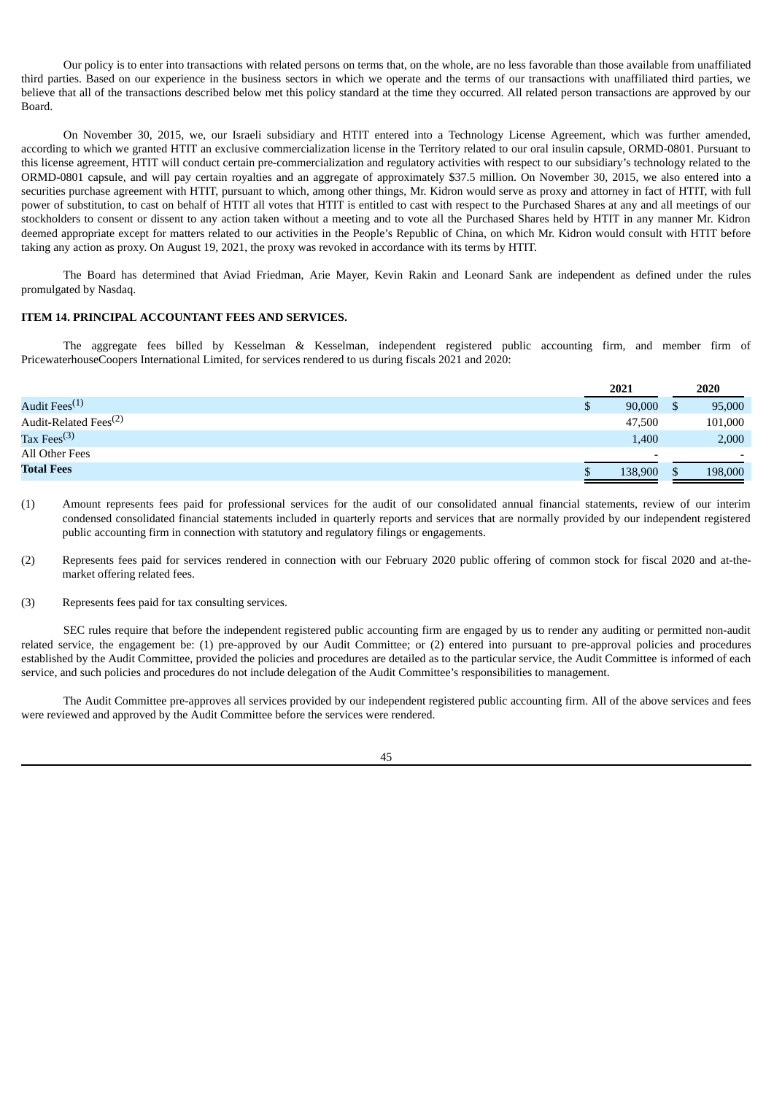Our policy is to enter into transactions with related persons on terms that, on the whole, are no less favorable than those available from unaffiliated third parties. Based on our experience in the business sectors in which we operate and the terms of our transactions with unaffiliated third parties, we believe that all of the transactions described below met this policy standard at the time they occurred. All related person transactions are approved by our Board.

On November 30, 2015, we, our Israeli subsidiary and HTIT entered into a Technology License Agreement, which was further amended, according to which we granted HTIT an exclusive commercialization license in the Territory related to our oral insulin capsule, ORMD-0801. Pursuant to this license agreement, HTIT will conduct certain pre-commercialization and regulatory activities with respect to our subsidiary's technology related to the ORMD-0801 capsule, and will pay certain royalties and an aggregate of approximately \$37.5 million. On November 30, 2015, we also entered into a securities purchase agreement with HTIT, pursuant to which, among other things, Mr. Kidron would serve as proxy and attorney in fact of HTIT, with full power of substitution, to cast on behalf of HTIT all votes that HTIT is entitled to cast with respect to the Purchased Shares at any and all meetings of our stockholders to consent or dissent to any action taken without a meeting and to vote all the Purchased Shares held by HTIT in any manner Mr. Kidron deemed appropriate except for matters related to our activities in the People's Republic of China, on which Mr. Kidron would consult with HTIT before taking any action as proxy. On August 19, 2021, the proxy was revoked in accordance with its terms by HTIT.

The Board has determined that Aviad Friedman, Arie Mayer, Kevin Rakin and Leonard Sank are independent as defined under the rules promulgated by Nasdaq.

# **ITEM 14. PRINCIPAL ACCOUNTANT FEES AND SERVICES.**

The aggregate fees billed by Kesselman & Kesselman, independent registered public accounting firm, and member firm of PricewaterhouseCoopers International Limited, for services rendered to us during fiscals 2021 and 2020:

|                                   |   | 2021                     |  | 2020                     |  |
|-----------------------------------|---|--------------------------|--|--------------------------|--|
| Audit Fees <sup>(1)</sup>         | Φ | 90,000                   |  | 95,000                   |  |
| Audit-Related Fees <sup>(2)</sup> |   | 47,500                   |  | 101,000                  |  |
| Tax Fees $^{(3)}$                 |   | 1,400                    |  | 2,000                    |  |
| All Other Fees                    |   | $\overline{\phantom{0}}$ |  | $\overline{\phantom{0}}$ |  |
| <b>Total Fees</b>                 |   | 138,900                  |  | 198,000                  |  |

(1) Amount represents fees paid for professional services for the audit of our consolidated annual financial statements, review of our interim condensed consolidated financial statements included in quarterly reports and services that are normally provided by our independent registered public accounting firm in connection with statutory and regulatory filings or engagements.

- (2) Represents fees paid for services rendered in connection with our February 2020 public offering of common stock for fiscal 2020 and at-themarket offering related fees.
- (3) Represents fees paid for tax consulting services.

SEC rules require that before the independent registered public accounting firm are engaged by us to render any auditing or permitted non-audit related service, the engagement be: (1) pre-approved by our Audit Committee; or (2) entered into pursuant to pre-approval policies and procedures established by the Audit Committee, provided the policies and procedures are detailed as to the particular service, the Audit Committee is informed of each service, and such policies and procedures do not include delegation of the Audit Committee's responsibilities to management.

The Audit Committee pre-approves all services provided by our independent registered public accounting firm. All of the above services and fees were reviewed and approved by the Audit Committee before the services were rendered.

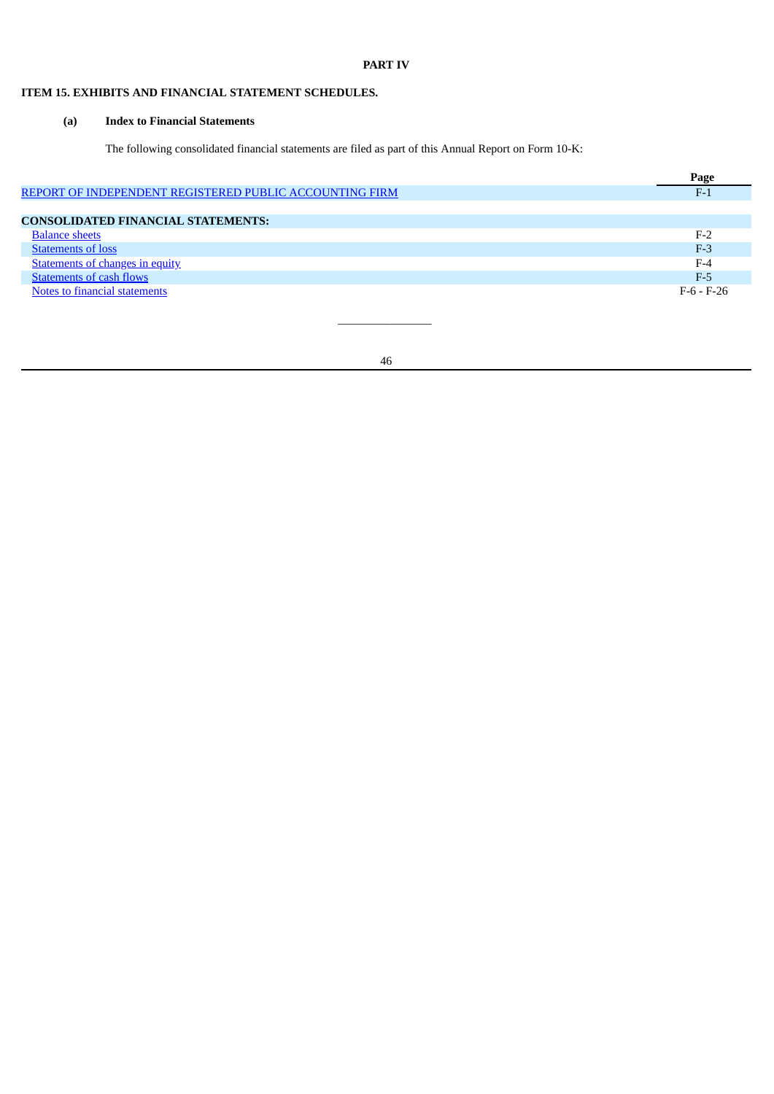# **PART IV**

# **ITEM 15. EXHIBITS AND FINANCIAL STATEMENT SCHEDULES.**

# **(a) Index to Financial Statements**

The following consolidated financial statements are filed as part of this Annual Report on Form 10-K:

|                                                         | Page         |
|---------------------------------------------------------|--------------|
| REPORT OF INDEPENDENT REGISTERED PUBLIC ACCOUNTING FIRM | $F-1$        |
|                                                         |              |
| <b>CONSOLIDATED FINANCIAL STATEMENTS:</b>               |              |
| <b>Balance sheets</b>                                   | $F-2$        |
| <b>Statements of loss</b>                               | $F-3$        |
| <b>Statements of changes in equity</b>                  | $F-4$        |
| <b>Statements of cash flows</b>                         | $F-5$        |
| Notes to financial statements                           | $F-6 - F-26$ |

46

\_\_\_\_\_\_\_\_\_\_\_\_\_\_\_\_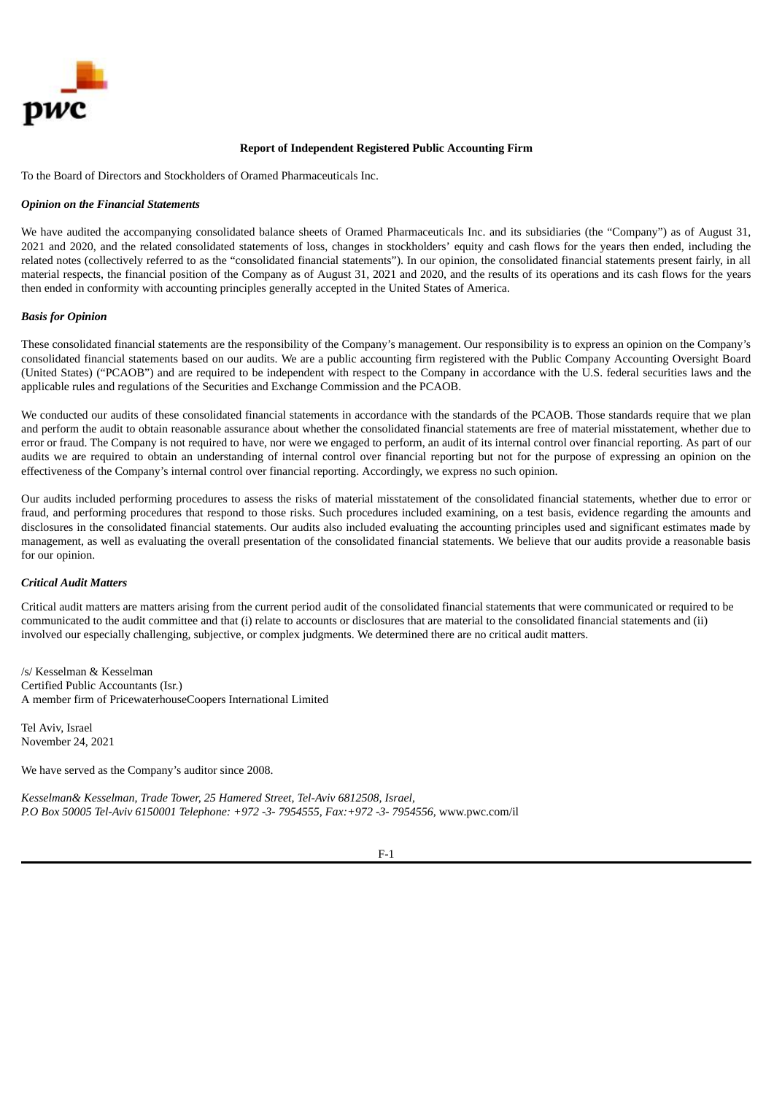

# **Report of Independent Registered Public Accounting Firm**

<span id="page-50-0"></span>To the Board of Directors and Stockholders of Oramed Pharmaceuticals Inc.

#### *Opinion on the Financial Statements*

We have audited the accompanying consolidated balance sheets of Oramed Pharmaceuticals Inc. and its subsidiaries (the "Company") as of August 31, 2021 and 2020, and the related consolidated statements of loss, changes in stockholders' equity and cash flows for the years then ended, including the related notes (collectively referred to as the "consolidated financial statements"). In our opinion, the consolidated financial statements present fairly, in all material respects, the financial position of the Company as of August 31, 2021 and 2020, and the results of its operations and its cash flows for the years then ended in conformity with accounting principles generally accepted in the United States of America.

#### *Basis for Opinion*

These consolidated financial statements are the responsibility of the Company's management. Our responsibility is to express an opinion on the Company's consolidated financial statements based on our audits. We are a public accounting firm registered with the Public Company Accounting Oversight Board (United States) ("PCAOB") and are required to be independent with respect to the Company in accordance with the U.S. federal securities laws and the applicable rules and regulations of the Securities and Exchange Commission and the PCAOB.

We conducted our audits of these consolidated financial statements in accordance with the standards of the PCAOB. Those standards require that we plan and perform the audit to obtain reasonable assurance about whether the consolidated financial statements are free of material misstatement, whether due to error or fraud. The Company is not required to have, nor were we engaged to perform, an audit of its internal control over financial reporting. As part of our audits we are required to obtain an understanding of internal control over financial reporting but not for the purpose of expressing an opinion on the effectiveness of the Company's internal control over financial reporting. Accordingly, we express no such opinion.

Our audits included performing procedures to assess the risks of material misstatement of the consolidated financial statements, whether due to error or fraud, and performing procedures that respond to those risks. Such procedures included examining, on a test basis, evidence regarding the amounts and disclosures in the consolidated financial statements. Our audits also included evaluating the accounting principles used and significant estimates made by management, as well as evaluating the overall presentation of the consolidated financial statements. We believe that our audits provide a reasonable basis for our opinion.

# *Critical Audit Matters*

Critical audit matters are matters arising from the current period audit of the consolidated financial statements that were communicated or required to be communicated to the audit committee and that (i) relate to accounts or disclosures that are material to the consolidated financial statements and (ii) involved our especially challenging, subjective, or complex judgments. We determined there are no critical audit matters.

/s/ Kesselman & Kesselman Certified Public Accountants (Isr.) A member firm of PricewaterhouseCoopers International Limited

Tel Aviv, Israel November 24, 2021

We have served as the Company's auditor since 2008.

*Kesselman& Kesselman, Trade Tower, 25 Hamered Street, Tel-Aviv 6812508, Israel, P.O Box 50005 Tel-Aviv 6150001 Telephone: +972 -3- 7954555, Fax:+972 -3- 7954556,* www.pwc.com/il

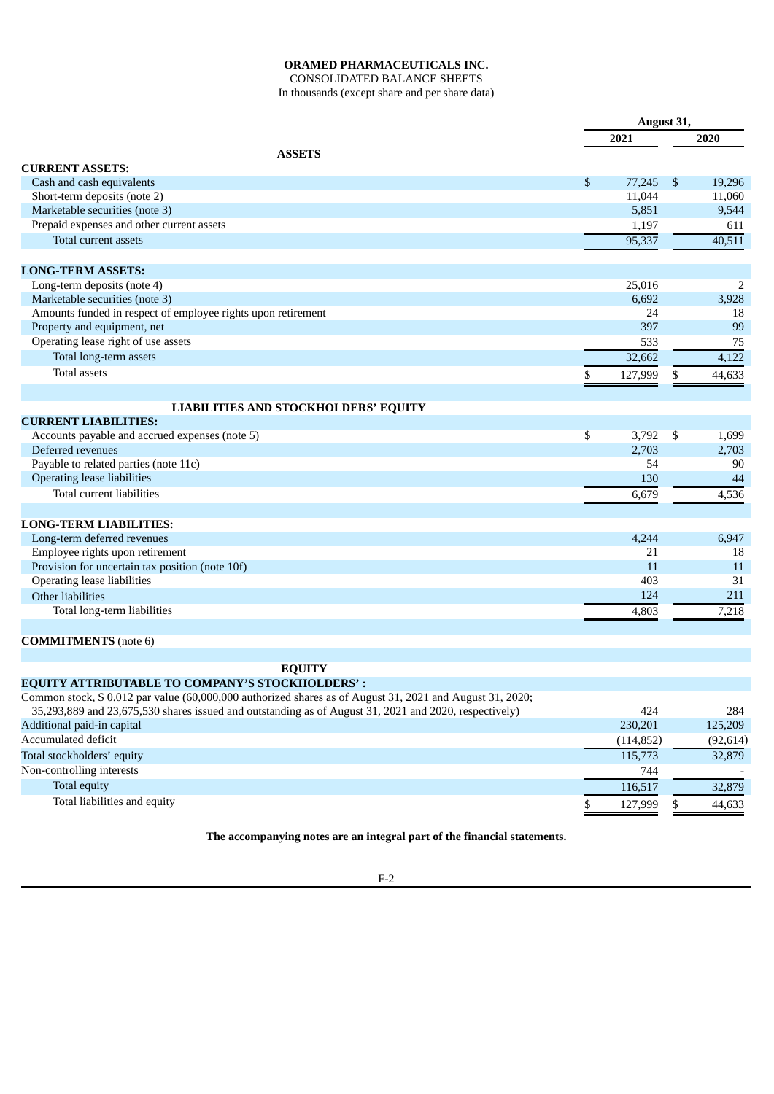CONSOLIDATED BALANCE SHEETS In thousands (except share and per share data)

<span id="page-51-0"></span>

|                                                                                                            | August 31,    |                |           |
|------------------------------------------------------------------------------------------------------------|---------------|----------------|-----------|
|                                                                                                            | 2021          |                | 2020      |
| <b>ASSETS</b>                                                                                              |               |                |           |
| <b>CURRENT ASSETS:</b>                                                                                     |               |                |           |
| Cash and cash equivalents                                                                                  | \$<br>77,245  | $\mathfrak{S}$ | 19,296    |
| Short-term deposits (note 2)                                                                               | 11,044        |                | 11,060    |
| Marketable securities (note 3)                                                                             | 5,851         |                | 9,544     |
| Prepaid expenses and other current assets                                                                  | 1,197         |                | 611       |
| Total current assets                                                                                       | 95,337        |                | 40,511    |
| <b>LONG-TERM ASSETS:</b>                                                                                   |               |                |           |
| Long-term deposits (note 4)                                                                                | 25,016        |                | 2         |
| Marketable securities (note 3)                                                                             | 6,692         |                | 3,928     |
| Amounts funded in respect of employee rights upon retirement                                               | 24            |                | 18        |
| Property and equipment, net                                                                                | 397           |                | 99        |
| Operating lease right of use assets                                                                        | 533           |                | 75        |
| Total long-term assets                                                                                     | 32,662        |                | 4,122     |
| <b>Total assets</b>                                                                                        | \$<br>127,999 | \$             | 44,633    |
|                                                                                                            |               |                |           |
| <b>LIABILITIES AND STOCKHOLDERS' EQUITY</b>                                                                |               |                |           |
| <b>CURRENT LIABILITIES:</b>                                                                                |               |                |           |
| Accounts payable and accrued expenses (note 5)                                                             | \$<br>3,792   | \$             | 1,699     |
| Deferred revenues                                                                                          | 2,703         |                | 2,703     |
| Payable to related parties (note 11c)                                                                      | 54            |                | 90        |
| <b>Operating lease liabilities</b>                                                                         | 130           |                | 44        |
| Total current liabilities                                                                                  | 6,679         |                | 4,536     |
| <b>LONG-TERM LIABILITIES:</b>                                                                              |               |                |           |
| Long-term deferred revenues                                                                                | 4,244         |                | 6,947     |
| Employee rights upon retirement                                                                            | 21            |                | 18        |
| Provision for uncertain tax position (note 10f)                                                            | 11            |                | 11        |
| <b>Operating lease liabilities</b>                                                                         | 403           |                | 31        |
| Other liabilities                                                                                          | 124           |                | 211       |
| Total long-term liabilities                                                                                |               |                |           |
|                                                                                                            | 4,803         |                | 7,218     |
| <b>COMMITMENTS</b> (note 6)                                                                                |               |                |           |
| <b>EQUITY</b>                                                                                              |               |                |           |
| <b>EQUITY ATTRIBUTABLE TO COMPANY'S STOCKHOLDERS':</b>                                                     |               |                |           |
| Common stock, $$ 0.012$ par value (60,000,000 authorized shares as of August 31, 2021 and August 31, 2020; |               |                |           |
| 35,293,889 and 23,675,530 shares issued and outstanding as of August 31, 2021 and 2020, respectively)      | 424           |                | 284       |
| Additional paid-in capital                                                                                 | 230,201       |                | 125,209   |
| Accumulated deficit                                                                                        | (114, 852)    |                | (92, 614) |
| Total stockholders' equity                                                                                 | 115,773       |                | 32,879    |
| Non-controlling interests                                                                                  | 744           |                |           |
| Total equity                                                                                               | 116,517       |                | 32,879    |
| Total liabilities and equity                                                                               | \$<br>127,999 | $\mathbb S$    | 44,633    |

**The accompanying notes are an integral part of the financial statements.**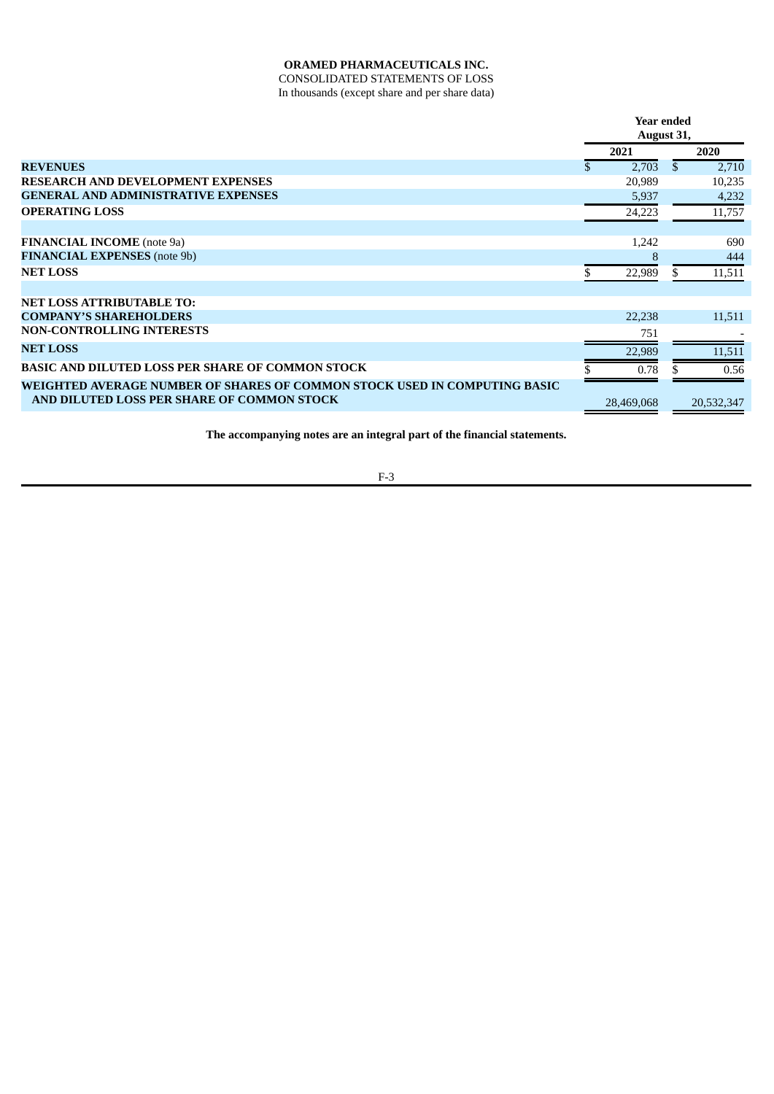CONSOLIDATED STATEMENTS OF LOSS In thousands (except share and per share data)

<span id="page-52-0"></span>

|                                                                           | <b>Year ended</b> |            |     |            |
|---------------------------------------------------------------------------|-------------------|------------|-----|------------|
|                                                                           |                   | August 31, |     |            |
|                                                                           |                   | 2021       |     | 2020       |
| <b>REVENUES</b>                                                           | \$.               | 2,703      | \$. | 2,710      |
| <b>RESEARCH AND DEVELOPMENT EXPENSES</b>                                  |                   | 20,989     |     | 10,235     |
| <b>GENERAL AND ADMINISTRATIVE EXPENSES</b>                                |                   | 5,937      |     | 4,232      |
| <b>OPERATING LOSS</b>                                                     |                   | 24,223     |     | 11,757     |
| <b>FINANCIAL INCOME</b> (note 9a)                                         |                   | 1,242      |     | 690        |
| <b>FINANCIAL EXPENSES</b> (note 9b)                                       |                   | 8          |     | 444        |
| <b>NET LOSS</b>                                                           |                   | 22,989     |     | 11,511     |
| <b>NET LOSS ATTRIBUTABLE TO:</b>                                          |                   |            |     |            |
| <b>COMPANY'S SHAREHOLDERS</b>                                             |                   | 22,238     |     | 11,511     |
| <b>NON-CONTROLLING INTERESTS</b>                                          |                   | 751        |     |            |
| <b>NET LOSS</b>                                                           |                   | 22,989     |     | 11,511     |
| <b>BASIC AND DILUTED LOSS PER SHARE OF COMMON STOCK</b>                   |                   | 0.78       |     | 0.56       |
| WEIGHTED AVERAGE NUMBER OF SHARES OF COMMON STOCK USED IN COMPUTING BASIC |                   |            |     |            |
| AND DILUTED LOSS PER SHARE OF COMMON STOCK                                |                   | 28,469,068 |     | 20,532,347 |

**The accompanying notes are an integral part of the financial statements.**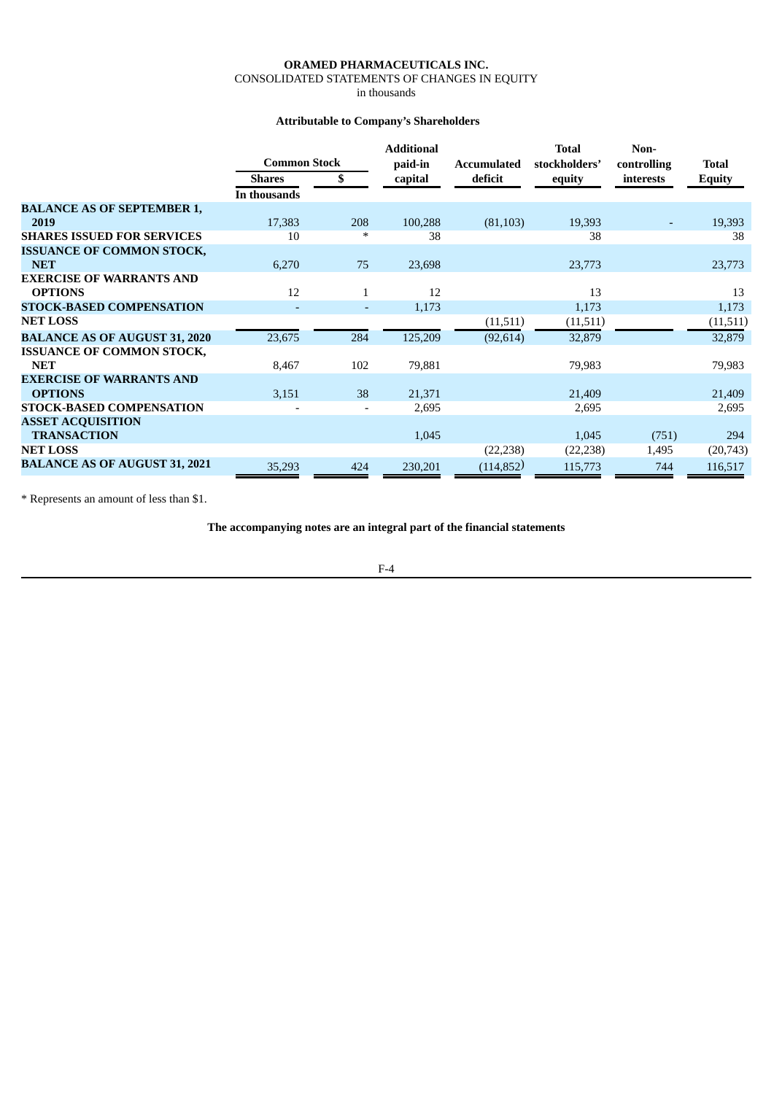# **ORAMED PHARMACEUTICALS INC.** CONSOLIDATED STATEMENTS OF CHANGES IN EQUITY

in thousands

# **Attributable to Company's Shareholders**

<span id="page-53-0"></span>

|                                      | <b>Common Stock</b> |                              | <b>Additional</b><br>paid-in | Accumulated | <b>Total</b><br>stockholders' | Non-<br>controlling | <b>Total</b>  |
|--------------------------------------|---------------------|------------------------------|------------------------------|-------------|-------------------------------|---------------------|---------------|
|                                      | <b>Shares</b>       | \$                           | capital                      | deficit     | equity                        | interests           | <b>Equity</b> |
|                                      | In thousands        |                              |                              |             |                               |                     |               |
| <b>BALANCE AS OF SEPTEMBER 1,</b>    |                     |                              |                              |             |                               |                     |               |
| 2019                                 | 17,383              | 208                          | 100,288                      | (81, 103)   | 19,393                        |                     | 19,393        |
| <b>SHARES ISSUED FOR SERVICES</b>    | 10                  | $\ast$                       | 38                           |             | 38                            |                     | 38            |
| <b>ISSUANCE OF COMMON STOCK,</b>     |                     |                              |                              |             |                               |                     |               |
| <b>NET</b>                           | 6,270               | 75                           | 23,698                       |             | 23,773                        |                     | 23,773        |
| <b>EXERCISE OF WARRANTS AND</b>      |                     |                              |                              |             |                               |                     |               |
| <b>OPTIONS</b>                       | 12                  | 1                            | 12                           |             | 13                            |                     | 13            |
| <b>STOCK-BASED COMPENSATION</b>      |                     |                              | 1,173                        |             | 1,173                         |                     | 1,173         |
| <b>NET LOSS</b>                      |                     |                              |                              | (11,511)    | (11,511)                      |                     | (11, 511)     |
| <b>BALANCE AS OF AUGUST 31, 2020</b> | 23,675              | 284                          | 125,209                      | (92, 614)   | 32,879                        |                     | 32,879        |
| <b>ISSUANCE OF COMMON STOCK,</b>     |                     |                              |                              |             |                               |                     |               |
| <b>NET</b>                           | 8,467               | 102                          | 79,881                       |             | 79,983                        |                     | 79,983        |
| <b>EXERCISE OF WARRANTS AND</b>      |                     |                              |                              |             |                               |                     |               |
| <b>OPTIONS</b>                       | 3,151               | 38                           | 21,371                       |             | 21,409                        |                     | 21,409        |
| <b>STOCK-BASED COMPENSATION</b>      |                     | $\qquad \qquad \blacksquare$ | 2,695                        |             | 2,695                         |                     | 2,695         |
| <b>ASSET ACQUISITION</b>             |                     |                              |                              |             |                               |                     |               |
| <b>TRANSACTION</b>                   |                     |                              | 1,045                        |             | 1,045                         | (751)               | 294           |
| <b>NET LOSS</b>                      |                     |                              |                              | (22, 238)   | (22, 238)                     | 1,495               | (20, 743)     |
| <b>BALANCE AS OF AUGUST 31, 2021</b> | 35,293              | 424                          | 230,201                      | (114, 852)  | 115,773                       | 744                 | 116,517       |

\* Represents an amount of less than \$1.

**The accompanying notes are an integral part of the financial statements**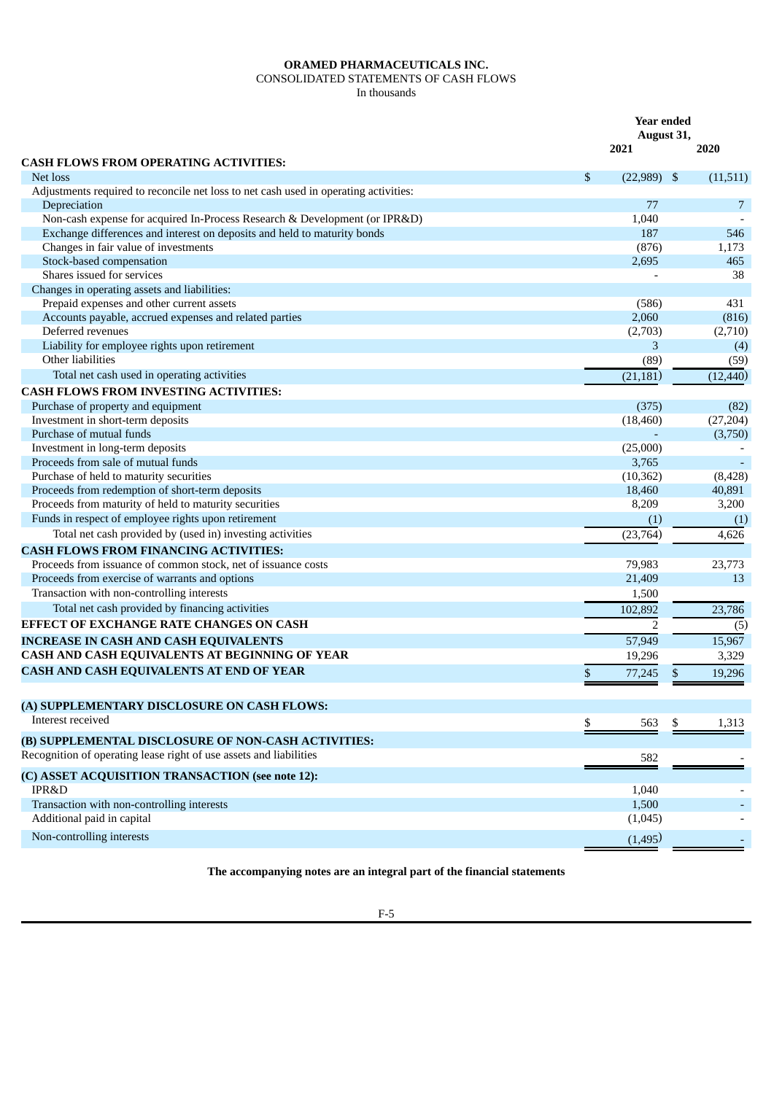#### **ORAMED PHARMACEUTICALS INC.** CONSOLIDATED STATEMENTS OF CASH FLOWS In thousands

<span id="page-54-0"></span>**Year ended August 31, 2021 2020 CASH FLOWS FROM OPERATING ACTIVITIES:** Net loss  $$ (22,989) \verb+ $ $ (11,511) $$ Adjustments required to reconcile net loss to net cash used in operating activities: Depreciation 77 7 Non-cash expense for acquired In-Process Research & Development (or IPR&D) 1,040 - Exchange differences and interest on deposits and held to maturity bonds 187 187 187 546 Changes in fair value of investments (876) 1,173 Stock-based compensation 2,695 465 Shares issued for services and the services of the services of the services of the services of the services of the services of the services of the services of the services of the services of the services of the services of Changes in operating assets and liabilities: Prepaid expenses and other current assets (586) 431 Accounts payable, accrued expenses and related parties 2,060 and  $(816)$ Deferred revenues (2,703) (2,710) Liability for employee rights upon retirement 3 (4) (4)  $(4)$ Other liabilities (89) (59) Total net cash used in operating activities (21,181) (12,440) **CASH FLOWS FROM INVESTING ACTIVITIES:** Purchase of property and equipment (375) (82) Investment in short-term deposits (18,460) (27,204) Purchase of mutual funds and the contract of the contract of the contract of the contract of the contract of the contract of the contract of the contract of the contract of the contract of the contract of the contract of t Investment in long-term deposits (25,000)  $(25,000)$ Proceeds from sale of mutual funds **3**,765 **3** Purchase of held to maturity securities (10,362) (8,428)<br>Proceeds from redemption of short-term deposits (20,000) (8,428) (8,428) (8,428) (8,428) (8,428) (9,891 Proceeds from redemption of short-term deposits Proceeds from maturity of held to maturity securities 8,209 3,200 Funds in respect of employee rights upon retirement (1) (1) Total net cash provided by (used in) investing activities (23,764) and the cash of the cash provided by (used in) investing activities (23,764) and the cash provided by (used in) investing activities (23,764) and  $4.626$ **CASH FLOWS FROM FINANCING ACTIVITIES:** Proceeds from issuance of common stock, net of issuance costs 79,983 23,773 Proceeds from exercise of warrants and options 21,409 13 Transaction with non-controlling interests 1,500 Total net cash provided by financing activities 102,892 23,786 **EFFECT OF EXCHANGE RATE CHANGES ON CASH** 2 (5) **INCREASE IN CASH AND CASH EQUIVALENTS** 57,949 15,967 **CASH AND CASH EQUIVALENTS AT BEGINNING OF YEAR** 19,296 3,329 **CASH AND CASH EQUIVALENTS AT END OF YEAR 8 19,296 8** 19,296 **(A) SUPPLEMENTARY DISCLOSURE ON CASH FLOWS:** Interest received  $$563 \quad $563 \quad $1,313$ **(B) SUPPLEMENTAL DISCLOSURE OF NON-CASH ACTIVITIES:** Recognition of operating lease right of use assets and liabilities 582 **(C) ASSET ACQUISITION TRANSACTION (see note 12):**  $IPR\&D$  1,040  $-$ Transaction with non-controlling interests 1,500  $\sim$  1,500  $\sim$  1,500  $\sim$  1,500  $\sim$  1,500  $\sim$  1,500  $\sim$  1,500  $\sim$  1,500  $\sim$  1,500  $\sim$  1,500  $\sim$  1,500  $\sim$  1,500  $\sim$  1,500  $\sim$  1,500  $\sim$  1,500  $\sim$  1,500  $\sim$  1,5 Additional paid in capital (1,045)  $(1,045)$ Non-controlling interests (1,495)

**The accompanying notes are an integral part of the financial statements**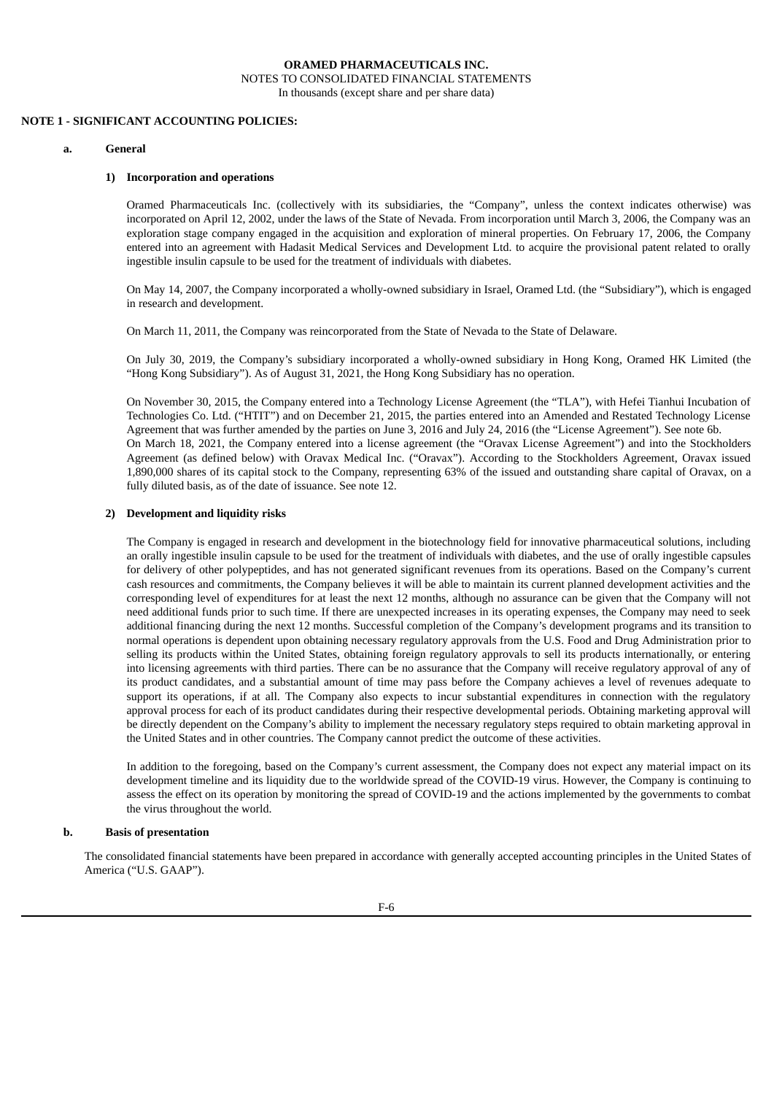# <span id="page-55-0"></span>**NOTE 1 - SIGNIFICANT ACCOUNTING POLICIES:**

#### **a. General**

## **1) Incorporation and operations**

Oramed Pharmaceuticals Inc. (collectively with its subsidiaries, the "Company", unless the context indicates otherwise) was incorporated on April 12, 2002, under the laws of the State of Nevada. From incorporation until March 3, 2006, the Company was an exploration stage company engaged in the acquisition and exploration of mineral properties. On February 17, 2006, the Company entered into an agreement with Hadasit Medical Services and Development Ltd. to acquire the provisional patent related to orally ingestible insulin capsule to be used for the treatment of individuals with diabetes.

On May 14, 2007, the Company incorporated a wholly-owned subsidiary in Israel, Oramed Ltd. (the "Subsidiary"), which is engaged in research and development.

On March 11, 2011, the Company was reincorporated from the State of Nevada to the State of Delaware.

On July 30, 2019, the Company's subsidiary incorporated a wholly-owned subsidiary in Hong Kong, Oramed HK Limited (the "Hong Kong Subsidiary"). As of August 31, 2021, the Hong Kong Subsidiary has no operation.

On November 30, 2015, the Company entered into a Technology License Agreement (the "TLA"), with Hefei Tianhui Incubation of Technologies Co. Ltd. ("HTIT") and on December 21, 2015, the parties entered into an Amended and Restated Technology License Agreement that was further amended by the parties on June 3, 2016 and July 24, 2016 (the "License Agreement"). See note 6b. On March 18, 2021, the Company entered into a license agreement (the "Oravax License Agreement") and into the Stockholders Agreement (as defined below) with Oravax Medical Inc. ("Oravax"). According to the Stockholders Agreement, Oravax issued 1,890,000 shares of its capital stock to the Company, representing 63% of the issued and outstanding share capital of Oravax, on a fully diluted basis, as of the date of issuance. See note 12.

#### **2) Development and liquidity risks**

The Company is engaged in research and development in the biotechnology field for innovative pharmaceutical solutions, including an orally ingestible insulin capsule to be used for the treatment of individuals with diabetes, and the use of orally ingestible capsules for delivery of other polypeptides, and has not generated significant revenues from its operations. Based on the Company's current cash resources and commitments, the Company believes it will be able to maintain its current planned development activities and the corresponding level of expenditures for at least the next 12 months, although no assurance can be given that the Company will not need additional funds prior to such time. If there are unexpected increases in its operating expenses, the Company may need to seek additional financing during the next 12 months. Successful completion of the Company's development programs and its transition to normal operations is dependent upon obtaining necessary regulatory approvals from the U.S. Food and Drug Administration prior to selling its products within the United States, obtaining foreign regulatory approvals to sell its products internationally, or entering into licensing agreements with third parties. There can be no assurance that the Company will receive regulatory approval of any of its product candidates, and a substantial amount of time may pass before the Company achieves a level of revenues adequate to support its operations, if at all. The Company also expects to incur substantial expenditures in connection with the regulatory approval process for each of its product candidates during their respective developmental periods. Obtaining marketing approval will be directly dependent on the Company's ability to implement the necessary regulatory steps required to obtain marketing approval in the United States and in other countries. The Company cannot predict the outcome of these activities.

In addition to the foregoing, based on the Company's current assessment, the Company does not expect any material impact on its development timeline and its liquidity due to the worldwide spread of the COVID-19 virus. However, the Company is continuing to assess the effect on its operation by monitoring the spread of COVID-19 and the actions implemented by the governments to combat the virus throughout the world.

# **b. Basis of presentation**

The consolidated financial statements have been prepared in accordance with generally accepted accounting principles in the United States of America ("U.S. GAAP").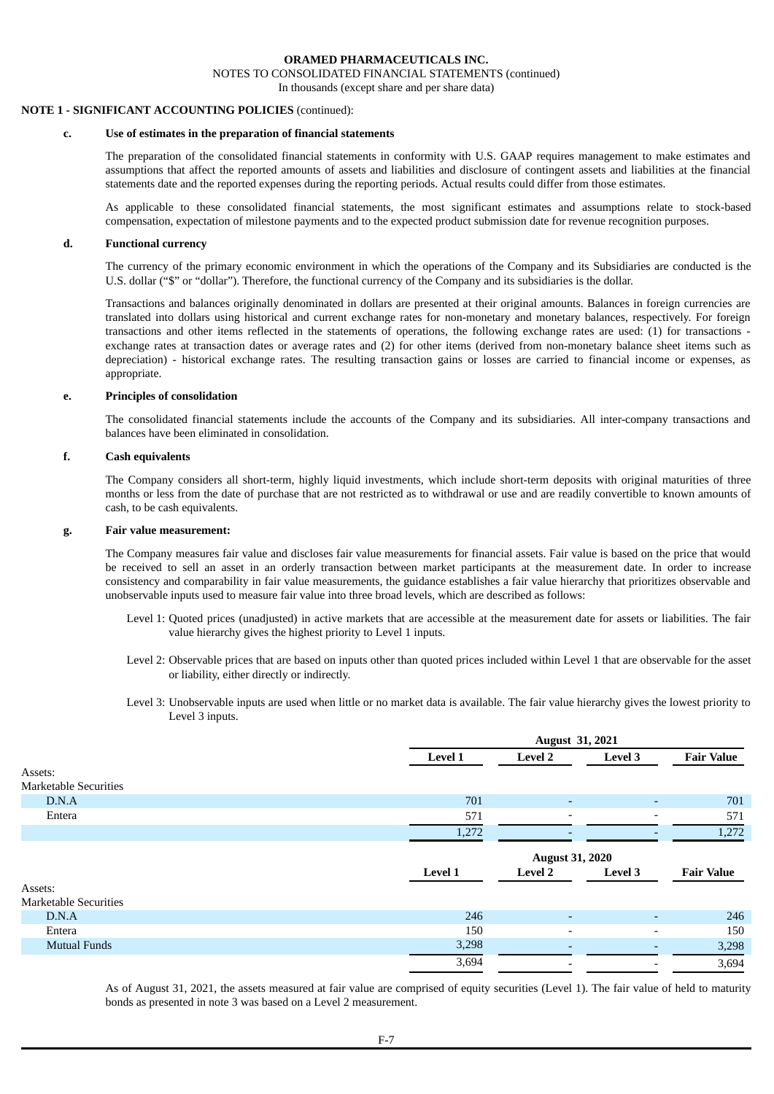NOTES TO CONSOLIDATED FINANCIAL STATEMENTS (continued)

In thousands (except share and per share data)

# **NOTE 1 - SIGNIFICANT ACCOUNTING POLICIES** (continued):

# **c. Use of estimates in the preparation of financial statements**

The preparation of the consolidated financial statements in conformity with U.S. GAAP requires management to make estimates and assumptions that affect the reported amounts of assets and liabilities and disclosure of contingent assets and liabilities at the financial statements date and the reported expenses during the reporting periods. Actual results could differ from those estimates.

As applicable to these consolidated financial statements, the most significant estimates and assumptions relate to stock-based compensation, expectation of milestone payments and to the expected product submission date for revenue recognition purposes.

# **d. Functional currency**

The currency of the primary economic environment in which the operations of the Company and its Subsidiaries are conducted is the U.S. dollar ("\$" or "dollar"). Therefore, the functional currency of the Company and its subsidiaries is the dollar.

Transactions and balances originally denominated in dollars are presented at their original amounts. Balances in foreign currencies are translated into dollars using historical and current exchange rates for non-monetary and monetary balances, respectively. For foreign transactions and other items reflected in the statements of operations, the following exchange rates are used: (1) for transactions exchange rates at transaction dates or average rates and (2) for other items (derived from non-monetary balance sheet items such as depreciation) - historical exchange rates. The resulting transaction gains or losses are carried to financial income or expenses, as appropriate.

## **e. Principles of consolidation**

The consolidated financial statements include the accounts of the Company and its subsidiaries. All inter-company transactions and balances have been eliminated in consolidation.

# **f. Cash equivalents**

The Company considers all short-term, highly liquid investments, which include short-term deposits with original maturities of three months or less from the date of purchase that are not restricted as to withdrawal or use and are readily convertible to known amounts of cash, to be cash equivalents.

## **g. Fair value measurement:**

The Company measures fair value and discloses fair value measurements for financial assets. Fair value is based on the price that would be received to sell an asset in an orderly transaction between market participants at the measurement date. In order to increase consistency and comparability in fair value measurements, the guidance establishes a fair value hierarchy that prioritizes observable and unobservable inputs used to measure fair value into three broad levels, which are described as follows:

- Level 1: Quoted prices (unadjusted) in active markets that are accessible at the measurement date for assets or liabilities. The fair value hierarchy gives the highest priority to Level 1 inputs.
- Level 2: Observable prices that are based on inputs other than quoted prices included within Level 1 that are observable for the asset or liability, either directly or indirectly.
- Level 3: Unobservable inputs are used when little or no market data is available. The fair value hierarchy gives the lowest priority to Level 3 inputs.

|                              |                | <b>August 31, 2021</b>   |                          |                   |  |  |  |
|------------------------------|----------------|--------------------------|--------------------------|-------------------|--|--|--|
|                              | <b>Level 1</b> | <b>Level 2</b>           | Level 3                  | <b>Fair Value</b> |  |  |  |
| Assets:                      |                |                          |                          |                   |  |  |  |
| <b>Marketable Securities</b> |                |                          |                          |                   |  |  |  |
| D.N.A                        | 701            | ٠                        | $\overline{\phantom{a}}$ | 701               |  |  |  |
| Entera                       | 571            | $\overline{\phantom{a}}$ |                          | 571               |  |  |  |
|                              | 1,272          |                          |                          | 1,272             |  |  |  |
|                              |                | <b>August 31, 2020</b>   |                          |                   |  |  |  |
|                              | <b>Level 1</b> | <b>Level 2</b>           | <b>Level 3</b>           | <b>Fair Value</b> |  |  |  |
| Assets:                      |                |                          |                          |                   |  |  |  |
| <b>Marketable Securities</b> |                |                          |                          |                   |  |  |  |
| D.N.A                        | 246            | $\overline{\phantom{a}}$ | $\overline{\phantom{a}}$ | 246               |  |  |  |
| Entera                       | 150            | $\overline{\phantom{a}}$ | $\overline{\phantom{a}}$ | 150               |  |  |  |
| <b>Mutual Funds</b>          | 3,298          | $\overline{\phantom{0}}$ | -                        | 3,298             |  |  |  |
|                              | 3,694          | -                        |                          | 3,694             |  |  |  |

As of August 31, 2021, the assets measured at fair value are comprised of equity securities (Level 1). The fair value of held to maturity bonds as presented in note 3 was based on a Level 2 measurement.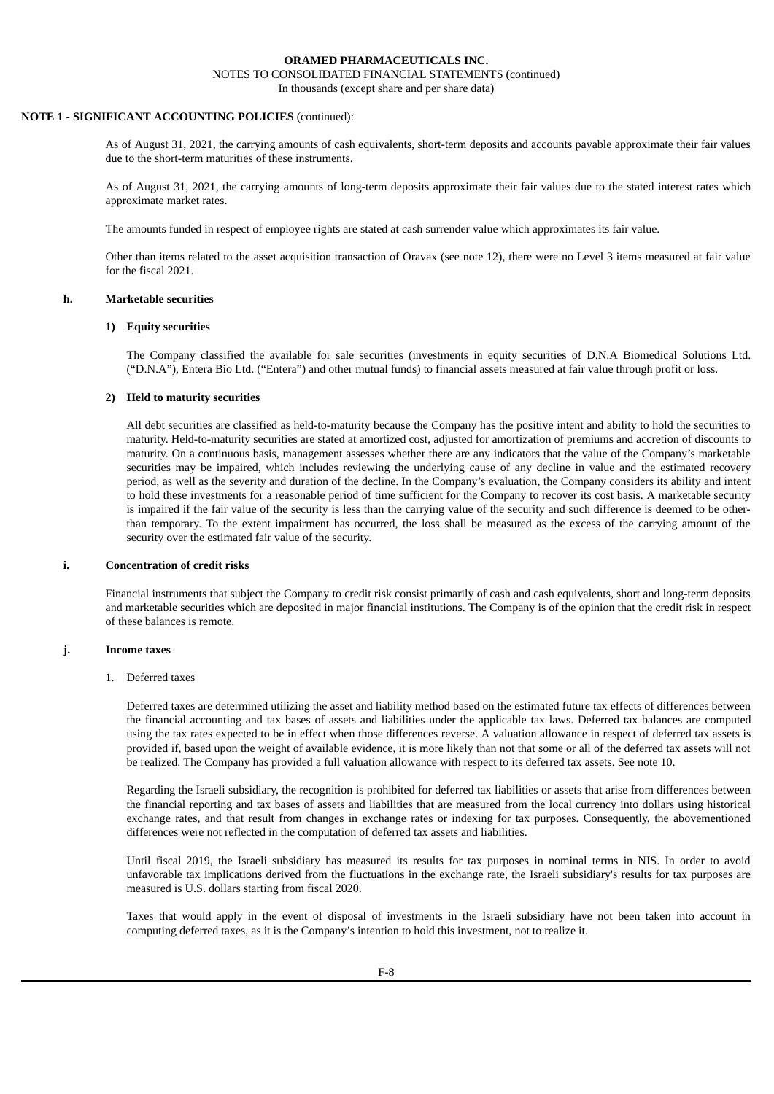# NOTES TO CONSOLIDATED FINANCIAL STATEMENTS (continued)

In thousands (except share and per share data)

### **NOTE 1 - SIGNIFICANT ACCOUNTING POLICIES** (continued):

As of August 31, 2021, the carrying amounts of cash equivalents, short-term deposits and accounts payable approximate their fair values due to the short-term maturities of these instruments.

As of August 31, 2021, the carrying amounts of long-term deposits approximate their fair values due to the stated interest rates which approximate market rates.

The amounts funded in respect of employee rights are stated at cash surrender value which approximates its fair value.

Other than items related to the asset acquisition transaction of Oravax (see note 12), there were no Level 3 items measured at fair value for the fiscal 2021.

# **h. Marketable securities**

#### **1) Equity securities**

The Company classified the available for sale securities (investments in equity securities of D.N.A Biomedical Solutions Ltd. ("D.N.A"), Entera Bio Ltd. ("Entera") and other mutual funds) to financial assets measured at fair value through profit or loss.

# **2) Held to maturity securities**

All debt securities are classified as held-to-maturity because the Company has the positive intent and ability to hold the securities to maturity. Held-to-maturity securities are stated at amortized cost, adjusted for amortization of premiums and accretion of discounts to maturity. On a continuous basis, management assesses whether there are any indicators that the value of the Company's marketable securities may be impaired, which includes reviewing the underlying cause of any decline in value and the estimated recovery period, as well as the severity and duration of the decline. In the Company's evaluation, the Company considers its ability and intent to hold these investments for a reasonable period of time sufficient for the Company to recover its cost basis. A marketable security is impaired if the fair value of the security is less than the carrying value of the security and such difference is deemed to be otherthan temporary. To the extent impairment has occurred, the loss shall be measured as the excess of the carrying amount of the security over the estimated fair value of the security.

#### **i. Concentration of credit risks**

Financial instruments that subject the Company to credit risk consist primarily of cash and cash equivalents, short and long-term deposits and marketable securities which are deposited in major financial institutions. The Company is of the opinion that the credit risk in respect of these balances is remote.

### **j. Income taxes**

# 1. Deferred taxes

Deferred taxes are determined utilizing the asset and liability method based on the estimated future tax effects of differences between the financial accounting and tax bases of assets and liabilities under the applicable tax laws. Deferred tax balances are computed using the tax rates expected to be in effect when those differences reverse. A valuation allowance in respect of deferred tax assets is provided if, based upon the weight of available evidence, it is more likely than not that some or all of the deferred tax assets will not be realized. The Company has provided a full valuation allowance with respect to its deferred tax assets. See note 10.

Regarding the Israeli subsidiary, the recognition is prohibited for deferred tax liabilities or assets that arise from differences between the financial reporting and tax bases of assets and liabilities that are measured from the local currency into dollars using historical exchange rates, and that result from changes in exchange rates or indexing for tax purposes. Consequently, the abovementioned differences were not reflected in the computation of deferred tax assets and liabilities.

Until fiscal 2019, the Israeli subsidiary has measured its results for tax purposes in nominal terms in NIS. In order to avoid unfavorable tax implications derived from the fluctuations in the exchange rate, the Israeli subsidiary's results for tax purposes are measured is U.S. dollars starting from fiscal 2020.

Taxes that would apply in the event of disposal of investments in the Israeli subsidiary have not been taken into account in computing deferred taxes, as it is the Company's intention to hold this investment, not to realize it.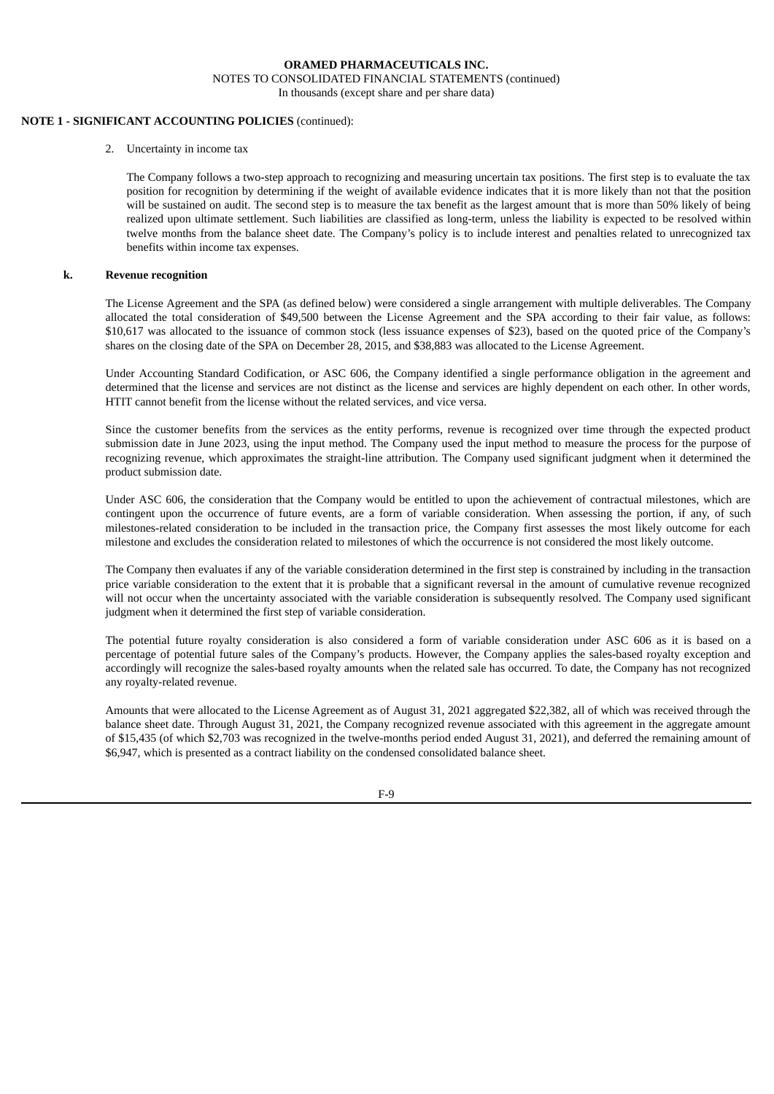# **NOTE 1 - SIGNIFICANT ACCOUNTING POLICIES** (continued):

2. Uncertainty in income tax

The Company follows a two-step approach to recognizing and measuring uncertain tax positions. The first step is to evaluate the tax position for recognition by determining if the weight of available evidence indicates that it is more likely than not that the position will be sustained on audit. The second step is to measure the tax benefit as the largest amount that is more than 50% likely of being realized upon ultimate settlement. Such liabilities are classified as long-term, unless the liability is expected to be resolved within twelve months from the balance sheet date. The Company's policy is to include interest and penalties related to unrecognized tax benefits within income tax expenses.

### **k. Revenue recognition**

The License Agreement and the SPA (as defined below) were considered a single arrangement with multiple deliverables. The Company allocated the total consideration of \$49,500 between the License Agreement and the SPA according to their fair value, as follows: \$10,617 was allocated to the issuance of common stock (less issuance expenses of \$23), based on the quoted price of the Company's shares on the closing date of the SPA on December 28, 2015, and \$38,883 was allocated to the License Agreement.

Under Accounting Standard Codification, or ASC 606, the Company identified a single performance obligation in the agreement and determined that the license and services are not distinct as the license and services are highly dependent on each other. In other words, HTIT cannot benefit from the license without the related services, and vice versa.

Since the customer benefits from the services as the entity performs, revenue is recognized over time through the expected product submission date in June 2023, using the input method. The Company used the input method to measure the process for the purpose of recognizing revenue, which approximates the straight-line attribution. The Company used significant judgment when it determined the product submission date.

Under ASC 606, the consideration that the Company would be entitled to upon the achievement of contractual milestones, which are contingent upon the occurrence of future events, are a form of variable consideration. When assessing the portion, if any, of such milestones-related consideration to be included in the transaction price, the Company first assesses the most likely outcome for each milestone and excludes the consideration related to milestones of which the occurrence is not considered the most likely outcome.

The Company then evaluates if any of the variable consideration determined in the first step is constrained by including in the transaction price variable consideration to the extent that it is probable that a significant reversal in the amount of cumulative revenue recognized will not occur when the uncertainty associated with the variable consideration is subsequently resolved. The Company used significant judgment when it determined the first step of variable consideration.

The potential future royalty consideration is also considered a form of variable consideration under ASC 606 as it is based on a percentage of potential future sales of the Company's products. However, the Company applies the sales-based royalty exception and accordingly will recognize the sales-based royalty amounts when the related sale has occurred. To date, the Company has not recognized any royalty-related revenue.

Amounts that were allocated to the License Agreement as of August 31, 2021 aggregated \$22,382, all of which was received through the balance sheet date. Through August 31, 2021, the Company recognized revenue associated with this agreement in the aggregate amount of \$15,435 (of which \$2,703 was recognized in the twelve-months period ended August 31, 2021), and deferred the remaining amount of \$6,947, which is presented as a contract liability on the condensed consolidated balance sheet.

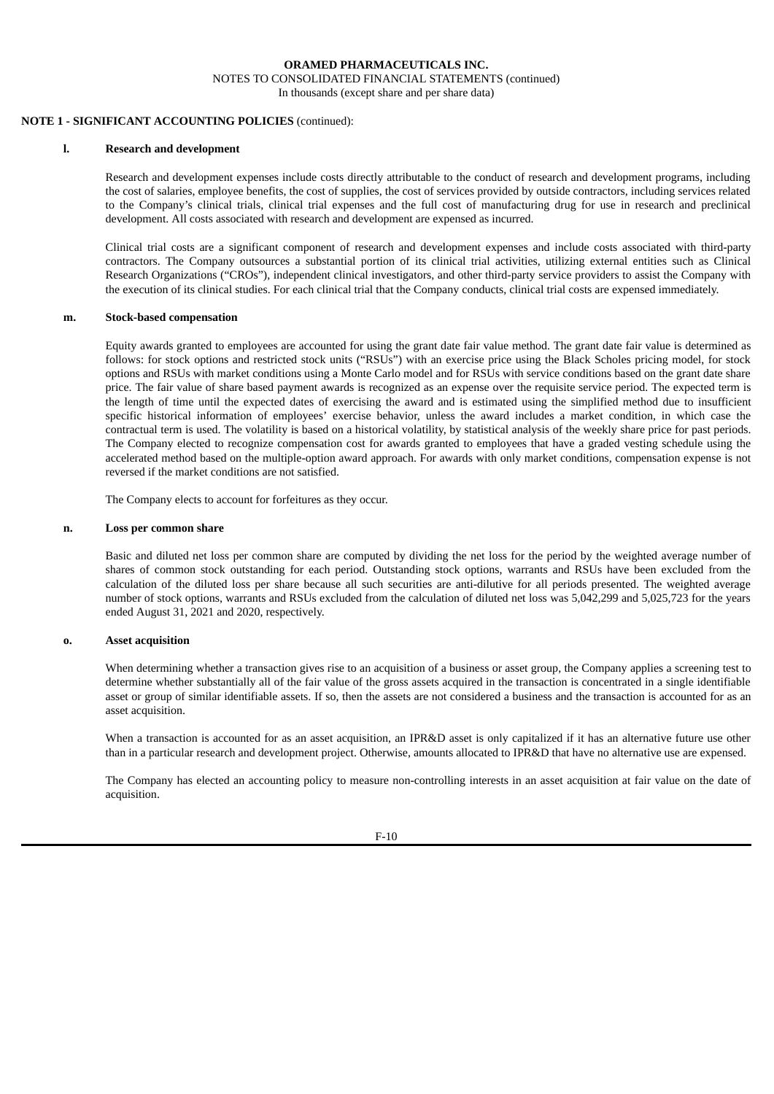# **NOTE 1 - SIGNIFICANT ACCOUNTING POLICIES** (continued):

#### **l. Research and development**

Research and development expenses include costs directly attributable to the conduct of research and development programs, including the cost of salaries, employee benefits, the cost of supplies, the cost of services provided by outside contractors, including services related to the Company's clinical trials, clinical trial expenses and the full cost of manufacturing drug for use in research and preclinical development. All costs associated with research and development are expensed as incurred.

Clinical trial costs are a significant component of research and development expenses and include costs associated with third-party contractors. The Company outsources a substantial portion of its clinical trial activities, utilizing external entities such as Clinical Research Organizations ("CROs"), independent clinical investigators, and other third-party service providers to assist the Company with the execution of its clinical studies. For each clinical trial that the Company conducts, clinical trial costs are expensed immediately.

#### **m. Stock-based compensation**

Equity awards granted to employees are accounted for using the grant date fair value method. The grant date fair value is determined as follows: for stock options and restricted stock units ("RSUs") with an exercise price using the Black Scholes pricing model, for stock options and RSUs with market conditions using a Monte Carlo model and for RSUs with service conditions based on the grant date share price. The fair value of share based payment awards is recognized as an expense over the requisite service period. The expected term is the length of time until the expected dates of exercising the award and is estimated using the simplified method due to insufficient specific historical information of employees' exercise behavior, unless the award includes a market condition, in which case the contractual term is used. The volatility is based on a historical volatility, by statistical analysis of the weekly share price for past periods. The Company elected to recognize compensation cost for awards granted to employees that have a graded vesting schedule using the accelerated method based on the multiple-option award approach. For awards with only market conditions, compensation expense is not reversed if the market conditions are not satisfied.

The Company elects to account for forfeitures as they occur.

#### **n. Loss per common share**

Basic and diluted net loss per common share are computed by dividing the net loss for the period by the weighted average number of shares of common stock outstanding for each period. Outstanding stock options, warrants and RSUs have been excluded from the calculation of the diluted loss per share because all such securities are anti-dilutive for all periods presented. The weighted average number of stock options, warrants and RSUs excluded from the calculation of diluted net loss was 5,042,299 and 5,025,723 for the years ended August 31, 2021 and 2020, respectively.

### **o. Asset acquisition**

When determining whether a transaction gives rise to an acquisition of a business or asset group, the Company applies a screening test to determine whether substantially all of the fair value of the gross assets acquired in the transaction is concentrated in a single identifiable asset or group of similar identifiable assets. If so, then the assets are not considered a business and the transaction is accounted for as an asset acquisition.

When a transaction is accounted for as an asset acquisition, an IPR&D asset is only capitalized if it has an alternative future use other than in a particular research and development project. Otherwise, amounts allocated to IPR&D that have no alternative use are expensed.

The Company has elected an accounting policy to measure non-controlling interests in an asset acquisition at fair value on the date of acquisition.

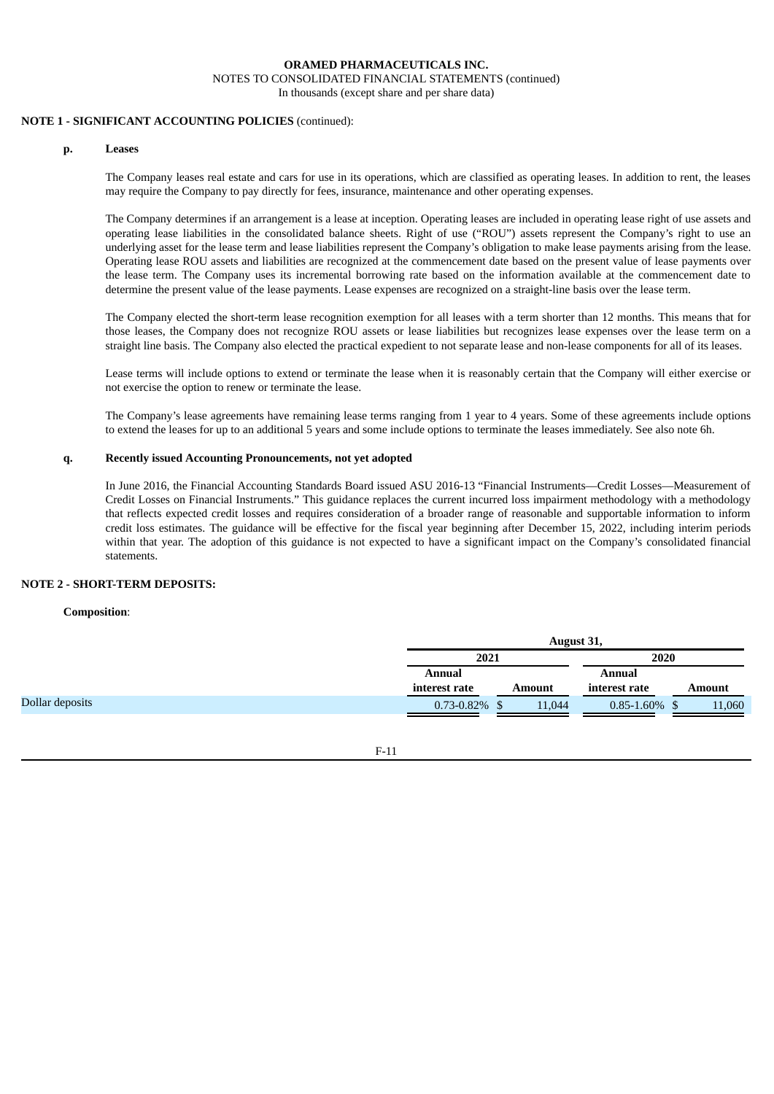# **NOTE 1 - SIGNIFICANT ACCOUNTING POLICIES** (continued):

### **p. Leases**

The Company leases real estate and cars for use in its operations, which are classified as operating leases. In addition to rent, the leases may require the Company to pay directly for fees, insurance, maintenance and other operating expenses.

The Company determines if an arrangement is a lease at inception. Operating leases are included in operating lease right of use assets and operating lease liabilities in the consolidated balance sheets. Right of use ("ROU") assets represent the Company's right to use an underlying asset for the lease term and lease liabilities represent the Company's obligation to make lease payments arising from the lease. Operating lease ROU assets and liabilities are recognized at the commencement date based on the present value of lease payments over the lease term. The Company uses its incremental borrowing rate based on the information available at the commencement date to determine the present value of the lease payments. Lease expenses are recognized on a straight-line basis over the lease term.

The Company elected the short-term lease recognition exemption for all leases with a term shorter than 12 months. This means that for those leases, the Company does not recognize ROU assets or lease liabilities but recognizes lease expenses over the lease term on a straight line basis. The Company also elected the practical expedient to not separate lease and non-lease components for all of its leases.

Lease terms will include options to extend or terminate the lease when it is reasonably certain that the Company will either exercise or not exercise the option to renew or terminate the lease.

The Company's lease agreements have remaining lease terms ranging from 1 year to 4 years. Some of these agreements include options to extend the leases for up to an additional 5 years and some include options to terminate the leases immediately. See also note 6h.

#### **q. Recently issued Accounting Pronouncements, not yet adopted**

In June 2016, the Financial Accounting Standards Board issued ASU 2016-13 "Financial Instruments—Credit Losses—Measurement of Credit Losses on Financial Instruments." This guidance replaces the current incurred loss impairment methodology with a methodology that reflects expected credit losses and requires consideration of a broader range of reasonable and supportable information to inform credit loss estimates. The guidance will be effective for the fiscal year beginning after December 15, 2022, including interim periods within that year. The adoption of this guidance is not expected to have a significant impact on the Company's consolidated financial statements.

# **NOTE 2 - SHORT-TERM DEPOSITS:**

#### **Composition**:

|                 | August 31,         |        |                    |        |  |  |
|-----------------|--------------------|--------|--------------------|--------|--|--|
|                 | 2021               |        | 2020               |        |  |  |
|                 | <b>Annual</b>      |        | Annual             |        |  |  |
|                 | interest rate      | Amount | interest rate      | Amount |  |  |
| Dollar deposits | $0.73 - 0.82\%$ \$ | 11,044 | $0.85 - 1.60\%$ \$ | 11,060 |  |  |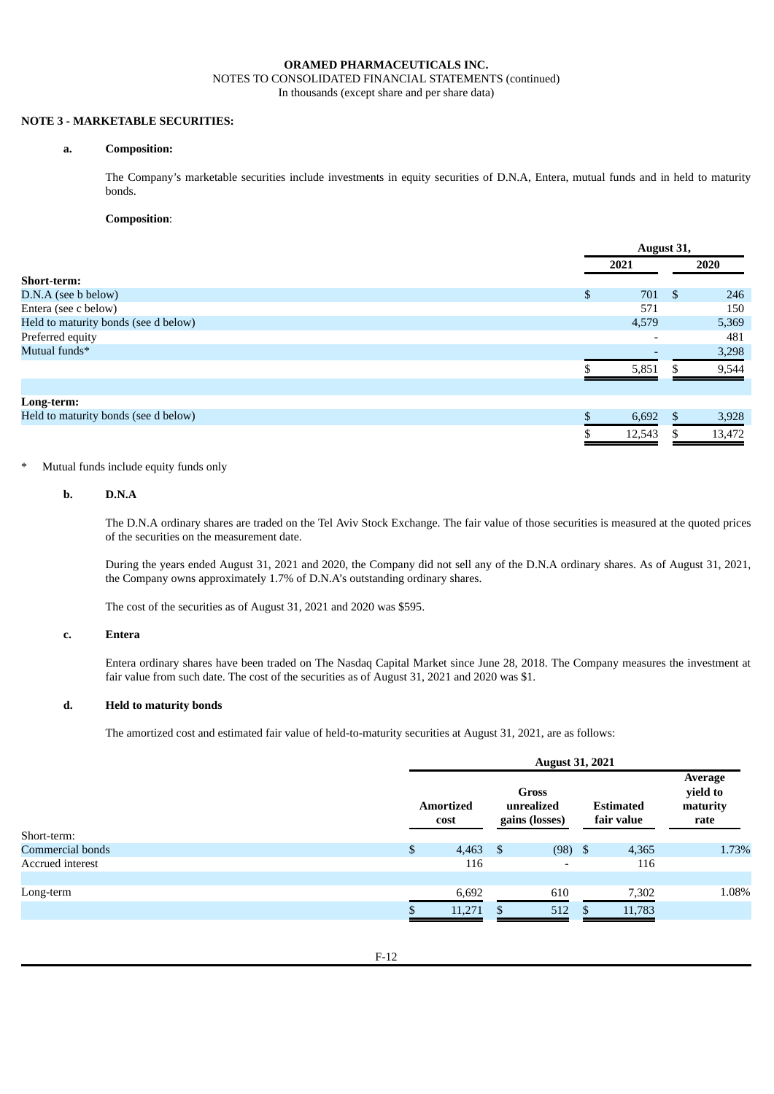# **NOTE 3 - MARKETABLE SECURITIES:**

# **a. Composition:**

The Company's marketable securities include investments in equity securities of D.N.A, Entera, mutual funds and in held to maturity bonds.

# **Composition**:

|                                      | August 31, |                          |     |        |  |  |
|--------------------------------------|------------|--------------------------|-----|--------|--|--|
|                                      |            | 2021                     |     | 2020   |  |  |
| Short-term:                          |            |                          |     |        |  |  |
| D.N.A (see b below)                  | \$         | 701                      | -S  | 246    |  |  |
| Entera (see c below)                 |            | 571                      |     | 150    |  |  |
| Held to maturity bonds (see d below) |            | 4,579                    |     | 5,369  |  |  |
| Preferred equity                     |            | $\overline{\phantom{0}}$ |     | 481    |  |  |
| Mutual funds*                        |            |                          |     | 3,298  |  |  |
|                                      |            | 5,851                    | Ж   | 9,544  |  |  |
|                                      |            |                          |     |        |  |  |
| Long-term:                           |            |                          |     |        |  |  |
| Held to maturity bonds (see d below) | \$         | 6,692                    | \$. | 3,928  |  |  |
|                                      | \$         | 12,543                   | S   | 13,472 |  |  |

### Mutual funds include equity funds only

### **b. D.N.A**

The D.N.A ordinary shares are traded on the Tel Aviv Stock Exchange. The fair value of those securities is measured at the quoted prices of the securities on the measurement date.

During the years ended August 31, 2021 and 2020, the Company did not sell any of the D.N.A ordinary shares. As of August 31, 2021, the Company owns approximately 1.7% of D.N.A's outstanding ordinary shares.

The cost of the securities as of August 31, 2021 and 2020 was \$595.

# **c. Entera**

Entera ordinary shares have been traded on The Nasdaq Capital Market since June 28, 2018. The Company measures the investment at fair value from such date. The cost of the securities as of August 31, 2021 and 2020 was \$1.

# **d. Held to maturity bonds**

The amortized cost and estimated fair value of held-to-maturity securities at August 31, 2021, are as follows:

|                  |    | <b>August 31, 2021</b>   |                                              |                          |                                |        |                                         |  |
|------------------|----|--------------------------|----------------------------------------------|--------------------------|--------------------------------|--------|-----------------------------------------|--|
|                  |    | <b>Amortized</b><br>cost | <b>Gross</b><br>unrealized<br>gains (losses) |                          | <b>Estimated</b><br>fair value |        | Average<br>yield to<br>maturity<br>rate |  |
| Short-term:      |    |                          |                                              |                          |                                |        |                                         |  |
| Commercial bonds | \$ | 4,463 \$                 |                                              | $(98)$ \$                |                                | 4,365  | 1.73%                                   |  |
| Accrued interest |    | 116                      |                                              | $\overline{\phantom{a}}$ |                                | 116    |                                         |  |
|                  |    |                          |                                              |                          |                                |        |                                         |  |
| Long-term        |    | 6,692                    |                                              | 610                      |                                | 7,302  | 1.08%                                   |  |
|                  |    | 11,271                   |                                              | 512                      |                                | 11,783 |                                         |  |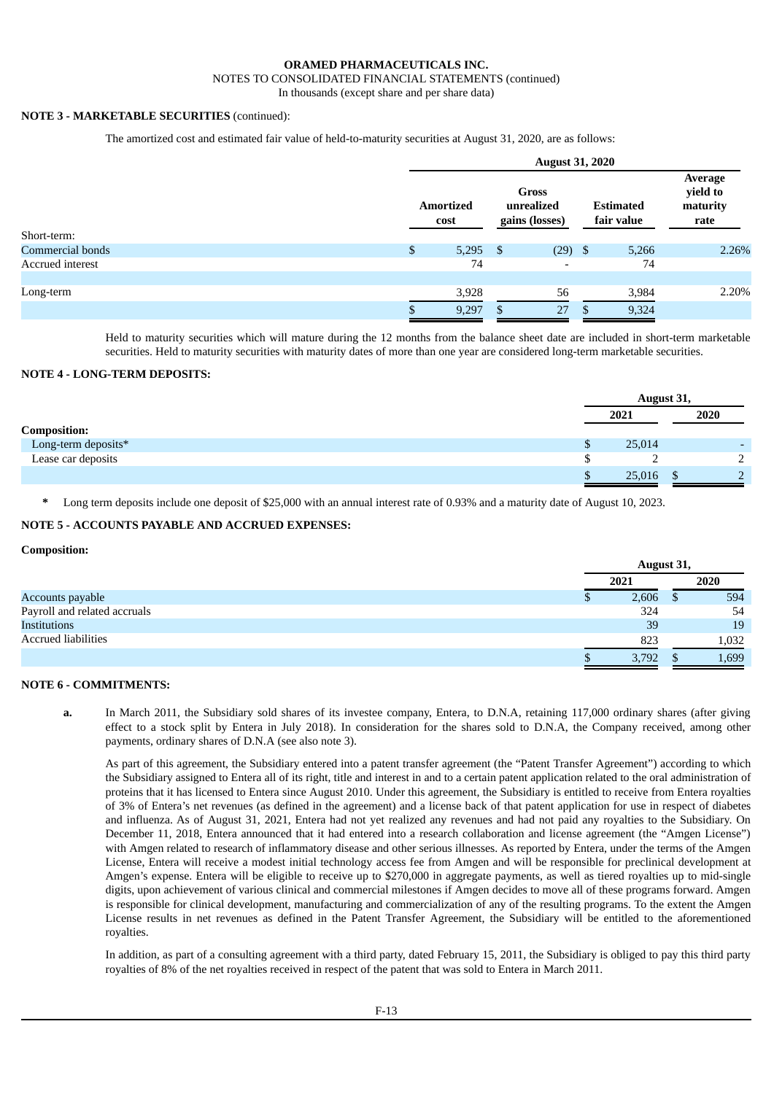# NOTES TO CONSOLIDATED FINANCIAL STATEMENTS (continued)

In thousands (except share and per share data)

# **NOTE 3 - MARKETABLE SECURITIES** (continued):

The amortized cost and estimated fair value of held-to-maturity securities at August 31, 2020, are as follows:

| <b>August 31, 2020</b>   |       |                                       |                          |                                |           |                                         |
|--------------------------|-------|---------------------------------------|--------------------------|--------------------------------|-----------|-----------------------------------------|
| <b>Amortized</b><br>cost |       | Gross<br>unrealized<br>gains (losses) |                          | <b>Estimated</b><br>fair value |           | Average<br>yield to<br>maturity<br>rate |
|                          |       |                                       |                          |                                |           |                                         |
| \$                       |       |                                       |                          |                                | 5,266     | 2.26%                                   |
|                          | 74    |                                       | $\overline{\phantom{0}}$ |                                | 74        |                                         |
|                          |       |                                       |                          |                                |           |                                         |
|                          | 3,928 |                                       | 56                       |                                | 3,984     | 2.20%                                   |
|                          | 9,297 |                                       | 27                       |                                | 9,324     |                                         |
|                          |       |                                       | 5,295 \$                 |                                | $(29)$ \$ |                                         |

Held to maturity securities which will mature during the 12 months from the balance sheet date are included in short-term marketable securities. Held to maturity securities with maturity dates of more than one year are considered long-term marketable securities.

# **NOTE 4 - LONG-TERM DEPOSITS:**

|                     | August 31, |  |      |  |
|---------------------|------------|--|------|--|
|                     | 2021       |  | 2020 |  |
| <b>Composition:</b> |            |  |      |  |
| Long-term deposits* | 25,014     |  |      |  |
| Lease car deposits  |            |  |      |  |
|                     | 25,016     |  |      |  |

**\*** Long term deposits include one deposit of \$25,000 with an annual interest rate of 0.93% and a maturity date of August 10, 2023.

# **NOTE 5 - ACCOUNTS PAYABLE AND ACCRUED EXPENSES:**

# **Composition:**

|                              | August 31, |  |       |
|------------------------------|------------|--|-------|
|                              | 2021       |  | 2020  |
| Accounts payable             | 2,606      |  | 594   |
| Payroll and related accruals | 324        |  | 54    |
| Institutions                 | 39         |  | 19    |
| <b>Accrued liabilities</b>   | 823        |  | 1,032 |
|                              | 3,792      |  | 1,699 |

#### **NOTE 6 - COMMITMENTS:**

**a.** In March 2011, the Subsidiary sold shares of its investee company, Entera, to D.N.A, retaining 117,000 ordinary shares (after giving effect to a stock split by Entera in July 2018). In consideration for the shares sold to D.N.A, the Company received, among other payments, ordinary shares of D.N.A (see also note 3).

As part of this agreement, the Subsidiary entered into a patent transfer agreement (the "Patent Transfer Agreement") according to which the Subsidiary assigned to Entera all of its right, title and interest in and to a certain patent application related to the oral administration of proteins that it has licensed to Entera since August 2010. Under this agreement, the Subsidiary is entitled to receive from Entera royalties of 3% of Entera's net revenues (as defined in the agreement) and a license back of that patent application for use in respect of diabetes and influenza. As of August 31, 2021, Entera had not yet realized any revenues and had not paid any royalties to the Subsidiary. On December 11, 2018, Entera announced that it had entered into a research collaboration and license agreement (the "Amgen License") with Amgen related to research of inflammatory disease and other serious illnesses. As reported by Entera, under the terms of the Amgen License, Entera will receive a modest initial technology access fee from Amgen and will be responsible for preclinical development at Amgen's expense. Entera will be eligible to receive up to \$270,000 in aggregate payments, as well as tiered royalties up to mid-single digits, upon achievement of various clinical and commercial milestones if Amgen decides to move all of these programs forward. Amgen is responsible for clinical development, manufacturing and commercialization of any of the resulting programs. To the extent the Amgen License results in net revenues as defined in the Patent Transfer Agreement, the Subsidiary will be entitled to the aforementioned royalties.

In addition, as part of a consulting agreement with a third party, dated February 15, 2011, the Subsidiary is obliged to pay this third party royalties of 8% of the net royalties received in respect of the patent that was sold to Entera in March 2011.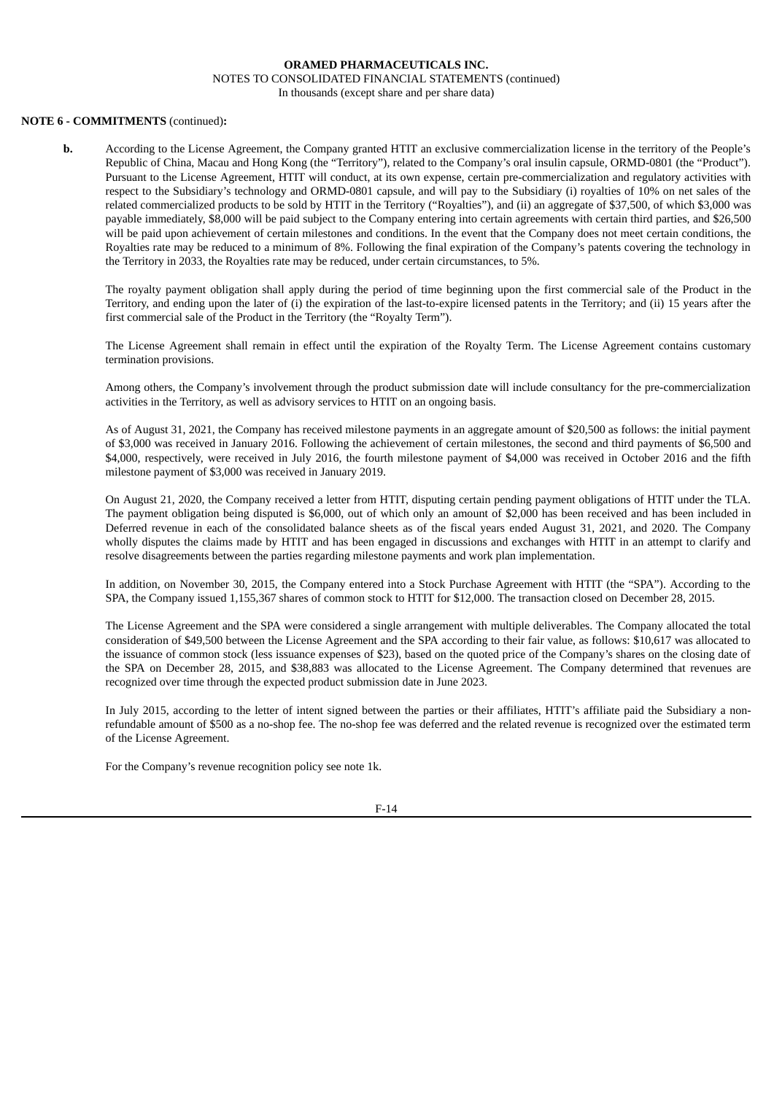# **NOTE 6 - COMMITMENTS** (continued)**:**

**b.** According to the License Agreement, the Company granted HTIT an exclusive commercialization license in the territory of the People's Republic of China, Macau and Hong Kong (the "Territory"), related to the Company's oral insulin capsule, ORMD-0801 (the "Product"). Pursuant to the License Agreement, HTIT will conduct, at its own expense, certain pre-commercialization and regulatory activities with respect to the Subsidiary's technology and ORMD-0801 capsule, and will pay to the Subsidiary (i) royalties of 10% on net sales of the related commercialized products to be sold by HTIT in the Territory ("Royalties"), and (ii) an aggregate of \$37,500, of which \$3,000 was payable immediately, \$8,000 will be paid subject to the Company entering into certain agreements with certain third parties, and \$26,500 will be paid upon achievement of certain milestones and conditions. In the event that the Company does not meet certain conditions, the Royalties rate may be reduced to a minimum of 8%. Following the final expiration of the Company's patents covering the technology in the Territory in 2033, the Royalties rate may be reduced, under certain circumstances, to 5%.

The royalty payment obligation shall apply during the period of time beginning upon the first commercial sale of the Product in the Territory, and ending upon the later of (i) the expiration of the last-to-expire licensed patents in the Territory; and (ii) 15 years after the first commercial sale of the Product in the Territory (the "Royalty Term").

The License Agreement shall remain in effect until the expiration of the Royalty Term. The License Agreement contains customary termination provisions.

Among others, the Company's involvement through the product submission date will include consultancy for the pre-commercialization activities in the Territory, as well as advisory services to HTIT on an ongoing basis.

As of August 31, 2021, the Company has received milestone payments in an aggregate amount of \$20,500 as follows: the initial payment of \$3,000 was received in January 2016. Following the achievement of certain milestones, the second and third payments of \$6,500 and \$4,000, respectively, were received in July 2016, the fourth milestone payment of \$4,000 was received in October 2016 and the fifth milestone payment of \$3,000 was received in January 2019.

On August 21, 2020, the Company received a letter from HTIT, disputing certain pending payment obligations of HTIT under the TLA. The payment obligation being disputed is \$6,000, out of which only an amount of \$2,000 has been received and has been included in Deferred revenue in each of the consolidated balance sheets as of the fiscal years ended August 31, 2021, and 2020. The Company wholly disputes the claims made by HTIT and has been engaged in discussions and exchanges with HTIT in an attempt to clarify and resolve disagreements between the parties regarding milestone payments and work plan implementation.

In addition, on November 30, 2015, the Company entered into a Stock Purchase Agreement with HTIT (the "SPA"). According to the SPA, the Company issued 1,155,367 shares of common stock to HTIT for \$12,000. The transaction closed on December 28, 2015.

The License Agreement and the SPA were considered a single arrangement with multiple deliverables. The Company allocated the total consideration of \$49,500 between the License Agreement and the SPA according to their fair value, as follows: \$10,617 was allocated to the issuance of common stock (less issuance expenses of \$23), based on the quoted price of the Company's shares on the closing date of the SPA on December 28, 2015, and \$38,883 was allocated to the License Agreement. The Company determined that revenues are recognized over time through the expected product submission date in June 2023.

In July 2015, according to the letter of intent signed between the parties or their affiliates, HTIT's affiliate paid the Subsidiary a nonrefundable amount of \$500 as a no-shop fee. The no-shop fee was deferred and the related revenue is recognized over the estimated term of the License Agreement.

For the Company's revenue recognition policy see note 1k.

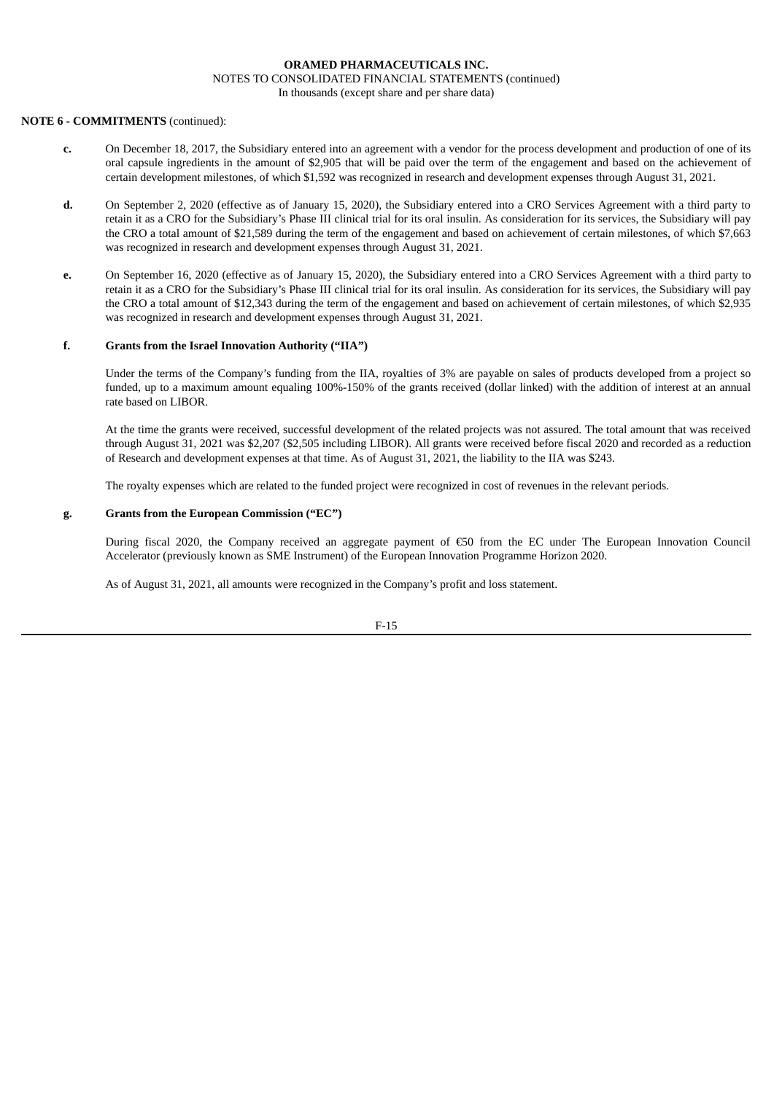# **NOTE 6 - COMMITMENTS** (continued):

- **c.** On December 18, 2017, the Subsidiary entered into an agreement with a vendor for the process development and production of one of its oral capsule ingredients in the amount of \$2,905 that will be paid over the term of the engagement and based on the achievement of certain development milestones, of which \$1,592 was recognized in research and development expenses through August 31, 2021.
- **d.** On September 2, 2020 (effective as of January 15, 2020), the Subsidiary entered into a CRO Services Agreement with a third party to retain it as a CRO for the Subsidiary's Phase III clinical trial for its oral insulin. As consideration for its services, the Subsidiary will pay the CRO a total amount of \$21,589 during the term of the engagement and based on achievement of certain milestones, of which \$7,663 was recognized in research and development expenses through August 31, 2021.
- **e.** On September 16, 2020 (effective as of January 15, 2020), the Subsidiary entered into a CRO Services Agreement with a third party to retain it as a CRO for the Subsidiary's Phase III clinical trial for its oral insulin. As consideration for its services, the Subsidiary will pay the CRO a total amount of \$12,343 during the term of the engagement and based on achievement of certain milestones, of which \$2,935 was recognized in research and development expenses through August 31, 2021.

# **f. Grants from the Israel Innovation Authority ("IIA")**

Under the terms of the Company's funding from the IIA, royalties of 3% are payable on sales of products developed from a project so funded, up to a maximum amount equaling 100%-150% of the grants received (dollar linked) with the addition of interest at an annual rate based on LIBOR.

At the time the grants were received, successful development of the related projects was not assured. The total amount that was received through August 31, 2021 was \$2,207 (\$2,505 including LIBOR). All grants were received before fiscal 2020 and recorded as a reduction of Research and development expenses at that time. As of August 31, 2021, the liability to the IIA was \$243.

The royalty expenses which are related to the funded project were recognized in cost of revenues in the relevant periods.

# **g. Grants from the European Commission ("EC")**

During fiscal 2020, the Company received an aggregate payment of €50 from the EC under The European Innovation Council Accelerator (previously known as SME Instrument) of the European Innovation Programme Horizon 2020.

As of August 31, 2021, all amounts were recognized in the Company's profit and loss statement.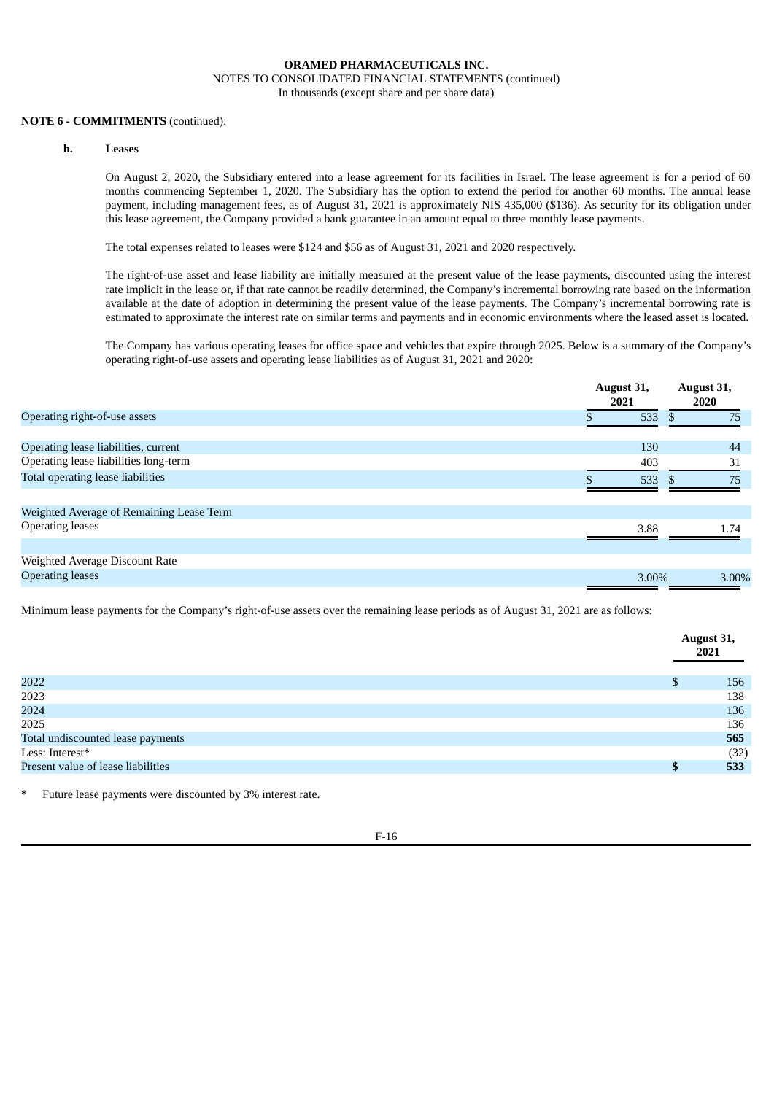# **NOTE 6 - COMMITMENTS** (continued):

## **h. Leases**

On August 2, 2020, the Subsidiary entered into a lease agreement for its facilities in Israel. The lease agreement is for a period of 60 months commencing September 1, 2020. The Subsidiary has the option to extend the period for another 60 months. The annual lease payment, including management fees, as of August 31, 2021 is approximately NIS 435,000 (\$136). As security for its obligation under this lease agreement, the Company provided a bank guarantee in an amount equal to three monthly lease payments.

The total expenses related to leases were \$124 and \$56 as of August 31, 2021 and 2020 respectively.

The right-of-use asset and lease liability are initially measured at the present value of the lease payments, discounted using the interest rate implicit in the lease or, if that rate cannot be readily determined, the Company's incremental borrowing rate based on the information available at the date of adoption in determining the present value of the lease payments. The Company's incremental borrowing rate is estimated to approximate the interest rate on similar terms and payments and in economic environments where the leased asset is located.

The Company has various operating leases for office space and vehicles that expire through 2025. Below is a summary of the Company's operating right-of-use assets and operating lease liabilities as of August 31, 2021 and 2020:

|                                          | August 31,<br>2021 | August 31,<br>2020 |
|------------------------------------------|--------------------|--------------------|
| Operating right-of-use assets            | 533                | 75                 |
|                                          |                    |                    |
| Operating lease liabilities, current     | 130                | 44                 |
| Operating lease liabilities long-term    | 403                | 31                 |
| Total operating lease liabilities        | 533                | 75                 |
|                                          |                    |                    |
| Weighted Average of Remaining Lease Term |                    |                    |
| <b>Operating leases</b>                  | 3.88               | 1.74               |
|                                          |                    |                    |
| Weighted Average Discount Rate           |                    |                    |
| <b>Operating leases</b>                  | 3.00%              | 3.00%              |

Minimum lease payments for the Company's right-of-use assets over the remaining lease periods as of August 31, 2021 are as follows:

|                                    |   | August 31,<br>2021 |
|------------------------------------|---|--------------------|
| 2022                               | æ | 156                |
| 2023                               |   | 138                |
| 2024                               |   | 136                |
| 2025                               |   | 136                |
| Total undiscounted lease payments  |   | 565                |
| Less: Interest*                    |   | (32)               |
| Present value of lease liabilities |   | 533                |

Future lease payments were discounted by 3% interest rate.

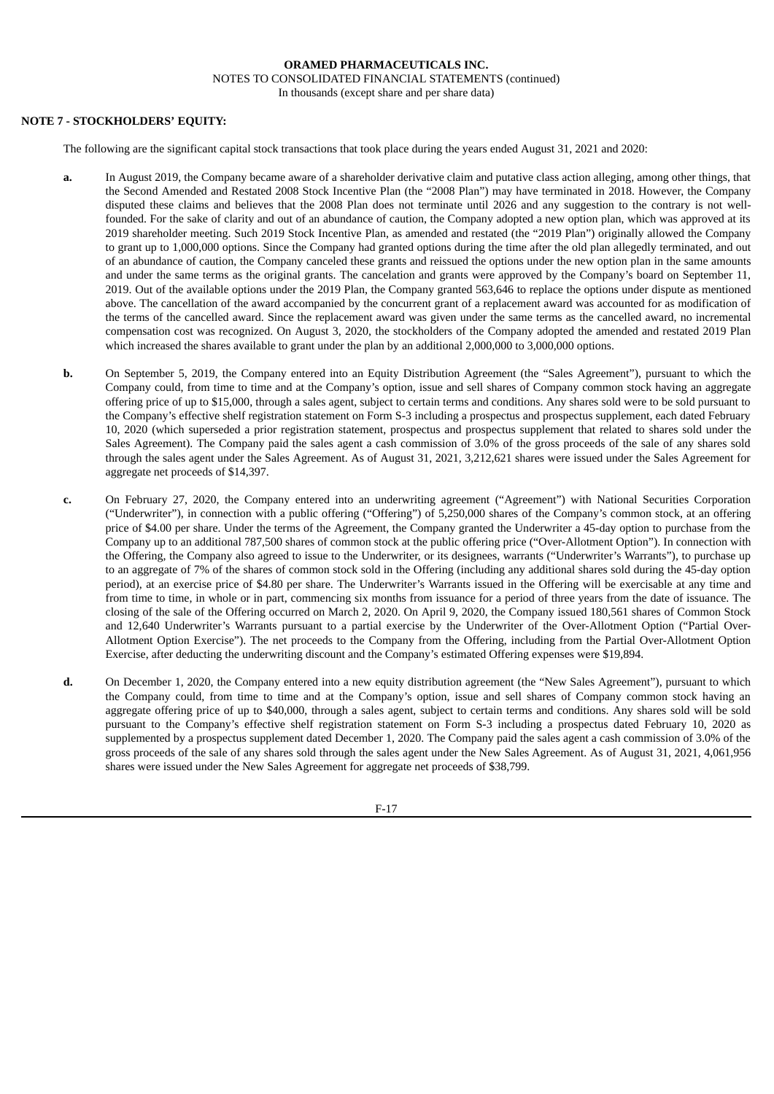# **NOTE 7 - STOCKHOLDERS' EQUITY:**

The following are the significant capital stock transactions that took place during the years ended August 31, 2021 and 2020:

- **a.** In August 2019, the Company became aware of a shareholder derivative claim and putative class action alleging, among other things, that the Second Amended and Restated 2008 Stock Incentive Plan (the "2008 Plan") may have terminated in 2018. However, the Company disputed these claims and believes that the 2008 Plan does not terminate until 2026 and any suggestion to the contrary is not wellfounded. For the sake of clarity and out of an abundance of caution, the Company adopted a new option plan, which was approved at its 2019 shareholder meeting. Such 2019 Stock Incentive Plan, as amended and restated (the "2019 Plan") originally allowed the Company to grant up to 1,000,000 options. Since the Company had granted options during the time after the old plan allegedly terminated, and out of an abundance of caution, the Company canceled these grants and reissued the options under the new option plan in the same amounts and under the same terms as the original grants. The cancelation and grants were approved by the Company's board on September 11, 2019. Out of the available options under the 2019 Plan, the Company granted 563,646 to replace the options under dispute as mentioned above. The cancellation of the award accompanied by the concurrent grant of a replacement award was accounted for as modification of the terms of the cancelled award. Since the replacement award was given under the same terms as the cancelled award, no incremental compensation cost was recognized. On August 3, 2020, the stockholders of the Company adopted the amended and restated 2019 Plan which increased the shares available to grant under the plan by an additional 2,000,000 to 3,000,000 options.
- **b.** On September 5, 2019, the Company entered into an Equity Distribution Agreement (the "Sales Agreement"), pursuant to which the Company could, from time to time and at the Company's option, issue and sell shares of Company common stock having an aggregate offering price of up to \$15,000, through a sales agent, subject to certain terms and conditions. Any shares sold were to be sold pursuant to the Company's effective shelf registration statement on Form S-3 including a prospectus and prospectus supplement, each dated February 10, 2020 (which superseded a prior registration statement, prospectus and prospectus supplement that related to shares sold under the Sales Agreement). The Company paid the sales agent a cash commission of 3.0% of the gross proceeds of the sale of any shares sold through the sales agent under the Sales Agreement. As of August 31, 2021, 3,212,621 shares were issued under the Sales Agreement for aggregate net proceeds of \$14,397.
- **c.** On February 27, 2020, the Company entered into an underwriting agreement ("Agreement") with National Securities Corporation ("Underwriter"), in connection with a public offering ("Offering") of 5,250,000 shares of the Company's common stock, at an offering price of \$4.00 per share. Under the terms of the Agreement, the Company granted the Underwriter a 45-day option to purchase from the Company up to an additional 787,500 shares of common stock at the public offering price ("Over-Allotment Option"). In connection with the Offering, the Company also agreed to issue to the Underwriter, or its designees, warrants ("Underwriter's Warrants"), to purchase up to an aggregate of 7% of the shares of common stock sold in the Offering (including any additional shares sold during the 45-day option period), at an exercise price of \$4.80 per share. The Underwriter's Warrants issued in the Offering will be exercisable at any time and from time to time, in whole or in part, commencing six months from issuance for a period of three years from the date of issuance. The closing of the sale of the Offering occurred on March 2, 2020. On April 9, 2020, the Company issued 180,561 shares of Common Stock and 12,640 Underwriter's Warrants pursuant to a partial exercise by the Underwriter of the Over-Allotment Option ("Partial Over-Allotment Option Exercise"). The net proceeds to the Company from the Offering, including from the Partial Over-Allotment Option Exercise, after deducting the underwriting discount and the Company's estimated Offering expenses were \$19,894.
- **d.** On December 1, 2020, the Company entered into a new equity distribution agreement (the "New Sales Agreement"), pursuant to which the Company could, from time to time and at the Company's option, issue and sell shares of Company common stock having an aggregate offering price of up to \$40,000, through a sales agent, subject to certain terms and conditions. Any shares sold will be sold pursuant to the Company's effective shelf registration statement on Form S-3 including a prospectus dated February 10, 2020 as supplemented by a prospectus supplement dated December 1, 2020. The Company paid the sales agent a cash commission of 3.0% of the gross proceeds of the sale of any shares sold through the sales agent under the New Sales Agreement. As of August 31, 2021, 4,061,956 shares were issued under the New Sales Agreement for aggregate net proceeds of \$38,799.

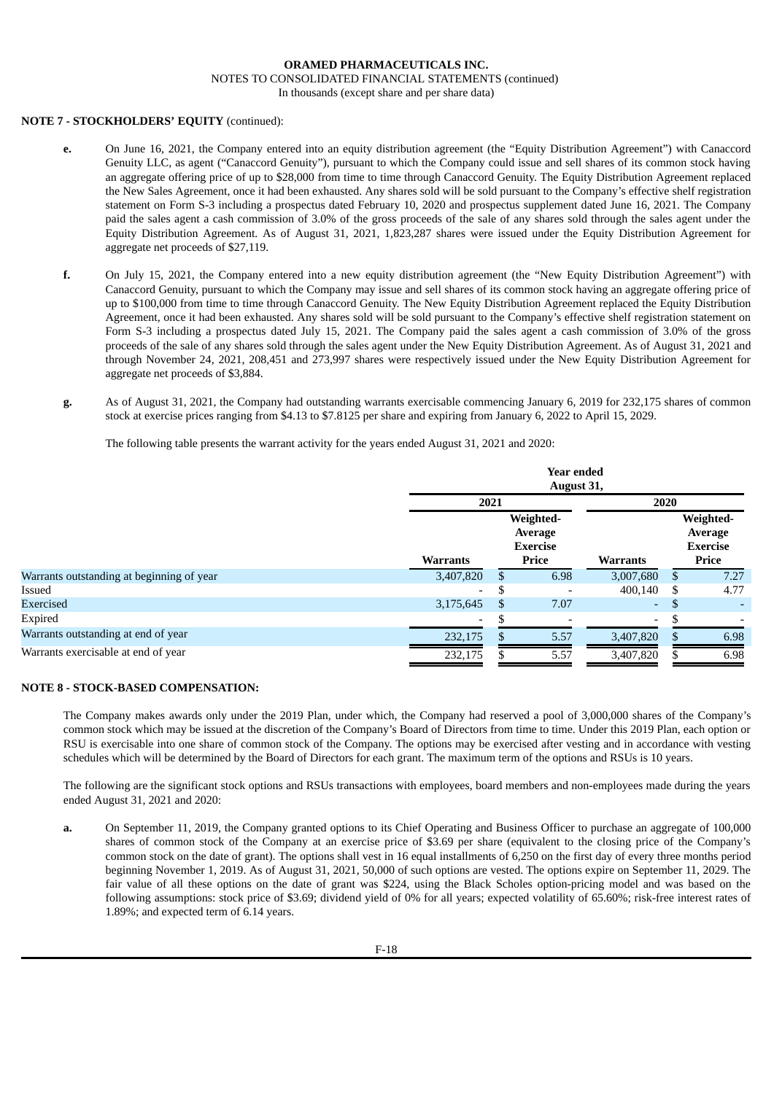# **NOTE 7 - STOCKHOLDERS' EQUITY** (continued):

- **e.** On June 16, 2021, the Company entered into an equity distribution agreement (the "Equity Distribution Agreement") with Canaccord Genuity LLC, as agent ("Canaccord Genuity"), pursuant to which the Company could issue and sell shares of its common stock having an aggregate offering price of up to \$28,000 from time to time through Canaccord Genuity. The Equity Distribution Agreement replaced the New Sales Agreement, once it had been exhausted. Any shares sold will be sold pursuant to the Company's effective shelf registration statement on Form S-3 including a prospectus dated February 10, 2020 and prospectus supplement dated June 16, 2021. The Company paid the sales agent a cash commission of 3.0% of the gross proceeds of the sale of any shares sold through the sales agent under the Equity Distribution Agreement. As of August 31, 2021, 1,823,287 shares were issued under the Equity Distribution Agreement for aggregate net proceeds of \$27,119.
- **f.** On July 15, 2021, the Company entered into a new equity distribution agreement (the "New Equity Distribution Agreement") with Canaccord Genuity, pursuant to which the Company may issue and sell shares of its common stock having an aggregate offering price of up to \$100,000 from time to time through Canaccord Genuity. The New Equity Distribution Agreement replaced the Equity Distribution Agreement, once it had been exhausted. Any shares sold will be sold pursuant to the Company's effective shelf registration statement on Form S-3 including a prospectus dated July 15, 2021. The Company paid the sales agent a cash commission of 3.0% of the gross proceeds of the sale of any shares sold through the sales agent under the New Equity Distribution Agreement. As of August 31, 2021 and through November 24, 2021, 208,451 and 273,997 shares were respectively issued under the New Equity Distribution Agreement for aggregate net proceeds of \$3,884.
- **g.** As of August 31, 2021, the Company had outstanding warrants exercisable commencing January 6, 2019 for 232,175 shares of common stock at exercise prices ranging from \$4.13 to \$7.8125 per share and expiring from January 6, 2022 to April 15, 2029.

The following table presents the warrant activity for the years ended August 31, 2021 and 2020:

|                                           | <b>Year ended</b><br>August 31, |     |                                         |                          |      |                                         |
|-------------------------------------------|---------------------------------|-----|-----------------------------------------|--------------------------|------|-----------------------------------------|
|                                           | 2021                            |     |                                         |                          | 2020 |                                         |
|                                           |                                 |     | Weighted-<br>Average<br><b>Exercise</b> |                          |      | Weighted-<br>Average<br><b>Exercise</b> |
|                                           | <b>Warrants</b>                 |     | Price                                   | <b>Warrants</b>          |      | Price                                   |
| Warrants outstanding at beginning of year | 3,407,820                       |     | 6.98                                    | 3,007,680                | ж    | 7.27                                    |
| Issued                                    | $\overline{\phantom{a}}$        | S   |                                         | 400,140                  | £.   | 4.77                                    |
| Exercised                                 | 3,175,645                       | \$. | 7.07                                    | $\sim$                   | -S   |                                         |
| Expired                                   |                                 |     |                                         | $\overline{\phantom{a}}$ |      |                                         |
| Warrants outstanding at end of year       | 232,175                         |     | 5.57                                    | 3,407,820                |      | 6.98                                    |
| Warrants exercisable at end of year       | 232,175                         |     | 5.57                                    | 3,407,820                |      | 6.98                                    |

# **NOTE 8 - STOCK-BASED COMPENSATION:**

The Company makes awards only under the 2019 Plan, under which, the Company had reserved a pool of 3,000,000 shares of the Company's common stock which may be issued at the discretion of the Company's Board of Directors from time to time. Under this 2019 Plan, each option or RSU is exercisable into one share of common stock of the Company. The options may be exercised after vesting and in accordance with vesting schedules which will be determined by the Board of Directors for each grant. The maximum term of the options and RSUs is 10 years.

The following are the significant stock options and RSUs transactions with employees, board members and non-employees made during the years ended August 31, 2021 and 2020:

**a.** On September 11, 2019, the Company granted options to its Chief Operating and Business Officer to purchase an aggregate of 100,000 shares of common stock of the Company at an exercise price of \$3.69 per share (equivalent to the closing price of the Company's common stock on the date of grant). The options shall vest in 16 equal installments of 6,250 on the first day of every three months period beginning November 1, 2019. As of August 31, 2021, 50,000 of such options are vested. The options expire on September 11, 2029. The fair value of all these options on the date of grant was \$224, using the Black Scholes option-pricing model and was based on the following assumptions: stock price of \$3.69; dividend yield of 0% for all years; expected volatility of 65.60%; risk-free interest rates of 1.89%; and expected term of 6.14 years.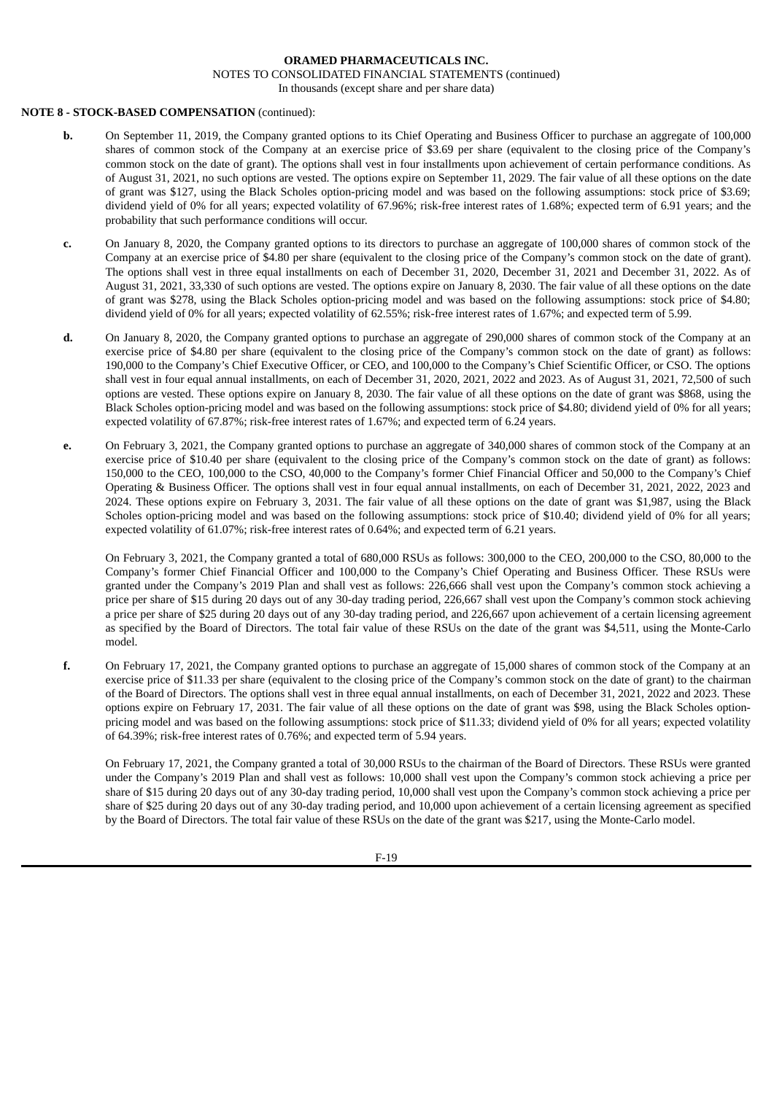# **NOTE 8 - STOCK-BASED COMPENSATION** (continued):

- **b.** On September 11, 2019, the Company granted options to its Chief Operating and Business Officer to purchase an aggregate of 100,000 shares of common stock of the Company at an exercise price of \$3.69 per share (equivalent to the closing price of the Company's common stock on the date of grant). The options shall vest in four installments upon achievement of certain performance conditions. As of August 31, 2021, no such options are vested. The options expire on September 11, 2029. The fair value of all these options on the date of grant was \$127, using the Black Scholes option-pricing model and was based on the following assumptions: stock price of \$3.69; dividend yield of 0% for all years; expected volatility of 67.96%; risk-free interest rates of 1.68%; expected term of 6.91 years; and the probability that such performance conditions will occur.
- **c.** On January 8, 2020, the Company granted options to its directors to purchase an aggregate of 100,000 shares of common stock of the Company at an exercise price of \$4.80 per share (equivalent to the closing price of the Company's common stock on the date of grant). The options shall vest in three equal installments on each of December 31, 2020, December 31, 2021 and December 31, 2022. As of August 31, 2021, 33,330 of such options are vested. The options expire on January 8, 2030. The fair value of all these options on the date of grant was \$278, using the Black Scholes option-pricing model and was based on the following assumptions: stock price of \$4.80; dividend yield of 0% for all years; expected volatility of 62.55%; risk-free interest rates of 1.67%; and expected term of 5.99.
- **d.** On January 8, 2020, the Company granted options to purchase an aggregate of 290,000 shares of common stock of the Company at an exercise price of \$4.80 per share (equivalent to the closing price of the Company's common stock on the date of grant) as follows: 190,000 to the Company's Chief Executive Officer, or CEO, and 100,000 to the Company's Chief Scientific Officer, or CSO. The options shall vest in four equal annual installments, on each of December 31, 2020, 2021, 2022 and 2023. As of August 31, 2021, 72,500 of such options are vested. These options expire on January 8, 2030. The fair value of all these options on the date of grant was \$868, using the Black Scholes option-pricing model and was based on the following assumptions: stock price of \$4.80; dividend yield of 0% for all years; expected volatility of 67.87%; risk-free interest rates of 1.67%; and expected term of 6.24 years.
- **e.** On February 3, 2021, the Company granted options to purchase an aggregate of 340,000 shares of common stock of the Company at an exercise price of \$10.40 per share (equivalent to the closing price of the Company's common stock on the date of grant) as follows: 150,000 to the CEO, 100,000 to the CSO, 40,000 to the Company's former Chief Financial Officer and 50,000 to the Company's Chief Operating & Business Officer. The options shall vest in four equal annual installments, on each of December 31, 2021, 2022, 2023 and 2024. These options expire on February 3, 2031. The fair value of all these options on the date of grant was \$1,987, using the Black Scholes option-pricing model and was based on the following assumptions: stock price of \$10.40; dividend yield of 0% for all years; expected volatility of 61.07%; risk-free interest rates of 0.64%; and expected term of 6.21 years.

On February 3, 2021, the Company granted a total of 680,000 RSUs as follows: 300,000 to the CEO, 200,000 to the CSO, 80,000 to the Company's former Chief Financial Officer and 100,000 to the Company's Chief Operating and Business Officer. These RSUs were granted under the Company's 2019 Plan and shall vest as follows: 226,666 shall vest upon the Company's common stock achieving a price per share of \$15 during 20 days out of any 30-day trading period, 226,667 shall vest upon the Company's common stock achieving a price per share of \$25 during 20 days out of any 30-day trading period, and 226,667 upon achievement of a certain licensing agreement as specified by the Board of Directors. The total fair value of these RSUs on the date of the grant was \$4,511, using the Monte-Carlo model.

**f.** On February 17, 2021, the Company granted options to purchase an aggregate of 15,000 shares of common stock of the Company at an exercise price of \$11.33 per share (equivalent to the closing price of the Company's common stock on the date of grant) to the chairman of the Board of Directors. The options shall vest in three equal annual installments, on each of December 31, 2021, 2022 and 2023. These options expire on February 17, 2031. The fair value of all these options on the date of grant was \$98, using the Black Scholes optionpricing model and was based on the following assumptions: stock price of \$11.33; dividend yield of 0% for all years; expected volatility of 64.39%; risk-free interest rates of 0.76%; and expected term of 5.94 years.

On February 17, 2021, the Company granted a total of 30,000 RSUs to the chairman of the Board of Directors. These RSUs were granted under the Company's 2019 Plan and shall vest as follows: 10,000 shall vest upon the Company's common stock achieving a price per share of \$15 during 20 days out of any 30-day trading period, 10,000 shall vest upon the Company's common stock achieving a price per share of \$25 during 20 days out of any 30-day trading period, and 10,000 upon achievement of a certain licensing agreement as specified by the Board of Directors. The total fair value of these RSUs on the date of the grant was \$217, using the Monte-Carlo model.

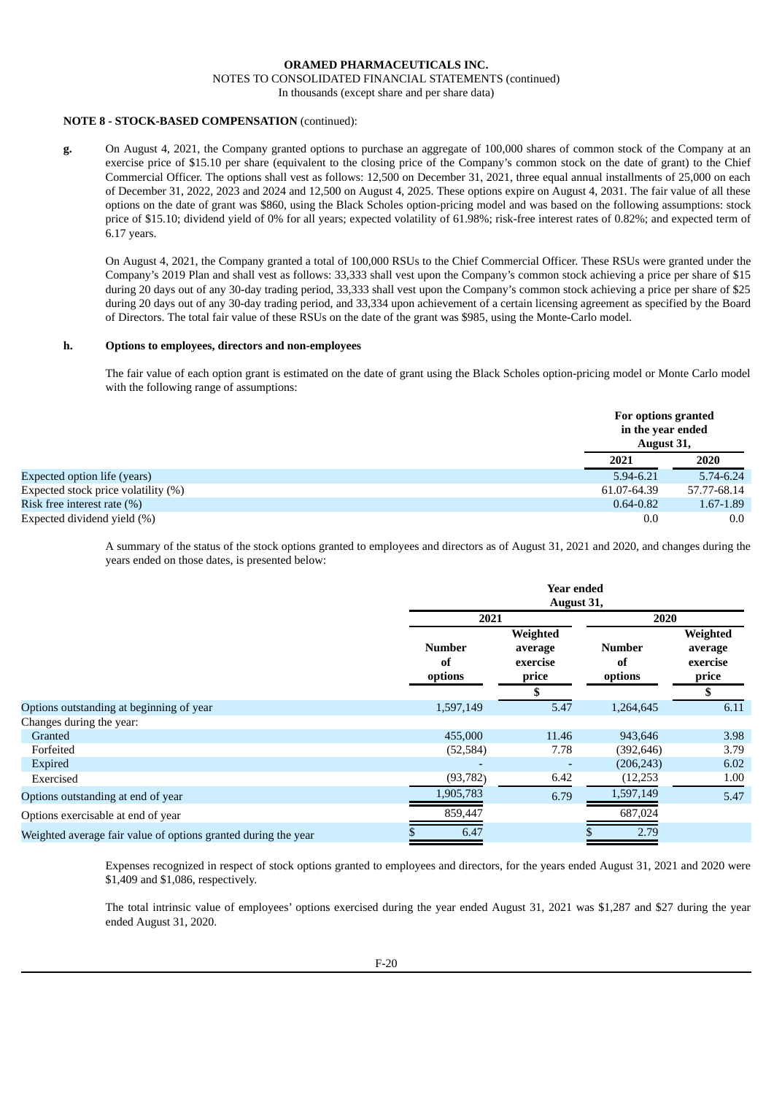NOTES TO CONSOLIDATED FINANCIAL STATEMENTS (continued)

In thousands (except share and per share data)

# **NOTE 8 - STOCK-BASED COMPENSATION** (continued):

**g.** On August 4, 2021, the Company granted options to purchase an aggregate of 100,000 shares of common stock of the Company at an exercise price of \$15.10 per share (equivalent to the closing price of the Company's common stock on the date of grant) to the Chief Commercial Officer. The options shall vest as follows: 12,500 on December 31, 2021, three equal annual installments of 25,000 on each of December 31, 2022, 2023 and 2024 and 12,500 on August 4, 2025. These options expire on August 4, 2031. The fair value of all these options on the date of grant was \$860, using the Black Scholes option-pricing model and was based on the following assumptions: stock price of \$15.10; dividend yield of 0% for all years; expected volatility of 61.98%; risk-free interest rates of 0.82%; and expected term of 6.17 years.

On August 4, 2021, the Company granted a total of 100,000 RSUs to the Chief Commercial Officer. These RSUs were granted under the Company's 2019 Plan and shall vest as follows: 33,333 shall vest upon the Company's common stock achieving a price per share of \$15 during 20 days out of any 30-day trading period, 33,333 shall vest upon the Company's common stock achieving a price per share of \$25 during 20 days out of any 30-day trading period, and 33,334 upon achievement of a certain licensing agreement as specified by the Board of Directors. The total fair value of these RSUs on the date of the grant was \$985, using the Monte-Carlo model.

## **h. Options to employees, directors and non-employees**

The fair value of each option grant is estimated on the date of grant using the Black Scholes option-pricing model or Monte Carlo model with the following range of assumptions:

|                                     | For options granted<br>in the year ended<br>August 31, |             |
|-------------------------------------|--------------------------------------------------------|-------------|
|                                     | 2021                                                   | 2020        |
| Expected option life (years)        | 5.94-6.21                                              | 5.74-6.24   |
| Expected stock price volatility (%) | 61.07-64.39                                            | 57.77-68.14 |
| Risk free interest rate (%)         | $0.64 - 0.82$                                          | 1.67-1.89   |
| Expected dividend yield (%)         | 0.0                                                    | 0.0         |

A summary of the status of the stock options granted to employees and directors as of August 31, 2021 and 2020, and changes during the years ended on those dates, is presented below:

|                                                                |                                | <b>Year ended</b><br>August 31,          |                                |                                          |  |
|----------------------------------------------------------------|--------------------------------|------------------------------------------|--------------------------------|------------------------------------------|--|
|                                                                |                                | 2021                                     |                                | 2020                                     |  |
|                                                                | <b>Number</b><br>of<br>options | Weighted<br>average<br>exercise<br>price | <b>Number</b><br>of<br>options | Weighted<br>average<br>exercise<br>price |  |
|                                                                |                                |                                          |                                |                                          |  |
| Options outstanding at beginning of year                       | 1,597,149                      | 5.47                                     | 1,264,645                      | 6.11                                     |  |
| Changes during the year:                                       |                                |                                          |                                |                                          |  |
| Granted                                                        | 455,000                        | 11.46                                    | 943,646                        | 3.98                                     |  |
| Forfeited                                                      | (52, 584)                      | 7.78                                     | (392, 646)                     | 3.79                                     |  |
| Expired                                                        |                                | ٠                                        | (206, 243)                     | 6.02                                     |  |
| Exercised                                                      | (93, 782)                      | 6.42                                     | (12, 253)                      | 1.00                                     |  |
| Options outstanding at end of year                             | 1,905,783                      | 6.79                                     | 1,597,149                      | 5.47                                     |  |
| Options exercisable at end of year                             | 859,447                        |                                          | 687,024                        |                                          |  |
| Weighted average fair value of options granted during the year | 6.47                           |                                          | 2.79                           |                                          |  |

Expenses recognized in respect of stock options granted to employees and directors, for the years ended August 31, 2021 and 2020 were \$1,409 and \$1,086, respectively.

The total intrinsic value of employees' options exercised during the year ended August 31, 2021 was \$1,287 and \$27 during the year ended August 31, 2020.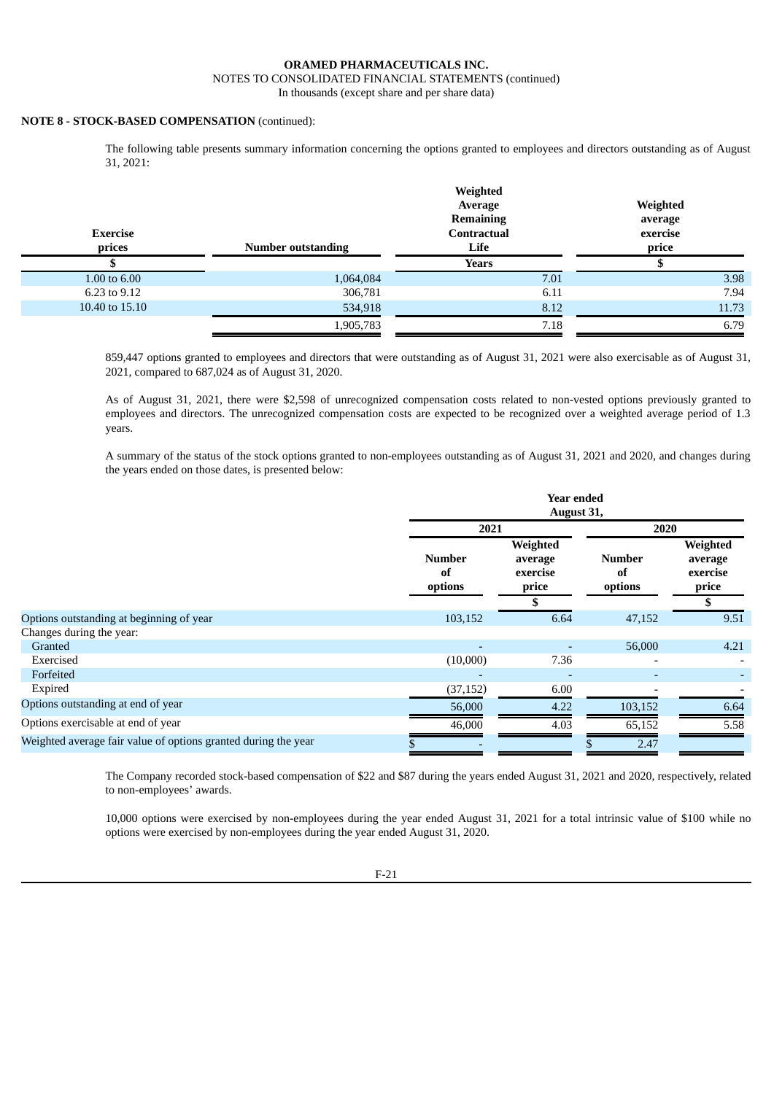# NOTES TO CONSOLIDATED FINANCIAL STATEMENTS (continued)

In thousands (except share and per share data)

# **NOTE 8 - STOCK-BASED COMPENSATION** (continued):

The following table presents summary information concerning the options granted to employees and directors outstanding as of August 31, 2021:

| <b>Exercise</b><br>prices | <b>Number outstanding</b> | Weighted<br>Average<br><b>Remaining</b><br>Contractual<br>Life | Weighted<br>average<br>exercise<br>price |
|---------------------------|---------------------------|----------------------------------------------------------------|------------------------------------------|
|                           |                           | <b>Years</b>                                                   |                                          |
| 1.00 to $6.00$            | 1,064,084                 | 7.01                                                           | 3.98                                     |
| 6.23 to 9.12              | 306,781                   | 6.11                                                           | 7.94                                     |
| 10.40 to 15.10            | 534,918                   | 8.12                                                           | 11.73                                    |
|                           | 1,905,783                 | 7.18                                                           | 6.79                                     |

859,447 options granted to employees and directors that were outstanding as of August 31, 2021 were also exercisable as of August 31, 2021, compared to 687,024 as of August 31, 2020.

As of August 31, 2021, there were \$2,598 of unrecognized compensation costs related to non-vested options previously granted to employees and directors. The unrecognized compensation costs are expected to be recognized over a weighted average period of 1.3 years.

A summary of the status of the stock options granted to non-employees outstanding as of August 31, 2021 and 2020, and changes during the years ended on those dates, is presented below:

|                                                                | Year ended<br>August 31,       |                                          |                                |                                          |  |
|----------------------------------------------------------------|--------------------------------|------------------------------------------|--------------------------------|------------------------------------------|--|
|                                                                |                                | 2021                                     |                                | 2020                                     |  |
|                                                                | <b>Number</b><br>of<br>options | Weighted<br>average<br>exercise<br>price | <b>Number</b><br>of<br>options | Weighted<br>average<br>exercise<br>price |  |
|                                                                |                                |                                          |                                |                                          |  |
| Options outstanding at beginning of year                       | 103,152                        | 6.64                                     | 47,152                         | 9.51                                     |  |
| Changes during the year:                                       |                                |                                          |                                |                                          |  |
| Granted                                                        | $\overline{\phantom{0}}$       |                                          | 56,000                         | 4.21                                     |  |
| Exercised                                                      | (10,000)                       | 7.36                                     |                                |                                          |  |
| Forfeited                                                      |                                |                                          | $\overline{\phantom{0}}$       |                                          |  |
| Expired                                                        | (37, 152)                      | 6.00                                     |                                |                                          |  |
| Options outstanding at end of year                             | 56,000                         | 4.22                                     | 103,152                        | 6.64                                     |  |
| Options exercisable at end of year                             | 46,000                         | 4.03                                     | 65,152                         | 5.58                                     |  |
| Weighted average fair value of options granted during the year |                                |                                          | 2.47                           |                                          |  |

The Company recorded stock-based compensation of \$22 and \$87 during the years ended August 31, 2021 and 2020, respectively, related to non-employees' awards.

10,000 options were exercised by non-employees during the year ended August 31, 2021 for a total intrinsic value of \$100 while no options were exercised by non-employees during the year ended August 31, 2020.

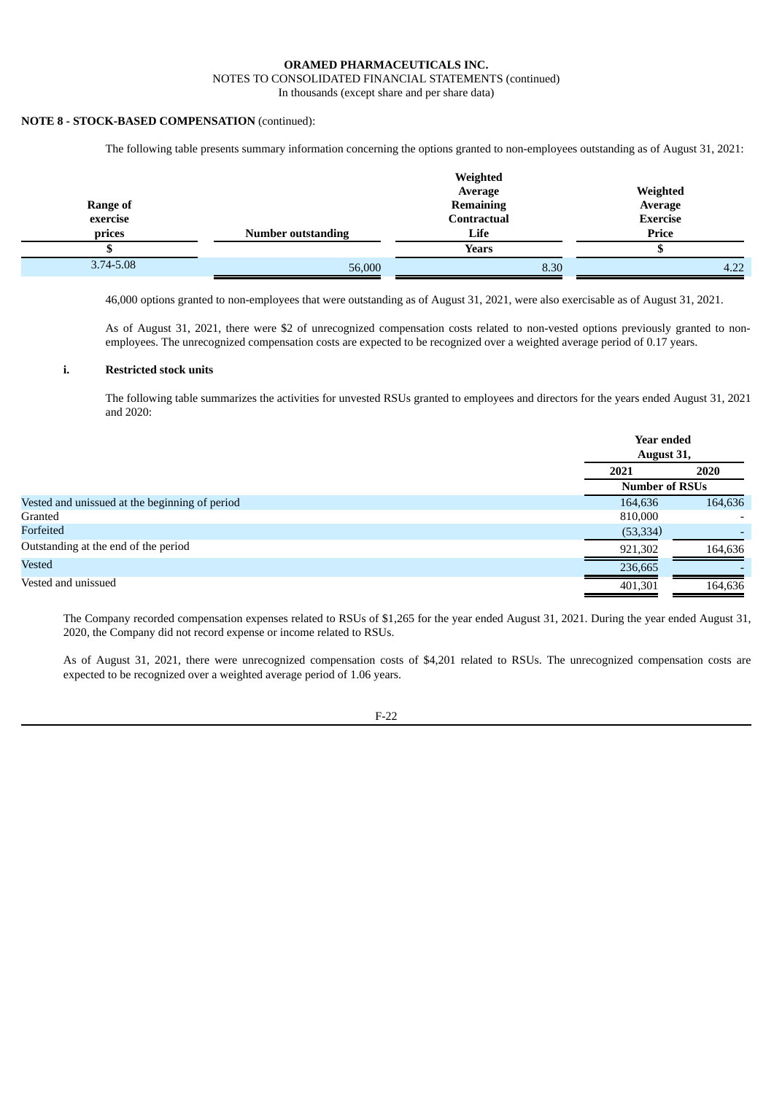# NOTES TO CONSOLIDATED FINANCIAL STATEMENTS (continued)

In thousands (except share and per share data)

# **NOTE 8 - STOCK-BASED COMPENSATION** (continued):

The following table presents summary information concerning the options granted to non-employees outstanding as of August 31, 2021:

| <b>Range of</b><br>exercise<br>prices | <b>Number outstanding</b> | Weighted<br>Average<br><b>Remaining</b><br>Contractual<br>Life<br><b>Years</b> | Weighted<br>Average<br><b>Exercise</b><br>Price |
|---------------------------------------|---------------------------|--------------------------------------------------------------------------------|-------------------------------------------------|
| 3.74-5.08                             | 56,000                    | 8.30                                                                           | 4.22                                            |

46,000 options granted to non-employees that were outstanding as of August 31, 2021, were also exercisable as of August 31, 2021.

As of August 31, 2021, there were \$2 of unrecognized compensation costs related to non-vested options previously granted to nonemployees. The unrecognized compensation costs are expected to be recognized over a weighted average period of 0.17 years.

# **i. Restricted stock units**

The following table summarizes the activities for unvested RSUs granted to employees and directors for the years ended August 31, 2021 and 2020:

|                                                |                       | <b>Year ended</b><br>August 31, |  |
|------------------------------------------------|-----------------------|---------------------------------|--|
|                                                | 2021                  | 2020                            |  |
|                                                | <b>Number of RSUs</b> |                                 |  |
| Vested and unissued at the beginning of period | 164,636               | 164,636                         |  |
| Granted                                        | 810,000               |                                 |  |
| Forfeited                                      | (53, 334)             |                                 |  |
| Outstanding at the end of the period           | 921,302               | 164,636                         |  |
| <b>Vested</b>                                  | 236,665               |                                 |  |
| Vested and unissued                            | 401,301               | 164,636                         |  |

The Company recorded compensation expenses related to RSUs of \$1,265 for the year ended August 31, 2021. During the year ended August 31, 2020, the Company did not record expense or income related to RSUs.

As of August 31, 2021, there were unrecognized compensation costs of \$4,201 related to RSUs. The unrecognized compensation costs are expected to be recognized over a weighted average period of 1.06 years.

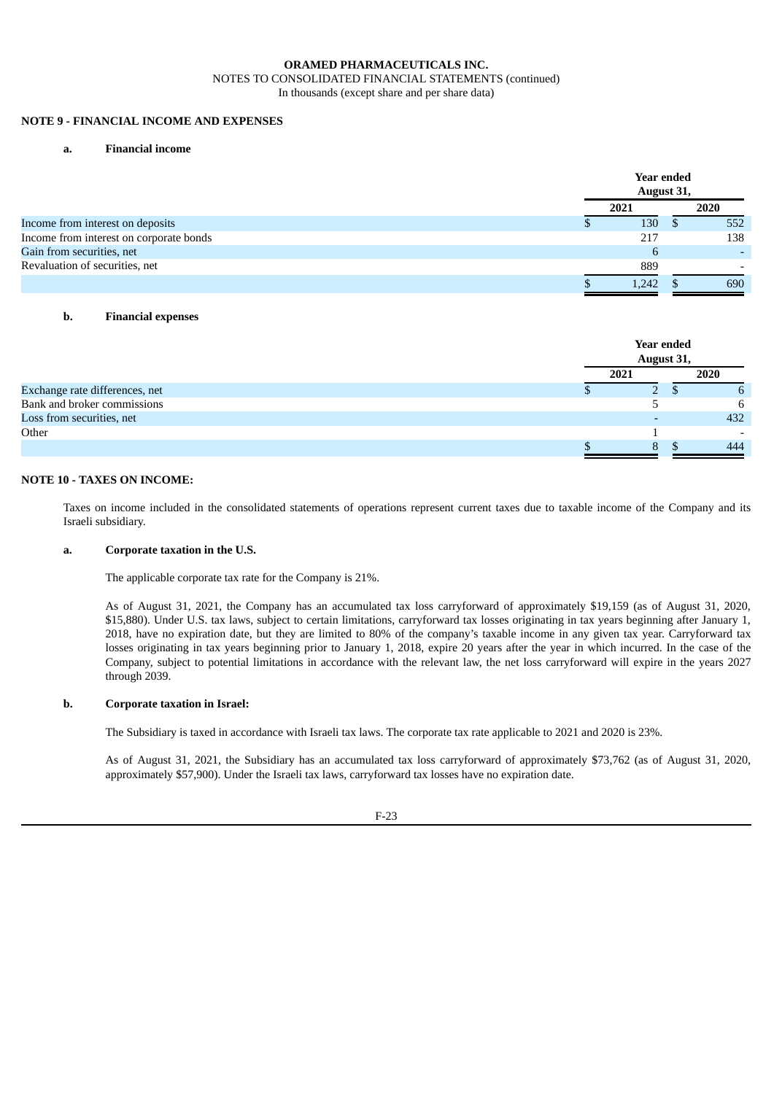#### **ORAMED PHARMACEUTICALS INC.** NOTES TO CONSOLIDATED FINANCIAL STATEMENTS (continued)

In thousands (except share and per share data)

# **NOTE 9 - FINANCIAL INCOME AND EXPENSES**

### **a. Financial income**

|                                         |       | <b>Year ended</b><br>August 31, |
|-----------------------------------------|-------|---------------------------------|
|                                         | 2021  | 2020                            |
| Income from interest on deposits        |       | 552<br>130                      |
| Income from interest on corporate bonds | 217   | 138                             |
| Gain from securities, net               |       | $\overline{\phantom{0}}$        |
| Revaluation of securities, net          | 889   |                                 |
|                                         | 1,242 | 690                             |

#### **b. Financial expenses**

|                                | <b>Year ended</b><br>August 31, |  |                          |
|--------------------------------|---------------------------------|--|--------------------------|
|                                | 2021                            |  | 2020                     |
| Exchange rate differences, net | $^{2}$                          |  | b                        |
| Bank and broker commissions    |                                 |  | 6                        |
| Loss from securities, net      | $\overline{\phantom{a}}$        |  | 432                      |
| Other                          |                                 |  | $\overline{\phantom{0}}$ |
|                                | 8                               |  | 444                      |

# **NOTE 10 - TAXES ON INCOME:**

Taxes on income included in the consolidated statements of operations represent current taxes due to taxable income of the Company and its Israeli subsidiary.

#### **a. Corporate taxation in the U.S.**

The applicable corporate tax rate for the Company is 21%.

As of August 31, 2021, the Company has an accumulated tax loss carryforward of approximately \$19,159 (as of August 31, 2020, \$15,880). Under U.S. tax laws, subject to certain limitations, carryforward tax losses originating in tax years beginning after January 1, 2018, have no expiration date, but they are limited to 80% of the company's taxable income in any given tax year. Carryforward tax losses originating in tax years beginning prior to January 1, 2018, expire 20 years after the year in which incurred. In the case of the Company, subject to potential limitations in accordance with the relevant law, the net loss carryforward will expire in the years 2027 through 2039.

#### **b. Corporate taxation in Israel:**

The Subsidiary is taxed in accordance with Israeli tax laws. The corporate tax rate applicable to 2021 and 2020 is 23%.

As of August 31, 2021, the Subsidiary has an accumulated tax loss carryforward of approximately \$73,762 (as of August 31, 2020, approximately \$57,900). Under the Israeli tax laws, carryforward tax losses have no expiration date.

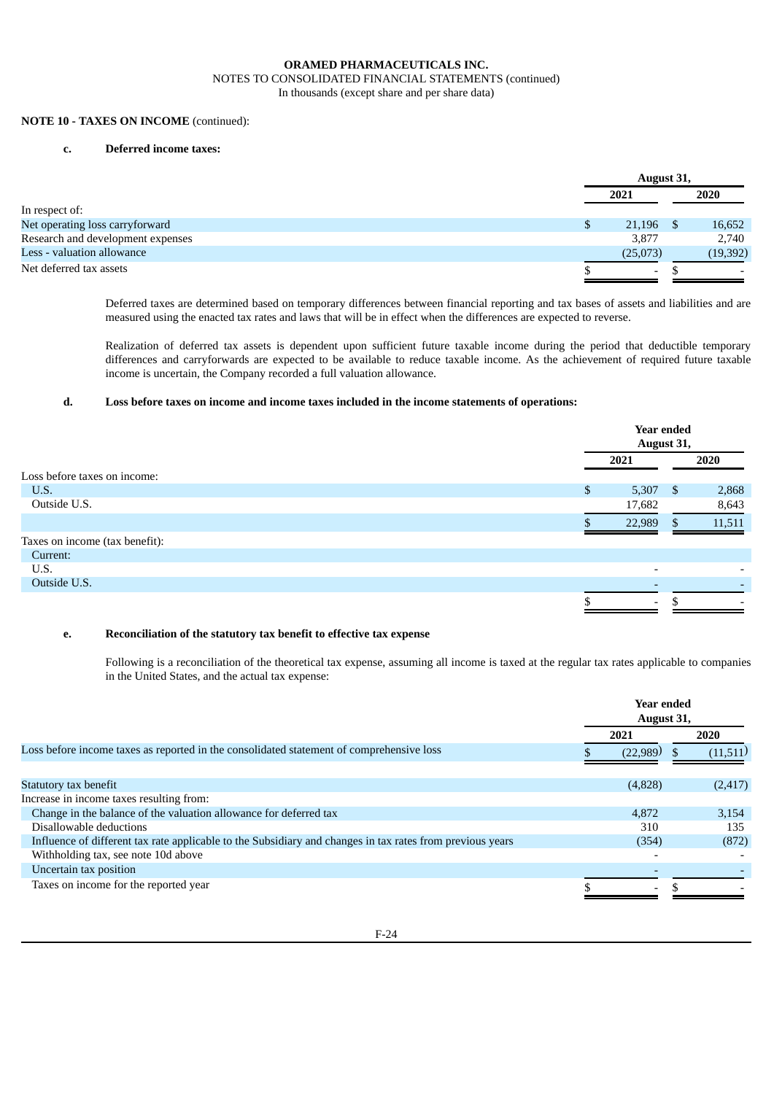#### **ORAMED PHARMACEUTICALS INC.** NOTES TO CONSOLIDATED FINANCIAL STATEMENTS (continued) In thousands (except share and per share data)

# **NOTE 10 - TAXES ON INCOME** (continued):

#### **c. Deferred income taxes:**

|                                   | August 31,   |  |           |  |
|-----------------------------------|--------------|--|-----------|--|
|                                   | 2021         |  | 2020      |  |
| In respect of:                    |              |  |           |  |
| Net operating loss carryforward   | \$<br>21,196 |  | 16,652    |  |
| Research and development expenses | 3,877        |  | 2,740     |  |
| Less - valuation allowance        | (25,073)     |  | (19, 392) |  |
| Net deferred tax assets           | $\sim$       |  |           |  |

Deferred taxes are determined based on temporary differences between financial reporting and tax bases of assets and liabilities and are measured using the enacted tax rates and laws that will be in effect when the differences are expected to reverse.

Realization of deferred tax assets is dependent upon sufficient future taxable income during the period that deductible temporary differences and carryforwards are expected to be available to reduce taxable income. As the achievement of required future taxable income is uncertain, the Company recorded a full valuation allowance.

### **d. Loss before taxes on income and income taxes included in the income statements of operations:**

|                                | <b>Year ended</b><br>August 31, |    |        |
|--------------------------------|---------------------------------|----|--------|
|                                | 2021                            |    | 2020   |
| Loss before taxes on income:   |                                 |    |        |
| U.S.                           | \$<br>5,307                     | \$ | 2,868  |
| Outside U.S.                   | 17,682                          |    | 8,643  |
|                                | 22,989                          |    | 11,511 |
| Taxes on income (tax benefit): |                                 |    |        |
| Current:                       |                                 |    |        |
| U.S.                           | $\overline{\phantom{0}}$        |    |        |
| Outside U.S.                   | $\overline{\phantom{0}}$        |    |        |
|                                | $\overline{\phantom{a}}$        |    |        |
|                                |                                 |    |        |

#### **e. Reconciliation of the statutory tax benefit to effective tax expense**

Following is a reconciliation of the theoretical tax expense, assuming all income is taxed at the regular tax rates applicable to companies in the United States, and the actual tax expense:

|                                                                                                           | <b>Year ended</b><br>August 31, |  |          |
|-----------------------------------------------------------------------------------------------------------|---------------------------------|--|----------|
|                                                                                                           | 2021                            |  | 2020     |
| Loss before income taxes as reported in the consolidated statement of comprehensive loss                  | (22,989)                        |  | (11.511) |
|                                                                                                           |                                 |  |          |
| Statutory tax benefit                                                                                     | (4,828)                         |  | (2, 417) |
| Increase in income taxes resulting from:                                                                  |                                 |  |          |
| Change in the balance of the valuation allowance for deferred tax                                         | 4,872                           |  | 3,154    |
| Disallowable deductions                                                                                   | 310                             |  | 135      |
| Influence of different tax rate applicable to the Subsidiary and changes in tax rates from previous years | (354)                           |  | (872)    |
| Withholding tax, see note 10d above                                                                       |                                 |  |          |
| Uncertain tax position                                                                                    |                                 |  |          |
| Taxes on income for the reported year                                                                     |                                 |  |          |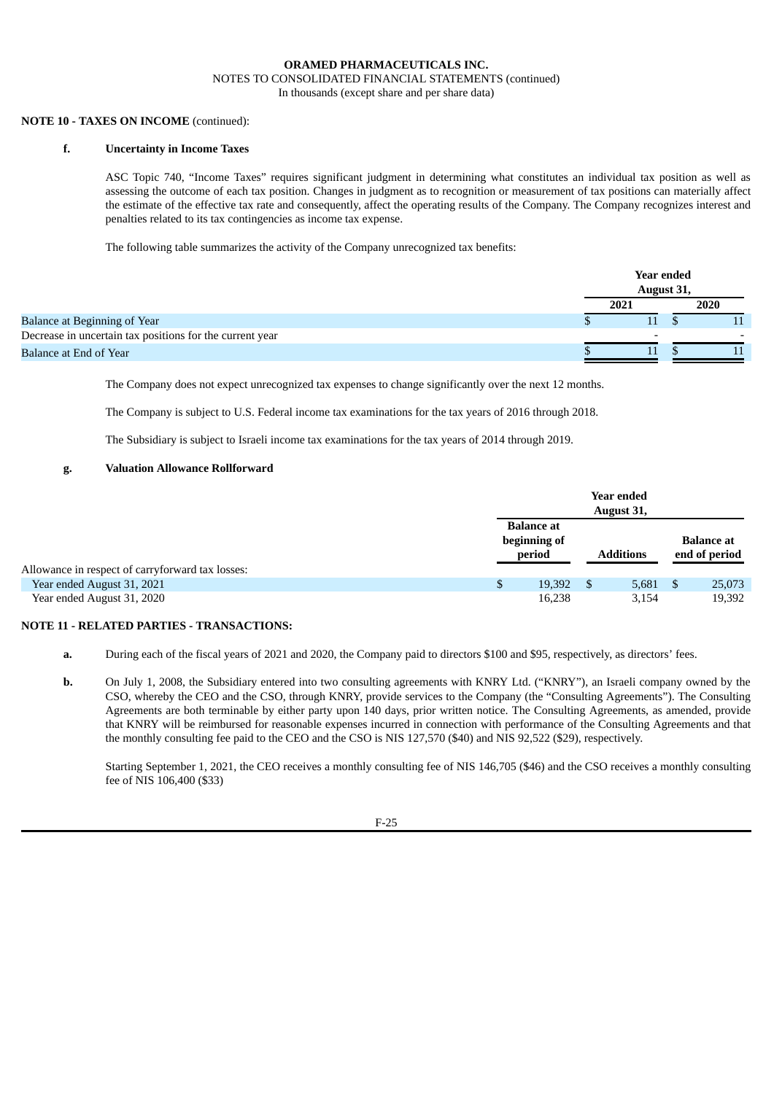#### **ORAMED PHARMACEUTICALS INC.** NOTES TO CONSOLIDATED FINANCIAL STATEMENTS (continued) In thousands (except share and per share data)

# **NOTE 10 - TAXES ON INCOME** (continued):

#### **f. Uncertainty in Income Taxes**

ASC Topic 740, "Income Taxes" requires significant judgment in determining what constitutes an individual tax position as well as assessing the outcome of each tax position. Changes in judgment as to recognition or measurement of tax positions can materially affect the estimate of the effective tax rate and consequently, affect the operating results of the Company. The Company recognizes interest and penalties related to its tax contingencies as income tax expense.

The following table summarizes the activity of the Company unrecognized tax benefits:

|                                                          | <b>Year ended</b><br>August 31, |  |      |  |
|----------------------------------------------------------|---------------------------------|--|------|--|
|                                                          | 2021                            |  | 2020 |  |
| Balance at Beginning of Year                             |                                 |  |      |  |
| Decrease in uncertain tax positions for the current year |                                 |  |      |  |
| Balance at End of Year                                   |                                 |  |      |  |

The Company does not expect unrecognized tax expenses to change significantly over the next 12 months.

The Company is subject to U.S. Federal income tax examinations for the tax years of 2016 through 2018.

The Subsidiary is subject to Israeli income tax examinations for the tax years of 2014 through 2019.

## **g. Valuation Allowance Rollforward**

|                                                  | <b>Year ended</b> |      |                  |    |                   |  |
|--------------------------------------------------|-------------------|------|------------------|----|-------------------|--|
|                                                  | August 31,        |      |                  |    |                   |  |
|                                                  | <b>Balance</b> at |      |                  |    |                   |  |
|                                                  | beginning of      |      |                  |    | <b>Balance</b> at |  |
|                                                  | period            |      | <b>Additions</b> |    | end of period     |  |
| Allowance in respect of carryforward tax losses: |                   |      |                  |    |                   |  |
| Year ended August 31, 2021                       | 19,392            | - \$ | 5,681            | -S | 25,073            |  |
| Year ended August 31, 2020                       | 16,238            |      | 3,154            |    | 19.392            |  |

### **NOTE 11 - RELATED PARTIES - TRANSACTIONS:**

- **a.** During each of the fiscal years of 2021 and 2020, the Company paid to directors \$100 and \$95, respectively, as directors' fees.
- **b.** On July 1, 2008, the Subsidiary entered into two consulting agreements with KNRY Ltd. ("KNRY"), an Israeli company owned by the CSO, whereby the CEO and the CSO, through KNRY, provide services to the Company (the "Consulting Agreements"). The Consulting Agreements are both terminable by either party upon 140 days, prior written notice. The Consulting Agreements, as amended, provide that KNRY will be reimbursed for reasonable expenses incurred in connection with performance of the Consulting Agreements and that the monthly consulting fee paid to the CEO and the CSO is NIS 127,570 (\$40) and NIS 92,522 (\$29), respectively.

Starting September 1, 2021, the CEO receives a monthly consulting fee of NIS 146,705 (\$46) and the CSO receives a monthly consulting fee of NIS 106,400 (\$33)

F-25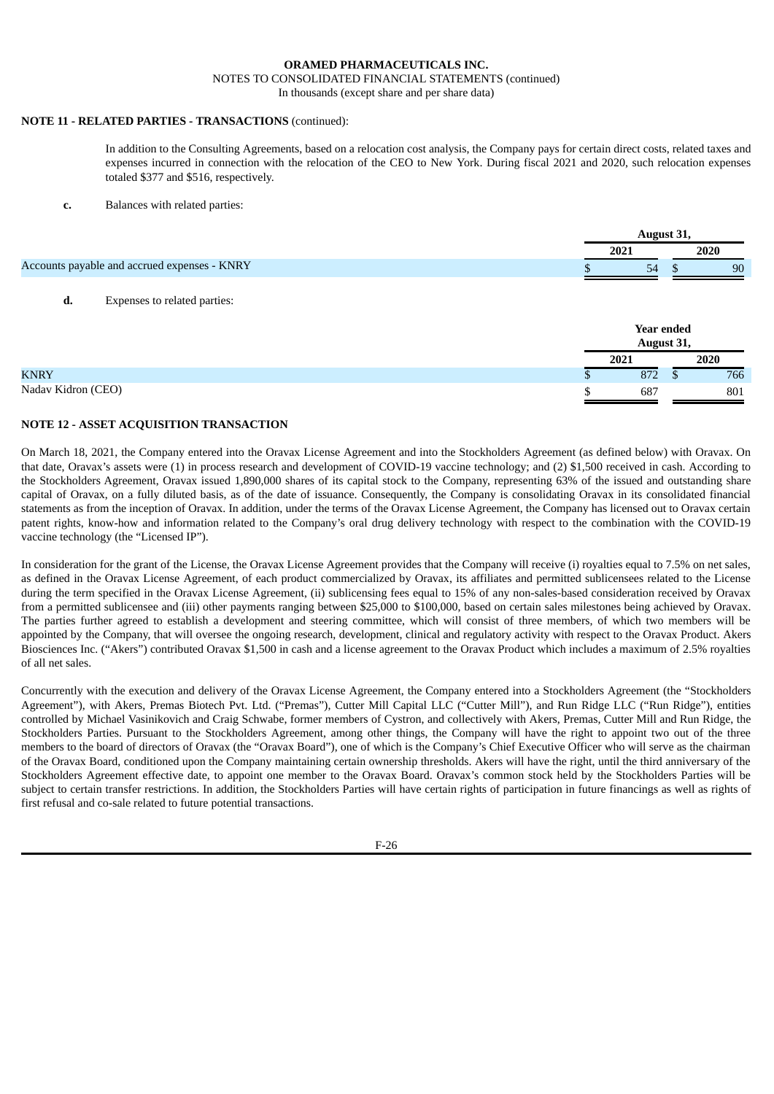#### **ORAMED PHARMACEUTICALS INC.**

# NOTES TO CONSOLIDATED FINANCIAL STATEMENTS (continued)

In thousands (except share and per share data)

## **NOTE 11 - RELATED PARTIES - TRANSACTIONS** (continued):

In addition to the Consulting Agreements, based on a relocation cost analysis, the Company pays for certain direct costs, related taxes and expenses incurred in connection with the relocation of the CEO to New York. During fiscal 2021 and 2020, such relocation expenses totaled \$377 and \$516, respectively.

#### **c.** Balances with related parties:

|                                              | August 31, |  |      |
|----------------------------------------------|------------|--|------|
|                                              | 2021       |  | 2020 |
| Accounts payable and accrued expenses - KNRY |            |  | 90   |
|                                              |            |  |      |

### **d.** Expenses to related parties:

|                    |   | <b>Year ended</b><br>August 31, |      |
|--------------------|---|---------------------------------|------|
|                    |   | 2021                            | 2020 |
|                    | ∾ | 872                             | 766  |
| Nadav Kidron (CEO) |   | 687                             | 801  |

# **NOTE 12 - ASSET ACQUISITION TRANSACTION**

On March 18, 2021, the Company entered into the Oravax License Agreement and into the Stockholders Agreement (as defined below) with Oravax. On that date, Oravax's assets were (1) in process research and development of COVID-19 vaccine technology; and (2) \$1,500 received in cash. According to the Stockholders Agreement, Oravax issued 1,890,000 shares of its capital stock to the Company, representing 63% of the issued and outstanding share capital of Oravax, on a fully diluted basis, as of the date of issuance. Consequently, the Company is consolidating Oravax in its consolidated financial statements as from the inception of Oravax. In addition, under the terms of the Oravax License Agreement, the Company has licensed out to Oravax certain patent rights, know-how and information related to the Company's oral drug delivery technology with respect to the combination with the COVID-19 vaccine technology (the "Licensed IP").

In consideration for the grant of the License, the Oravax License Agreement provides that the Company will receive (i) royalties equal to 7.5% on net sales, as defined in the Oravax License Agreement, of each product commercialized by Oravax, its affiliates and permitted sublicensees related to the License during the term specified in the Oravax License Agreement, (ii) sublicensing fees equal to 15% of any non-sales-based consideration received by Oravax from a permitted sublicensee and (iii) other payments ranging between \$25,000 to \$100,000, based on certain sales milestones being achieved by Oravax. The parties further agreed to establish a development and steering committee, which will consist of three members, of which two members will be appointed by the Company, that will oversee the ongoing research, development, clinical and regulatory activity with respect to the Oravax Product. Akers Biosciences Inc. ("Akers") contributed Oravax \$1,500 in cash and a license agreement to the Oravax Product which includes a maximum of 2.5% royalties of all net sales.

Concurrently with the execution and delivery of the Oravax License Agreement, the Company entered into a Stockholders Agreement (the "Stockholders Agreement"), with Akers, Premas Biotech Pvt. Ltd. ("Premas"), Cutter Mill Capital LLC ("Cutter Mill"), and Run Ridge LLC ("Run Ridge"), entities controlled by Michael Vasinikovich and Craig Schwabe, former members of Cystron, and collectively with Akers, Premas, Cutter Mill and Run Ridge, the Stockholders Parties. Pursuant to the Stockholders Agreement, among other things, the Company will have the right to appoint two out of the three members to the board of directors of Oravax (the "Oravax Board"), one of which is the Company's Chief Executive Officer who will serve as the chairman of the Oravax Board, conditioned upon the Company maintaining certain ownership thresholds. Akers will have the right, until the third anniversary of the Stockholders Agreement effective date, to appoint one member to the Oravax Board. Oravax's common stock held by the Stockholders Parties will be subject to certain transfer restrictions. In addition, the Stockholders Parties will have certain rights of participation in future financings as well as rights of first refusal and co-sale related to future potential transactions.

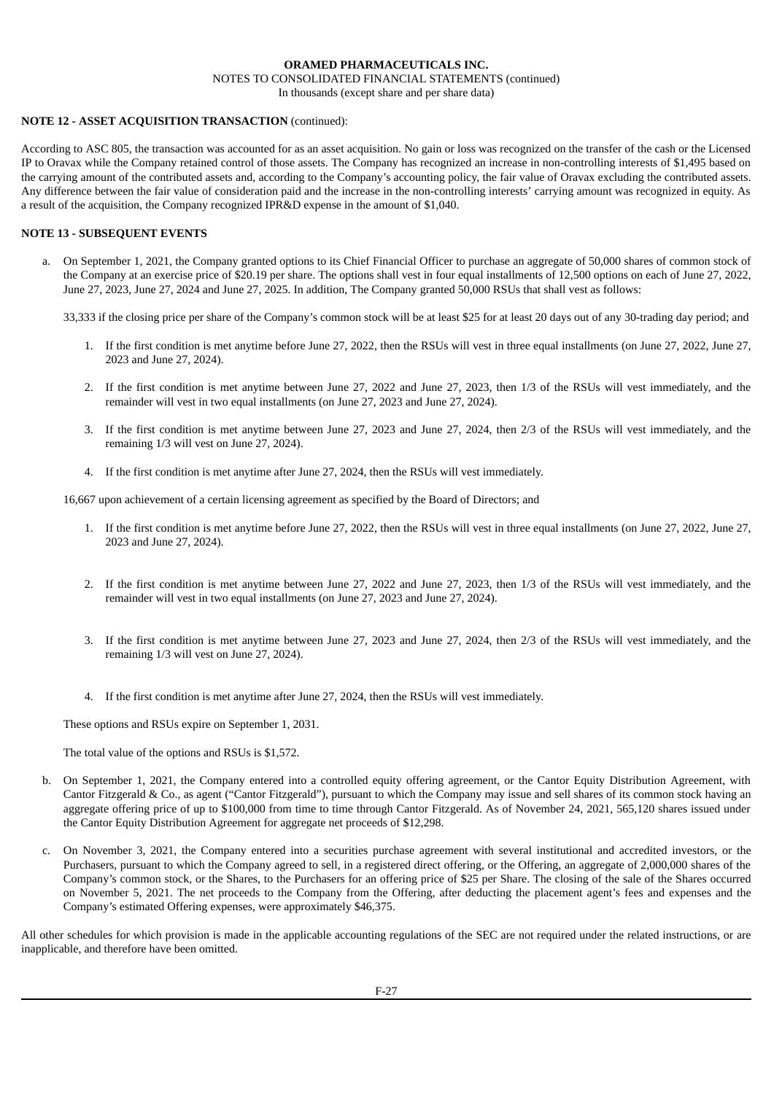## **ORAMED PHARMACEUTICALS INC.**

NOTES TO CONSOLIDATED FINANCIAL STATEMENTS (continued)

In thousands (except share and per share data)

# **NOTE 12 - ASSET ACQUISITION TRANSACTION** (continued):

According to ASC 805, the transaction was accounted for as an asset acquisition. No gain or loss was recognized on the transfer of the cash or the Licensed IP to Oravax while the Company retained control of those assets. The Company has recognized an increase in non-controlling interests of \$1,495 based on the carrying amount of the contributed assets and, according to the Company's accounting policy, the fair value of Oravax excluding the contributed assets. Any difference between the fair value of consideration paid and the increase in the non-controlling interests' carrying amount was recognized in equity. As a result of the acquisition, the Company recognized IPR&D expense in the amount of \$1,040.

# **NOTE 13 - SUBSEQUENT EVENTS**

a. On September 1, 2021, the Company granted options to its Chief Financial Officer to purchase an aggregate of 50,000 shares of common stock of the Company at an exercise price of \$20.19 per share. The options shall vest in four equal installments of 12,500 options on each of June 27, 2022, June 27, 2023, June 27, 2024 and June 27, 2025. In addition, The Company granted 50,000 RSUs that shall vest as follows:

33,333 if the closing price per share of the Company's common stock will be at least \$25 for at least 20 days out of any 30-trading day period; and

- 1. If the first condition is met anytime before June 27, 2022, then the RSUs will vest in three equal installments (on June 27, 2022, June 27, 2023 and June 27, 2024).
- 2. If the first condition is met anytime between June 27, 2022 and June 27, 2023, then 1/3 of the RSUs will vest immediately, and the remainder will vest in two equal installments (on June 27, 2023 and June 27, 2024).
- 3. If the first condition is met anytime between June 27, 2023 and June 27, 2024, then 2/3 of the RSUs will vest immediately, and the remaining 1/3 will vest on June 27, 2024).
- 4. If the first condition is met anytime after June 27, 2024, then the RSUs will vest immediately.

16,667 upon achievement of a certain licensing agreement as specified by the Board of Directors; and

- 1. If the first condition is met anytime before June 27, 2022, then the RSUs will vest in three equal installments (on June 27, 2022, June 27, 2023 and June 27, 2024).
- 2. If the first condition is met anytime between June 27, 2022 and June 27, 2023, then 1/3 of the RSUs will vest immediately, and the remainder will vest in two equal installments (on June 27, 2023 and June 27, 2024).
- 3. If the first condition is met anytime between June 27, 2023 and June 27, 2024, then 2/3 of the RSUs will vest immediately, and the remaining 1/3 will vest on June 27, 2024).
- 4. If the first condition is met anytime after June 27, 2024, then the RSUs will vest immediately.

These options and RSUs expire on September 1, 2031.

The total value of the options and RSUs is \$1,572.

- b. On September 1, 2021, the Company entered into a controlled equity offering agreement, or the Cantor Equity Distribution Agreement, with Cantor Fitzgerald & Co., as agent ("Cantor Fitzgerald"), pursuant to which the Company may issue and sell shares of its common stock having an aggregate offering price of up to \$100,000 from time to time through Cantor Fitzgerald. As of November 24, 2021, 565,120 shares issued under the Cantor Equity Distribution Agreement for aggregate net proceeds of \$12,298.
- c. On November 3, 2021, the Company entered into a securities purchase agreement with several institutional and accredited investors, or the Purchasers, pursuant to which the Company agreed to sell, in a registered direct offering, or the Offering, an aggregate of 2,000,000 shares of the Company's common stock, or the Shares, to the Purchasers for an offering price of \$25 per Share. The closing of the sale of the Shares occurred on November 5, 2021. The net proceeds to the Company from the Offering, after deducting the placement agent's fees and expenses and the Company's estimated Offering expenses, were approximately \$46,375.

All other schedules for which provision is made in the applicable accounting regulations of the SEC are not required under the related instructions, or are inapplicable, and therefore have been omitted.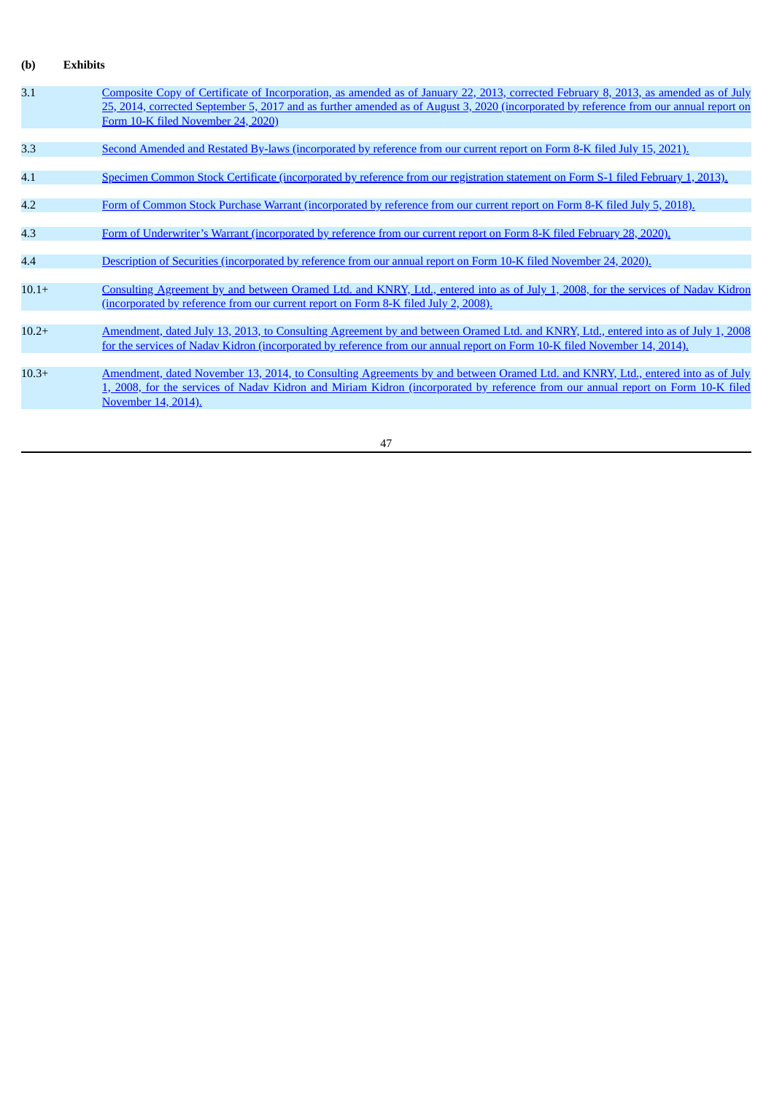# **(b) Exhibits**

| 3.1     | Composite Copy of Certificate of Incorporation, as amended as of January 22, 2013, corrected February 8, 2013, as amended as of July<br>25, 2014, corrected September 5, 2017 and as further amended as of August 3, 2020 (incorporated by reference from our annual report on<br>Form 10-K filed November 24, 2020) |
|---------|----------------------------------------------------------------------------------------------------------------------------------------------------------------------------------------------------------------------------------------------------------------------------------------------------------------------|
| 3.3     | Second Amended and Restated By-laws (incorporated by reference from our current report on Form 8-K filed July 15, 2021).                                                                                                                                                                                             |
| 4.1     | Specimen Common Stock Certificate (incorporated by reference from our registration statement on Form S-1 filed February 1, 2013).                                                                                                                                                                                    |
| 4.2     | Form of Common Stock Purchase Warrant (incorporated by reference from our current report on Form 8-K filed July 5, 2018).                                                                                                                                                                                            |
| 4.3     | Form of Underwriter's Warrant (incorporated by reference from our current report on Form 8-K filed February 28, 2020).                                                                                                                                                                                               |
| 4.4     | Description of Securities (incorporated by reference from our annual report on Form 10-K filed November 24, 2020).                                                                                                                                                                                                   |
| $10.1+$ | <u>Consulting Agreement by and between Oramed Ltd. and KNRY, Ltd., entered into as of July 1, 2008, for the services of Nadav Kidron</u><br>(incorporated by reference from our current report on Form 8-K filed July 2, 2008).                                                                                      |
| $10.2+$ | Amendment, dated July 13, 2013, to Consulting Agreement by and between Oramed Ltd. and KNRY, Ltd., entered into as of July 1, 2008<br>for the services of Nadav Kidron (incorporated by reference from our annual report on Form 10-K filed November 14, 2014).                                                      |
| $10.3+$ | Amendment, dated November 13, 2014, to Consulting Agreements by and between Oramed Ltd. and KNRY, Ltd., entered into as of July<br>1, 2008, for the services of Nadav Kidron and Miriam Kidron (incorporated by reference from our annual report on Form 10-K filed<br>November 14, 2014).                           |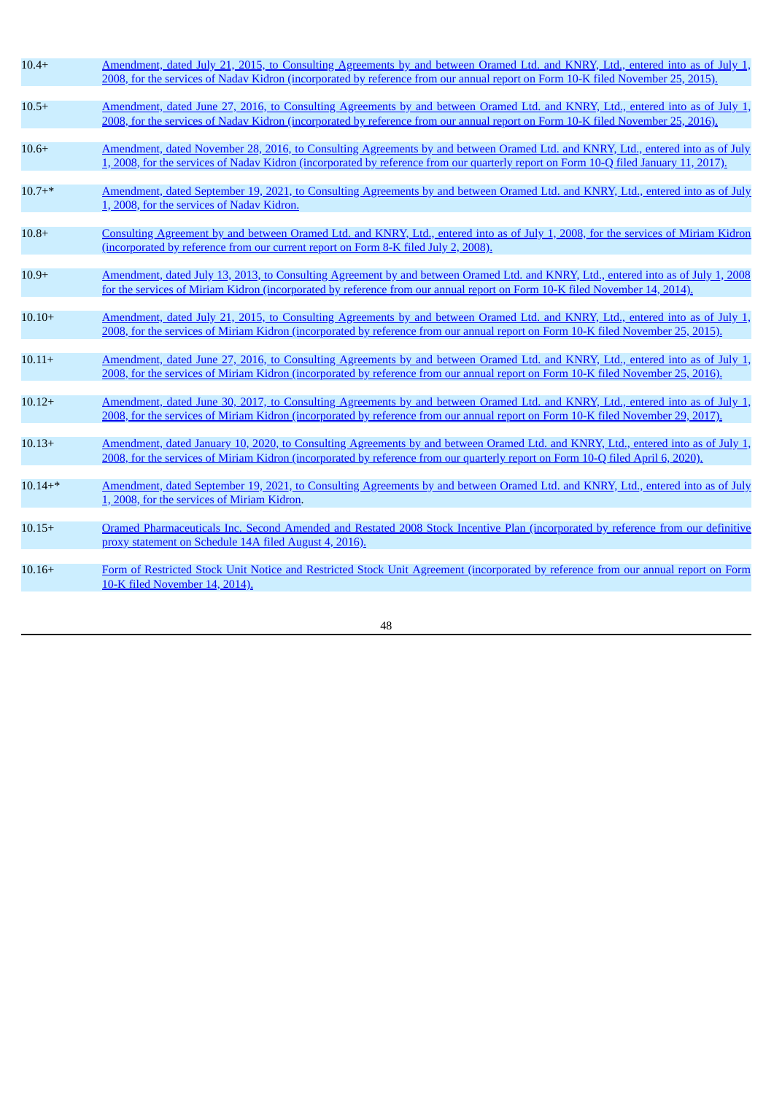| $10.4+$   | Amendment, dated July 21, 2015, to Consulting Agreements by and between Oramed Ltd. and KNRY, Ltd., entered into as of July 1,<br>2008, for the services of Nadav Kidron (incorporated by reference from our annual report on Form 10-K filed November 25, 2015).       |
|-----------|-------------------------------------------------------------------------------------------------------------------------------------------------------------------------------------------------------------------------------------------------------------------------|
| $10.5+$   | Amendment, dated June 27, 2016, to Consulting Agreements by and between Oramed Ltd. and KNRY, Ltd., entered into as of July 1,<br>2008, for the services of Nadav Kidron (incorporated by reference from our annual report on Form 10-K filed November 25, 2016).       |
| $10.6+$   | Amendment, dated November 28, 2016, to Consulting Agreements by and between Oramed Ltd. and KNRY, Ltd., entered into as of July<br>1, 2008, for the services of Nadav Kidron (incorporated by reference from our quarterly report on Form 10-Q filed January 11, 2017). |
| $10.7+*$  | Amendment, dated September 19, 2021, to Consulting Agreements by and between Oramed Ltd. and KNRY, Ltd., entered into as of July<br>1, 2008, for the services of Nadav Kidron.                                                                                          |
| $10.8+$   | Consulting Agreement by and between Oramed Ltd. and KNRY, Ltd., entered into as of July 1, 2008, for the services of Miriam Kidron<br>(incorporated by reference from our current report on Form 8-K filed July 2, 2008).                                               |
| $10.9+$   | Amendment, dated July 13, 2013, to Consulting Agreement by and between Oramed Ltd. and KNRY, Ltd., entered into as of July 1, 2008<br>for the services of Miriam Kidron (incorporated by reference from our annual report on Form 10-K filed November 14, 2014).        |
| $10.10+$  | Amendment, dated July 21, 2015, to Consulting Agreements by and between Oramed Ltd. and KNRY, Ltd., entered into as of July 1,<br>2008, for the services of Miriam Kidron (incorporated by reference from our annual report on Form 10-K filed November 25, 2015).      |
| $10.11+$  | Amendment, dated June 27, 2016, to Consulting Agreements by and between Oramed Ltd. and KNRY, Ltd., entered into as of July 1,<br>2008, for the services of Miriam Kidron (incorporated by reference from our annual report on Form 10-K filed November 25, 2016).      |
| $10.12+$  | Amendment, dated June 30, 2017, to Consulting Agreements by and between Oramed Ltd. and KNRY, Ltd., entered into as of July 1,<br>2008, for the services of Miriam Kidron (incorporated by reference from our annual report on Form 10-K filed November 29, 2017).      |
| $10.13+$  | Amendment, dated January 10, 2020, to Consulting Agreements by and between Oramed Ltd. and KNRY, Ltd., entered into as of July 1,<br>2008, for the services of Miriam Kidron (incorporated by reference from our quarterly report on Form 10-Q filed April 6, 2020).    |
| $10.14+*$ | Amendment, dated September 19, 2021, to Consulting Agreements by and between Oramed Ltd. and KNRY, Ltd., entered into as of July<br>1, 2008, for the services of Miriam Kidron.                                                                                         |
| $10.15+$  | Oramed Pharmaceuticals Inc. Second Amended and Restated 2008 Stock Incentive Plan (incorporated by reference from our definitive<br>proxy statement on Schedule 14A filed August 4, 2016).                                                                              |
| $10.16+$  | Form of Restricted Stock Unit Notice and Restricted Stock Unit Agreement (incorporated by reference from our annual report on Form<br>10-K filed November 14, 2014).                                                                                                    |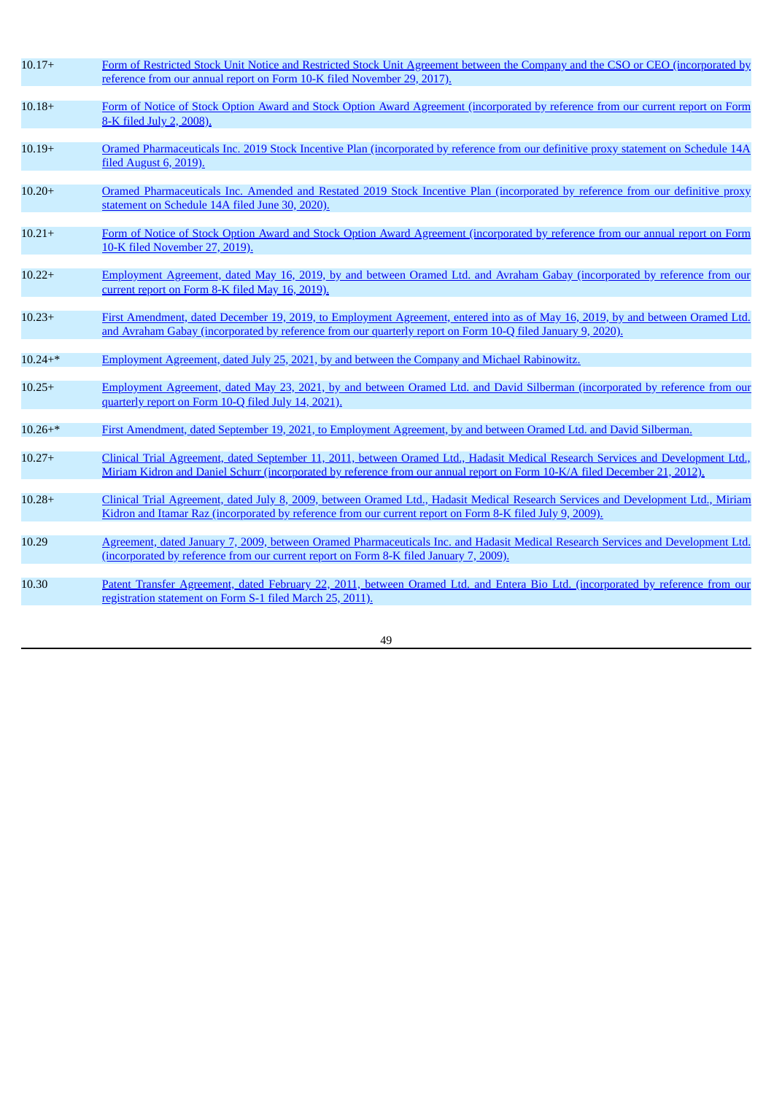| $10.17+$  | Form of Restricted Stock Unit Notice and Restricted Stock Unit Agreement between the Company and the CSO or CEO (incorporated by<br>reference from our annual report on Form 10-K filed November 29, 2017).                                                   |
|-----------|---------------------------------------------------------------------------------------------------------------------------------------------------------------------------------------------------------------------------------------------------------------|
| $10.18+$  | Form of Notice of Stock Option Award and Stock Option Award Agreement (incorporated by reference from our current report on Form<br>8-K filed July 2, 2008).                                                                                                  |
| $10.19+$  | Oramed Pharmaceuticals Inc. 2019 Stock Incentive Plan (incorporated by reference from our definitive proxy statement on Schedule 14A<br><u>filed August 6, 2019).</u>                                                                                         |
| $10.20+$  | Oramed Pharmaceuticals Inc. Amended and Restated 2019 Stock Incentive Plan (incorporated by reference from our definitive proxy<br>statement on Schedule 14A filed June 30, 2020).                                                                            |
| $10.21 +$ | Form of Notice of Stock Option Award and Stock Option Award Agreement (incorporated by reference from our annual report on Form<br>10-K filed November 27, 2019).                                                                                             |
| $10.22+$  | Employment Agreement, dated May 16, 2019, by and between Oramed Ltd. and Avraham Gabay (incorporated by reference from our<br>current report on Form 8-K filed May 16, 2019).                                                                                 |
| $10.23+$  | First Amendment, dated December 19, 2019, to Employment Agreement, entered into as of May 16, 2019, by and between Oramed Ltd.<br>and Avraham Gabay (incorporated by reference from our quarterly report on Form 10-Q filed January 9, 2020).                 |
| $10.24+*$ | Employment Agreement, dated July 25, 2021, by and between the Company and Michael Rabinowitz.                                                                                                                                                                 |
| $10.25+$  | Employment Agreement, dated May 23, 2021, by and between Oramed Ltd. and David Silberman (incorporated by reference from our<br>guarterly report on Form 10-Q filed July 14, 2021).                                                                           |
| $10.26+*$ | First Amendment, dated September 19, 2021, to Employment Agreement, by and between Oramed Ltd. and David Silberman.                                                                                                                                           |
| $10.27+$  | Clinical Trial Agreement, dated September 11, 2011, between Oramed Ltd., Hadasit Medical Research Services and Development Ltd.<br>Miriam Kidron and Daniel Schurr (incorporated by reference from our annual report on Form 10-K/A filed December 21, 2012). |
| $10.28 +$ | Clinical Trial Agreement, dated July 8, 2009, between Oramed Ltd., Hadasit Medical Research Services and Development Ltd., Miriam<br>Kidron and Itamar Raz (incorporated by reference from our current report on Form 8-K filed July 9, 2009).                |
| 10.29     | Agreement, dated January 7, 2009, between Oramed Pharmaceuticals Inc. and Hadasit Medical Research Services and Development Ltd.<br>(incorporated by reference from our current report on Form 8-K filed January 7, 2009).                                    |
| 10.30     | Patent Transfer Agreement, dated February 22, 2011, between Oramed Ltd. and Entera Bio Ltd. (incorporated by reference from our<br>registration statement on Form S-1 filed March 25, 2011).                                                                  |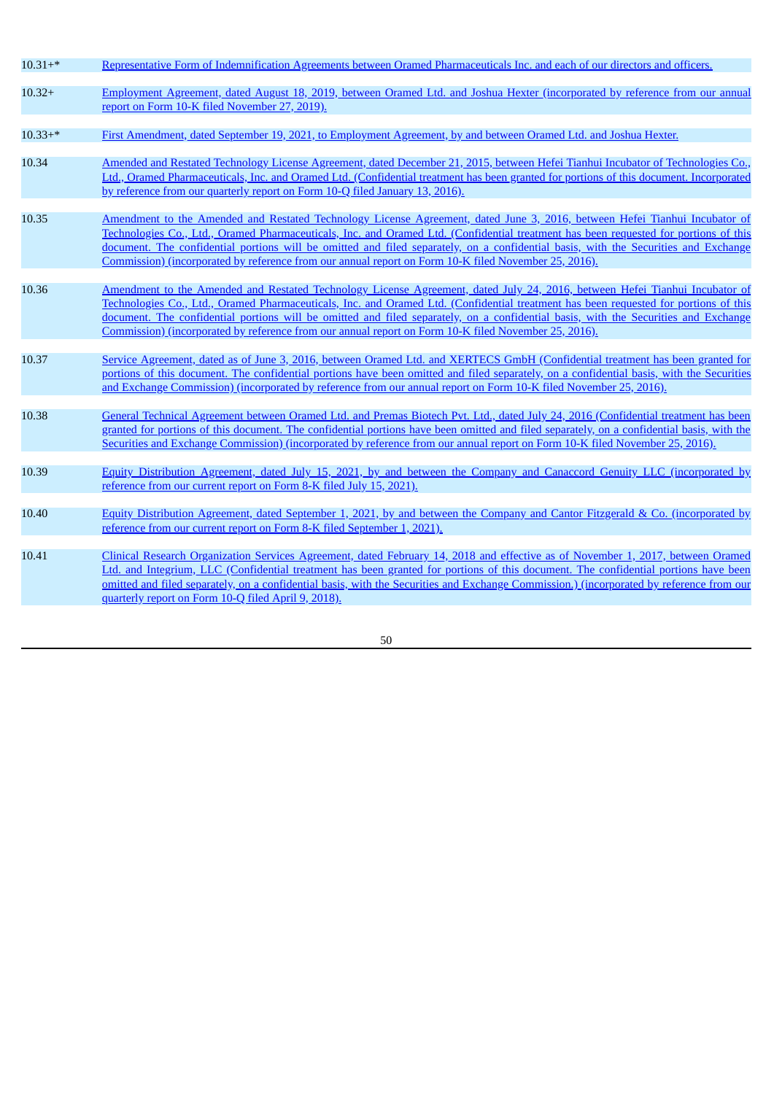| $10.31+*$ | Representative Form of Indemnification Agreements between Oramed Pharmaceuticals Inc. and each of our directors and officers.                                                                                                                                                                                                                                                                                                                                                                                      |  |
|-----------|--------------------------------------------------------------------------------------------------------------------------------------------------------------------------------------------------------------------------------------------------------------------------------------------------------------------------------------------------------------------------------------------------------------------------------------------------------------------------------------------------------------------|--|
| $10.32+$  | Employment Agreement, dated August 18, 2019, between Oramed Ltd. and Joshua Hexter (incorporated by reference from our annual                                                                                                                                                                                                                                                                                                                                                                                      |  |
|           | report on Form 10-K filed November 27, 2019).                                                                                                                                                                                                                                                                                                                                                                                                                                                                      |  |
| $10.33+*$ | First Amendment, dated September 19, 2021, to Employment Agreement, by and between Oramed Ltd. and Joshua Hexter.                                                                                                                                                                                                                                                                                                                                                                                                  |  |
|           |                                                                                                                                                                                                                                                                                                                                                                                                                                                                                                                    |  |
| 10.34     | Amended and Restated Technology License Agreement, dated December 21, 2015, between Hefei Tianhui Incubator of Technologies Co.,<br>Ltd., Oramed Pharmaceuticals, Inc. and Oramed Ltd. (Confidential treatment has been granted for portions of this document. Incorporated<br>by reference from our quarterly report on Form 10-Q filed January 13, 2016).                                                                                                                                                        |  |
| 10.35     | Amendment to the Amended and Restated Technology License Agreement, dated June 3, 2016, between Hefei Tianhui Incubator of<br>Technologies Co., Ltd., Oramed Pharmaceuticals, Inc. and Oramed Ltd. (Confidential treatment has been requested for portions of this<br>document. The confidential portions will be omitted and filed separately, on a confidential basis, with the Securities and Exchange<br>Commission) (incorporated by reference from our annual report on Form 10-K filed November 25, 2016).  |  |
| 10.36     | Amendment to the Amended and Restated Technology License Agreement, dated July 24, 2016, between Hefei Tianhui Incubator of<br>Technologies Co., Ltd., Oramed Pharmaceuticals, Inc. and Oramed Ltd. (Confidential treatment has been requested for portions of this<br>document. The confidential portions will be omitted and filed separately, on a confidential basis, with the Securities and Exchange<br>Commission) (incorporated by reference from our annual report on Form 10-K filed November 25, 2016). |  |
| 10.37     | Service Agreement, dated as of June 3, 2016, between Oramed Ltd. and XERTECS GmbH (Confidential treatment has been granted for<br>portions of this document. The confidential portions have been omitted and filed separately, on a confidential basis, with the Securities<br>and Exchange Commission) (incorporated by reference from our annual report on Form 10-K filed November 25, 2016).                                                                                                                   |  |
| 10.38     | General Technical Agreement between Oramed Ltd. and Premas Biotech Pvt. Ltd., dated July 24, 2016 (Confidential treatment has been<br>granted for portions of this document. The confidential portions have been omitted and filed separately, on a confidential basis, with the<br>Securities and Exchange Commission) (incorporated by reference from our annual report on Form 10-K filed November 25, 2016).                                                                                                   |  |
| 10.39     | Equity Distribution Agreement, dated July 15, 2021, by and between the Company and Canaccord Genuity LLC (incorporated by<br>reference from our current report on Form 8-K filed July 15, 2021).                                                                                                                                                                                                                                                                                                                   |  |
| 10.40     | Equity Distribution Agreement, dated September 1, 2021, by and between the Company and Cantor Fitzgerald & Co. (incorporated by<br>reference from our current report on Form 8-K filed September 1, 2021).                                                                                                                                                                                                                                                                                                         |  |
| 10.41     | Clinical Research Organization Services Agreement, dated February 14, 2018 and effective as of November 1, 2017, between Oramed<br>Ltd. and Integrium, LLC (Confidential treatment has been granted for portions of this document. The confidential portions have been<br>omitted and filed separately, on a confidential basis, with the Securities and Exchange Commission.) (incorporated by reference from our<br>quarterly report on Form 10-Q filed April 9, 2018).                                          |  |
|           |                                                                                                                                                                                                                                                                                                                                                                                                                                                                                                                    |  |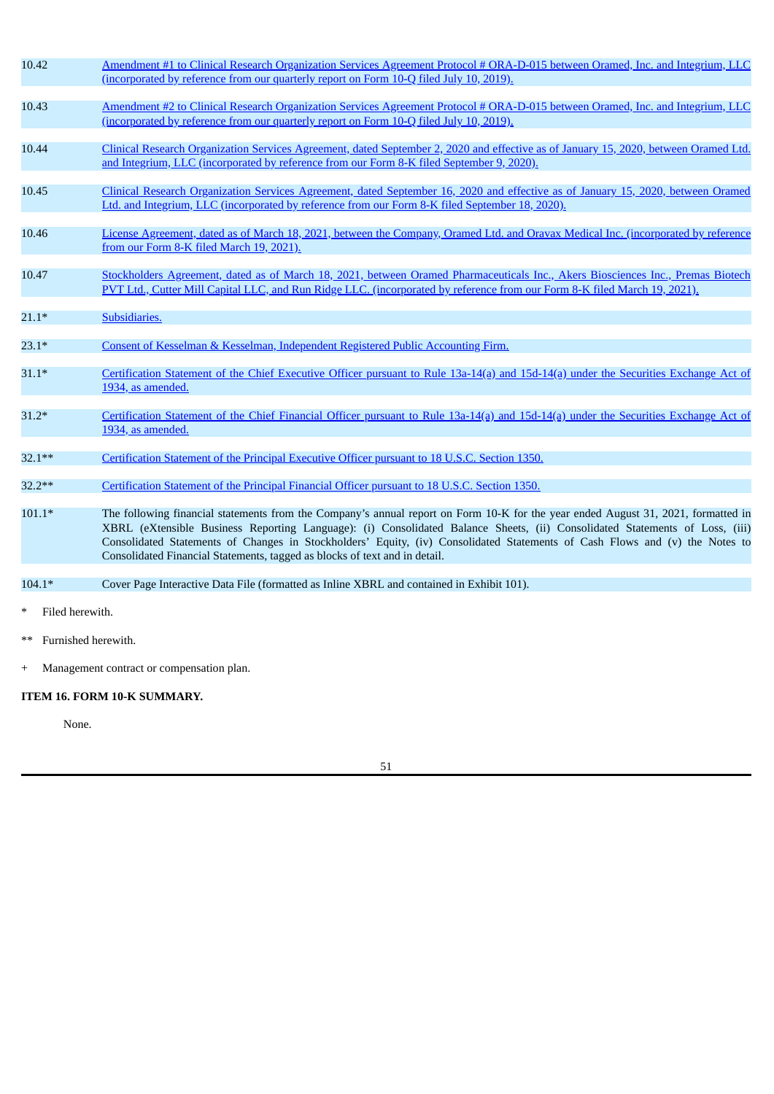| 10.42           | Amendment #1 to Clinical Research Organization Services Agreement Protocol # ORA-D-015 between Oramed, Inc. and Integrium, LLC<br>(incorporated by reference from our quarterly report on Form 10-Q filed July 10, 2019).                                                                                                                                                                                                                                                     |  |
|-----------------|-------------------------------------------------------------------------------------------------------------------------------------------------------------------------------------------------------------------------------------------------------------------------------------------------------------------------------------------------------------------------------------------------------------------------------------------------------------------------------|--|
| 10.43           | Amendment #2 to Clinical Research Organization Services Agreement Protocol # ORA-D-015 between Oramed, Inc. and Integrium, LLC<br>(incorporated by reference from our quarterly report on Form 10-Q filed July 10, 2019).                                                                                                                                                                                                                                                     |  |
| 10.44           | Clinical Research Organization Services Agreement, dated September 2, 2020 and effective as of January 15, 2020, between Oramed Ltd.<br>and Integrium, LLC (incorporated by reference from our Form 8-K filed September 9, 2020).                                                                                                                                                                                                                                             |  |
| 10.45           | Clinical Research Organization Services Agreement, dated September 16, 2020 and effective as of January 15, 2020, between Oramed<br>Ltd. and Integrium, LLC (incorporated by reference from our Form 8-K filed September 18, 2020).                                                                                                                                                                                                                                           |  |
| 10.46           | License Agreement, dated as of March 18, 2021, between the Company, Oramed Ltd. and Oravax Medical Inc. (incorporated by reference<br>from our Form 8-K filed March 19, 2021).                                                                                                                                                                                                                                                                                                |  |
| 10.47           | Stockholders Agreement, dated as of March 18, 2021, between Oramed Pharmaceuticals Inc., Akers Biosciences Inc., Premas Biotech<br>PVT Ltd., Cutter Mill Capital LLC, and Run Ridge LLC. (incorporated by reference from our Form 8-K filed March 19, 2021).                                                                                                                                                                                                                  |  |
| $21.1*$         | Subsidiaries.                                                                                                                                                                                                                                                                                                                                                                                                                                                                 |  |
| $23.1*$         | Consent of Kesselman & Kesselman, Independent Registered Public Accounting Firm.                                                                                                                                                                                                                                                                                                                                                                                              |  |
| $31.1*$         | Certification Statement of the Chief Executive Officer pursuant to Rule 13a-14(a) and 15d-14(a) under the Securities Exchange Act of<br>1934, as amended.                                                                                                                                                                                                                                                                                                                     |  |
| $31.2*$         | Certification Statement of the Chief Financial Officer pursuant to Rule 13a-14(a) and 15d-14(a) under the Securities Exchange Act of<br>1934, as amended.                                                                                                                                                                                                                                                                                                                     |  |
| $32.1***$       | Certification Statement of the Principal Executive Officer pursuant to 18 U.S.C. Section 1350.                                                                                                                                                                                                                                                                                                                                                                                |  |
| $32.2**$        | Certification Statement of the Principal Financial Officer pursuant to 18 U.S.C. Section 1350.                                                                                                                                                                                                                                                                                                                                                                                |  |
| $101.1*$        | The following financial statements from the Company's annual report on Form 10-K for the year ended August 31, 2021, formatted in<br>XBRL (eXtensible Business Reporting Language): (i) Consolidated Balance Sheets, (ii) Consolidated Statements of Loss, (iii)<br>Consolidated Statements of Changes in Stockholders' Equity, (iv) Consolidated Statements of Cash Flows and (v) the Notes to<br>Consolidated Financial Statements, tagged as blocks of text and in detail. |  |
| 104.1*          | Cover Page Interactive Data File (formatted as Inline XBRL and contained in Exhibit 101).                                                                                                                                                                                                                                                                                                                                                                                     |  |
| Filed herewith. |                                                                                                                                                                                                                                                                                                                                                                                                                                                                               |  |

\*\* Furnished herewith.

+ Management contract or compensation plan.

# **ITEM 16. FORM 10-K SUMMARY.**

None.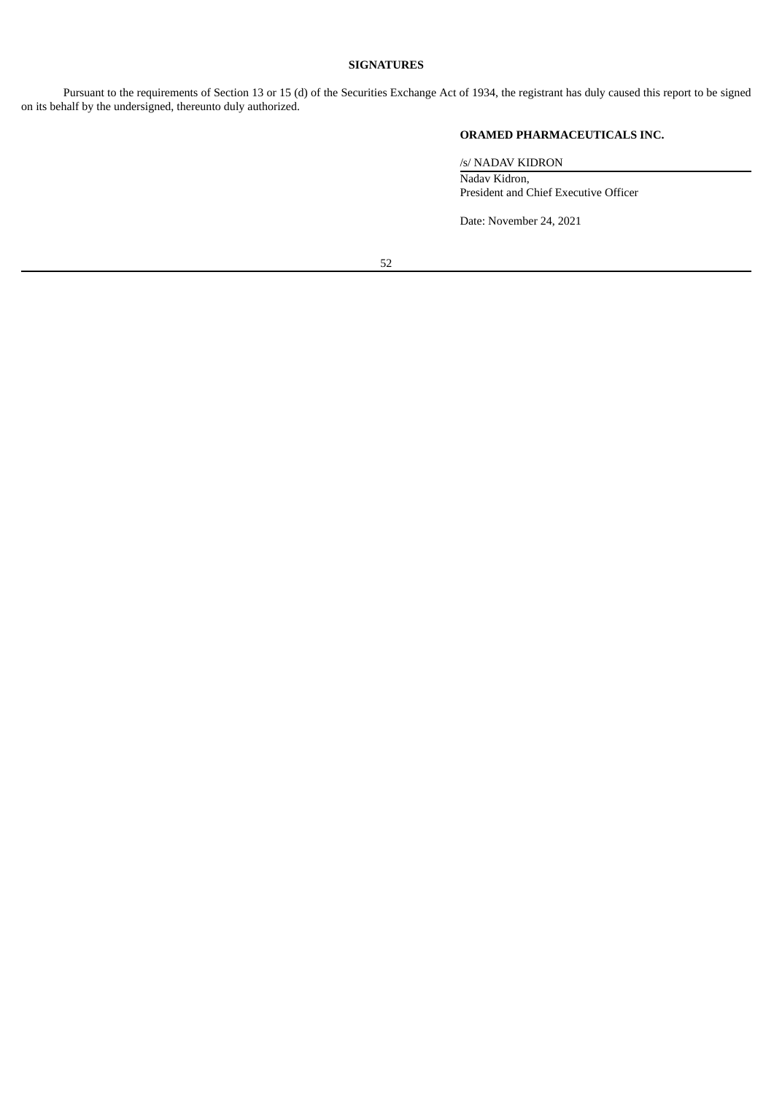# **SIGNATURES**

Pursuant to the requirements of Section 13 or 15 (d) of the Securities Exchange Act of 1934, the registrant has duly caused this report to be signed on its behalf by the undersigned, thereunto duly authorized.

# **ORAMED PHARMACEUTICALS INC.**

/s/ NADAV KIDRON

Nadav Kidron, President and Chief Executive Officer

Date: November 24, 2021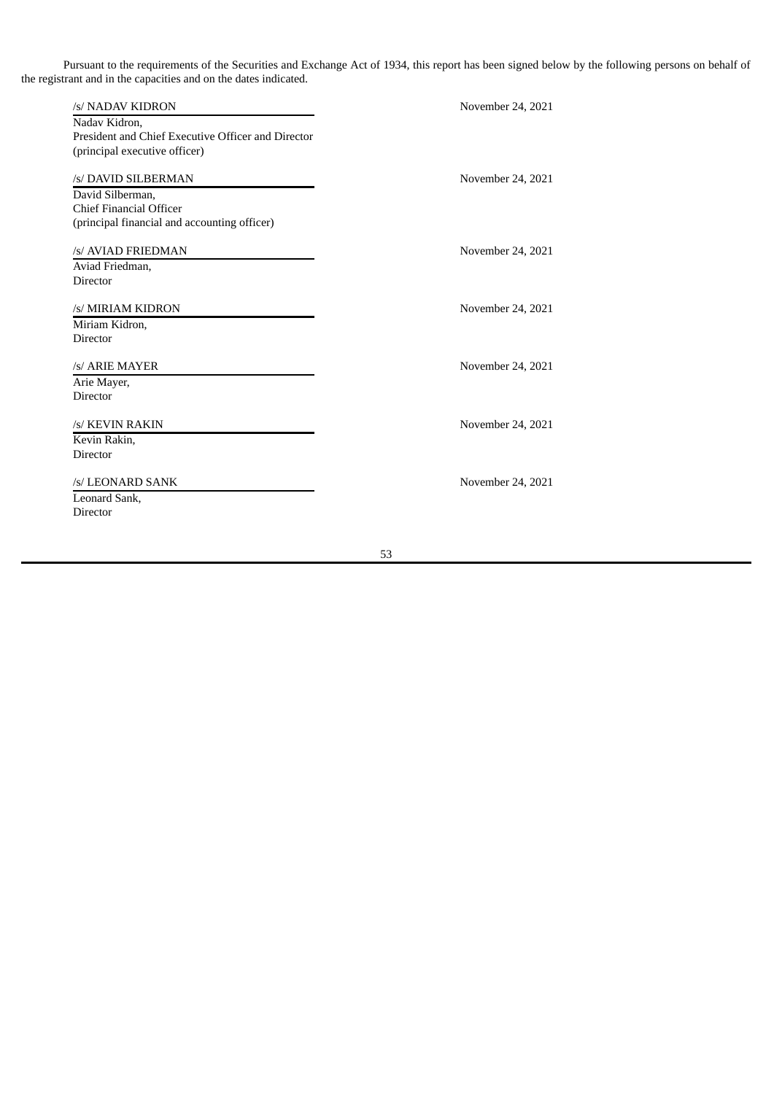Pursuant to the requirements of the Securities and Exchange Act of 1934, this report has been signed below by the following persons on behalf of the registrant and in the capacities and on the dates indicated.

| /s/ NADAV KIDRON                                   | November 24, 2021 |
|----------------------------------------------------|-------------------|
| Nadav Kidron,                                      |                   |
| President and Chief Executive Officer and Director |                   |
| (principal executive officer)                      |                   |
|                                                    |                   |
| /s/ DAVID SILBERMAN                                | November 24, 2021 |
| David Silberman,                                   |                   |
| <b>Chief Financial Officer</b>                     |                   |
| (principal financial and accounting officer)       |                   |
|                                                    |                   |
| /s/ AVIAD FRIEDMAN                                 | November 24, 2021 |
| Aviad Friedman,                                    |                   |
| Director                                           |                   |
|                                                    |                   |
| /s/ MIRIAM KIDRON                                  | November 24, 2021 |
| Miriam Kidron,                                     |                   |
| <b>Director</b>                                    |                   |
|                                                    |                   |
| /s/ ARIE MAYER                                     | November 24, 2021 |
| Arie Mayer,                                        |                   |
| <b>Director</b>                                    |                   |
|                                                    |                   |
| /s/ KEVIN RAKIN                                    | November 24, 2021 |
| Kevin Rakin,                                       |                   |
| <b>Director</b>                                    |                   |
|                                                    |                   |
| /s/ LEONARD SANK                                   | November 24, 2021 |
| Leonard Sank,                                      |                   |
| Director                                           |                   |
|                                                    |                   |
|                                                    |                   |
|                                                    |                   |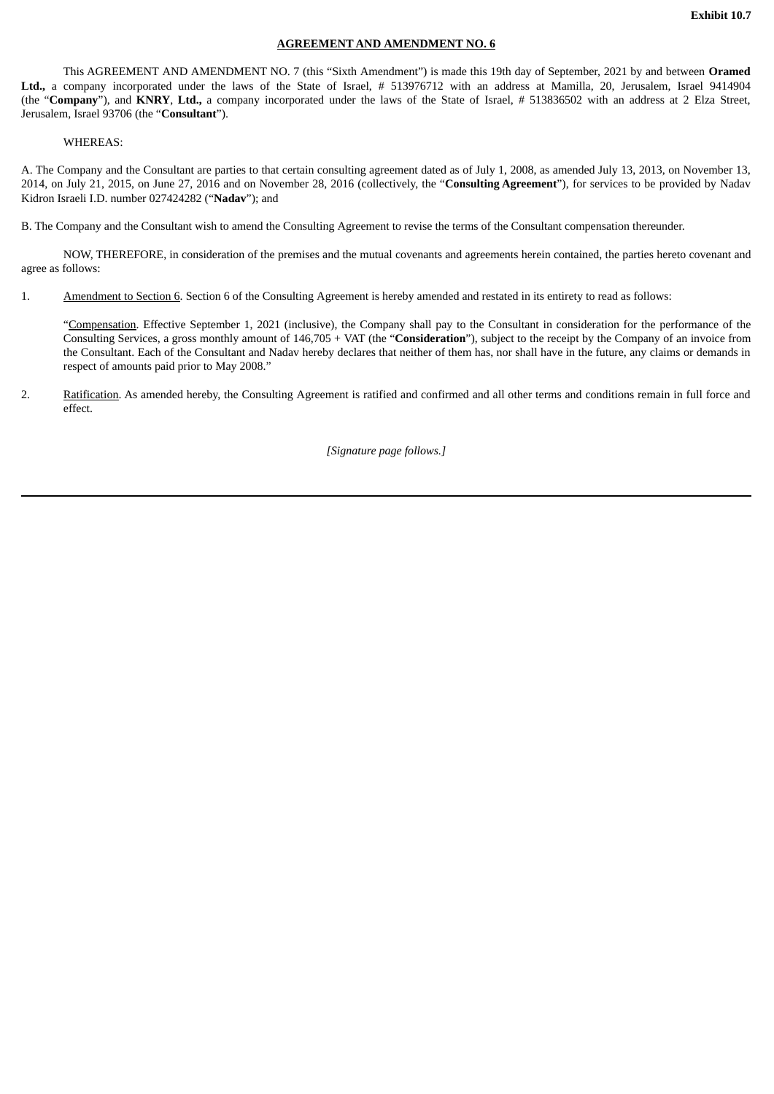#### **AGREEMENT AND AMENDMENT NO. 6**

<span id="page-84-0"></span>This AGREEMENT AND AMENDMENT NO. 7 (this "Sixth Amendment") is made this 19th day of September, 2021 by and between **Oramed Ltd.,** a company incorporated under the laws of the State of Israel, # 513976712 with an address at Mamilla, 20, Jerusalem, Israel 9414904 (the "**Company**"), and **KNRY**, **Ltd.,** a company incorporated under the laws of the State of Israel, # 513836502 with an address at 2 Elza Street, Jerusalem, Israel 93706 (the "**Consultant**").

#### WHEREAS:

A. The Company and the Consultant are parties to that certain consulting agreement dated as of July 1, 2008, as amended July 13, 2013, on November 13, 2014, on July 21, 2015, on June 27, 2016 and on November 28, 2016 (collectively, the "**Consulting Agreement**"), for services to be provided by Nadav Kidron Israeli I.D. number 027424282 ("**Nadav**"); and

B. The Company and the Consultant wish to amend the Consulting Agreement to revise the terms of the Consultant compensation thereunder.

NOW, THEREFORE, in consideration of the premises and the mutual covenants and agreements herein contained, the parties hereto covenant and agree as follows:

1. Amendment to Section 6. Section 6 of the Consulting Agreement is hereby amended and restated in its entirety to read as follows:

"Compensation. Effective September 1, 2021 (inclusive), the Company shall pay to the Consultant in consideration for the performance of the Consulting Services, a gross monthly amount of 146,705 + VAT (the "**Consideration**"), subject to the receipt by the Company of an invoice from the Consultant. Each of the Consultant and Nadav hereby declares that neither of them has, nor shall have in the future, any claims or demands in respect of amounts paid prior to May 2008."

2. Ratification. As amended hereby, the Consulting Agreement is ratified and confirmed and all other terms and conditions remain in full force and effect.

*[Signature page follows.]*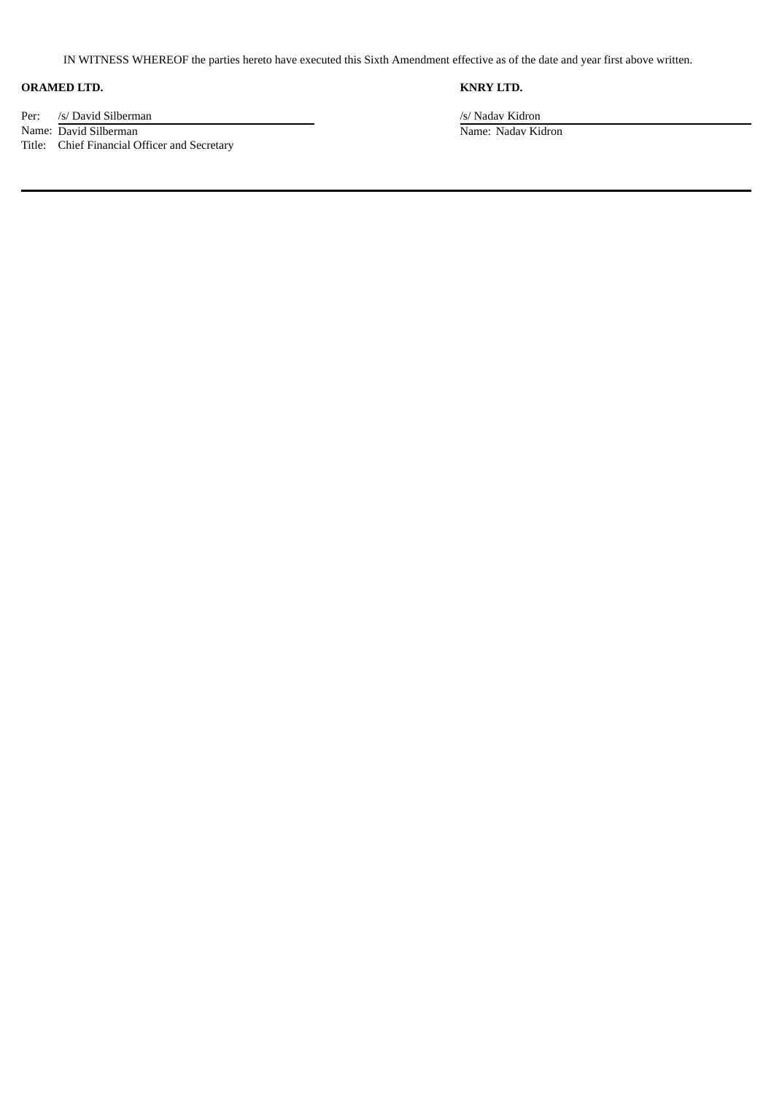IN WITNESS WHEREOF the parties hereto have executed this Sixth Amendment effective as of the date and year first above written.

# **ORAMED LTD. KNRY** LTD.

Per: /s/ David Silberman /s/ Nadav Kidron

Title: Chief Financial Officer and Secretary

Name: David Silberman Name: Nadav Kidron Name: Nadav Kidron Name: Nadav Kidron Name: Nadav Kidron Name: Nadav Kidron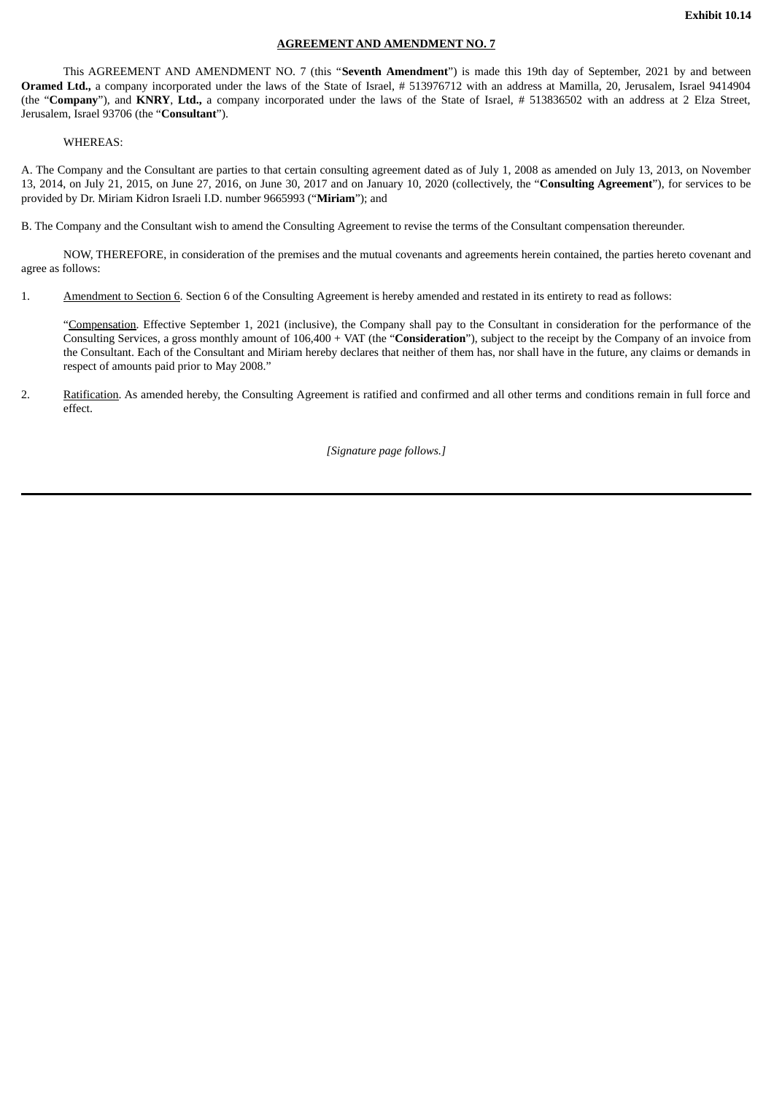#### **AGREEMENT AND AMENDMENT NO. 7**

<span id="page-86-0"></span>This AGREEMENT AND AMENDMENT NO. 7 (this "**Seventh Amendment**") is made this 19th day of September, 2021 by and between **Oramed Ltd.,** a company incorporated under the laws of the State of Israel, # 513976712 with an address at Mamilla, 20, Jerusalem, Israel 9414904 (the "**Company**"), and **KNRY**, **Ltd.,** a company incorporated under the laws of the State of Israel, # 513836502 with an address at 2 Elza Street, Jerusalem, Israel 93706 (the "**Consultant**").

#### WHEREAS:

A. The Company and the Consultant are parties to that certain consulting agreement dated as of July 1, 2008 as amended on July 13, 2013, on November 13, 2014, on July 21, 2015, on June 27, 2016, on June 30, 2017 and on January 10, 2020 (collectively, the "**Consulting Agreement**"), for services to be provided by Dr. Miriam Kidron Israeli I.D. number 9665993 ("**Miriam**"); and

B. The Company and the Consultant wish to amend the Consulting Agreement to revise the terms of the Consultant compensation thereunder.

NOW, THEREFORE, in consideration of the premises and the mutual covenants and agreements herein contained, the parties hereto covenant and agree as follows:

1. Amendment to Section 6. Section 6 of the Consulting Agreement is hereby amended and restated in its entirety to read as follows:

"Compensation. Effective September 1, 2021 (inclusive), the Company shall pay to the Consultant in consideration for the performance of the Consulting Services, a gross monthly amount of 106,400 + VAT (the "**Consideration**"), subject to the receipt by the Company of an invoice from the Consultant. Each of the Consultant and Miriam hereby declares that neither of them has, nor shall have in the future, any claims or demands in respect of amounts paid prior to May 2008."

2. Ratification. As amended hereby, the Consulting Agreement is ratified and confirmed and all other terms and conditions remain in full force and effect.

*[Signature page follows.]*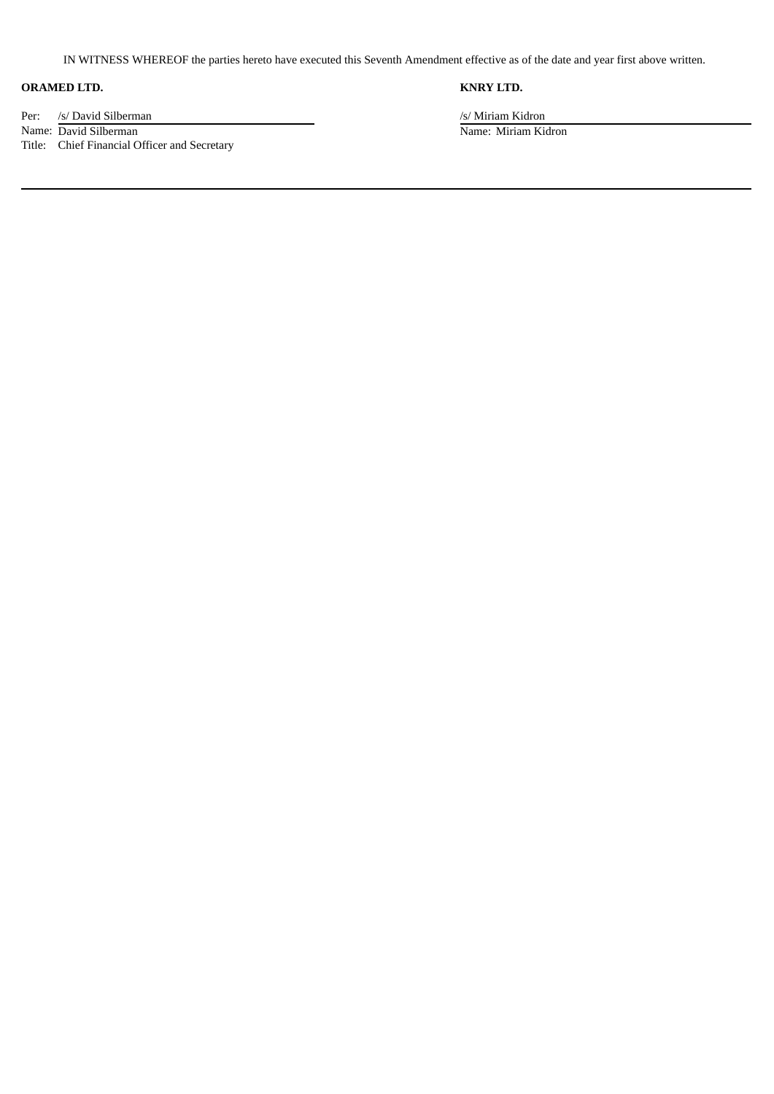IN WITNESS WHEREOF the parties hereto have executed this Seventh Amendment effective as of the date and year first above written.

# **ORAMED** LTD. **KNRY** LTD.

Per: /s/ David Silberman /s/ Miriam Kidron /s/ Miriam Kidron /s/ Miriam Kidron /s/ Miriam Kidron /s/ Miriam Kidron /s/ Miriam Kidron /s/ Miriam Kidron /s/ Miriam Kidron /s/ Miriam /s/ Miriam /s/ Miriam /s/ Miriam /s/ Miria

Title: Chief Financial Officer and Secretary

Name: David Silberman Name: Miriam Kidron Name: Miriam Kidron Name: Miriam Kidron Name: Miriam Kidron Name: Miriam Kidron Name: Miriam Kidron Name: Miriam Kidron Name: Miriam Kidron Name: Miriam Kidron Name: Miriam Kidron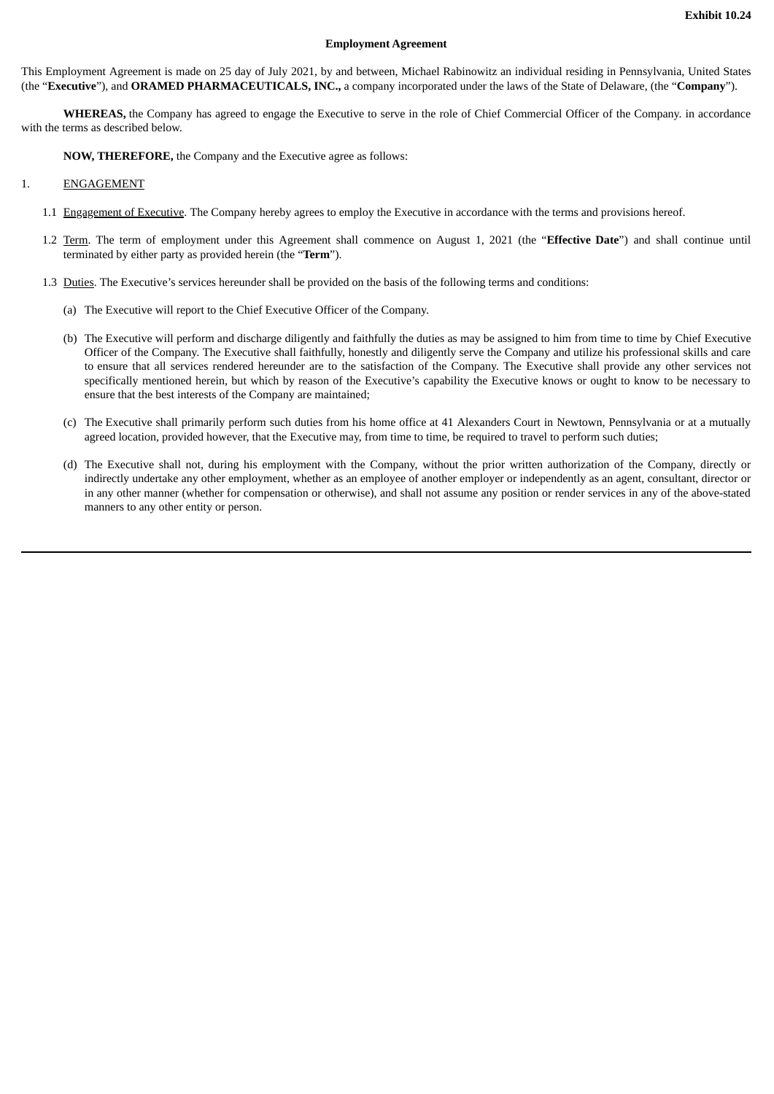#### **Employment Agreement**

<span id="page-88-0"></span>This Employment Agreement is made on 25 day of July 2021, by and between, Michael Rabinowitz an individual residing in Pennsylvania, United States (the "**Executive**"), and **ORAMED PHARMACEUTICALS, INC.,** a company incorporated under the laws of the State of Delaware, (the "**Company**").

**WHEREAS,** the Company has agreed to engage the Executive to serve in the role of Chief Commercial Officer of the Company. in accordance with the terms as described below.

**NOW, THEREFORE,** the Company and the Executive agree as follows:

#### 1. ENGAGEMENT

- 1.1 Engagement of Executive. The Company hereby agrees to employ the Executive in accordance with the terms and provisions hereof.
- 1.2 Term. The term of employment under this Agreement shall commence on August 1, 2021 (the "**Effective Date**") and shall continue until terminated by either party as provided herein (the "**Term**").
- 1.3 Duties. The Executive's services hereunder shall be provided on the basis of the following terms and conditions:
	- (a) The Executive will report to the Chief Executive Officer of the Company.
	- (b) The Executive will perform and discharge diligently and faithfully the duties as may be assigned to him from time to time by Chief Executive Officer of the Company. The Executive shall faithfully, honestly and diligently serve the Company and utilize his professional skills and care to ensure that all services rendered hereunder are to the satisfaction of the Company. The Executive shall provide any other services not specifically mentioned herein, but which by reason of the Executive's capability the Executive knows or ought to know to be necessary to ensure that the best interests of the Company are maintained;
	- (c) The Executive shall primarily perform such duties from his home office at 41 Alexanders Court in Newtown, Pennsylvania or at a mutually agreed location, provided however, that the Executive may, from time to time, be required to travel to perform such duties;
	- (d) The Executive shall not, during his employment with the Company, without the prior written authorization of the Company, directly or indirectly undertake any other employment, whether as an employee of another employer or independently as an agent, consultant, director or in any other manner (whether for compensation or otherwise), and shall not assume any position or render services in any of the above-stated manners to any other entity or person.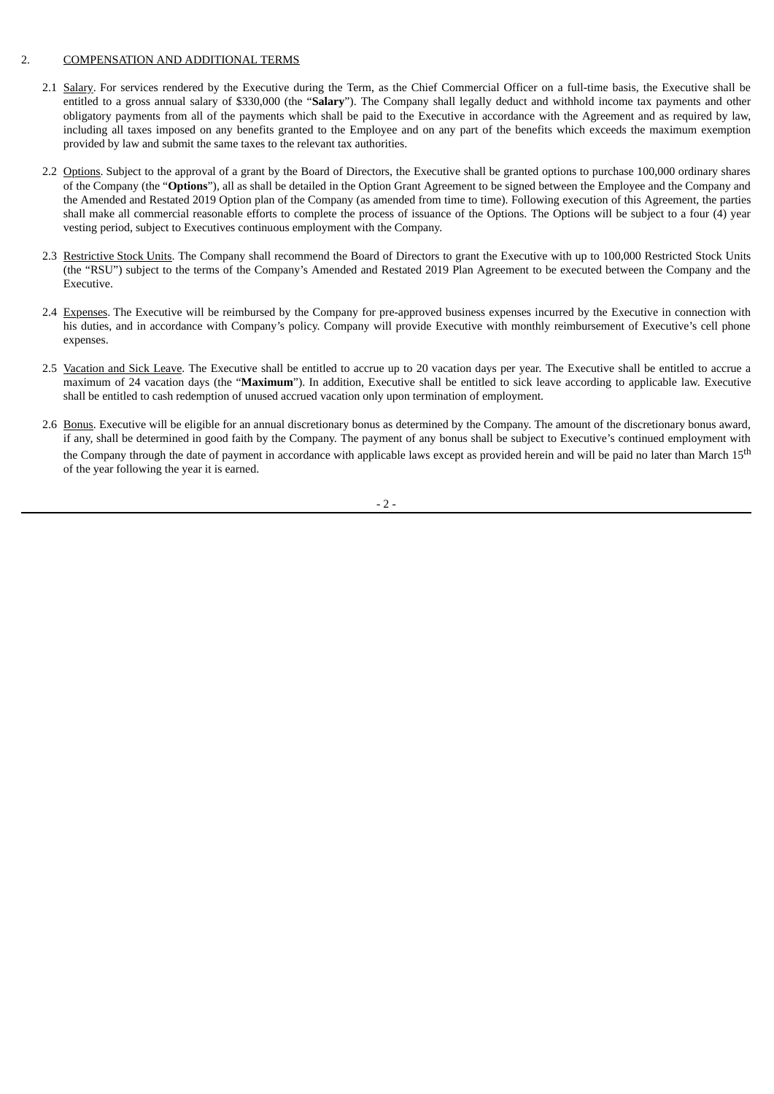#### 2. COMPENSATION AND ADDITIONAL TERMS

- 2.1 Salary. For services rendered by the Executive during the Term, as the Chief Commercial Officer on a full-time basis, the Executive shall be entitled to a gross annual salary of \$330,000 (the "**Salary**"). The Company shall legally deduct and withhold income tax payments and other obligatory payments from all of the payments which shall be paid to the Executive in accordance with the Agreement and as required by law, including all taxes imposed on any benefits granted to the Employee and on any part of the benefits which exceeds the maximum exemption provided by law and submit the same taxes to the relevant tax authorities.
- 2.2 Options. Subject to the approval of a grant by the Board of Directors, the Executive shall be granted options to purchase 100,000 ordinary shares of the Company (the "**Options**"), all as shall be detailed in the Option Grant Agreement to be signed between the Employee and the Company and the Amended and Restated 2019 Option plan of the Company (as amended from time to time). Following execution of this Agreement, the parties shall make all commercial reasonable efforts to complete the process of issuance of the Options. The Options will be subject to a four (4) year vesting period, subject to Executives continuous employment with the Company.
- 2.3 Restrictive Stock Units. The Company shall recommend the Board of Directors to grant the Executive with up to 100,000 Restricted Stock Units (the "RSU") subject to the terms of the Company's Amended and Restated 2019 Plan Agreement to be executed between the Company and the Executive.
- 2.4 Expenses. The Executive will be reimbursed by the Company for pre-approved business expenses incurred by the Executive in connection with his duties, and in accordance with Company's policy. Company will provide Executive with monthly reimbursement of Executive's cell phone expenses.
- 2.5 Vacation and Sick Leave. The Executive shall be entitled to accrue up to 20 vacation days per year. The Executive shall be entitled to accrue a maximum of 24 vacation days (the "**Maximum**"). In addition, Executive shall be entitled to sick leave according to applicable law. Executive shall be entitled to cash redemption of unused accrued vacation only upon termination of employment.
- 2.6 Bonus. Executive will be eligible for an annual discretionary bonus as determined by the Company. The amount of the discretionary bonus award, if any, shall be determined in good faith by the Company. The payment of any bonus shall be subject to Executive's continued employment with the Company through the date of payment in accordance with applicable laws except as provided herein and will be paid no later than March 15<sup>th</sup> of the year following the year it is earned.

 $-2-$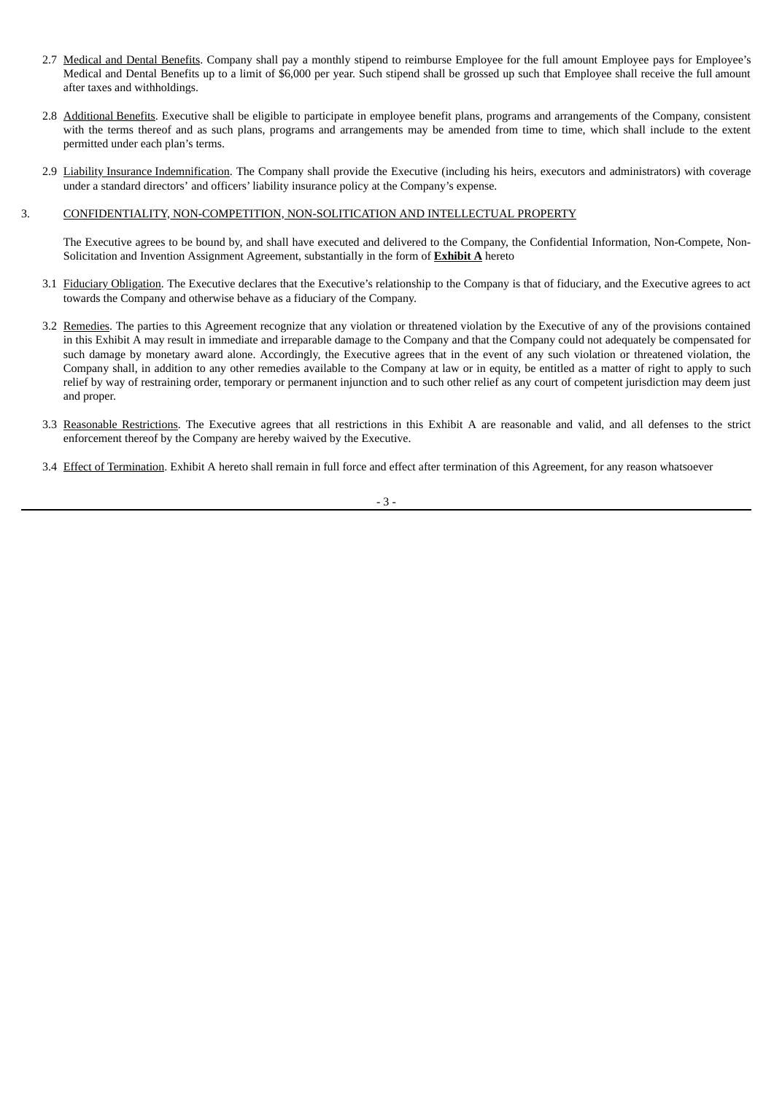- 2.7 Medical and Dental Benefits. Company shall pay a monthly stipend to reimburse Employee for the full amount Employee pays for Employee's Medical and Dental Benefits up to a limit of \$6,000 per year. Such stipend shall be grossed up such that Employee shall receive the full amount after taxes and withholdings.
- 2.8 Additional Benefits. Executive shall be eligible to participate in employee benefit plans, programs and arrangements of the Company, consistent with the terms thereof and as such plans, programs and arrangements may be amended from time to time, which shall include to the extent permitted under each plan's terms.
- 2.9 Liability Insurance Indemnification. The Company shall provide the Executive (including his heirs, executors and administrators) with coverage under a standard directors' and officers' liability insurance policy at the Company's expense.

#### 3. CONFIDENTIALITY, NON-COMPETITION, NON-SOLITICATION AND INTELLECTUAL PROPERTY

The Executive agrees to be bound by, and shall have executed and delivered to the Company, the Confidential Information, Non-Compete, Non-Solicitation and Invention Assignment Agreement, substantially in the form of **Exhibit A** hereto

- 3.1 Fiduciary Obligation. The Executive declares that the Executive's relationship to the Company is that of fiduciary, and the Executive agrees to act towards the Company and otherwise behave as a fiduciary of the Company.
- 3.2 Remedies. The parties to this Agreement recognize that any violation or threatened violation by the Executive of any of the provisions contained in this Exhibit A may result in immediate and irreparable damage to the Company and that the Company could not adequately be compensated for such damage by monetary award alone. Accordingly, the Executive agrees that in the event of any such violation or threatened violation, the Company shall, in addition to any other remedies available to the Company at law or in equity, be entitled as a matter of right to apply to such relief by way of restraining order, temporary or permanent injunction and to such other relief as any court of competent jurisdiction may deem just and proper.
- 3.3 Reasonable Restrictions. The Executive agrees that all restrictions in this Exhibit A are reasonable and valid, and all defenses to the strict enforcement thereof by the Company are hereby waived by the Executive.
- 3.4 Effect of Termination. Exhibit A hereto shall remain in full force and effect after termination of this Agreement, for any reason whatsoever

- 3 -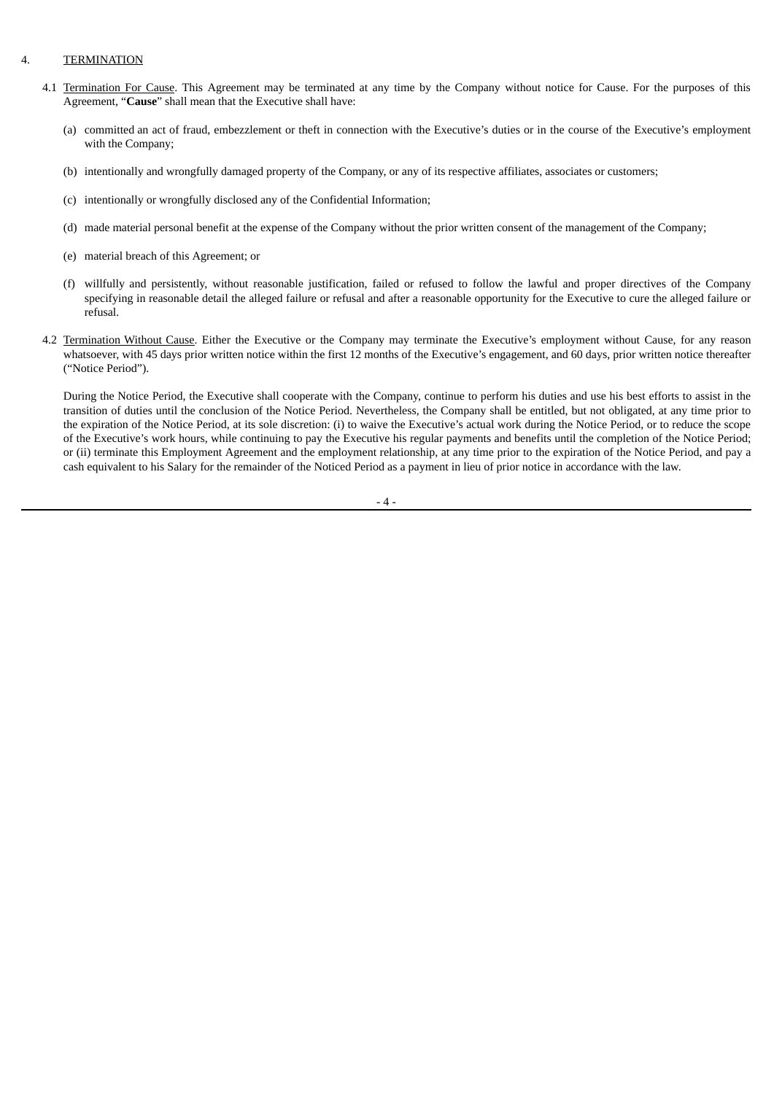#### 4. TERMINATION

- 4.1 Termination For Cause. This Agreement may be terminated at any time by the Company without notice for Cause. For the purposes of this Agreement, "**Cause**" shall mean that the Executive shall have:
	- (a) committed an act of fraud, embezzlement or theft in connection with the Executive's duties or in the course of the Executive's employment with the Company;
	- (b) intentionally and wrongfully damaged property of the Company, or any of its respective affiliates, associates or customers;
	- (c) intentionally or wrongfully disclosed any of the Confidential Information;
	- (d) made material personal benefit at the expense of the Company without the prior written consent of the management of the Company;
	- (e) material breach of this Agreement; or
	- (f) willfully and persistently, without reasonable justification, failed or refused to follow the lawful and proper directives of the Company specifying in reasonable detail the alleged failure or refusal and after a reasonable opportunity for the Executive to cure the alleged failure or refusal.
- 4.2 Termination Without Cause. Either the Executive or the Company may terminate the Executive's employment without Cause, for any reason whatsoever, with 45 days prior written notice within the first 12 months of the Executive's engagement, and 60 days, prior written notice thereafter ("Notice Period").

During the Notice Period, the Executive shall cooperate with the Company, continue to perform his duties and use his best efforts to assist in the transition of duties until the conclusion of the Notice Period. Nevertheless, the Company shall be entitled, but not obligated, at any time prior to the expiration of the Notice Period, at its sole discretion: (i) to waive the Executive's actual work during the Notice Period, or to reduce the scope of the Executive's work hours, while continuing to pay the Executive his regular payments and benefits until the completion of the Notice Period; or (ii) terminate this Employment Agreement and the employment relationship, at any time prior to the expiration of the Notice Period, and pay a cash equivalent to his Salary for the remainder of the Noticed Period as a payment in lieu of prior notice in accordance with the law.

 $-4-$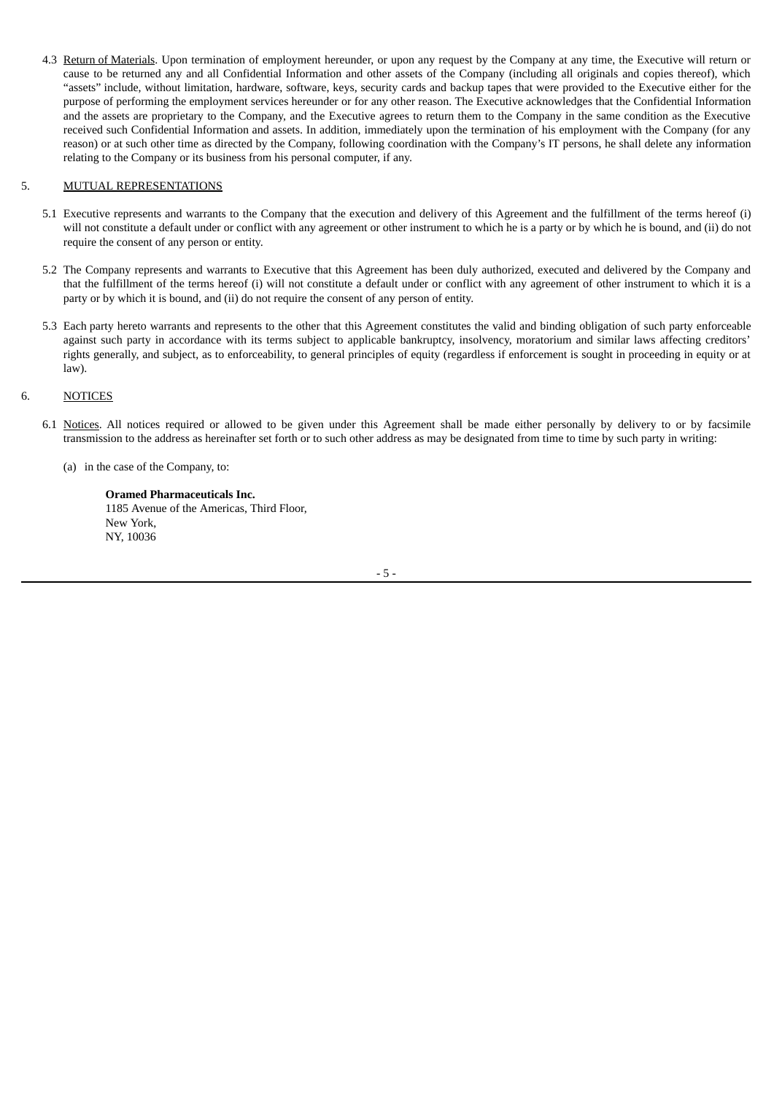4.3 Return of Materials. Upon termination of employment hereunder, or upon any request by the Company at any time, the Executive will return or cause to be returned any and all Confidential Information and other assets of the Company (including all originals and copies thereof), which "assets" include, without limitation, hardware, software, keys, security cards and backup tapes that were provided to the Executive either for the purpose of performing the employment services hereunder or for any other reason. The Executive acknowledges that the Confidential Information and the assets are proprietary to the Company, and the Executive agrees to return them to the Company in the same condition as the Executive received such Confidential Information and assets. In addition, immediately upon the termination of his employment with the Company (for any reason) or at such other time as directed by the Company, following coordination with the Company's IT persons, he shall delete any information relating to the Company or its business from his personal computer, if any.

#### 5. MUTUAL REPRESENTATIONS

- 5.1 Executive represents and warrants to the Company that the execution and delivery of this Agreement and the fulfillment of the terms hereof (i) will not constitute a default under or conflict with any agreement or other instrument to which he is a party or by which he is bound, and (ii) do not require the consent of any person or entity.
- 5.2 The Company represents and warrants to Executive that this Agreement has been duly authorized, executed and delivered by the Company and that the fulfillment of the terms hereof (i) will not constitute a default under or conflict with any agreement of other instrument to which it is a party or by which it is bound, and (ii) do not require the consent of any person of entity.
- 5.3 Each party hereto warrants and represents to the other that this Agreement constitutes the valid and binding obligation of such party enforceable against such party in accordance with its terms subject to applicable bankruptcy, insolvency, moratorium and similar laws affecting creditors' rights generally, and subject, as to enforceability, to general principles of equity (regardless if enforcement is sought in proceeding in equity or at law).

## 6. NOTICES

- 6.1 Notices. All notices required or allowed to be given under this Agreement shall be made either personally by delivery to or by facsimile transmission to the address as hereinafter set forth or to such other address as may be designated from time to time by such party in writing:
	- (a) in the case of the Company, to:

**Oramed Pharmaceuticals Inc.** 1185 Avenue of the Americas, Third Floor, New York, NY, 10036

- 5 -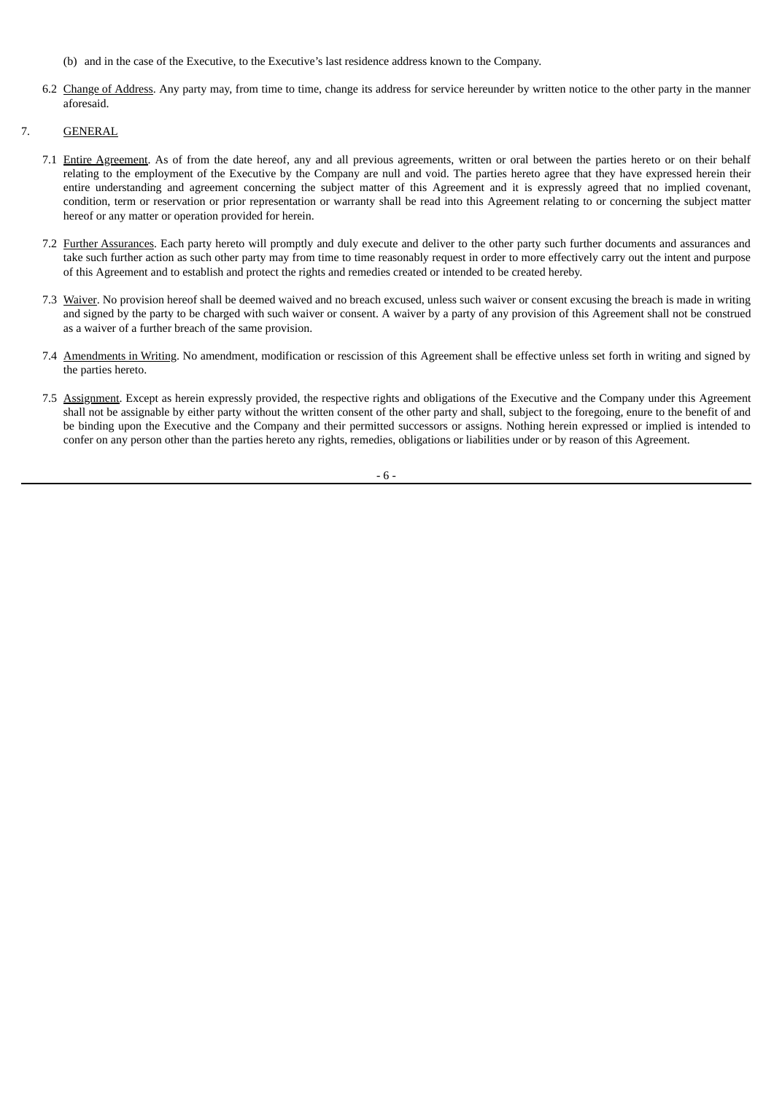- (b) and in the case of the Executive, to the Executive's last residence address known to the Company.
- 6.2 Change of Address. Any party may, from time to time, change its address for service hereunder by written notice to the other party in the manner aforesaid.

# 7. GENERAL

- 7.1 Entire Agreement. As of from the date hereof, any and all previous agreements, written or oral between the parties hereto or on their behalf relating to the employment of the Executive by the Company are null and void. The parties hereto agree that they have expressed herein their entire understanding and agreement concerning the subject matter of this Agreement and it is expressly agreed that no implied covenant, condition, term or reservation or prior representation or warranty shall be read into this Agreement relating to or concerning the subject matter hereof or any matter or operation provided for herein.
- 7.2 Further Assurances. Each party hereto will promptly and duly execute and deliver to the other party such further documents and assurances and take such further action as such other party may from time to time reasonably request in order to more effectively carry out the intent and purpose of this Agreement and to establish and protect the rights and remedies created or intended to be created hereby.
- 7.3 Waiver. No provision hereof shall be deemed waived and no breach excused, unless such waiver or consent excusing the breach is made in writing and signed by the party to be charged with such waiver or consent. A waiver by a party of any provision of this Agreement shall not be construed as a waiver of a further breach of the same provision.
- 7.4 Amendments in Writing. No amendment, modification or rescission of this Agreement shall be effective unless set forth in writing and signed by the parties hereto.
- 7.5 Assignment. Except as herein expressly provided, the respective rights and obligations of the Executive and the Company under this Agreement shall not be assignable by either party without the written consent of the other party and shall, subject to the foregoing, enure to the benefit of and be binding upon the Executive and the Company and their permitted successors or assigns. Nothing herein expressed or implied is intended to confer on any person other than the parties hereto any rights, remedies, obligations or liabilities under or by reason of this Agreement.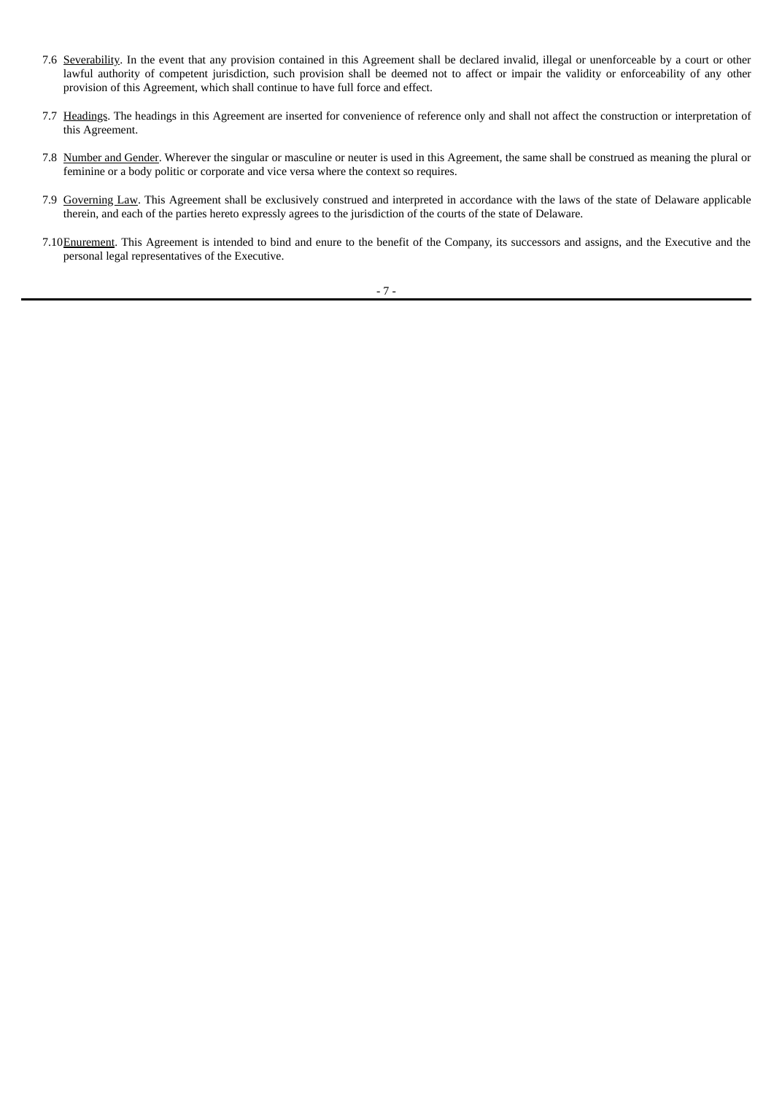- 7.6 Severability. In the event that any provision contained in this Agreement shall be declared invalid, illegal or unenforceable by a court or other lawful authority of competent jurisdiction, such provision shall be deemed not to affect or impair the validity or enforceability of any other provision of this Agreement, which shall continue to have full force and effect.
- 7.7 Headings. The headings in this Agreement are inserted for convenience of reference only and shall not affect the construction or interpretation of this Agreement.
- 7.8 Number and Gender. Wherever the singular or masculine or neuter is used in this Agreement, the same shall be construed as meaning the plural or feminine or a body politic or corporate and vice versa where the context so requires.
- 7.9 Governing Law. This Agreement shall be exclusively construed and interpreted in accordance with the laws of the state of Delaware applicable therein, and each of the parties hereto expressly agrees to the jurisdiction of the courts of the state of Delaware.
- 7.10 Enurement. This Agreement is intended to bind and enure to the benefit of the Company, its successors and assigns, and the Executive and the personal legal representatives of the Executive.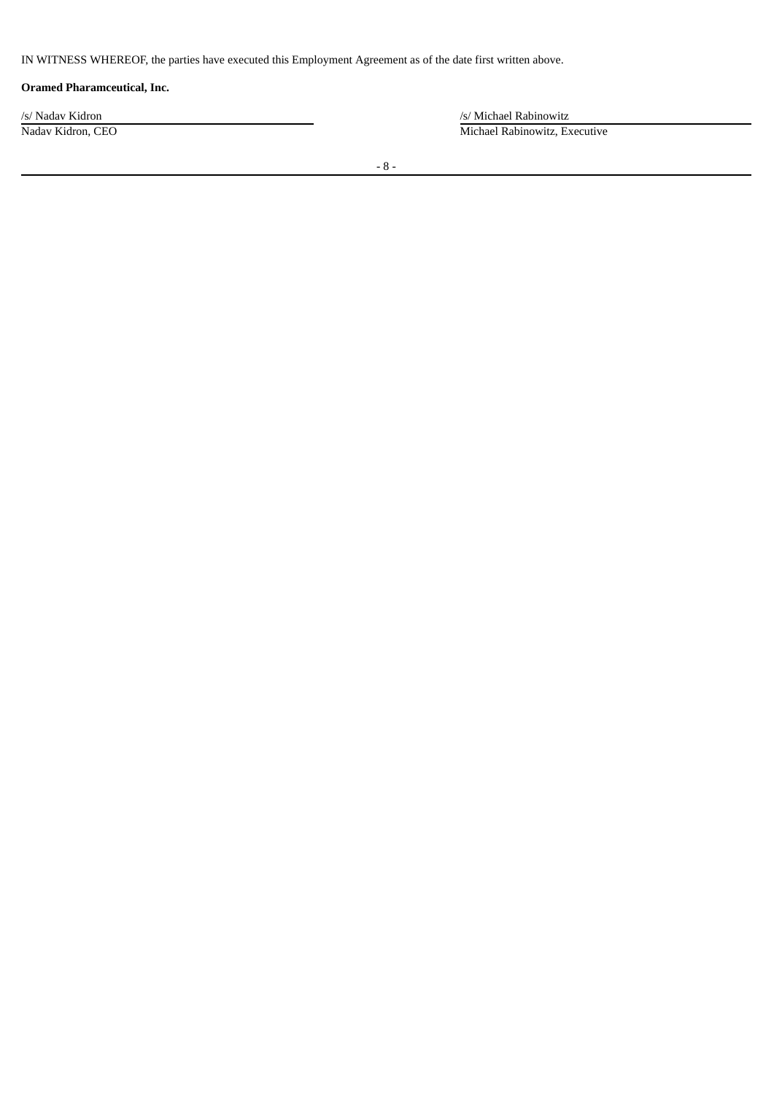IN WITNESS WHEREOF, the parties have executed this Employment Agreement as of the date first written above.

# **Oramed Pharamceutical, Inc.**

Nadav Kidron, CEO **Michael Rabinowitz**, Executive

/s/ Nadav Kidron */s/ Nadav Kidron* /s/ Michael Rabinowitz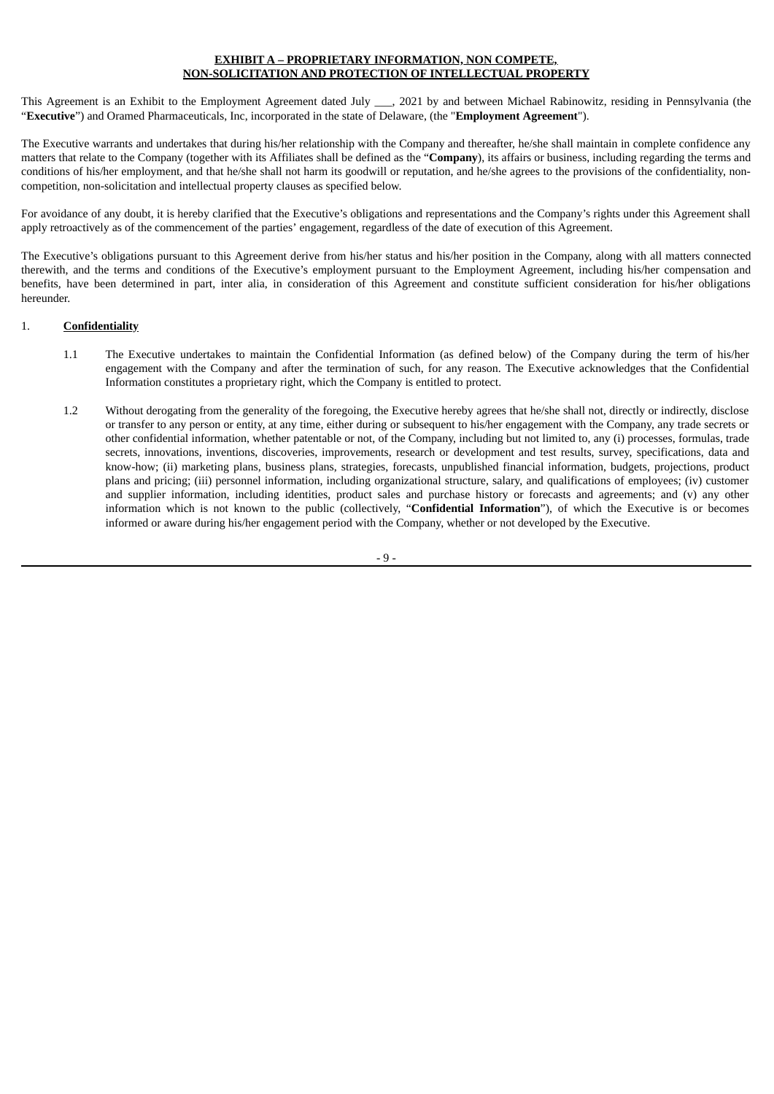# **EXHIBIT A – PROPRIETARY INFORMATION, NON COMPETE, NON-SOLICITATION AND PROTECTION OF INTELLECTUAL PROPERTY**

This Agreement is an Exhibit to the Employment Agreement dated July \_\_\_, 2021 by and between Michael Rabinowitz, residing in Pennsylvania (the "**Executive**") and Oramed Pharmaceuticals, Inc, incorporated in the state of Delaware, (the "**Employment Agreement**").

The Executive warrants and undertakes that during his/her relationship with the Company and thereafter, he/she shall maintain in complete confidence any matters that relate to the Company (together with its Affiliates shall be defined as the "**Company**), its affairs or business, including regarding the terms and conditions of his/her employment, and that he/she shall not harm its goodwill or reputation, and he/she agrees to the provisions of the confidentiality, noncompetition, non-solicitation and intellectual property clauses as specified below.

For avoidance of any doubt, it is hereby clarified that the Executive's obligations and representations and the Company's rights under this Agreement shall apply retroactively as of the commencement of the parties' engagement, regardless of the date of execution of this Agreement.

The Executive's obligations pursuant to this Agreement derive from his/her status and his/her position in the Company, along with all matters connected therewith, and the terms and conditions of the Executive's employment pursuant to the Employment Agreement, including his/her compensation and benefits, have been determined in part, inter alia, in consideration of this Agreement and constitute sufficient consideration for his/her obligations hereunder.

# 1. **Confidentiality**

- 1.1 The Executive undertakes to maintain the Confidential Information (as defined below) of the Company during the term of his/her engagement with the Company and after the termination of such, for any reason. The Executive acknowledges that the Confidential Information constitutes a proprietary right, which the Company is entitled to protect.
- 1.2 Without derogating from the generality of the foregoing, the Executive hereby agrees that he/she shall not, directly or indirectly, disclose or transfer to any person or entity, at any time, either during or subsequent to his/her engagement with the Company, any trade secrets or other confidential information, whether patentable or not, of the Company, including but not limited to, any (i) processes, formulas, trade secrets, innovations, inventions, discoveries, improvements, research or development and test results, survey, specifications, data and know-how; (ii) marketing plans, business plans, strategies, forecasts, unpublished financial information, budgets, projections, product plans and pricing; (iii) personnel information, including organizational structure, salary, and qualifications of employees; (iv) customer and supplier information, including identities, product sales and purchase history or forecasts and agreements; and (v) any other information which is not known to the public (collectively, "**Confidential Information**"), of which the Executive is or becomes informed or aware during his/her engagement period with the Company, whether or not developed by the Executive.

- 9 -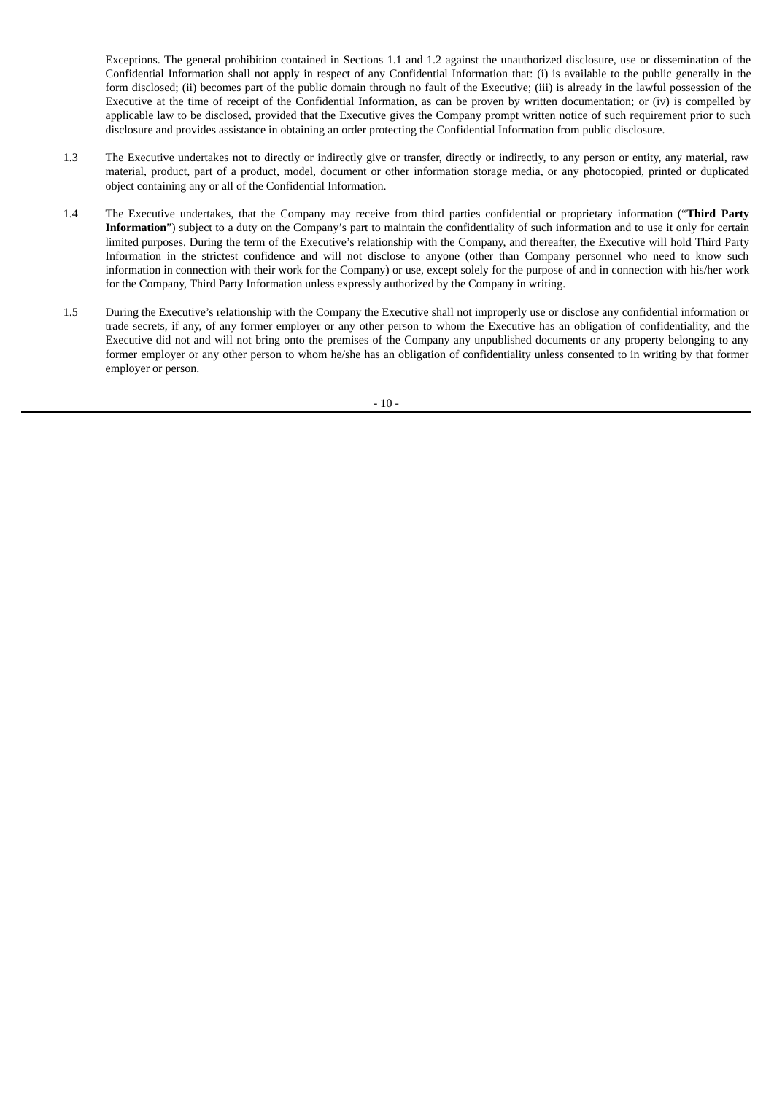Exceptions. The general prohibition contained in Sections 1.1 and 1.2 against the unauthorized disclosure, use or dissemination of the Confidential Information shall not apply in respect of any Confidential Information that: (i) is available to the public generally in the form disclosed; (ii) becomes part of the public domain through no fault of the Executive; (iii) is already in the lawful possession of the Executive at the time of receipt of the Confidential Information, as can be proven by written documentation; or (iv) is compelled by applicable law to be disclosed, provided that the Executive gives the Company prompt written notice of such requirement prior to such disclosure and provides assistance in obtaining an order protecting the Confidential Information from public disclosure.

- 1.3 The Executive undertakes not to directly or indirectly give or transfer, directly or indirectly, to any person or entity, any material, raw material, product, part of a product, model, document or other information storage media, or any photocopied, printed or duplicated object containing any or all of the Confidential Information.
- 1.4 The Executive undertakes, that the Company may receive from third parties confidential or proprietary information ("**Third Party Information**") subject to a duty on the Company's part to maintain the confidentiality of such information and to use it only for certain limited purposes. During the term of the Executive's relationship with the Company, and thereafter, the Executive will hold Third Party Information in the strictest confidence and will not disclose to anyone (other than Company personnel who need to know such information in connection with their work for the Company) or use, except solely for the purpose of and in connection with his/her work for the Company, Third Party Information unless expressly authorized by the Company in writing.
- 1.5 During the Executive's relationship with the Company the Executive shall not improperly use or disclose any confidential information or trade secrets, if any, of any former employer or any other person to whom the Executive has an obligation of confidentiality, and the Executive did not and will not bring onto the premises of the Company any unpublished documents or any property belonging to any former employer or any other person to whom he/she has an obligation of confidentiality unless consented to in writing by that former employer or person.

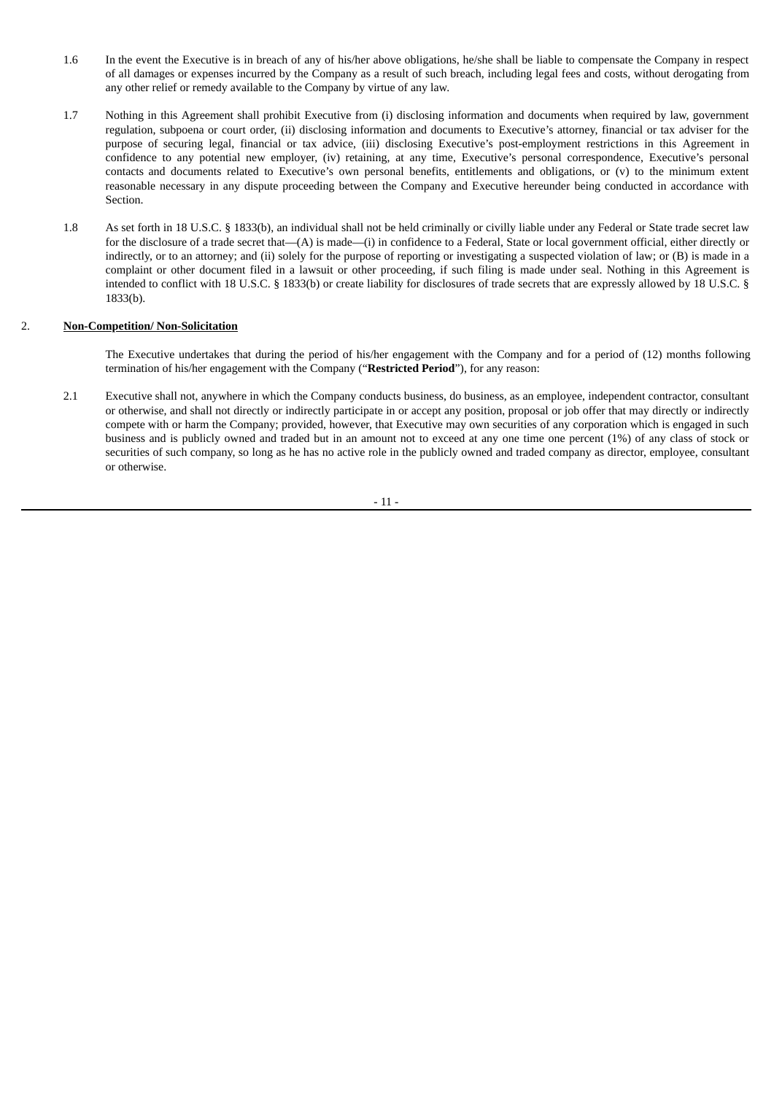- 1.6 In the event the Executive is in breach of any of his/her above obligations, he/she shall be liable to compensate the Company in respect of all damages or expenses incurred by the Company as a result of such breach, including legal fees and costs, without derogating from any other relief or remedy available to the Company by virtue of any law.
- 1.7 Nothing in this Agreement shall prohibit Executive from (i) disclosing information and documents when required by law, government regulation, subpoena or court order, (ii) disclosing information and documents to Executive's attorney, financial or tax adviser for the purpose of securing legal, financial or tax advice, (iii) disclosing Executive's post-employment restrictions in this Agreement in confidence to any potential new employer, (iv) retaining, at any time, Executive's personal correspondence, Executive's personal contacts and documents related to Executive's own personal benefits, entitlements and obligations, or (v) to the minimum extent reasonable necessary in any dispute proceeding between the Company and Executive hereunder being conducted in accordance with Section.
- 1.8 As set forth in 18 U.S.C. § 1833(b), an individual shall not be held criminally or civilly liable under any Federal or State trade secret law for the disclosure of a trade secret that—(A) is made—(i) in confidence to a Federal, State or local government official, either directly or indirectly, or to an attorney; and (ii) solely for the purpose of reporting or investigating a suspected violation of law; or (B) is made in a complaint or other document filed in a lawsuit or other proceeding, if such filing is made under seal. Nothing in this Agreement is intended to conflict with 18 U.S.C. § 1833(b) or create liability for disclosures of trade secrets that are expressly allowed by 18 U.S.C. § 1833(b).

### 2. **Non-Competition/ Non-Solicitation**

The Executive undertakes that during the period of his/her engagement with the Company and for a period of (12) months following termination of his/her engagement with the Company ("**Restricted Period**"), for any reason:

2.1 Executive shall not, anywhere in which the Company conducts business, do business, as an employee, independent contractor, consultant or otherwise, and shall not directly or indirectly participate in or accept any position, proposal or job offer that may directly or indirectly compete with or harm the Company; provided, however, that Executive may own securities of any corporation which is engaged in such business and is publicly owned and traded but in an amount not to exceed at any one time one percent (1%) of any class of stock or securities of such company, so long as he has no active role in the publicly owned and traded company as director, employee, consultant or otherwise.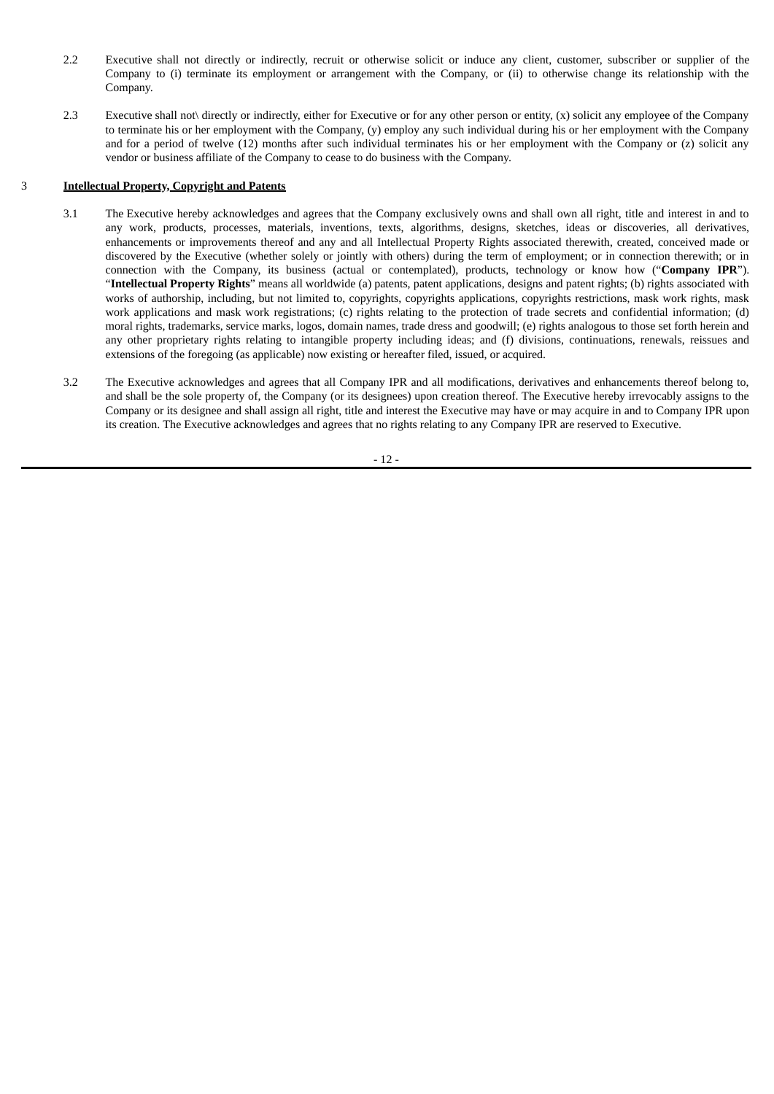- 2.2 Executive shall not directly or indirectly, recruit or otherwise solicit or induce any client, customer, subscriber or supplier of the Company to (i) terminate its employment or arrangement with the Company, or (ii) to otherwise change its relationship with the Company.
- 2.3 Executive shall not\ directly or indirectly, either for Executive or for any other person or entity, (x) solicit any employee of the Company to terminate his or her employment with the Company, (y) employ any such individual during his or her employment with the Company and for a period of twelve (12) months after such individual terminates his or her employment with the Company or (z) solicit any vendor or business affiliate of the Company to cease to do business with the Company.

## 3 **Intellectual Property, Copyright and Patents**

- 3.1 The Executive hereby acknowledges and agrees that the Company exclusively owns and shall own all right, title and interest in and to any work, products, processes, materials, inventions, texts, algorithms, designs, sketches, ideas or discoveries, all derivatives, enhancements or improvements thereof and any and all Intellectual Property Rights associated therewith, created, conceived made or discovered by the Executive (whether solely or jointly with others) during the term of employment; or in connection therewith; or in connection with the Company, its business (actual or contemplated), products, technology or know how ("**Company IPR**"). "**Intellectual Property Rights**" means all worldwide (a) patents, patent applications, designs and patent rights; (b) rights associated with works of authorship, including, but not limited to, copyrights, copyrights applications, copyrights restrictions, mask work rights, mask work applications and mask work registrations; (c) rights relating to the protection of trade secrets and confidential information; (d) moral rights, trademarks, service marks, logos, domain names, trade dress and goodwill; (e) rights analogous to those set forth herein and any other proprietary rights relating to intangible property including ideas; and (f) divisions, continuations, renewals, reissues and extensions of the foregoing (as applicable) now existing or hereafter filed, issued, or acquired.
- 3.2 The Executive acknowledges and agrees that all Company IPR and all modifications, derivatives and enhancements thereof belong to, and shall be the sole property of, the Company (or its designees) upon creation thereof. The Executive hereby irrevocably assigns to the Company or its designee and shall assign all right, title and interest the Executive may have or may acquire in and to Company IPR upon its creation. The Executive acknowledges and agrees that no rights relating to any Company IPR are reserved to Executive.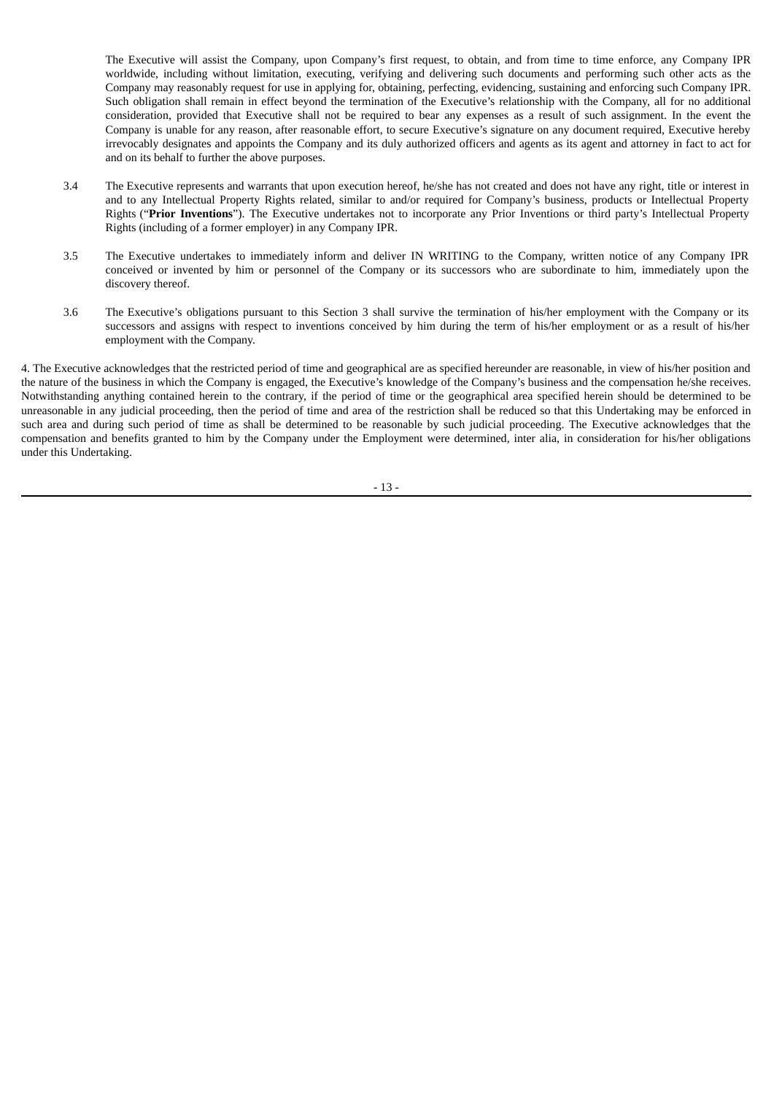The Executive will assist the Company, upon Company's first request, to obtain, and from time to time enforce, any Company IPR worldwide, including without limitation, executing, verifying and delivering such documents and performing such other acts as the Company may reasonably request for use in applying for, obtaining, perfecting, evidencing, sustaining and enforcing such Company IPR. Such obligation shall remain in effect beyond the termination of the Executive's relationship with the Company, all for no additional consideration, provided that Executive shall not be required to bear any expenses as a result of such assignment. In the event the Company is unable for any reason, after reasonable effort, to secure Executive's signature on any document required, Executive hereby irrevocably designates and appoints the Company and its duly authorized officers and agents as its agent and attorney in fact to act for and on its behalf to further the above purposes.

- 3.4 The Executive represents and warrants that upon execution hereof, he/she has not created and does not have any right, title or interest in and to any Intellectual Property Rights related, similar to and/or required for Company's business, products or Intellectual Property Rights ("**Prior Inventions**"). The Executive undertakes not to incorporate any Prior Inventions or third party's Intellectual Property Rights (including of a former employer) in any Company IPR.
- 3.5 The Executive undertakes to immediately inform and deliver IN WRITING to the Company, written notice of any Company IPR conceived or invented by him or personnel of the Company or its successors who are subordinate to him, immediately upon the discovery thereof.
- 3.6 The Executive's obligations pursuant to this Section 3 shall survive the termination of his/her employment with the Company or its successors and assigns with respect to inventions conceived by him during the term of his/her employment or as a result of his/her employment with the Company.

4. The Executive acknowledges that the restricted period of time and geographical are as specified hereunder are reasonable, in view of his/her position and the nature of the business in which the Company is engaged, the Executive's knowledge of the Company's business and the compensation he/she receives. Notwithstanding anything contained herein to the contrary, if the period of time or the geographical area specified herein should be determined to be unreasonable in any judicial proceeding, then the period of time and area of the restriction shall be reduced so that this Undertaking may be enforced in such area and during such period of time as shall be determined to be reasonable by such judicial proceeding. The Executive acknowledges that the compensation and benefits granted to him by the Company under the Employment were determined, inter alia, in consideration for his/her obligations under this Undertaking.

- 13 -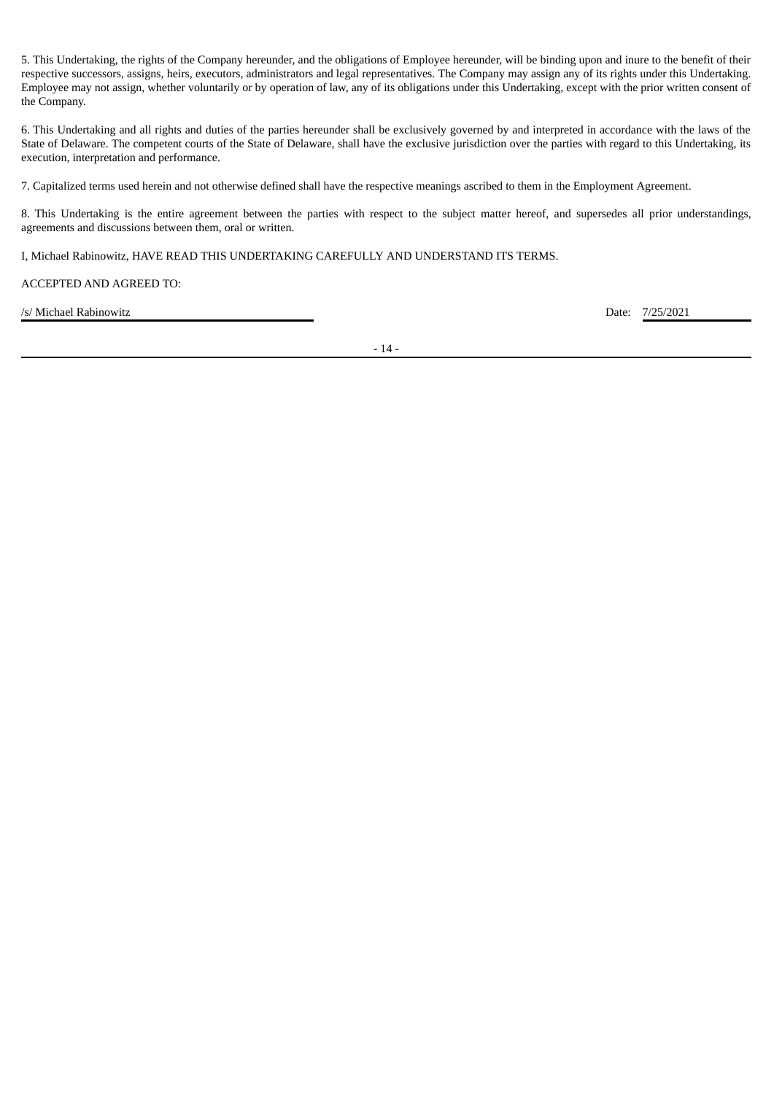5. This Undertaking, the rights of the Company hereunder, and the obligations of Employee hereunder, will be binding upon and inure to the benefit of their respective successors, assigns, heirs, executors, administrators and legal representatives. The Company may assign any of its rights under this Undertaking. Employee may not assign, whether voluntarily or by operation of law, any of its obligations under this Undertaking, except with the prior written consent of the Company.

6. This Undertaking and all rights and duties of the parties hereunder shall be exclusively governed by and interpreted in accordance with the laws of the State of Delaware. The competent courts of the State of Delaware, shall have the exclusive jurisdiction over the parties with regard to this Undertaking, its execution, interpretation and performance.

7. Capitalized terms used herein and not otherwise defined shall have the respective meanings ascribed to them in the Employment Agreement.

8. This Undertaking is the entire agreement between the parties with respect to the subject matter hereof, and supersedes all prior understandings, agreements and discussions between them, oral or written.

I, Michael Rabinowitz, HAVE READ THIS UNDERTAKING CAREFULLY AND UNDERSTAND ITS TERMS.

ACCEPTED AND AGREED TO:

/s/ Michael Rabinowitz Date: 7/25/2021

- 14 -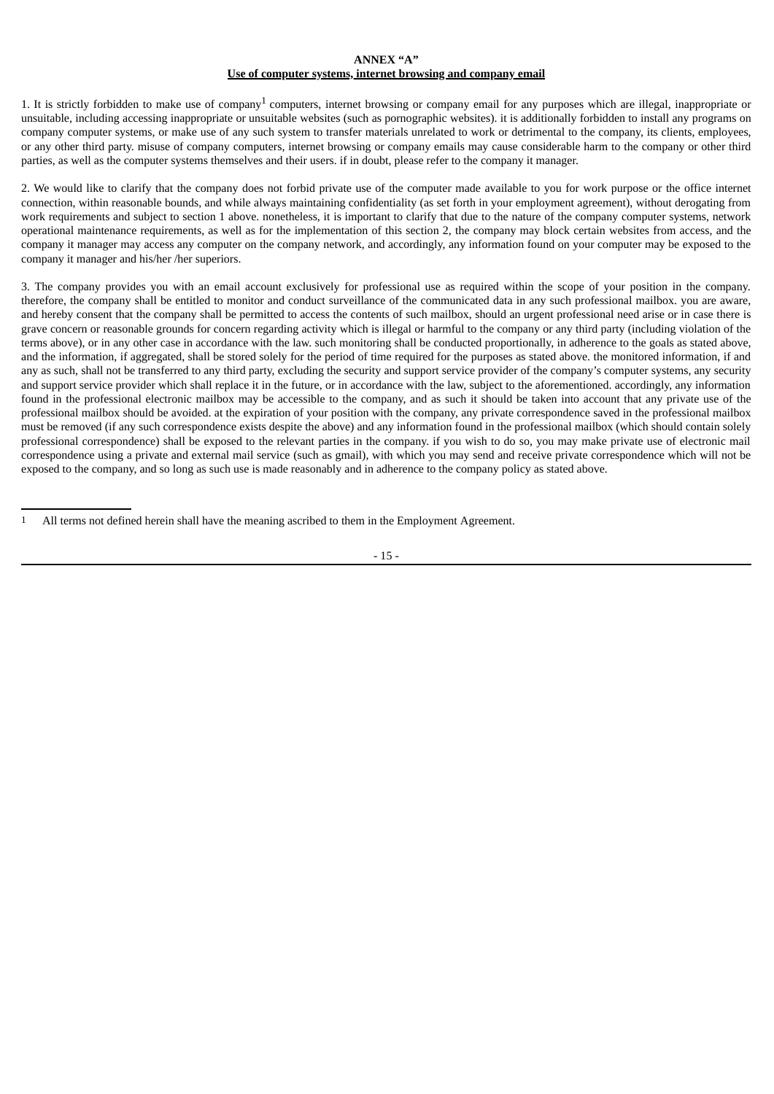#### **ANNEX "A"**

#### **Use of computer systems, internet browsing and company email**

1. It is strictly forbidden to make use of company<sup>1</sup> computers, internet browsing or company email for any purposes which are illegal, inappropriate or unsuitable, including accessing inappropriate or unsuitable websites (such as pornographic websites). it is additionally forbidden to install any programs on company computer systems, or make use of any such system to transfer materials unrelated to work or detrimental to the company, its clients, employees, or any other third party. misuse of company computers, internet browsing or company emails may cause considerable harm to the company or other third parties, as well as the computer systems themselves and their users. if in doubt, please refer to the company it manager.

2. We would like to clarify that the company does not forbid private use of the computer made available to you for work purpose or the office internet connection, within reasonable bounds, and while always maintaining confidentiality (as set forth in your employment agreement), without derogating from work requirements and subject to section 1 above. nonetheless, it is important to clarify that due to the nature of the company computer systems, network operational maintenance requirements, as well as for the implementation of this section 2, the company may block certain websites from access, and the company it manager may access any computer on the company network, and accordingly, any information found on your computer may be exposed to the company it manager and his/her /her superiors.

3. The company provides you with an email account exclusively for professional use as required within the scope of your position in the company. therefore, the company shall be entitled to monitor and conduct surveillance of the communicated data in any such professional mailbox. you are aware, and hereby consent that the company shall be permitted to access the contents of such mailbox, should an urgent professional need arise or in case there is grave concern or reasonable grounds for concern regarding activity which is illegal or harmful to the company or any third party (including violation of the terms above), or in any other case in accordance with the law. such monitoring shall be conducted proportionally, in adherence to the goals as stated above, and the information, if aggregated, shall be stored solely for the period of time required for the purposes as stated above. the monitored information, if and any as such, shall not be transferred to any third party, excluding the security and support service provider of the company's computer systems, any security and support service provider which shall replace it in the future, or in accordance with the law, subject to the aforementioned. accordingly, any information found in the professional electronic mailbox may be accessible to the company, and as such it should be taken into account that any private use of the professional mailbox should be avoided. at the expiration of your position with the company, any private correspondence saved in the professional mailbox must be removed (if any such correspondence exists despite the above) and any information found in the professional mailbox (which should contain solely professional correspondence) shall be exposed to the relevant parties in the company. if you wish to do so, you may make private use of electronic mail correspondence using a private and external mail service (such as gmail), with which you may send and receive private correspondence which will not be exposed to the company, and so long as such use is made reasonably and in adherence to the company policy as stated above.

<sup>1</sup> All terms not defined herein shall have the meaning ascribed to them in the Employment Agreement.

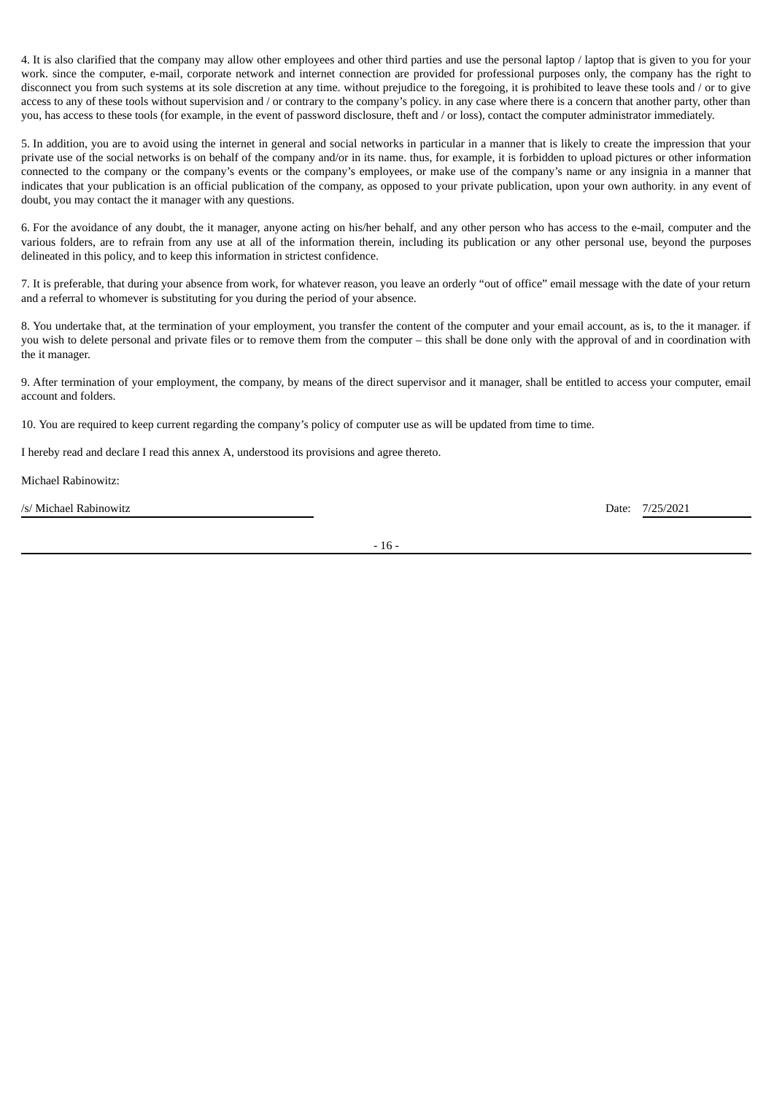4. It is also clarified that the company may allow other employees and other third parties and use the personal laptop / laptop that is given to you for your work. since the computer, e-mail, corporate network and internet connection are provided for professional purposes only, the company has the right to disconnect you from such systems at its sole discretion at any time. without prejudice to the foregoing, it is prohibited to leave these tools and / or to give access to any of these tools without supervision and / or contrary to the company's policy. in any case where there is a concern that another party, other than you, has access to these tools (for example, in the event of password disclosure, theft and / or loss), contact the computer administrator immediately.

5. In addition, you are to avoid using the internet in general and social networks in particular in a manner that is likely to create the impression that your private use of the social networks is on behalf of the company and/or in its name. thus, for example, it is forbidden to upload pictures or other information connected to the company or the company's events or the company's employees, or make use of the company's name or any insignia in a manner that indicates that your publication is an official publication of the company, as opposed to your private publication, upon your own authority. in any event of doubt, you may contact the it manager with any questions.

6. For the avoidance of any doubt, the it manager, anyone acting on his/her behalf, and any other person who has access to the e-mail, computer and the various folders, are to refrain from any use at all of the information therein, including its publication or any other personal use, beyond the purposes delineated in this policy, and to keep this information in strictest confidence.

7. It is preferable, that during your absence from work, for whatever reason, you leave an orderly "out of office" email message with the date of your return and a referral to whomever is substituting for you during the period of your absence.

8. You undertake that, at the termination of your employment, you transfer the content of the computer and your email account, as is, to the it manager. if you wish to delete personal and private files or to remove them from the computer – this shall be done only with the approval of and in coordination with the it manager.

9. After termination of your employment, the company, by means of the direct supervisor and it manager, shall be entitled to access your computer, email account and folders.

10. You are required to keep current regarding the company's policy of computer use as will be updated from time to time.

I hereby read and declare I read this annex A, understood its provisions and agree thereto.

Michael Rabinowitz:

/s/ Michael Rabinowitz Date: 7/25/2021

- 16 -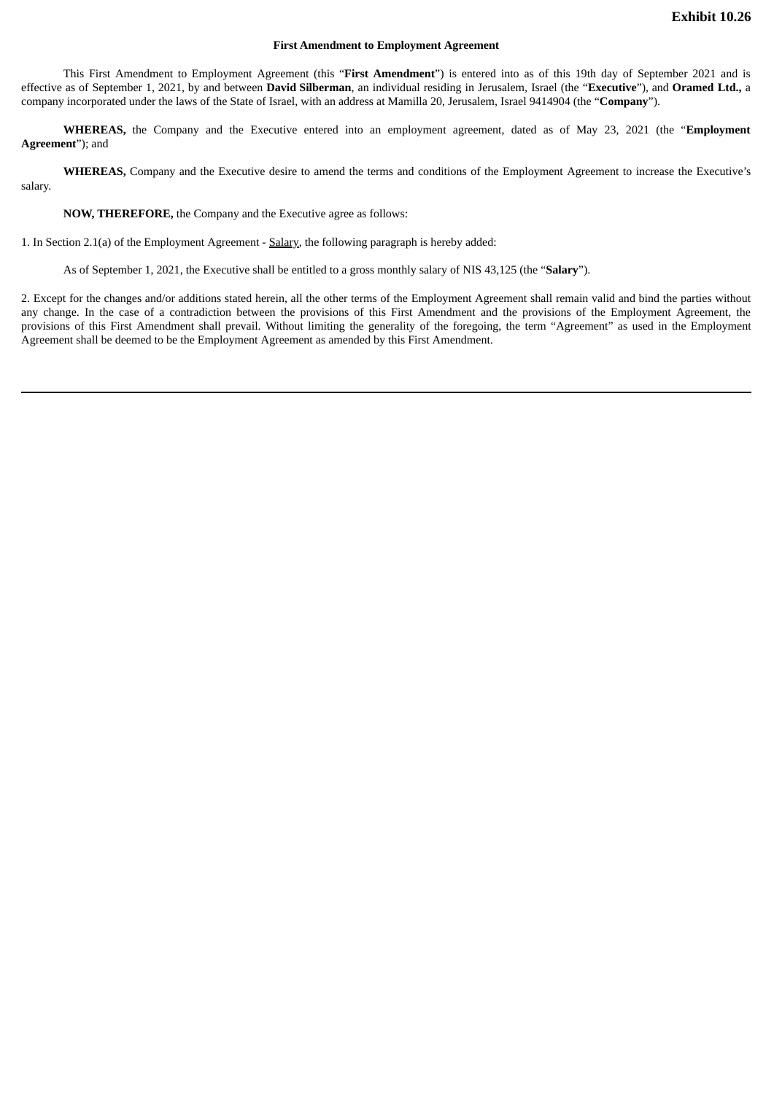#### **First Amendment to Employment Agreement**

<span id="page-104-0"></span>This First Amendment to Employment Agreement (this "**First Amendment**") is entered into as of this 19th day of September 2021 and is effective as of September 1, 2021, by and between **David Silberman**, an individual residing in Jerusalem, Israel (the "**Executive**"), and **Oramed Ltd.,** a company incorporated under the laws of the State of Israel, with an address at Mamilla 20, Jerusalem, Israel 9414904 (the "**Company**").

**WHEREAS,** the Company and the Executive entered into an employment agreement, dated as of May 23, 2021 (the "**Employment Agreement**"); and

**WHEREAS,** Company and the Executive desire to amend the terms and conditions of the Employment Agreement to increase the Executive's salary.

**NOW, THEREFORE,** the Company and the Executive agree as follows:

1. In Section 2.1(a) of the Employment Agreement - Salary, the following paragraph is hereby added:

As of September 1, 2021, the Executive shall be entitled to a gross monthly salary of NIS 43,125 (the "**Salary**").

2. Except for the changes and/or additions stated herein, all the other terms of the Employment Agreement shall remain valid and bind the parties without any change. In the case of a contradiction between the provisions of this First Amendment and the provisions of the Employment Agreement, the provisions of this First Amendment shall prevail. Without limiting the generality of the foregoing, the term "Agreement" as used in the Employment Agreement shall be deemed to be the Employment Agreement as amended by this First Amendment.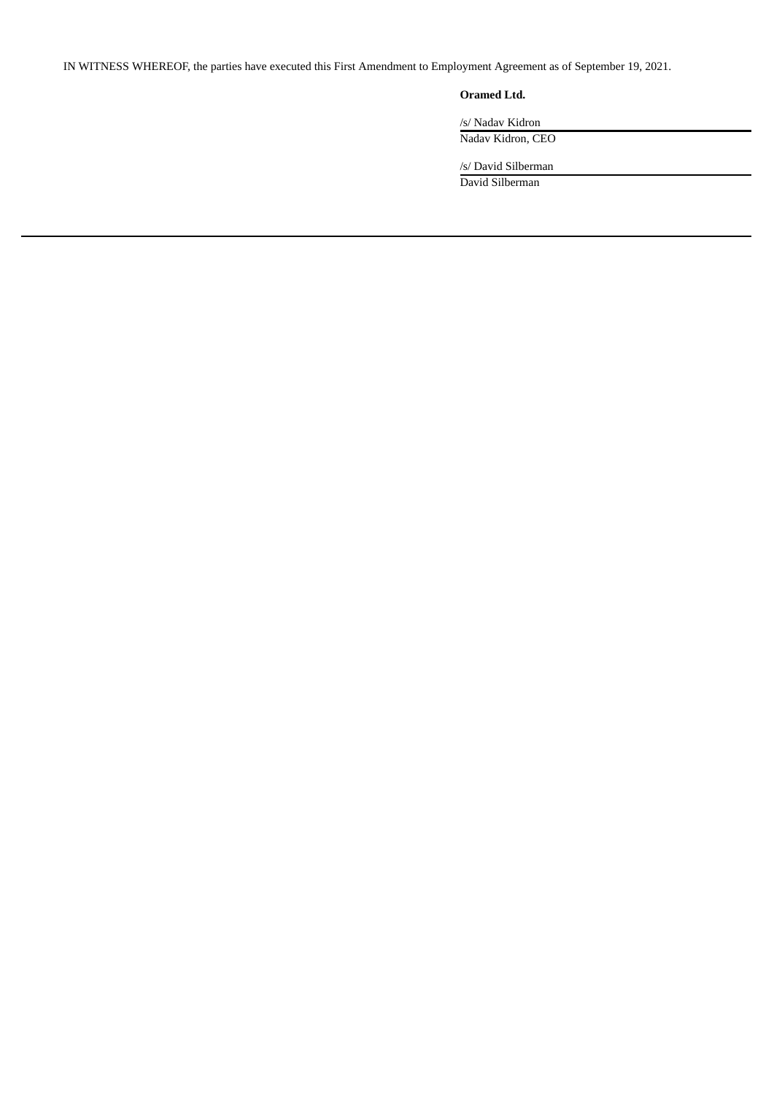IN WITNESS WHEREOF, the parties have executed this First Amendment to Employment Agreement as of September 19, 2021.

# **Oramed Ltd.**

/s/ Nadav Kidron Nadav Kidron, CEO

/s/ David Silberman

David Silberman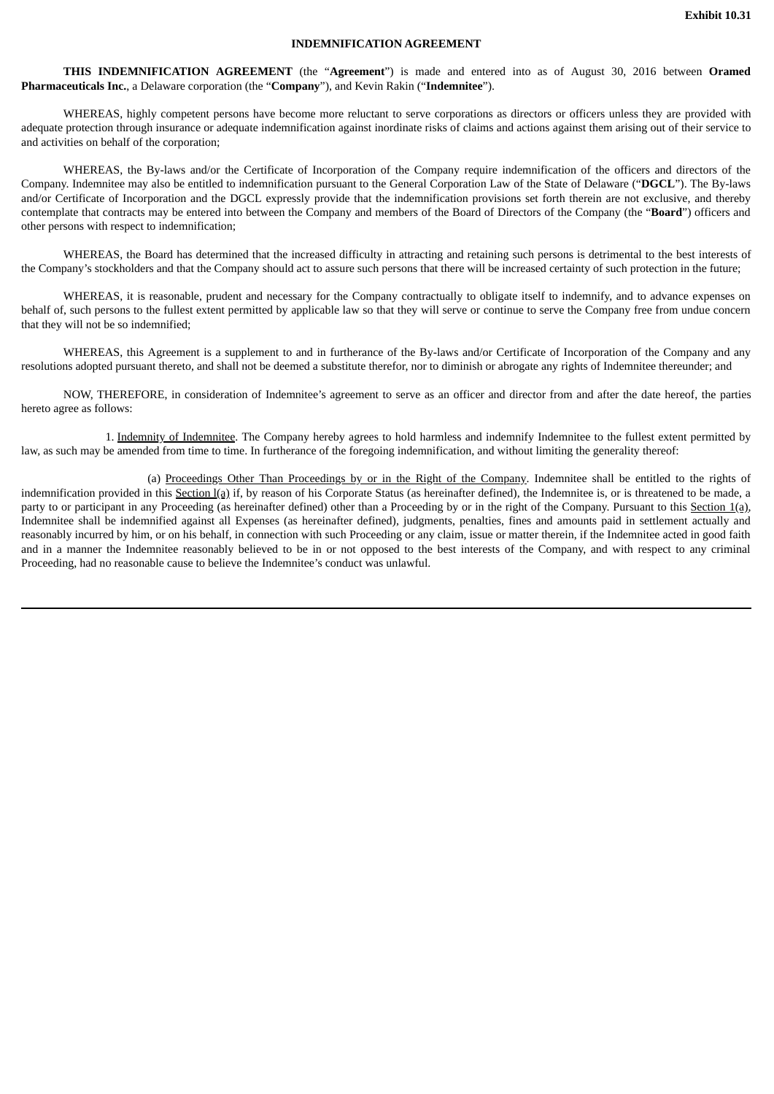#### **INDEMNIFICATION AGREEMENT**

<span id="page-106-0"></span>**THIS INDEMNIFICATION AGREEMENT** (the "**Agreement**") is made and entered into as of August 30, 2016 between **Oramed Pharmaceuticals Inc.**, a Delaware corporation (the "**Company**"), and Kevin Rakin ("**Indemnitee**").

WHEREAS, highly competent persons have become more reluctant to serve corporations as directors or officers unless they are provided with adequate protection through insurance or adequate indemnification against inordinate risks of claims and actions against them arising out of their service to and activities on behalf of the corporation;

WHEREAS, the By-laws and/or the Certificate of Incorporation of the Company require indemnification of the officers and directors of the Company. Indemnitee may also be entitled to indemnification pursuant to the General Corporation Law of the State of Delaware ("**DGCL**"). The By-laws and/or Certificate of Incorporation and the DGCL expressly provide that the indemnification provisions set forth therein are not exclusive, and thereby contemplate that contracts may be entered into between the Company and members of the Board of Directors of the Company (the "**Board**") officers and other persons with respect to indemnification;

WHEREAS, the Board has determined that the increased difficulty in attracting and retaining such persons is detrimental to the best interests of the Company's stockholders and that the Company should act to assure such persons that there will be increased certainty of such protection in the future;

WHEREAS, it is reasonable, prudent and necessary for the Company contractually to obligate itself to indemnify, and to advance expenses on behalf of, such persons to the fullest extent permitted by applicable law so that they will serve or continue to serve the Company free from undue concern that they will not be so indemnified;

WHEREAS, this Agreement is a supplement to and in furtherance of the By-laws and/or Certificate of Incorporation of the Company and any resolutions adopted pursuant thereto, and shall not be deemed a substitute therefor, nor to diminish or abrogate any rights of Indemnitee thereunder; and

NOW, THEREFORE, in consideration of Indemnitee's agreement to serve as an officer and director from and after the date hereof, the parties hereto agree as follows:

1. Indemnity of Indemnitee. The Company hereby agrees to hold harmless and indemnify Indemnitee to the fullest extent permitted by law, as such may be amended from time to time. In furtherance of the foregoing indemnification, and without limiting the generality thereof:

(a) Proceedings Other Than Proceedings by or in the Right of the Company. Indemnitee shall be entitled to the rights of indemnification provided in this Section (a) if, by reason of his Corporate Status (as hereinafter defined), the Indemnitee is, or is threatened to be made, a party to or participant in any Proceeding (as hereinafter defined) other than a Proceeding by or in the right of the Company. Pursuant to this Section 1(a), Indemnitee shall be indemnified against all Expenses (as hereinafter defined), judgments, penalties, fines and amounts paid in settlement actually and reasonably incurred by him, or on his behalf, in connection with such Proceeding or any claim, issue or matter therein, if the Indemnitee acted in good faith and in a manner the Indemnitee reasonably believed to be in or not opposed to the best interests of the Company, and with respect to any criminal Proceeding, had no reasonable cause to believe the Indemnitee's conduct was unlawful.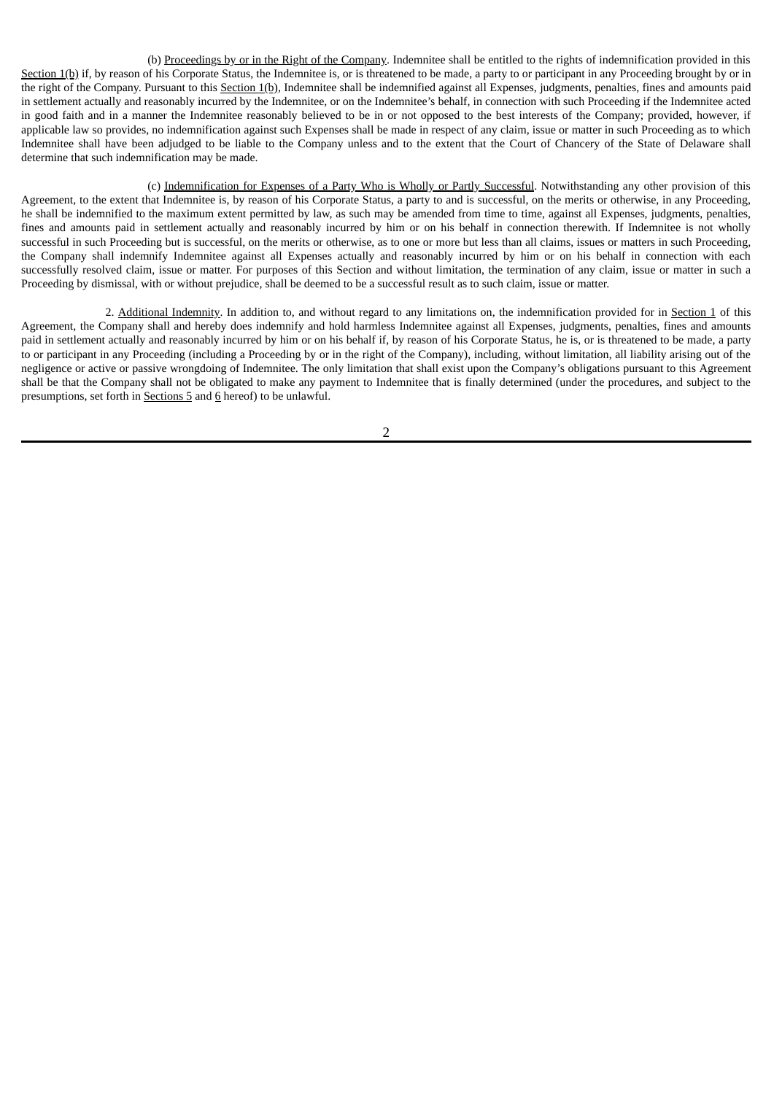(b) Proceedings by or in the Right of the Company. Indemnitee shall be entitled to the rights of indemnification provided in this Section 1(b) if, by reason of his Corporate Status, the Indemnitee is, or is threatened to be made, a party to or participant in any Proceeding brought by or in the right of the Company. Pursuant to this Section 1(b), Indemnitee shall be indemnified against all Expenses, judgments, penalties, fines and amounts paid in settlement actually and reasonably incurred by the Indemnitee, or on the Indemnitee's behalf, in connection with such Proceeding if the Indemnitee acted in good faith and in a manner the Indemnitee reasonably believed to be in or not opposed to the best interests of the Company; provided, however, if applicable law so provides, no indemnification against such Expenses shall be made in respect of any claim, issue or matter in such Proceeding as to which Indemnitee shall have been adjudged to be liable to the Company unless and to the extent that the Court of Chancery of the State of Delaware shall determine that such indemnification may be made.

(c) Indemnification for Expenses of a Party Who is Wholly or Partly Successful. Notwithstanding any other provision of this Agreement, to the extent that Indemnitee is, by reason of his Corporate Status, a party to and is successful, on the merits or otherwise, in any Proceeding, he shall be indemnified to the maximum extent permitted by law, as such may be amended from time to time, against all Expenses, judgments, penalties, fines and amounts paid in settlement actually and reasonably incurred by him or on his behalf in connection therewith. If Indemnitee is not wholly successful in such Proceeding but is successful, on the merits or otherwise, as to one or more but less than all claims, issues or matters in such Proceeding, the Company shall indemnify Indemnitee against all Expenses actually and reasonably incurred by him or on his behalf in connection with each successfully resolved claim, issue or matter. For purposes of this Section and without limitation, the termination of any claim, issue or matter in such a Proceeding by dismissal, with or without prejudice, shall be deemed to be a successful result as to such claim, issue or matter.

2. Additional Indemnity. In addition to, and without regard to any limitations on, the indemnification provided for in Section 1 of this Agreement, the Company shall and hereby does indemnify and hold harmless Indemnitee against all Expenses, judgments, penalties, fines and amounts paid in settlement actually and reasonably incurred by him or on his behalf if, by reason of his Corporate Status, he is, or is threatened to be made, a party to or participant in any Proceeding (including a Proceeding by or in the right of the Company), including, without limitation, all liability arising out of the negligence or active or passive wrongdoing of Indemnitee. The only limitation that shall exist upon the Company's obligations pursuant to this Agreement shall be that the Company shall not be obligated to make any payment to Indemnitee that is finally determined (under the procedures, and subject to the presumptions, set forth in Sections 5 and 6 hereof) to be unlawful.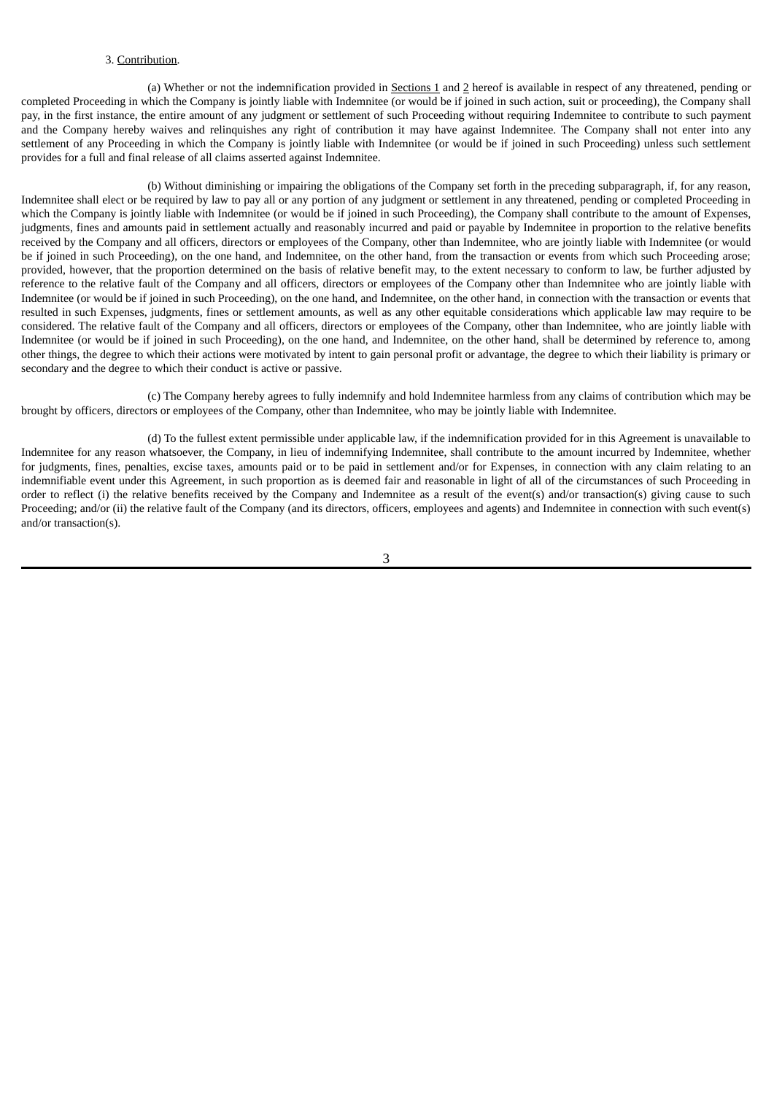#### 3. Contribution.

(a) Whether or not the indemnification provided in Sections 1 and 2 hereof is available in respect of any threatened, pending or completed Proceeding in which the Company is jointly liable with Indemnitee (or would be if joined in such action, suit or proceeding), the Company shall pay, in the first instance, the entire amount of any judgment or settlement of such Proceeding without requiring Indemnitee to contribute to such payment and the Company hereby waives and relinquishes any right of contribution it may have against Indemnitee. The Company shall not enter into any settlement of any Proceeding in which the Company is jointly liable with Indemnitee (or would be if joined in such Proceeding) unless such settlement provides for a full and final release of all claims asserted against Indemnitee.

(b) Without diminishing or impairing the obligations of the Company set forth in the preceding subparagraph, if, for any reason, Indemnitee shall elect or be required by law to pay all or any portion of any judgment or settlement in any threatened, pending or completed Proceeding in which the Company is jointly liable with Indemnitee (or would be if joined in such Proceeding), the Company shall contribute to the amount of Expenses, judgments, fines and amounts paid in settlement actually and reasonably incurred and paid or payable by Indemnitee in proportion to the relative benefits received by the Company and all officers, directors or employees of the Company, other than Indemnitee, who are jointly liable with Indemnitee (or would be if joined in such Proceeding), on the one hand, and Indemnitee, on the other hand, from the transaction or events from which such Proceeding arose; provided, however, that the proportion determined on the basis of relative benefit may, to the extent necessary to conform to law, be further adjusted by reference to the relative fault of the Company and all officers, directors or employees of the Company other than Indemnitee who are jointly liable with Indemnitee (or would be if joined in such Proceeding), on the one hand, and Indemnitee, on the other hand, in connection with the transaction or events that resulted in such Expenses, judgments, fines or settlement amounts, as well as any other equitable considerations which applicable law may require to be considered. The relative fault of the Company and all officers, directors or employees of the Company, other than Indemnitee, who are jointly liable with Indemnitee (or would be if joined in such Proceeding), on the one hand, and Indemnitee, on the other hand, shall be determined by reference to, among other things, the degree to which their actions were motivated by intent to gain personal profit or advantage, the degree to which their liability is primary or secondary and the degree to which their conduct is active or passive.

(c) The Company hereby agrees to fully indemnify and hold Indemnitee harmless from any claims of contribution which may be brought by officers, directors or employees of the Company, other than Indemnitee, who may be jointly liable with Indemnitee.

(d) To the fullest extent permissible under applicable law, if the indemnification provided for in this Agreement is unavailable to Indemnitee for any reason whatsoever, the Company, in lieu of indemnifying Indemnitee, shall contribute to the amount incurred by Indemnitee, whether for judgments, fines, penalties, excise taxes, amounts paid or to be paid in settlement and/or for Expenses, in connection with any claim relating to an indemnifiable event under this Agreement, in such proportion as is deemed fair and reasonable in light of all of the circumstances of such Proceeding in order to reflect (i) the relative benefits received by the Company and Indemnitee as a result of the event(s) and/or transaction(s) giving cause to such Proceeding; and/or (ii) the relative fault of the Company (and its directors, officers, employees and agents) and Indemnitee in connection with such event(s) and/or transaction(s).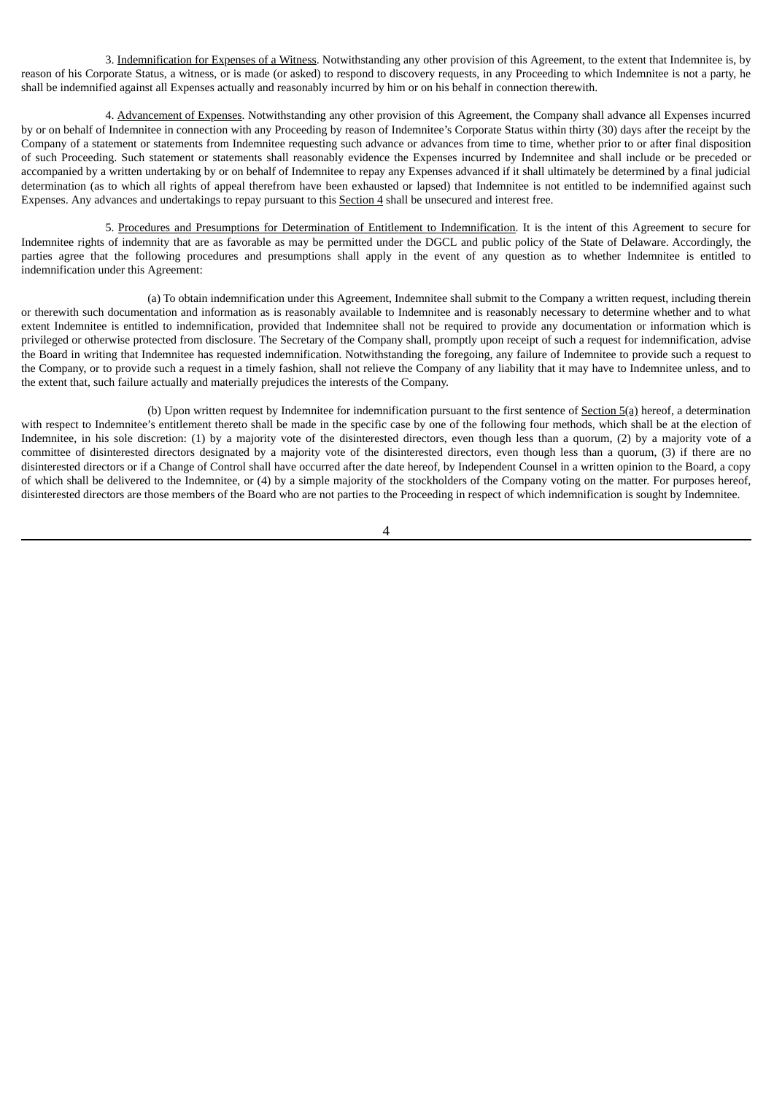3. Indemnification for Expenses of a Witness. Notwithstanding any other provision of this Agreement, to the extent that Indemnitee is, by reason of his Corporate Status, a witness, or is made (or asked) to respond to discovery requests, in any Proceeding to which Indemnitee is not a party, he shall be indemnified against all Expenses actually and reasonably incurred by him or on his behalf in connection therewith.

4. Advancement of Expenses. Notwithstanding any other provision of this Agreement, the Company shall advance all Expenses incurred by or on behalf of Indemnitee in connection with any Proceeding by reason of Indemnitee's Corporate Status within thirty (30) days after the receipt by the Company of a statement or statements from Indemnitee requesting such advance or advances from time to time, whether prior to or after final disposition of such Proceeding. Such statement or statements shall reasonably evidence the Expenses incurred by Indemnitee and shall include or be preceded or accompanied by a written undertaking by or on behalf of Indemnitee to repay any Expenses advanced if it shall ultimately be determined by a final judicial determination (as to which all rights of appeal therefrom have been exhausted or lapsed) that Indemnitee is not entitled to be indemnified against such Expenses. Any advances and undertakings to repay pursuant to this Section 4 shall be unsecured and interest free.

5. Procedures and Presumptions for Determination of Entitlement to Indemnification. It is the intent of this Agreement to secure for Indemnitee rights of indemnity that are as favorable as may be permitted under the DGCL and public policy of the State of Delaware. Accordingly, the parties agree that the following procedures and presumptions shall apply in the event of any question as to whether Indemnitee is entitled to indemnification under this Agreement:

(a) To obtain indemnification under this Agreement, Indemnitee shall submit to the Company a written request, including therein or therewith such documentation and information as is reasonably available to Indemnitee and is reasonably necessary to determine whether and to what extent Indemnitee is entitled to indemnification, provided that Indemnitee shall not be required to provide any documentation or information which is privileged or otherwise protected from disclosure. The Secretary of the Company shall, promptly upon receipt of such a request for indemnification, advise the Board in writing that Indemnitee has requested indemnification. Notwithstanding the foregoing, any failure of Indemnitee to provide such a request to the Company, or to provide such a request in a timely fashion, shall not relieve the Company of any liability that it may have to Indemnitee unless, and to the extent that, such failure actually and materially prejudices the interests of the Company.

(b) Upon written request by Indemnitee for indemnification pursuant to the first sentence of Section 5(a) hereof, a determination with respect to Indemnitee's entitlement thereto shall be made in the specific case by one of the following four methods, which shall be at the election of Indemnitee, in his sole discretion: (1) by a majority vote of the disinterested directors, even though less than a quorum, (2) by a majority vote of a committee of disinterested directors designated by a majority vote of the disinterested directors, even though less than a quorum, (3) if there are no disinterested directors or if a Change of Control shall have occurred after the date hereof, by Independent Counsel in a written opinion to the Board, a copy of which shall be delivered to the Indemnitee, or (4) by a simple majority of the stockholders of the Company voting on the matter. For purposes hereof, disinterested directors are those members of the Board who are not parties to the Proceeding in respect of which indemnification is sought by Indemnitee.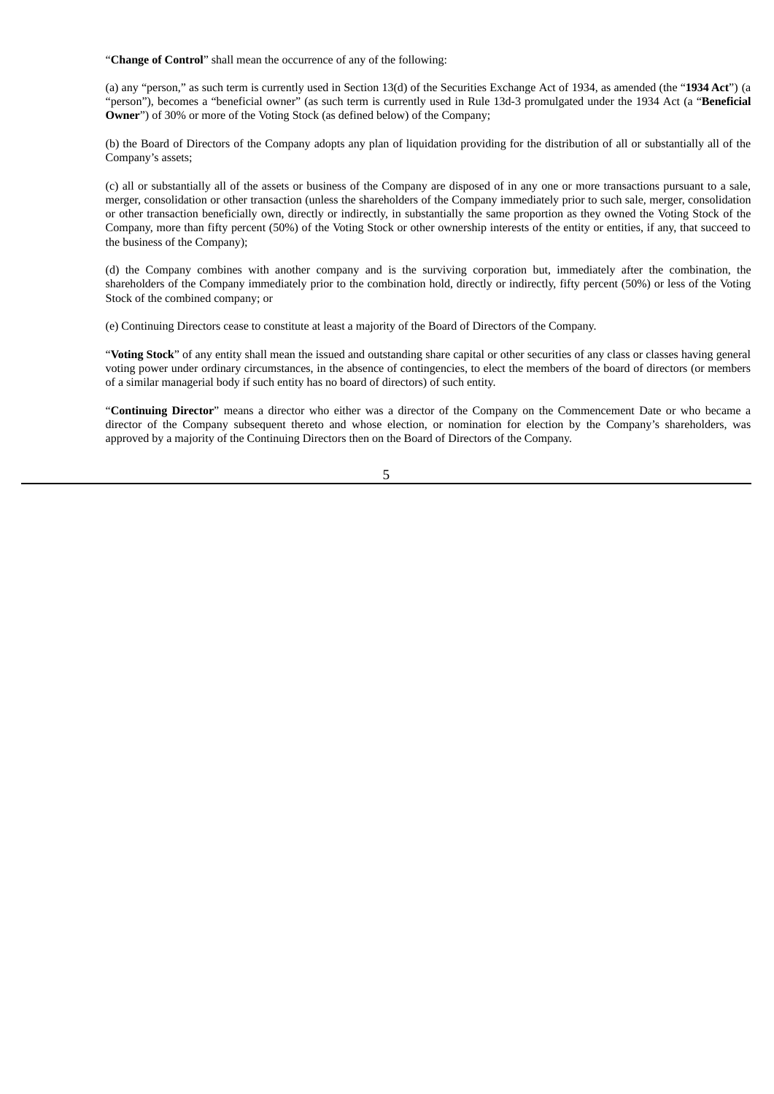"**Change of Control**" shall mean the occurrence of any of the following:

(a) any "person," as such term is currently used in Section 13(d) of the Securities Exchange Act of 1934, as amended (the "**1934 Act**") (a "person"), becomes a "beneficial owner" (as such term is currently used in Rule 13d-3 promulgated under the 1934 Act (a "**Beneficial Owner**") of 30% or more of the Voting Stock (as defined below) of the Company;

(b) the Board of Directors of the Company adopts any plan of liquidation providing for the distribution of all or substantially all of the Company's assets;

(c) all or substantially all of the assets or business of the Company are disposed of in any one or more transactions pursuant to a sale, merger, consolidation or other transaction (unless the shareholders of the Company immediately prior to such sale, merger, consolidation or other transaction beneficially own, directly or indirectly, in substantially the same proportion as they owned the Voting Stock of the Company, more than fifty percent (50%) of the Voting Stock or other ownership interests of the entity or entities, if any, that succeed to the business of the Company);

(d) the Company combines with another company and is the surviving corporation but, immediately after the combination, the shareholders of the Company immediately prior to the combination hold, directly or indirectly, fifty percent (50%) or less of the Voting Stock of the combined company; or

(e) Continuing Directors cease to constitute at least a majority of the Board of Directors of the Company.

"**Voting Stock**" of any entity shall mean the issued and outstanding share capital or other securities of any class or classes having general voting power under ordinary circumstances, in the absence of contingencies, to elect the members of the board of directors (or members of a similar managerial body if such entity has no board of directors) of such entity.

"**Continuing Director**" means a director who either was a director of the Company on the Commencement Date or who became a director of the Company subsequent thereto and whose election, or nomination for election by the Company's shareholders, was approved by a majority of the Continuing Directors then on the Board of Directors of the Company.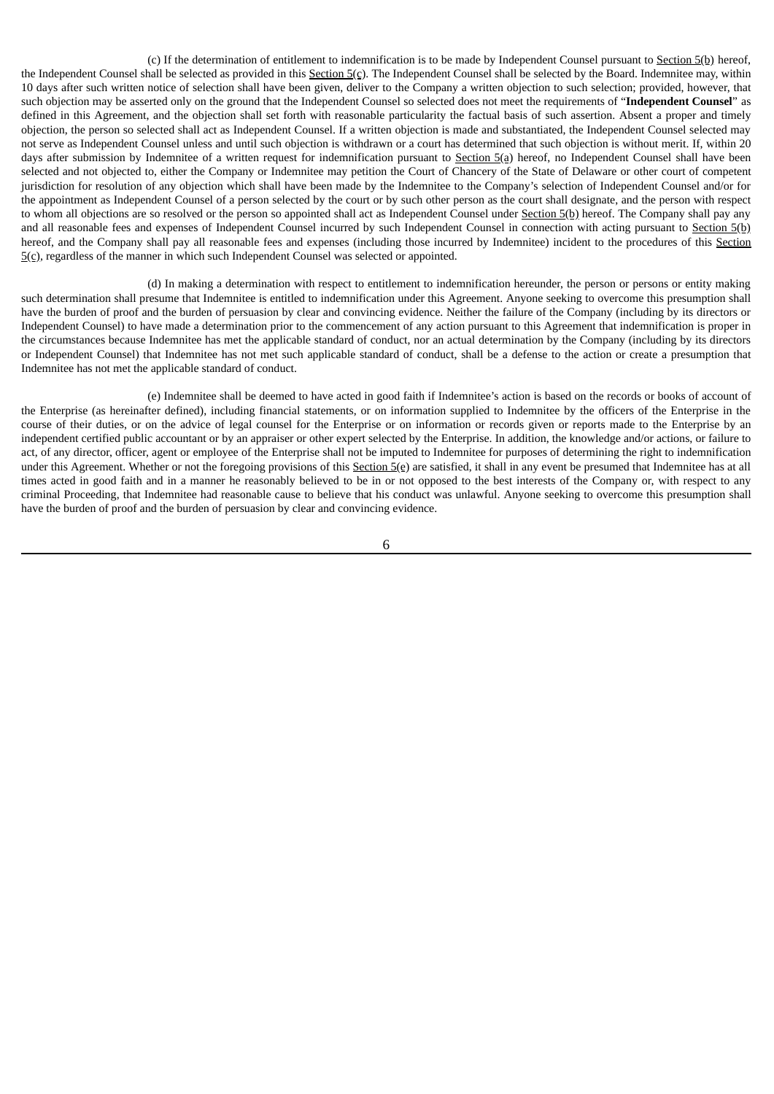(c) If the determination of entitlement to indemnification is to be made by Independent Counsel pursuant to  $Section 5(b)$  hereof,</u> the Independent Counsel shall be selected as provided in this Section 5(c). The Independent Counsel shall be selected by the Board. Indemnitee may, within 10 days after such written notice of selection shall have been given, deliver to the Company a written objection to such selection; provided, however, that such objection may be asserted only on the ground that the Independent Counsel so selected does not meet the requirements of "**Independent Counsel**" as defined in this Agreement, and the objection shall set forth with reasonable particularity the factual basis of such assertion. Absent a proper and timely objection, the person so selected shall act as Independent Counsel. If a written objection is made and substantiated, the Independent Counsel selected may not serve as Independent Counsel unless and until such objection is withdrawn or a court has determined that such objection is without merit. If, within 20 days after submission by Indemnitee of a written request for indemnification pursuant to Section 5(a) hereof, no Independent Counsel shall have been selected and not objected to, either the Company or Indemnitee may petition the Court of Chancery of the State of Delaware or other court of competent jurisdiction for resolution of any objection which shall have been made by the Indemnitee to the Company's selection of Independent Counsel and/or for the appointment as Independent Counsel of a person selected by the court or by such other person as the court shall designate, and the person with respect to whom all objections are so resolved or the person so appointed shall act as Independent Counsel under  $Section 5(b)$  hereof. The Company shall pay any</u> and all reasonable fees and expenses of Independent Counsel incurred by such Independent Counsel in connection with acting pursuant to Section 5(b) hereof, and the Company shall pay all reasonable fees and expenses (including those incurred by Indemnitee) incident to the procedures of this Section 5(c), regardless of the manner in which such Independent Counsel was selected or appointed.

(d) In making a determination with respect to entitlement to indemnification hereunder, the person or persons or entity making such determination shall presume that Indemnitee is entitled to indemnification under this Agreement. Anyone seeking to overcome this presumption shall have the burden of proof and the burden of persuasion by clear and convincing evidence. Neither the failure of the Company (including by its directors or Independent Counsel) to have made a determination prior to the commencement of any action pursuant to this Agreement that indemnification is proper in the circumstances because Indemnitee has met the applicable standard of conduct, nor an actual determination by the Company (including by its directors or Independent Counsel) that Indemnitee has not met such applicable standard of conduct, shall be a defense to the action or create a presumption that Indemnitee has not met the applicable standard of conduct.

(e) Indemnitee shall be deemed to have acted in good faith if Indemnitee's action is based on the records or books of account of the Enterprise (as hereinafter defined), including financial statements, or on information supplied to Indemnitee by the officers of the Enterprise in the course of their duties, or on the advice of legal counsel for the Enterprise or on information or records given or reports made to the Enterprise by an independent certified public accountant or by an appraiser or other expert selected by the Enterprise. In addition, the knowledge and/or actions, or failure to act, of any director, officer, agent or employee of the Enterprise shall not be imputed to Indemnitee for purposes of determining the right to indemnification under this Agreement. Whether or not the foregoing provisions of this Section 5(e) are satisfied, it shall in any event be presumed that Indemnitee has at all times acted in good faith and in a manner he reasonably believed to be in or not opposed to the best interests of the Company or, with respect to any criminal Proceeding, that Indemnitee had reasonable cause to believe that his conduct was unlawful. Anyone seeking to overcome this presumption shall have the burden of proof and the burden of persuasion by clear and convincing evidence.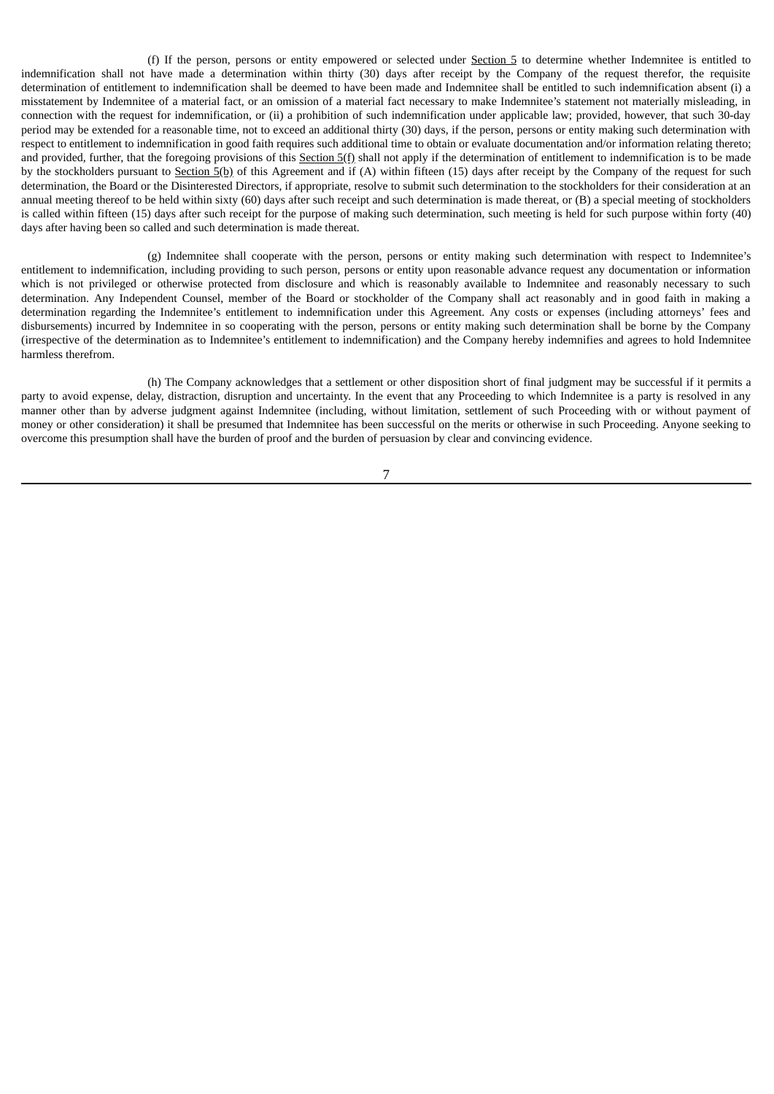(f) If the person, persons or entity empowered or selected under Section 5 to determine whether Indemnitee is entitled to indemnification shall not have made a determination within thirty (30) days after receipt by the Company of the request therefor, the requisite determination of entitlement to indemnification shall be deemed to have been made and Indemnitee shall be entitled to such indemnification absent (i) a misstatement by Indemnitee of a material fact, or an omission of a material fact necessary to make Indemnitee's statement not materially misleading, in connection with the request for indemnification, or (ii) a prohibition of such indemnification under applicable law; provided, however, that such 30-day period may be extended for a reasonable time, not to exceed an additional thirty (30) days, if the person, persons or entity making such determination with respect to entitlement to indemnification in good faith requires such additional time to obtain or evaluate documentation and/or information relating thereto; and provided, further, that the foregoing provisions of this  $Section 5(f)$  shall not apply if the determination of entitlement to indemnification is to be made by the stockholders pursuant to Section 5(b) of this Agreement and if (A) within fifteen (15) days after receipt by the Company of the request for such determination, the Board or the Disinterested Directors, if appropriate, resolve to submit such determination to the stockholders for their consideration at an annual meeting thereof to be held within sixty (60) days after such receipt and such determination is made thereat, or (B) a special meeting of stockholders is called within fifteen (15) days after such receipt for the purpose of making such determination, such meeting is held for such purpose within forty (40) days after having been so called and such determination is made thereat.

(g) Indemnitee shall cooperate with the person, persons or entity making such determination with respect to Indemnitee's entitlement to indemnification, including providing to such person, persons or entity upon reasonable advance request any documentation or information which is not privileged or otherwise protected from disclosure and which is reasonably available to Indemnitee and reasonably necessary to such determination. Any Independent Counsel, member of the Board or stockholder of the Company shall act reasonably and in good faith in making a determination regarding the Indemnitee's entitlement to indemnification under this Agreement. Any costs or expenses (including attorneys' fees and disbursements) incurred by Indemnitee in so cooperating with the person, persons or entity making such determination shall be borne by the Company (irrespective of the determination as to Indemnitee's entitlement to indemnification) and the Company hereby indemnifies and agrees to hold Indemnitee harmless therefrom.

(h) The Company acknowledges that a settlement or other disposition short of final judgment may be successful if it permits a party to avoid expense, delay, distraction, disruption and uncertainty. In the event that any Proceeding to which Indemnitee is a party is resolved in any manner other than by adverse judgment against Indemnitee (including, without limitation, settlement of such Proceeding with or without payment of money or other consideration) it shall be presumed that Indemnitee has been successful on the merits or otherwise in such Proceeding. Anyone seeking to overcome this presumption shall have the burden of proof and the burden of persuasion by clear and convincing evidence.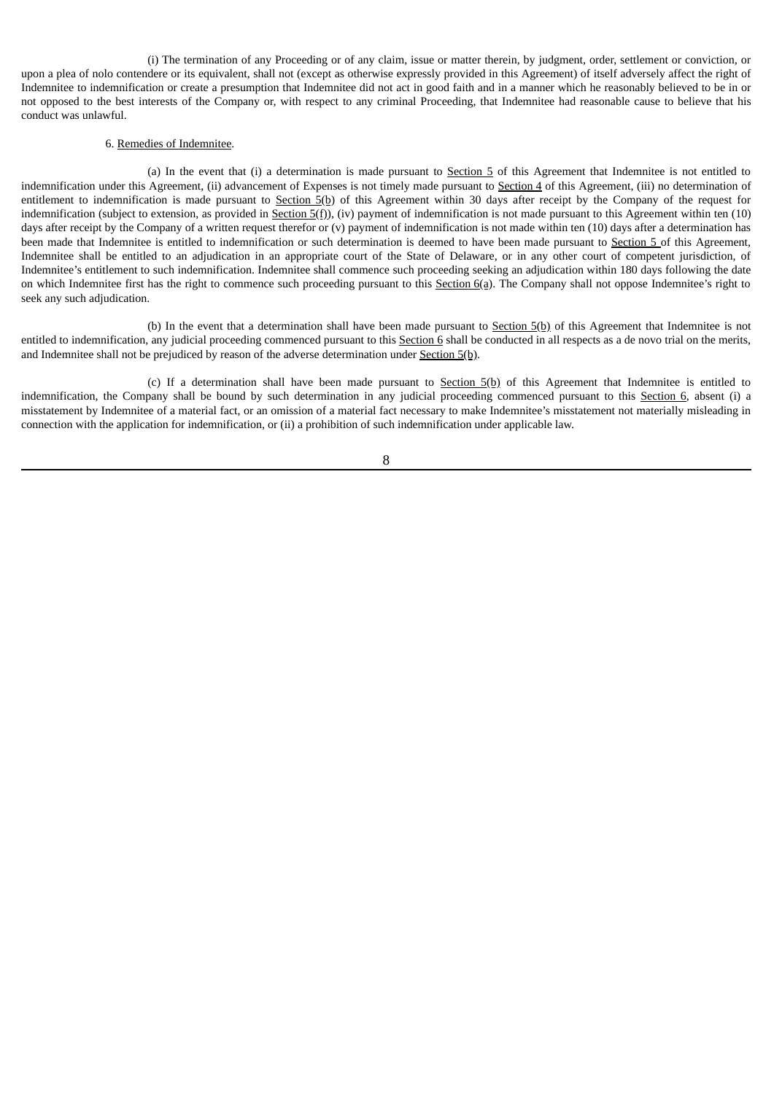(i) The termination of any Proceeding or of any claim, issue or matter therein, by judgment, order, settlement or conviction, or upon a plea of nolo contendere or its equivalent, shall not (except as otherwise expressly provided in this Agreement) of itself adversely affect the right of Indemnitee to indemnification or create a presumption that Indemnitee did not act in good faith and in a manner which he reasonably believed to be in or not opposed to the best interests of the Company or, with respect to any criminal Proceeding, that Indemnitee had reasonable cause to believe that his conduct was unlawful.

#### 6. Remedies of Indemnitee.

(a) In the event that (i) a determination is made pursuant to Section 5 of this Agreement that Indemnitee is not entitled to indemnification under this Agreement, (ii) advancement of Expenses is not timely made pursuant to Section 4 of this Agreement, (iii) no determination of entitlement to indemnification is made pursuant to Section 5(b) of this Agreement within 30 days after receipt by the Company of the request for indemnification (subject to extension, as provided in  $Section(5(f))$ , (iv) payment of indemnification is not made pursuant to this Agreement within ten (10) days after receipt by the Company of a written request therefor or (v) payment of indemnification is not made within ten (10) days after a determination has been made that Indemnitee is entitled to indemnification or such determination is deemed to have been made pursuant to Section 5 of this Agreement, Indemnitee shall be entitled to an adjudication in an appropriate court of the State of Delaware, or in any other court of competent jurisdiction, of Indemnitee's entitlement to such indemnification. Indemnitee shall commence such proceeding seeking an adjudication within 180 days following the date on which Indemnitee first has the right to commence such proceeding pursuant to this Section 6(a). The Company shall not oppose Indemnitee's right to seek any such adjudication.

(b) In the event that a determination shall have been made pursuant to Section 5(b) of this Agreement that Indemnitee is not entitled to indemnification, any judicial proceeding commenced pursuant to this Section 6 shall be conducted in all respects as a de novo trial on the merits, and Indemnitee shall not be prejudiced by reason of the adverse determination under Section 5(b).

(c) If a determination shall have been made pursuant to Section 5(b) of this Agreement that Indemnitee is entitled to indemnification, the Company shall be bound by such determination in any judicial proceeding commenced pursuant to this Section 6, absent (i) a misstatement by Indemnitee of a material fact, or an omission of a material fact necessary to make Indemnitee's misstatement not materially misleading in connection with the application for indemnification, or (ii) a prohibition of such indemnification under applicable law.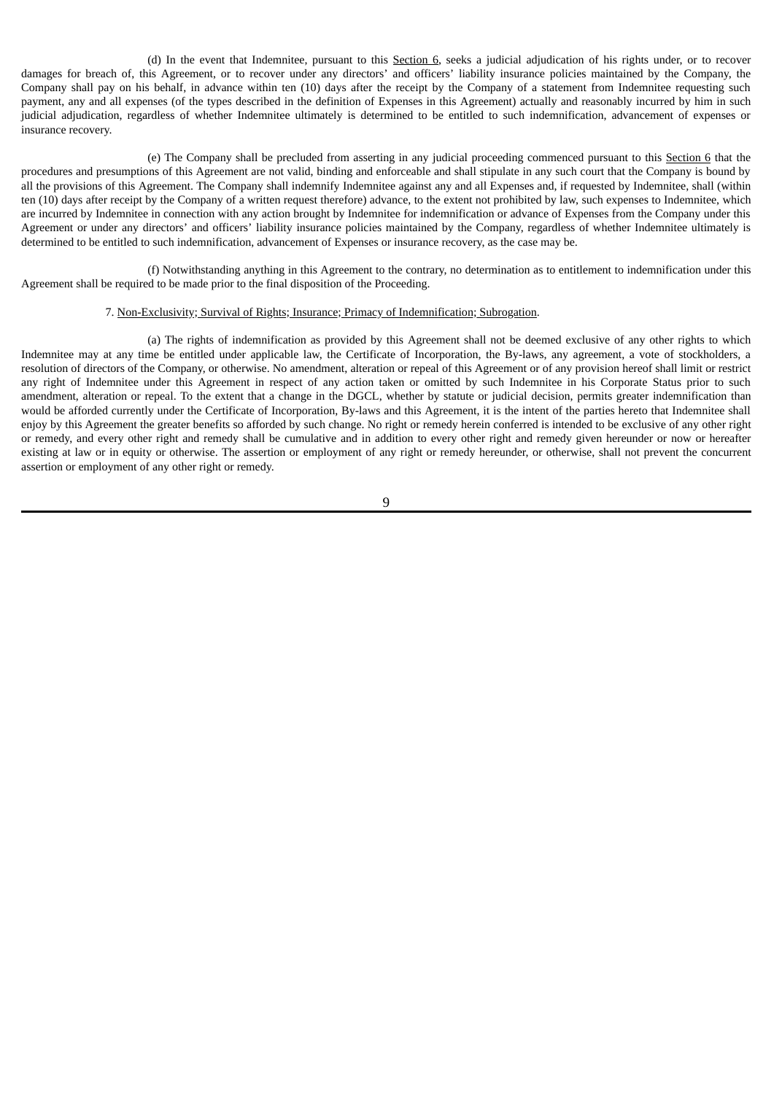(d) In the event that Indemnitee, pursuant to this Section 6, seeks a judicial adjudication of his rights under, or to recover damages for breach of, this Agreement, or to recover under any directors' and officers' liability insurance policies maintained by the Company, the Company shall pay on his behalf, in advance within ten (10) days after the receipt by the Company of a statement from Indemnitee requesting such payment, any and all expenses (of the types described in the definition of Expenses in this Agreement) actually and reasonably incurred by him in such judicial adjudication, regardless of whether Indemnitee ultimately is determined to be entitled to such indemnification, advancement of expenses or insurance recovery.

(e) The Company shall be precluded from asserting in any judicial proceeding commenced pursuant to this Section 6 that the procedures and presumptions of this Agreement are not valid, binding and enforceable and shall stipulate in any such court that the Company is bound by all the provisions of this Agreement. The Company shall indemnify Indemnitee against any and all Expenses and, if requested by Indemnitee, shall (within ten (10) days after receipt by the Company of a written request therefore) advance, to the extent not prohibited by law, such expenses to Indemnitee, which are incurred by Indemnitee in connection with any action brought by Indemnitee for indemnification or advance of Expenses from the Company under this Agreement or under any directors' and officers' liability insurance policies maintained by the Company, regardless of whether Indemnitee ultimately is determined to be entitled to such indemnification, advancement of Expenses or insurance recovery, as the case may be.

(f) Notwithstanding anything in this Agreement to the contrary, no determination as to entitlement to indemnification under this Agreement shall be required to be made prior to the final disposition of the Proceeding.

#### 7. Non-Exclusivity; Survival of Rights; Insurance; Primacy of Indemnification; Subrogation.

(a) The rights of indemnification as provided by this Agreement shall not be deemed exclusive of any other rights to which Indemnitee may at any time be entitled under applicable law, the Certificate of Incorporation, the By-laws, any agreement, a vote of stockholders, a resolution of directors of the Company, or otherwise. No amendment, alteration or repeal of this Agreement or of any provision hereof shall limit or restrict any right of Indemnitee under this Agreement in respect of any action taken or omitted by such Indemnitee in his Corporate Status prior to such amendment, alteration or repeal. To the extent that a change in the DGCL, whether by statute or judicial decision, permits greater indemnification than would be afforded currently under the Certificate of Incorporation, By-laws and this Agreement, it is the intent of the parties hereto that Indemnitee shall enjoy by this Agreement the greater benefits so afforded by such change. No right or remedy herein conferred is intended to be exclusive of any other right or remedy, and every other right and remedy shall be cumulative and in addition to every other right and remedy given hereunder or now or hereafter existing at law or in equity or otherwise. The assertion or employment of any right or remedy hereunder, or otherwise, shall not prevent the concurrent assertion or employment of any other right or remedy.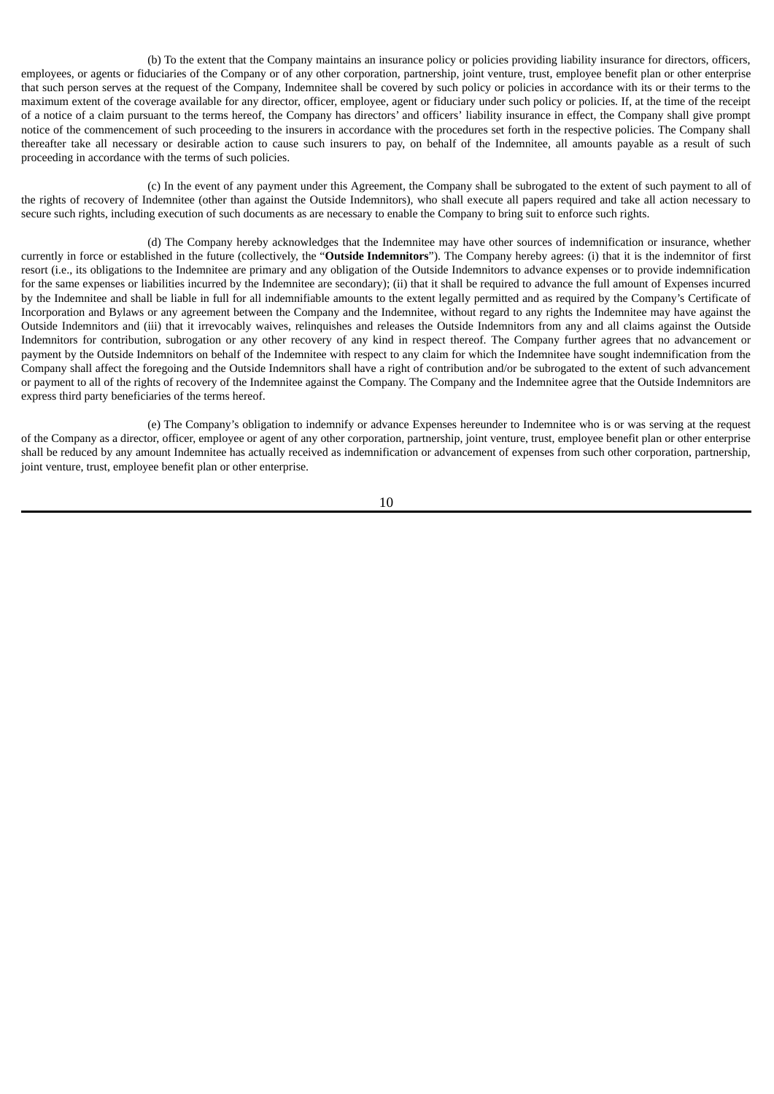(b) To the extent that the Company maintains an insurance policy or policies providing liability insurance for directors, officers, employees, or agents or fiduciaries of the Company or of any other corporation, partnership, joint venture, trust, employee benefit plan or other enterprise that such person serves at the request of the Company, Indemnitee shall be covered by such policy or policies in accordance with its or their terms to the maximum extent of the coverage available for any director, officer, employee, agent or fiduciary under such policy or policies. If, at the time of the receipt of a notice of a claim pursuant to the terms hereof, the Company has directors' and officers' liability insurance in effect, the Company shall give prompt notice of the commencement of such proceeding to the insurers in accordance with the procedures set forth in the respective policies. The Company shall thereafter take all necessary or desirable action to cause such insurers to pay, on behalf of the Indemnitee, all amounts payable as a result of such proceeding in accordance with the terms of such policies.

(c) In the event of any payment under this Agreement, the Company shall be subrogated to the extent of such payment to all of the rights of recovery of Indemnitee (other than against the Outside Indemnitors), who shall execute all papers required and take all action necessary to secure such rights, including execution of such documents as are necessary to enable the Company to bring suit to enforce such rights.

(d) The Company hereby acknowledges that the Indemnitee may have other sources of indemnification or insurance, whether currently in force or established in the future (collectively, the "**Outside Indemnitors**"). The Company hereby agrees: (i) that it is the indemnitor of first resort (i.e., its obligations to the Indemnitee are primary and any obligation of the Outside Indemnitors to advance expenses or to provide indemnification for the same expenses or liabilities incurred by the Indemnitee are secondary); (ii) that it shall be required to advance the full amount of Expenses incurred by the Indemnitee and shall be liable in full for all indemnifiable amounts to the extent legally permitted and as required by the Company's Certificate of Incorporation and Bylaws or any agreement between the Company and the Indemnitee, without regard to any rights the Indemnitee may have against the Outside Indemnitors and (iii) that it irrevocably waives, relinquishes and releases the Outside Indemnitors from any and all claims against the Outside Indemnitors for contribution, subrogation or any other recovery of any kind in respect thereof. The Company further agrees that no advancement or payment by the Outside Indemnitors on behalf of the Indemnitee with respect to any claim for which the Indemnitee have sought indemnification from the Company shall affect the foregoing and the Outside Indemnitors shall have a right of contribution and/or be subrogated to the extent of such advancement or payment to all of the rights of recovery of the Indemnitee against the Company. The Company and the Indemnitee agree that the Outside Indemnitors are express third party beneficiaries of the terms hereof.

(e) The Company's obligation to indemnify or advance Expenses hereunder to Indemnitee who is or was serving at the request of the Company as a director, officer, employee or agent of any other corporation, partnership, joint venture, trust, employee benefit plan or other enterprise shall be reduced by any amount Indemnitee has actually received as indemnification or advancement of expenses from such other corporation, partnership, joint venture, trust, employee benefit plan or other enterprise.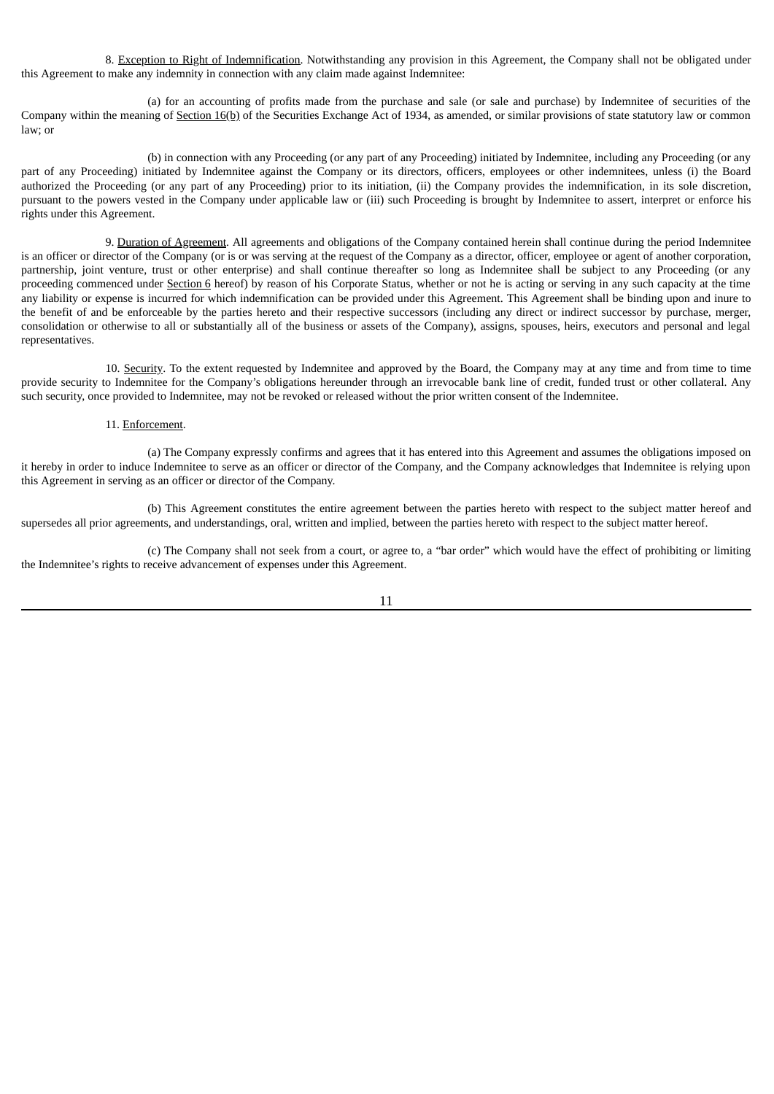8. Exception to Right of Indemnification. Notwithstanding any provision in this Agreement, the Company shall not be obligated under this Agreement to make any indemnity in connection with any claim made against Indemnitee:

(a) for an accounting of profits made from the purchase and sale (or sale and purchase) by Indemnitee of securities of the Company within the meaning of Section 16(b) of the Securities Exchange Act of 1934, as amended, or similar provisions of state statutory law or common law; or

(b) in connection with any Proceeding (or any part of any Proceeding) initiated by Indemnitee, including any Proceeding (or any part of any Proceeding) initiated by Indemnitee against the Company or its directors, officers, employees or other indemnitees, unless (i) the Board authorized the Proceeding (or any part of any Proceeding) prior to its initiation, (ii) the Company provides the indemnification, in its sole discretion, pursuant to the powers vested in the Company under applicable law or (iii) such Proceeding is brought by Indemnitee to assert, interpret or enforce his rights under this Agreement.

9. Duration of Agreement. All agreements and obligations of the Company contained herein shall continue during the period Indemnitee is an officer or director of the Company (or is or was serving at the request of the Company as a director, officer, employee or agent of another corporation, partnership, joint venture, trust or other enterprise) and shall continue thereafter so long as Indemnitee shall be subject to any Proceeding (or any proceeding commenced under Section 6 hereof) by reason of his Corporate Status, whether or not he is acting or serving in any such capacity at the time any liability or expense is incurred for which indemnification can be provided under this Agreement. This Agreement shall be binding upon and inure to the benefit of and be enforceable by the parties hereto and their respective successors (including any direct or indirect successor by purchase, merger, consolidation or otherwise to all or substantially all of the business or assets of the Company), assigns, spouses, heirs, executors and personal and legal representatives.

10. Security. To the extent requested by Indemnitee and approved by the Board, the Company may at any time and from time to time provide security to Indemnitee for the Company's obligations hereunder through an irrevocable bank line of credit, funded trust or other collateral. Any such security, once provided to Indemnitee, may not be revoked or released without the prior written consent of the Indemnitee.

#### 11. Enforcement.

(a) The Company expressly confirms and agrees that it has entered into this Agreement and assumes the obligations imposed on it hereby in order to induce Indemnitee to serve as an officer or director of the Company, and the Company acknowledges that Indemnitee is relying upon this Agreement in serving as an officer or director of the Company.

(b) This Agreement constitutes the entire agreement between the parties hereto with respect to the subject matter hereof and supersedes all prior agreements, and understandings, oral, written and implied, between the parties hereto with respect to the subject matter hereof.

(c) The Company shall not seek from a court, or agree to, a "bar order" which would have the effect of prohibiting or limiting the Indemnitee's rights to receive advancement of expenses under this Agreement.

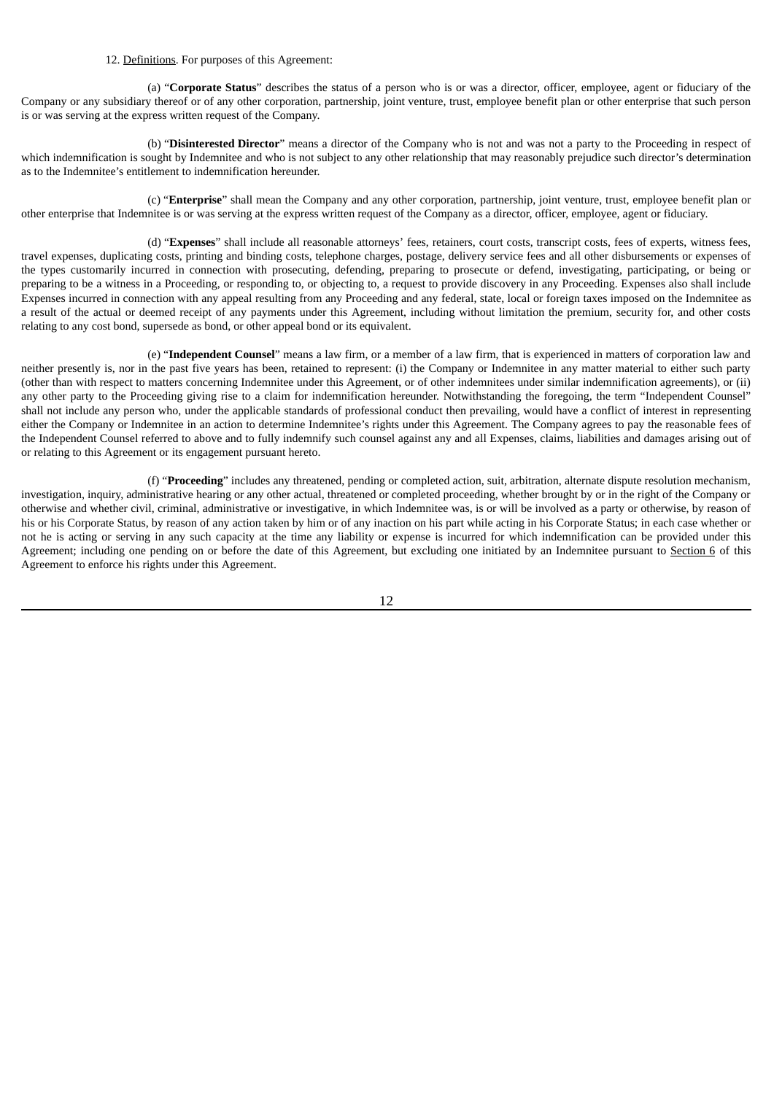#### 12. Definitions. For purposes of this Agreement:

(a) "**Corporate Status**" describes the status of a person who is or was a director, officer, employee, agent or fiduciary of the Company or any subsidiary thereof or of any other corporation, partnership, joint venture, trust, employee benefit plan or other enterprise that such person is or was serving at the express written request of the Company.

(b) "**Disinterested Director**" means a director of the Company who is not and was not a party to the Proceeding in respect of which indemnification is sought by Indemnitee and who is not subject to any other relationship that may reasonably prejudice such director's determination as to the Indemnitee's entitlement to indemnification hereunder.

(c) "**Enterprise**" shall mean the Company and any other corporation, partnership, joint venture, trust, employee benefit plan or other enterprise that Indemnitee is or was serving at the express written request of the Company as a director, officer, employee, agent or fiduciary.

(d) "**Expenses**" shall include all reasonable attorneys' fees, retainers, court costs, transcript costs, fees of experts, witness fees, travel expenses, duplicating costs, printing and binding costs, telephone charges, postage, delivery service fees and all other disbursements or expenses of the types customarily incurred in connection with prosecuting, defending, preparing to prosecute or defend, investigating, participating, or being or preparing to be a witness in a Proceeding, or responding to, or objecting to, a request to provide discovery in any Proceeding. Expenses also shall include Expenses incurred in connection with any appeal resulting from any Proceeding and any federal, state, local or foreign taxes imposed on the Indemnitee as a result of the actual or deemed receipt of any payments under this Agreement, including without limitation the premium, security for, and other costs relating to any cost bond, supersede as bond, or other appeal bond or its equivalent.

(e) "**Independent Counsel**" means a law firm, or a member of a law firm, that is experienced in matters of corporation law and neither presently is, nor in the past five years has been, retained to represent: (i) the Company or Indemnitee in any matter material to either such party (other than with respect to matters concerning Indemnitee under this Agreement, or of other indemnitees under similar indemnification agreements), or (ii) any other party to the Proceeding giving rise to a claim for indemnification hereunder. Notwithstanding the foregoing, the term "Independent Counsel" shall not include any person who, under the applicable standards of professional conduct then prevailing, would have a conflict of interest in representing either the Company or Indemnitee in an action to determine Indemnitee's rights under this Agreement. The Company agrees to pay the reasonable fees of the Independent Counsel referred to above and to fully indemnify such counsel against any and all Expenses, claims, liabilities and damages arising out of or relating to this Agreement or its engagement pursuant hereto.

(f) "**Proceeding**" includes any threatened, pending or completed action, suit, arbitration, alternate dispute resolution mechanism, investigation, inquiry, administrative hearing or any other actual, threatened or completed proceeding, whether brought by or in the right of the Company or otherwise and whether civil, criminal, administrative or investigative, in which Indemnitee was, is or will be involved as a party or otherwise, by reason of his or his Corporate Status, by reason of any action taken by him or of any inaction on his part while acting in his Corporate Status; in each case whether or not he is acting or serving in any such capacity at the time any liability or expense is incurred for which indemnification can be provided under this Agreement; including one pending on or before the date of this Agreement, but excluding one initiated by an Indemnitee pursuant to Section 6 of this Agreement to enforce his rights under this Agreement.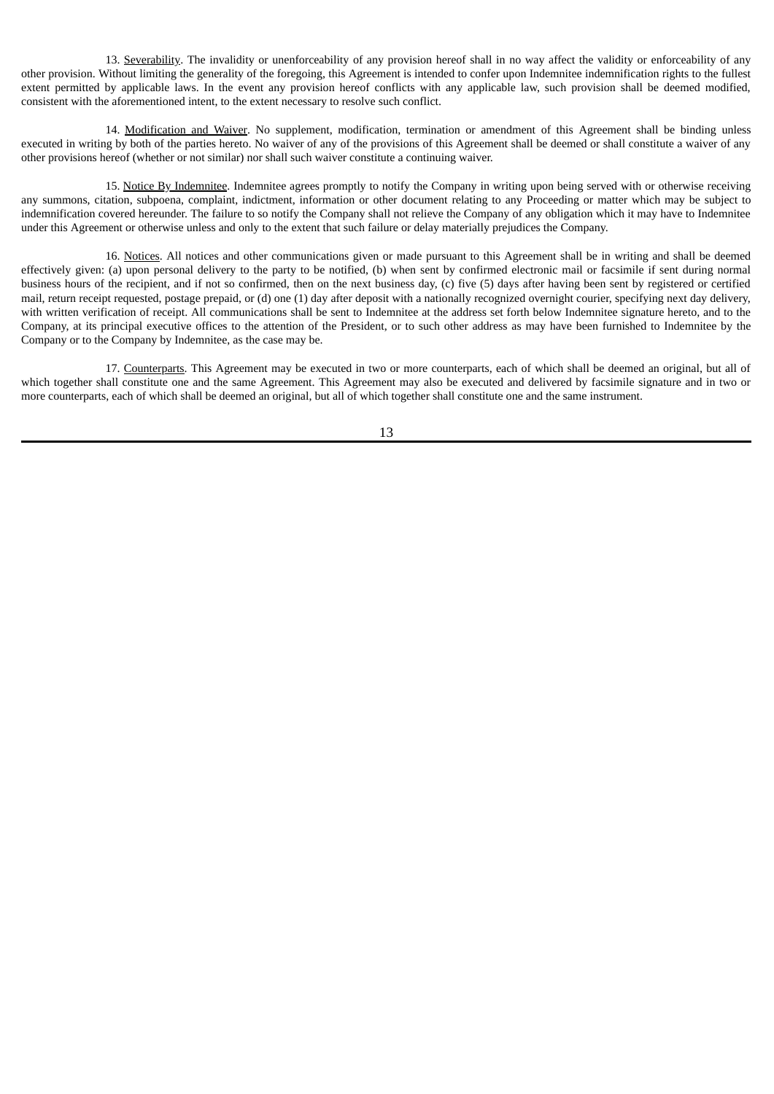13. Severability. The invalidity or unenforceability of any provision hereof shall in no way affect the validity or enforceability of any other provision. Without limiting the generality of the foregoing, this Agreement is intended to confer upon Indemnitee indemnification rights to the fullest extent permitted by applicable laws. In the event any provision hereof conflicts with any applicable law, such provision shall be deemed modified, consistent with the aforementioned intent, to the extent necessary to resolve such conflict.

14. Modification and Waiver. No supplement, modification, termination or amendment of this Agreement shall be binding unless executed in writing by both of the parties hereto. No waiver of any of the provisions of this Agreement shall be deemed or shall constitute a waiver of any other provisions hereof (whether or not similar) nor shall such waiver constitute a continuing waiver.

15. Notice By Indemnitee. Indemnitee agrees promptly to notify the Company in writing upon being served with or otherwise receiving any summons, citation, subpoena, complaint, indictment, information or other document relating to any Proceeding or matter which may be subject to indemnification covered hereunder. The failure to so notify the Company shall not relieve the Company of any obligation which it may have to Indemnitee under this Agreement or otherwise unless and only to the extent that such failure or delay materially prejudices the Company.

16. Notices. All notices and other communications given or made pursuant to this Agreement shall be in writing and shall be deemed effectively given: (a) upon personal delivery to the party to be notified, (b) when sent by confirmed electronic mail or facsimile if sent during normal business hours of the recipient, and if not so confirmed, then on the next business day, (c) five (5) days after having been sent by registered or certified mail, return receipt requested, postage prepaid, or (d) one (1) day after deposit with a nationally recognized overnight courier, specifying next day delivery, with written verification of receipt. All communications shall be sent to Indemnitee at the address set forth below Indemnitee signature hereto, and to the Company, at its principal executive offices to the attention of the President, or to such other address as may have been furnished to Indemnitee by the Company or to the Company by Indemnitee, as the case may be.

17. Counterparts. This Agreement may be executed in two or more counterparts, each of which shall be deemed an original, but all of which together shall constitute one and the same Agreement. This Agreement may also be executed and delivered by facsimile signature and in two or more counterparts, each of which shall be deemed an original, but all of which together shall constitute one and the same instrument.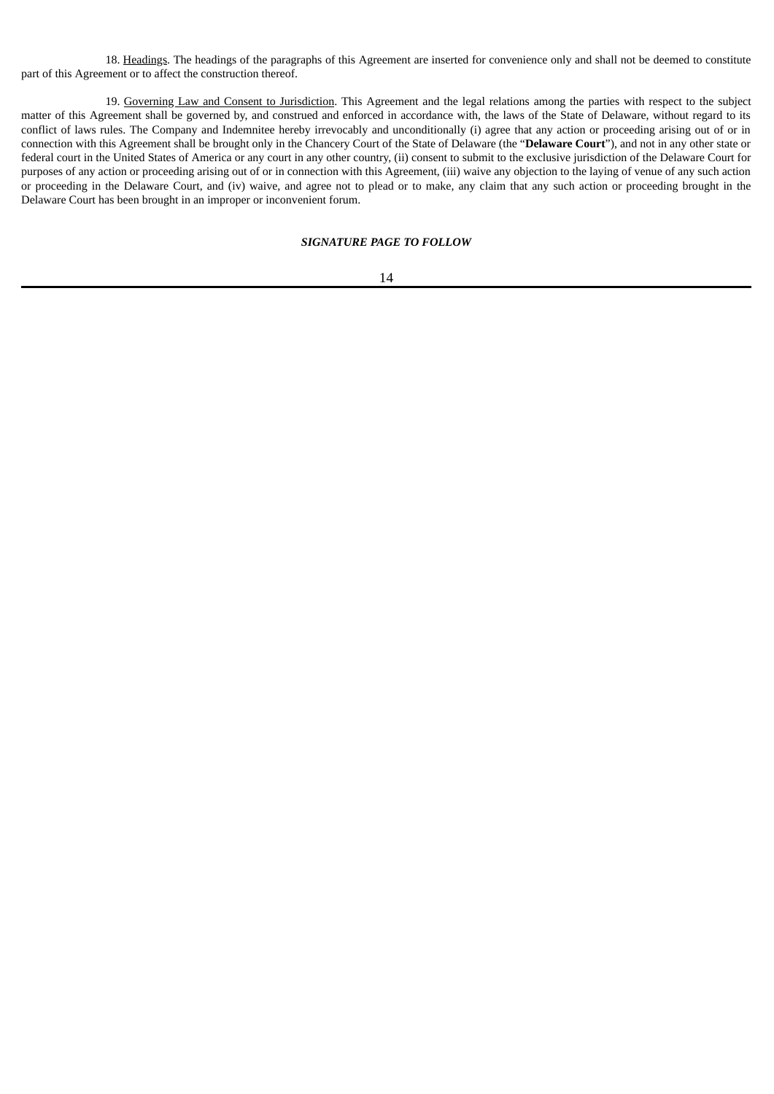18. Headings. The headings of the paragraphs of this Agreement are inserted for convenience only and shall not be deemed to constitute part of this Agreement or to affect the construction thereof.

19. Governing Law and Consent to Jurisdiction. This Agreement and the legal relations among the parties with respect to the subject matter of this Agreement shall be governed by, and construed and enforced in accordance with, the laws of the State of Delaware, without regard to its conflict of laws rules. The Company and Indemnitee hereby irrevocably and unconditionally (i) agree that any action or proceeding arising out of or in connection with this Agreement shall be brought only in the Chancery Court of the State of Delaware (the "**Delaware Court**"), and not in any other state or federal court in the United States of America or any court in any other country, (ii) consent to submit to the exclusive jurisdiction of the Delaware Court for purposes of any action or proceeding arising out of or in connection with this Agreement, (iii) waive any objection to the laying of venue of any such action or proceeding in the Delaware Court, and (iv) waive, and agree not to plead or to make, any claim that any such action or proceeding brought in the Delaware Court has been brought in an improper or inconvenient forum.

# *SIGNATURE PAGE TO FOLLOW*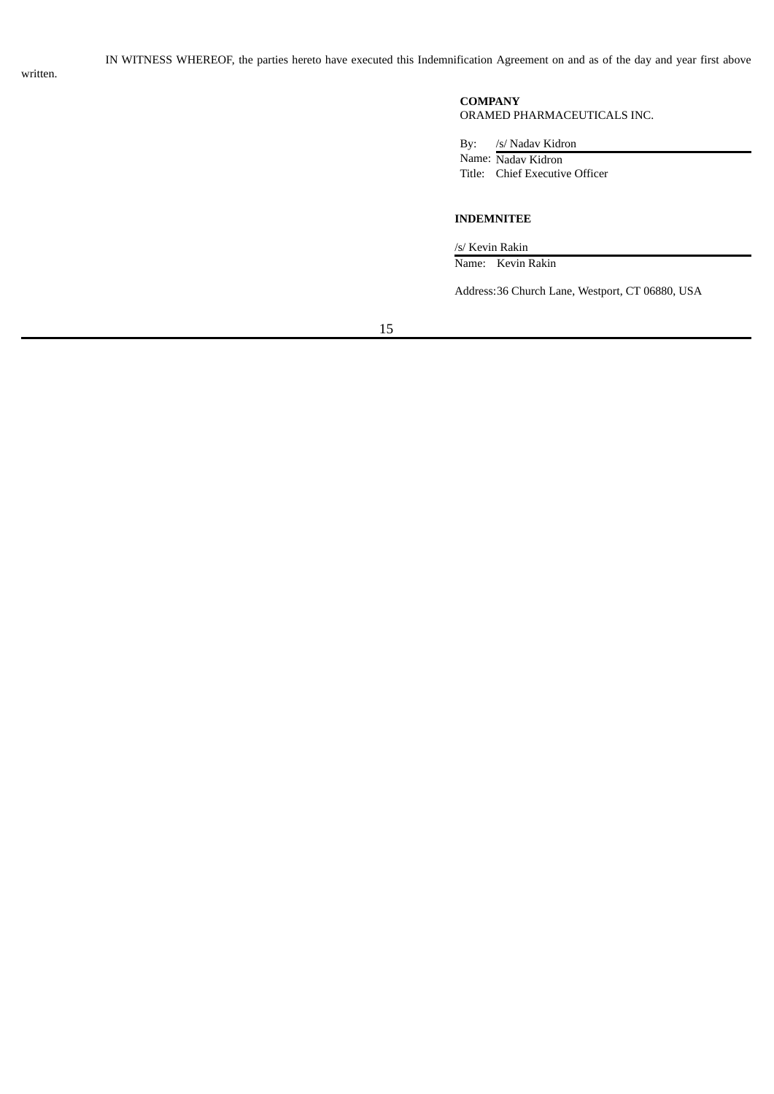## **COMPANY**

ORAMED PHARMACEUTICALS INC.

By: /s/ Nadav Kidron

Name: Nadav Kidron Title: Chief Executive Officer

# **INDEMNITEE**

/s/ Kevin Rakin

Name: Kevin Rakin

Address:36 Church Lane, Westport, CT 06880, USA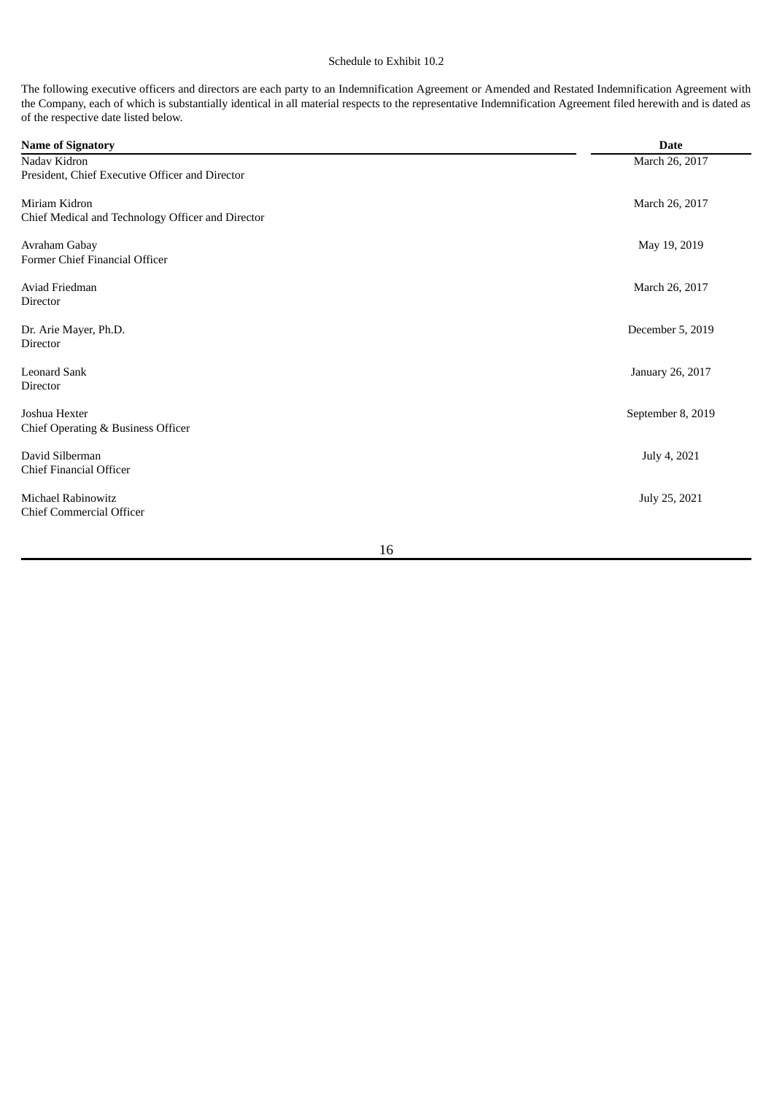#### Schedule to Exhibit 10.2

The following executive officers and directors are each party to an Indemnification Agreement or Amended and Restated Indemnification Agreement with the Company, each of which is substantially identical in all material respects to the representative Indemnification Agreement filed herewith and is dated as of the respective date listed below.

| <b>Name of Signatory</b>                              | <b>Date</b>       |
|-------------------------------------------------------|-------------------|
| Nadav Kidron                                          | March 26, 2017    |
| President, Chief Executive Officer and Director       |                   |
| Miriam Kidron                                         | March 26, 2017    |
| Chief Medical and Technology Officer and Director     |                   |
| Avraham Gabay                                         | May 19, 2019      |
| Former Chief Financial Officer                        |                   |
| Aviad Friedman                                        | March 26, 2017    |
| Director                                              |                   |
| Dr. Arie Mayer, Ph.D.                                 | December 5, 2019  |
| Director                                              |                   |
| <b>Leonard Sank</b>                                   | January 26, 2017  |
| Director                                              |                   |
|                                                       |                   |
| Joshua Hexter<br>Chief Operating & Business Officer   | September 8, 2019 |
|                                                       |                   |
| David Silberman<br><b>Chief Financial Officer</b>     | July 4, 2021      |
|                                                       |                   |
| Michael Rabinowitz<br><b>Chief Commercial Officer</b> | July 25, 2021     |
|                                                       |                   |
|                                                       |                   |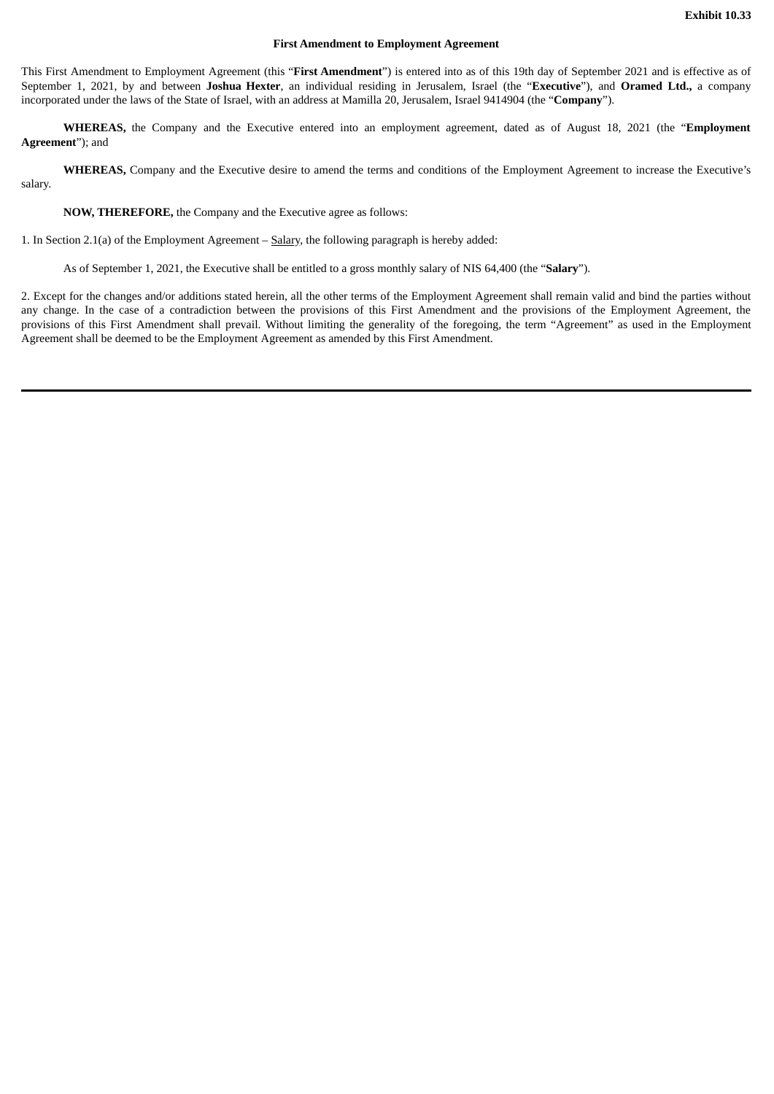#### **First Amendment to Employment Agreement**

This First Amendment to Employment Agreement (this "**First Amendment**") is entered into as of this 19th day of September 2021 and is effective as of September 1, 2021, by and between **Joshua Hexter**, an individual residing in Jerusalem, Israel (the "**Executive**"), and **Oramed Ltd.,** a company incorporated under the laws of the State of Israel, with an address at Mamilla 20, Jerusalem, Israel 9414904 (the "**Company**").

**WHEREAS,** the Company and the Executive entered into an employment agreement, dated as of August 18, 2021 (the "**Employment Agreement**"); and

**WHEREAS,** Company and the Executive desire to amend the terms and conditions of the Employment Agreement to increase the Executive's salary.

**NOW, THEREFORE,** the Company and the Executive agree as follows:

1. In Section 2.1(a) of the Employment Agreement – Salary, the following paragraph is hereby added:

As of September 1, 2021, the Executive shall be entitled to a gross monthly salary of NIS 64,400 (the "**Salary**").

2. Except for the changes and/or additions stated herein, all the other terms of the Employment Agreement shall remain valid and bind the parties without any change. In the case of a contradiction between the provisions of this First Amendment and the provisions of the Employment Agreement, the provisions of this First Amendment shall prevail. Without limiting the generality of the foregoing, the term "Agreement" as used in the Employment Agreement shall be deemed to be the Employment Agreement as amended by this First Amendment.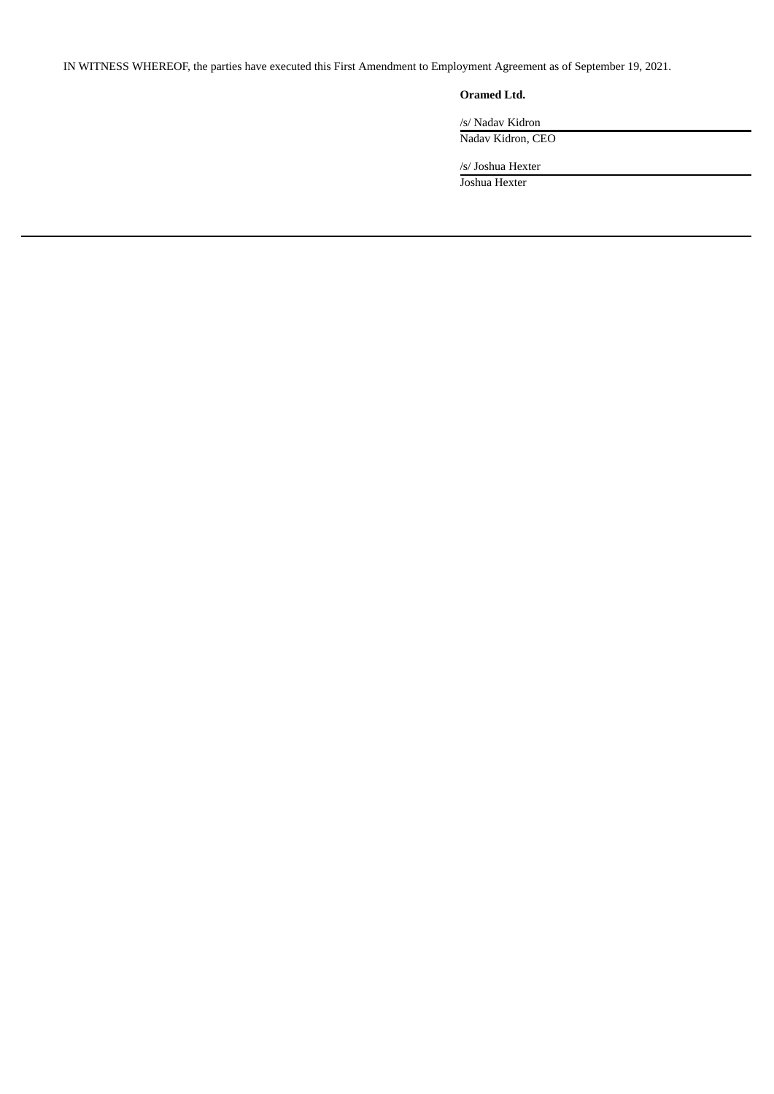IN WITNESS WHEREOF, the parties have executed this First Amendment to Employment Agreement as of September 19, 2021.

# **Oramed Ltd.**

/s/ Nadav Kidron Nadav Kidron, CEO

/s/ Joshua Hexter

Joshua Hexter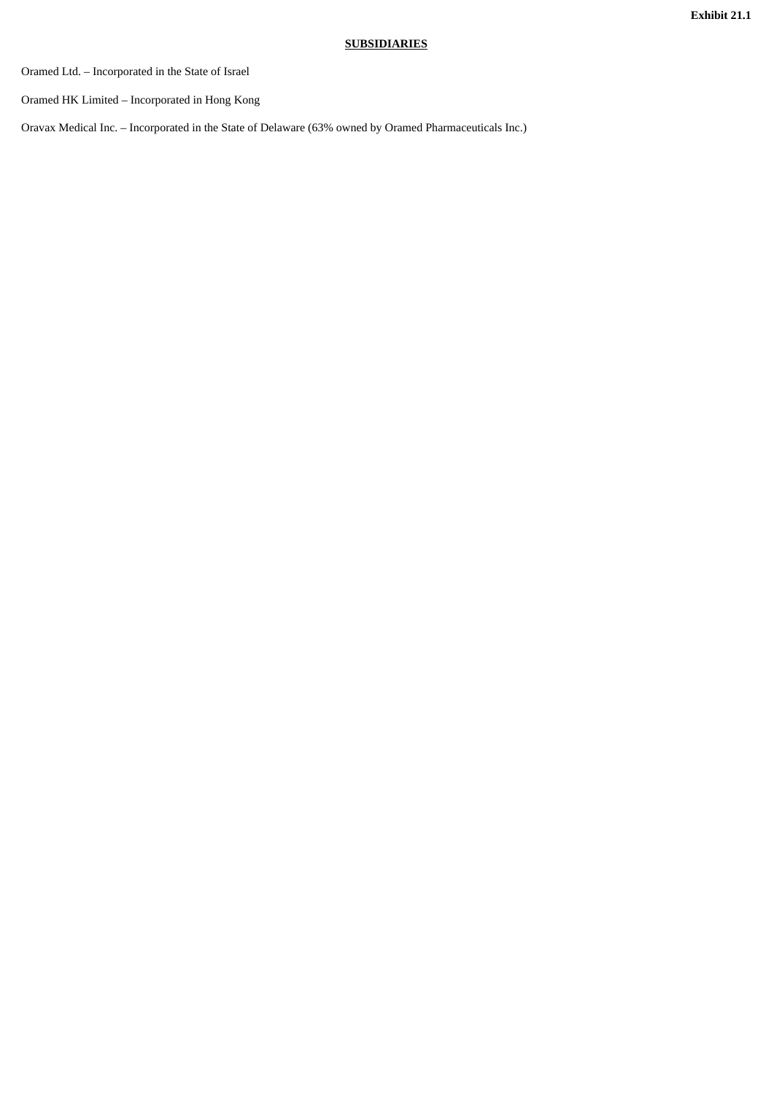# **SUBSIDIARIES**

Oramed Ltd. – Incorporated in the State of Israel

Oramed HK Limited – Incorporated in Hong Kong

Oravax Medical Inc. – Incorporated in the State of Delaware (63% owned by Oramed Pharmaceuticals Inc.)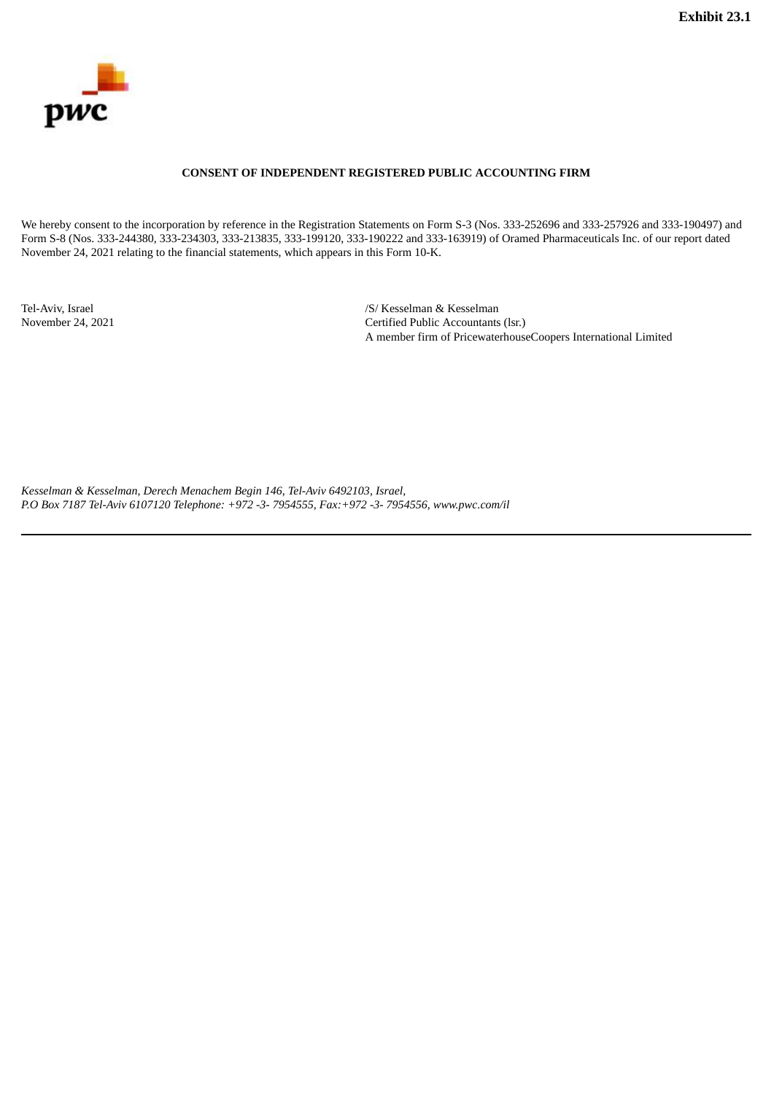

# **CONSENT OF INDEPENDENT REGISTERED PUBLIC ACCOUNTING FIRM**

We hereby consent to the incorporation by reference in the Registration Statements on Form S-3 (Nos. 333-252696 and 333-257926 and 333-190497) and Form S-8 (Nos. 333-244380, 333-234303, 333-213835, 333-199120, 333-190222 and 333-163919) of Oramed Pharmaceuticals Inc. of our report dated November 24, 2021 relating to the financial statements, which appears in this Form 10-K.

Tel-Aviv, Israel /S/ Kesselman & Kesselman November 24, 2021<br>
November 24, 2021 Certified Public Accountants (lsr.) A member firm of PricewaterhouseCoopers International Limited

*Kesselman & Kesselman, Derech Menachem Begin 146, Tel-Aviv 6492103, Israel, P.O Box 7187 Tel-Aviv 6107120 Telephone: +972 -3- 7954555, Fax:+972 -3- 7954556, www.pwc.com/il*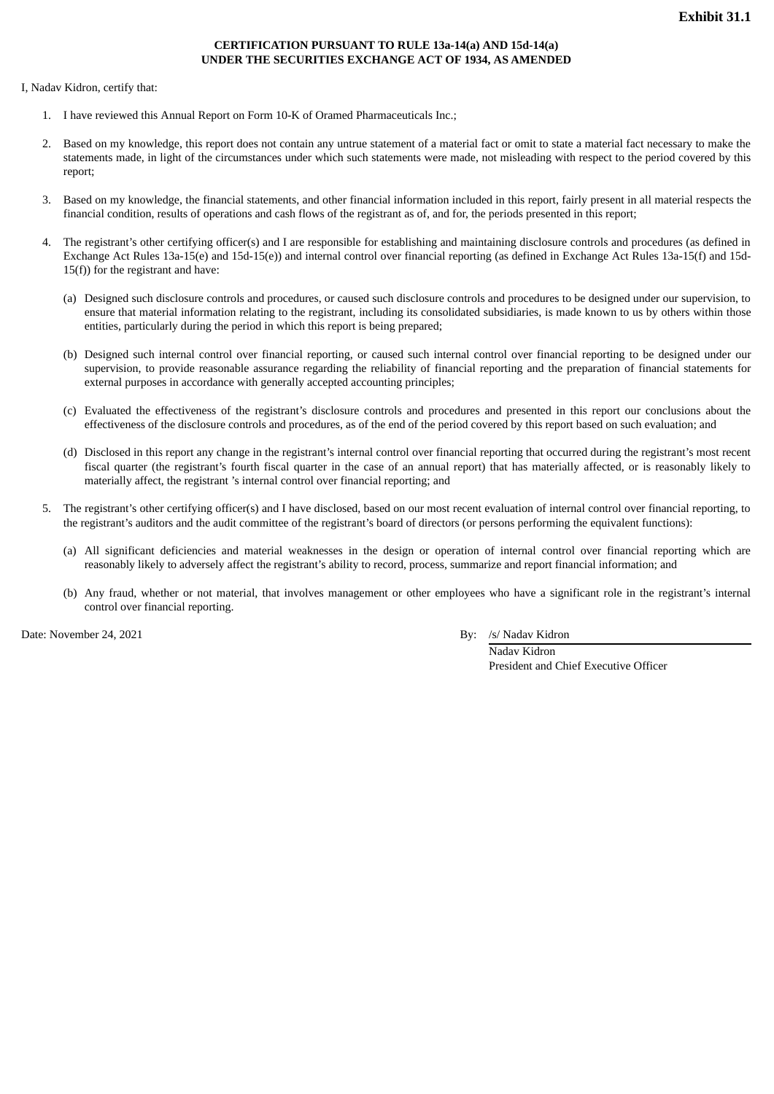## **CERTIFICATION PURSUANT TO RULE 13a-14(a) AND 15d-14(a) UNDER THE SECURITIES EXCHANGE ACT OF 1934, AS AMENDED**

I, Nadav Kidron, certify that:

- 1. I have reviewed this Annual Report on Form 10-K of Oramed Pharmaceuticals Inc.;
- 2. Based on my knowledge, this report does not contain any untrue statement of a material fact or omit to state a material fact necessary to make the statements made, in light of the circumstances under which such statements were made, not misleading with respect to the period covered by this report;
- 3. Based on my knowledge, the financial statements, and other financial information included in this report, fairly present in all material respects the financial condition, results of operations and cash flows of the registrant as of, and for, the periods presented in this report;
- 4. The registrant's other certifying officer(s) and I are responsible for establishing and maintaining disclosure controls and procedures (as defined in Exchange Act Rules 13a-15(e) and 15d-15(e)) and internal control over financial reporting (as defined in Exchange Act Rules 13a-15(f) and 15d-15(f)) for the registrant and have:
	- (a) Designed such disclosure controls and procedures, or caused such disclosure controls and procedures to be designed under our supervision, to ensure that material information relating to the registrant, including its consolidated subsidiaries, is made known to us by others within those entities, particularly during the period in which this report is being prepared;
	- (b) Designed such internal control over financial reporting, or caused such internal control over financial reporting to be designed under our supervision, to provide reasonable assurance regarding the reliability of financial reporting and the preparation of financial statements for external purposes in accordance with generally accepted accounting principles;
	- (c) Evaluated the effectiveness of the registrant's disclosure controls and procedures and presented in this report our conclusions about the effectiveness of the disclosure controls and procedures, as of the end of the period covered by this report based on such evaluation; and
	- (d) Disclosed in this report any change in the registrant's internal control over financial reporting that occurred during the registrant's most recent fiscal quarter (the registrant's fourth fiscal quarter in the case of an annual report) that has materially affected, or is reasonably likely to materially affect, the registrant 's internal control over financial reporting; and
- 5. The registrant's other certifying officer(s) and I have disclosed, based on our most recent evaluation of internal control over financial reporting, to the registrant's auditors and the audit committee of the registrant's board of directors (or persons performing the equivalent functions):
	- (a) All significant deficiencies and material weaknesses in the design or operation of internal control over financial reporting which are reasonably likely to adversely affect the registrant's ability to record, process, summarize and report financial information; and
	- (b) Any fraud, whether or not material, that involves management or other employees who have a significant role in the registrant's internal control over financial reporting.

Date: November 24, 2021 By: /s/ Nadav Kidron

Nadav Kidron President and Chief Executive Officer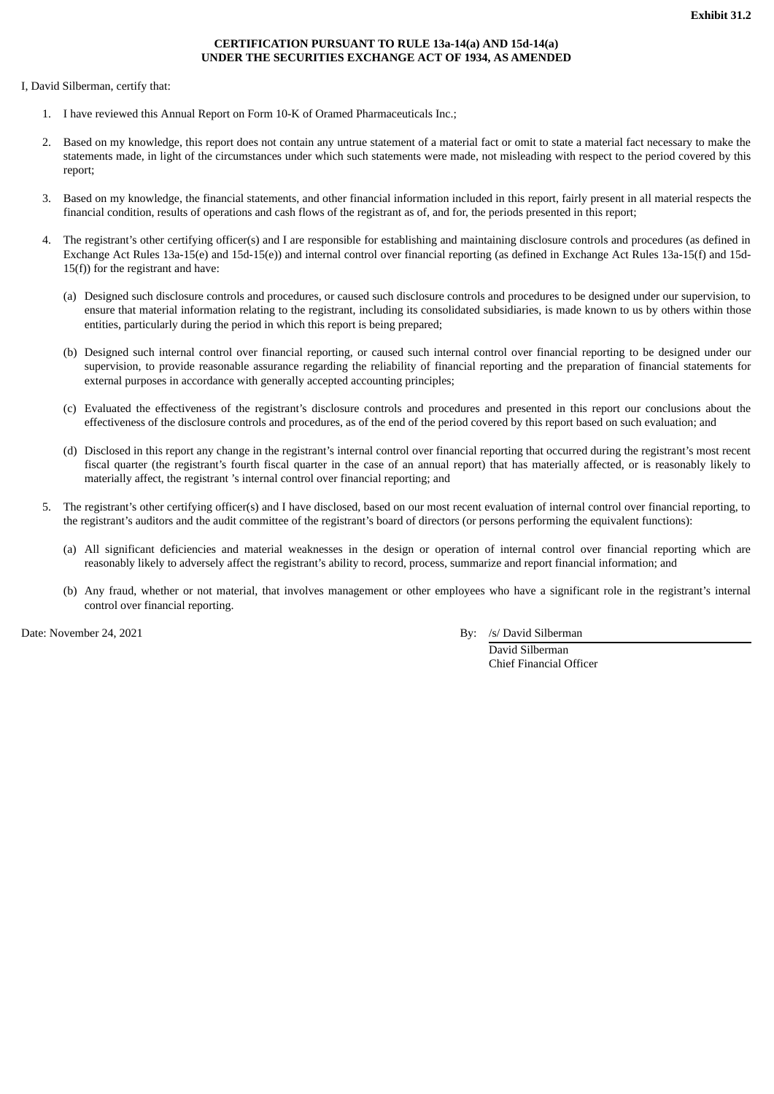## **CERTIFICATION PURSUANT TO RULE 13a-14(a) AND 15d-14(a) UNDER THE SECURITIES EXCHANGE ACT OF 1934, AS AMENDED**

I, David Silberman, certify that:

- 1. I have reviewed this Annual Report on Form 10-K of Oramed Pharmaceuticals Inc.;
- 2. Based on my knowledge, this report does not contain any untrue statement of a material fact or omit to state a material fact necessary to make the statements made, in light of the circumstances under which such statements were made, not misleading with respect to the period covered by this report;
- 3. Based on my knowledge, the financial statements, and other financial information included in this report, fairly present in all material respects the financial condition, results of operations and cash flows of the registrant as of, and for, the periods presented in this report;
- 4. The registrant's other certifying officer(s) and I are responsible for establishing and maintaining disclosure controls and procedures (as defined in Exchange Act Rules 13a-15(e) and 15d-15(e)) and internal control over financial reporting (as defined in Exchange Act Rules 13a-15(f) and 15d- $15(f)$ ) for the registrant and have:
	- (a) Designed such disclosure controls and procedures, or caused such disclosure controls and procedures to be designed under our supervision, to ensure that material information relating to the registrant, including its consolidated subsidiaries, is made known to us by others within those entities, particularly during the period in which this report is being prepared;
	- (b) Designed such internal control over financial reporting, or caused such internal control over financial reporting to be designed under our supervision, to provide reasonable assurance regarding the reliability of financial reporting and the preparation of financial statements for external purposes in accordance with generally accepted accounting principles;
	- (c) Evaluated the effectiveness of the registrant's disclosure controls and procedures and presented in this report our conclusions about the effectiveness of the disclosure controls and procedures, as of the end of the period covered by this report based on such evaluation; and
	- (d) Disclosed in this report any change in the registrant's internal control over financial reporting that occurred during the registrant's most recent fiscal quarter (the registrant's fourth fiscal quarter in the case of an annual report) that has materially affected, or is reasonably likely to materially affect, the registrant 's internal control over financial reporting; and
- 5. The registrant's other certifying officer(s) and I have disclosed, based on our most recent evaluation of internal control over financial reporting, to the registrant's auditors and the audit committee of the registrant's board of directors (or persons performing the equivalent functions):
	- (a) All significant deficiencies and material weaknesses in the design or operation of internal control over financial reporting which are reasonably likely to adversely affect the registrant's ability to record, process, summarize and report financial information; and
	- (b) Any fraud, whether or not material, that involves management or other employees who have a significant role in the registrant's internal control over financial reporting.

Date: November 24, 2021 **By:** /s/ David Silberman By: /s/ David Silberman

David Silberman Chief Financial Officer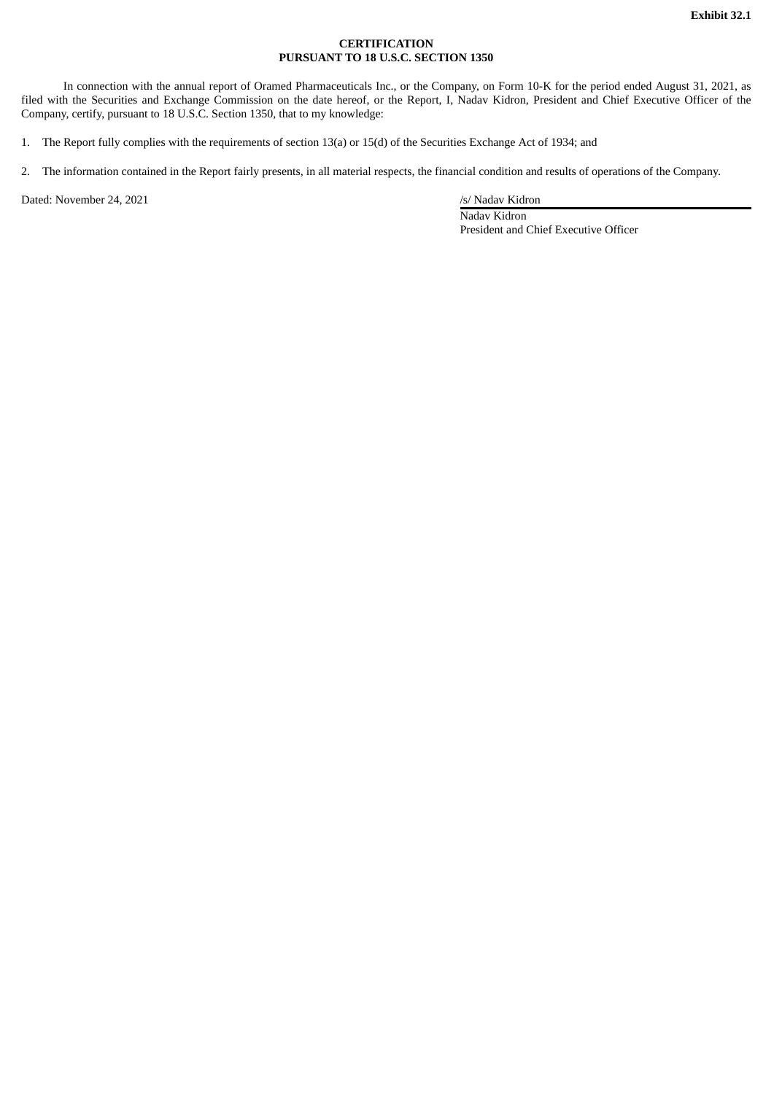## **CERTIFICATION PURSUANT TO 18 U.S.C. SECTION 1350**

In connection with the annual report of Oramed Pharmaceuticals Inc., or the Company, on Form 10-K for the period ended August 31, 2021, as filed with the Securities and Exchange Commission on the date hereof, or the Report, I, Nadav Kidron, President and Chief Executive Officer of the Company, certify, pursuant to 18 U.S.C. Section 1350, that to my knowledge:

1. The Report fully complies with the requirements of section 13(a) or 15(d) of the Securities Exchange Act of 1934; and

2. The information contained in the Report fairly presents, in all material respects, the financial condition and results of operations of the Company.

Dated: November 24, 2021 /s/ Nadav Kidron

Nadav Kidron President and Chief Executive Officer